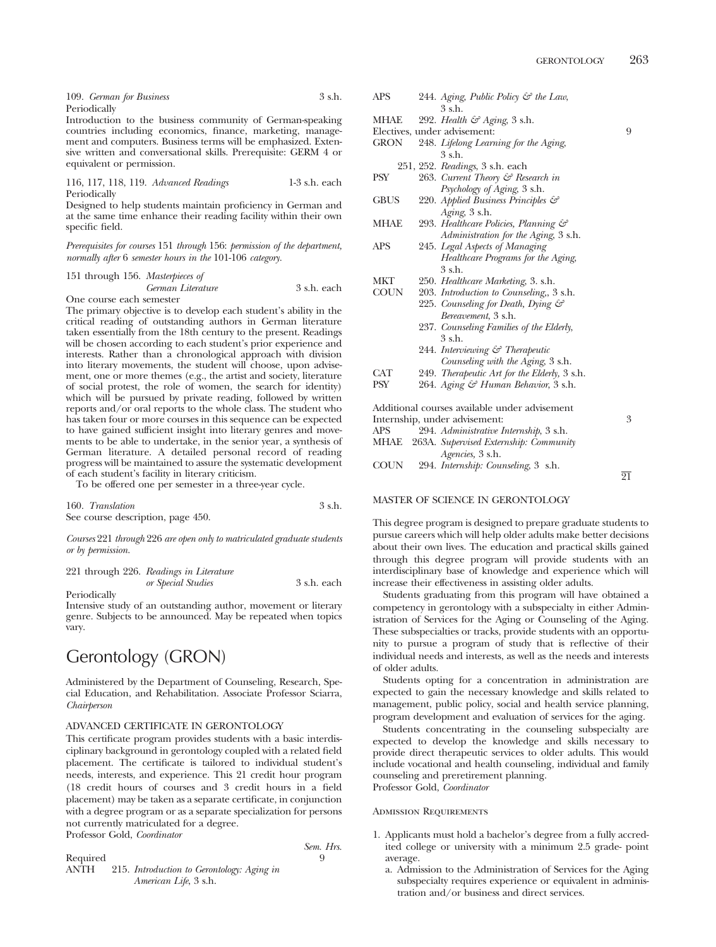| 109. German for Business | 3 s.h. |
|--------------------------|--------|
| Periodically             |        |

Introduction to the business community of German-speaking countries including economics, finance, marketing, management and computers. Business terms will be emphasized. Extensive written and conversational skills. Prerequisite: GERM 4 or equivalent or permission.

116, 117, 118, 119. *Advanced Readings* 1-3 s.h. each **Periodically** 

Designed to help students maintain proficiency in German and at the same time enhance their reading facility within their own specific field.

*Prerequisites for courses* 151 *through* 156: *permission of the department, normally after* 6 *semester hours in the* 101-106 *category.*

|  | 151 through 156. Masterpieces of |             |
|--|----------------------------------|-------------|
|  | German Literature                | 3 s.h. each |
|  |                                  |             |

One course each semester

The primary objective is to develop each student's ability in the critical reading of outstanding authors in German literature taken essentially from the 18th century to the present. Readings will be chosen according to each student's prior experience and interests. Rather than a chronological approach with division into literary movements, the student will choose, upon advisement, one or more themes (e.g., the artist and society, literature of social protest, the role of women, the search for identity) which will be pursued by private reading, followed by written reports and/or oral reports to the whole class. The student who has taken four or more courses in this sequence can be expected to have gained sufficient insight into literary genres and movements to be able to undertake, in the senior year, a synthesis of German literature. A detailed personal record of reading progress will be maintained to assure the systematic development of each student's facility in literary criticism.

To be offered one per semester in a three-year cycle.

160. *Translation* 3 s.h. See course description, page 450.

*Courses* 221 *through* 226 *are open only to matriculated graduate students or by permission.*

|  | 221 through 226. Readings in Literature |             |
|--|-----------------------------------------|-------------|
|  | or Special Studies                      | 3 s.h. each |

Periodically

Intensive study of an outstanding author, movement or literary genre. Subjects to be announced. May be repeated when topics vary.

## Gerontology (GRON)

Administered by the Department of Counseling, Research, Special Education, and Rehabilitation. Associate Professor Sciarra, *Chairperson*

### ADVANCED CERTIFICATE IN GERONTOLOGY

This certificate program provides students with a basic interdisciplinary background in gerontology coupled with a related field placement. The certificate is tailored to individual student's needs, interests, and experience. This 21 credit hour program (18 credit hours of courses and 3 credit hours in a field placement) may be taken as a separate certificate, in conjunction with a degree program or as a separate specialization for persons not currently matriculated for a degree. Professor Gold, *Coordinator*

|          |                                            | Sem. Hrs. |
|----------|--------------------------------------------|-----------|
| Required |                                            |           |
| ANTH     | 215. Introduction to Gerontology: Aging in |           |

| MHAE        | 292. Health $\mathcal{C}$ Aging, 3 s.h.       |   |
|-------------|-----------------------------------------------|---|
|             | Electives, under advisement:                  | 9 |
| GRON        | 248. Lifelong Learning for the Aging,         |   |
|             | 3 s.h.                                        |   |
|             | 251, 252. Readings, 3 s.h. each               |   |
| PSY         | 263. Current Theory & Research in             |   |
|             | <i>Psychology of Aging</i> , 3 s.h.           |   |
| <b>GBUS</b> | 220. Applied Business Principles &            |   |
|             | Aging, 3 s.h.                                 |   |
| MHAE        | 293. Healthcare Policies, Planning &          |   |
|             | Administration for the Aging, 3 s.h.          |   |
| APS         | 245. Legal Aspects of Managing                |   |
|             | Healthcare Programs for the Aging,            |   |
|             | 3 s.h.                                        |   |
| MKT         | 250. Healthcare Marketing, 3. s.h.            |   |
| COUN        | 203. Introduction to Counseling, 3 s.h.       |   |
|             | 225. Counseling for Death, Dying &            |   |
|             | <i>Bereavement</i> , 3 s.h.                   |   |
|             | 237. Counseling Families of the Elderly,      |   |
|             | 3 s.h.                                        |   |
|             | 244. Interviewing & Therapeutic               |   |
|             | Counseling with the Aging, 3 s.h.             |   |
| CAT         | 249. Therapeutic Art for the Elderly, 3 s.h.  |   |
| PSY         | 264. Aging & Human Behavior, 3 s.h.           |   |
|             | Additional courses available under advisement |   |
|             | Internship, under advisement:                 | 3 |
| APS         | 294. Administrative Internship, 3 s.h.        |   |
| MHAE        | 263A. Supervised Externship: Community        |   |

APS 244. *Aging, Public Policy & the Law*, 3 s.h.

### MASTER OF SCIENCE IN GERONTOLOGY

*Agencies,* 3 s.h. COUN 294. *Internship: Counseling*, 3 s.h.

This degree program is designed to prepare graduate students to pursue careers which will help older adults make better decisions about their own lives. The education and practical skills gained through this degree program will provide students with an interdisciplinary base of knowledge and experience which will increase their effectiveness in assisting older adults.

Students graduating from this program will have obtained a competency in gerontology with a subspecialty in either Administration of Services for the Aging or Counseling of the Aging. These subspecialties or tracks, provide students with an opportunity to pursue a program of study that is reflective of their individual needs and interests, as well as the needs and interests of older adults.

Students opting for a concentration in administration are expected to gain the necessary knowledge and skills related to management, public policy, social and health service planning, program development and evaluation of services for the aging.

Students concentrating in the counseling subspecialty are expected to develop the knowledge and skills necessary to provide direct therapeutic services to older adults. This would include vocational and health counseling, individual and family counseling and preretirement planning. Professor Gold, *Coordinator*

### Admission Requirements

- 1. Applicants must hold a bachelor's degree from a fully accredited college or university with a minimum 2.5 grade- point average.
	- a. Admission to the Administration of Services for the Aging subspecialty requires experience or equivalent in administration and/or business and direct services.

21

*American Life*, 3 s.h.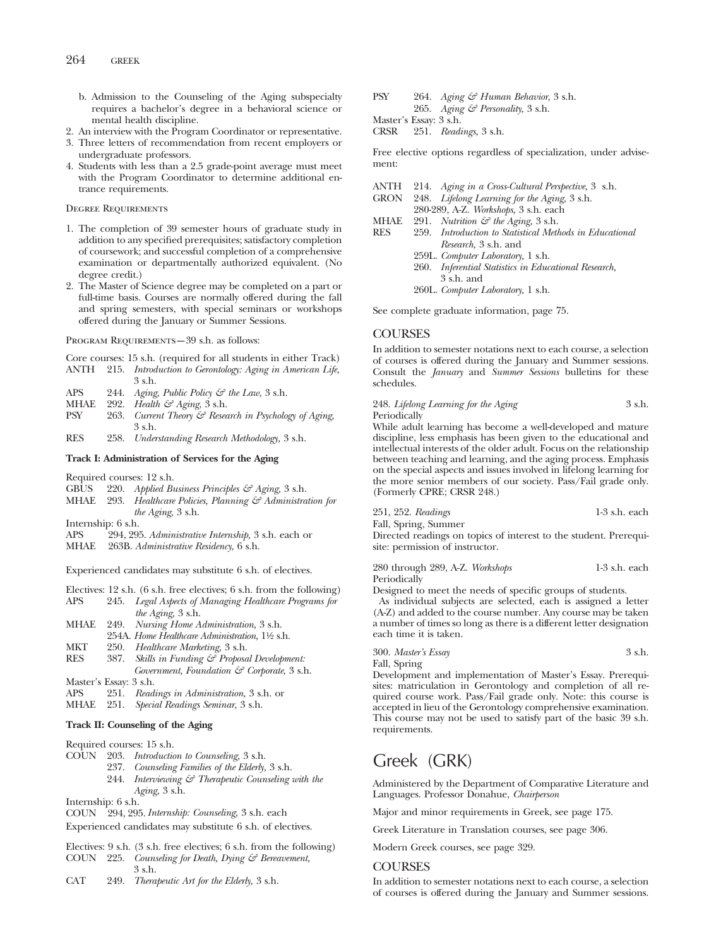- b. Admission to the Counseling of the Aging subspecialty requires a bachelor's degree in a behavioral science or mental health discipline.
- 2. An interview with the Program Coordinator or representative.
- 3. Three letters of recommendation from recent employers or undergraduate professors.
- 4. Students with less than a 2.5 grade-point average must meet with the Program Coordinator to determine additional entrance requirements.

### Degree Requirements

- 1. The completion of 39 semester hours of graduate study in addition to any specified prerequisites; satisfactory completion of coursework; and successful completion of a comprehensive examination or departmentally authorized equivalent. (No degree credit.)
- 2. The Master of Science degree may be completed on a part or full-time basis. Courses are normally offered during the fall and spring semesters, with special seminars or workshops offered during the January or Summer Sessions.

PROGRAM REQUIREMENTS-39 s.h. as follows:

Core courses: 15 s.h. (required for all students in either Track)

- ANTH 215. *Introduction to Gerontology: Aging in American Life,* 3 s.h.
- APS 244. *Aging, Public Policy & the Law,* 3 s.h.<br>MHAE 292. *Health & Aging*, 3 s.h.
- 
- MHAE 292. *Health & Aging*, 3 s.h.<br>PSY 263. *Current Theory & Resea* Current Theory & Research in Psychology of Aging, 3 s.h.
- RES 258. *Understanding Research Methodology,* 3 s.h.

### **Track I: Administration of Services for the Aging**

Required courses: 12 s.h.

- GBUS 220. *Applied Business Principles & Aging,* 3 s.h.
- MHAE 293. *Healthcare Policies, Planning & Administration for the Aging,* 3 s.h.

Internship: 6 s.h.

- APS 294, 295. *Administrative Internship,* 3 s.h. each or
- MHAE 263B. *Administrative Residency,* 6 s.h.

Experienced candidates may substitute 6 s.h. of electives.

- Electives: 12 s.h. (6 s.h. free electives; 6 s.h. from the following)
- APS 245. *Legal Aspects of Managing Healthcare Programs for the Aging,* 3 s.h.
- MHAE 249. *Nursing Home Administration,* 3 s.h.
	- 254A. *Home Healthcare Administration,* 11⁄2 s.h.
- MKT 250. *Healthcare Marketing,* 3 s.h.
- RES 387. *Skills in Funding & Proposal Development: Government, Foundation & Corporate,* 3 s.h. Master's Essay: 3 s.h.
- APS 251. *Readings in Administration,* 3 s.h. or
- MHAE 251. *Special Readings Seminar,* 3 s.h.

### **Track II: Counseling of the Aging**

Required courses: 15 s.h.

- COUN 203. *Introduction to Counseling,* 3 s.h.
	- 237. *Counseling Families of the Elderly,* 3 s.h.
		- 244. *Interviewing & Therapeutic Counseling with the Aging,* 3 s.h.

Internship: 6 s.h.

COUN 294, 295.*Internship: Counseling,* 3 s.h. each

Experienced candidates may substitute 6 s.h. of electives.

- Electives: 9 s.h. (3 s.h. free electives; 6 s.h. from the following)
- COUN 225. *Counseling for Death, Dying & Bereavement,* 3 s.h.
- CAT 249. *Therapeutic Art for the Elderly,* 3 s.h.
- PSY 264. *Aging & Human Behavior,* 3 s.h. 265. *Aging & Personality,* 3 s.h.
- Master's Essay: 3 s.h.

CRSR 251. *Readings,* 3 s.h.

Free elective options regardless of specialization, under advisement:

| ANTH | 214. Aging in a Cross-Cultural Perspective, 3 s.h.      |
|------|---------------------------------------------------------|
| GRON | 248. Lifelong Learning for the Aging, 3 s.h.            |
|      | 280-289, A-Z. Workshops, 3 s.h. each                    |
| MHAE | 291. Nutrition $\mathcal{C}$ the Aging, 3 s.h.          |
| RES  | 259. Introduction to Statistical Methods in Educational |
|      | <i>Research</i> , 3 s.h. and                            |
|      | 259L. Computer Laboratory, 1 s.h.                       |
|      | 260. Inferential Statistics in Educational Research,    |
|      | $3$ s.h. and                                            |
|      | 260L. Computer Laboratory, 1 s.h.                       |
|      |                                                         |

See complete graduate information, page 75.

### COURSES

In addition to semester notations next to each course, a selection of courses is offered during the January and Summer sessions. Consult the *January* and *Summer Sessions* bulletins for these schedules.

248. *Lifelong Learning for the Aging* 3 s.h. Periodically

While adult learning has become a well-developed and mature discipline, less emphasis has been given to the educational and intellectual interests of the older adult. Focus on the relationship between teaching and learning, and the aging process. Emphasis on the special aspects and issues involved in lifelong learning for the more senior members of our society. Pass/Fail grade only. (Formerly CPRE; CRSR 248.)

|  | 251, 252. Readings | $1-3$ s.h. each |  |
|--|--------------------|-----------------|--|
|  |                    |                 |  |

Fall, Spring, Summer Directed readings on topics of interest to the student. Prerequisite: permission of instructor.

280 through 289, A-Z. *Workshops* 1-3 s.h. each Periodically

Designed to meet the needs of specific groups of students.

As individual subjects are selected, each is assigned a letter (A-Z) and added to the course number. Any course may be taken a number of times so long as there is a different letter designation each time it is taken.

300. *Master's Essay* 3 s.h. Fall, Spring

Development and implementation of Master's Essay. Prerequisites: matriculation in Gerontology and completion of all required course work. Pass/Fail grade only. Note: this course is accepted in lieu of the Gerontology comprehensive examination. This course may not be used to satisfy part of the basic 39 s.h. requirements.

## Greek (GRK)

Administered by the Department of Comparative Literature and Languages. Professor Donahue, *Chairperson*

Major and minor requirements in Greek, see page 175.

Greek Literature in Translation courses, see page 306.

Modern Greek courses, see page 329.

### **COURSES**

In addition to semester notations next to each course, a selection of courses is offered during the January and Summer sessions.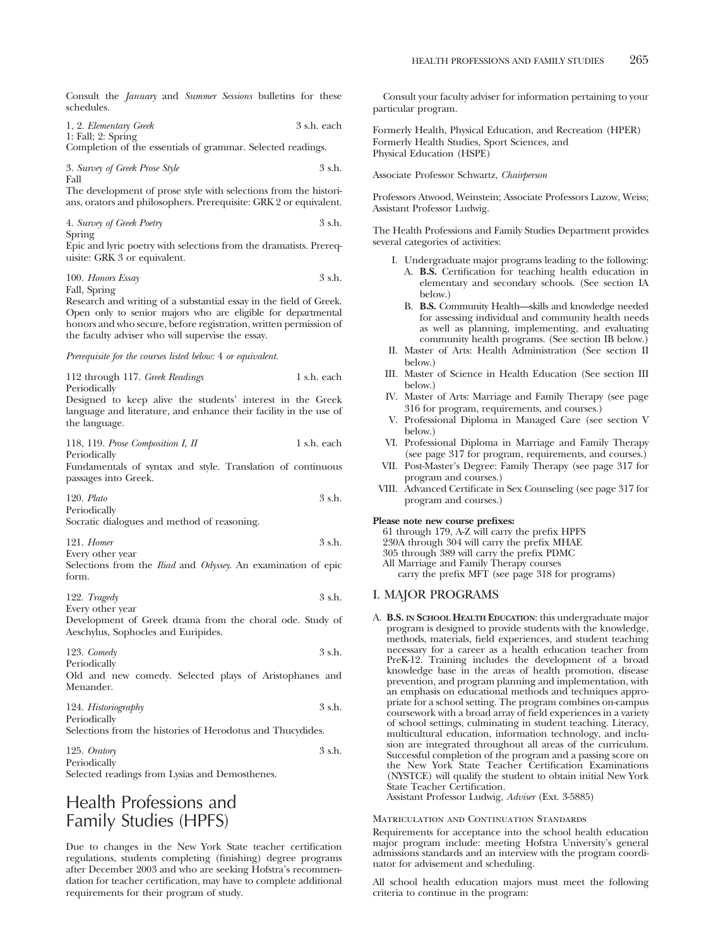Consult the *January* and *Summer Sessions* bulletins for these schedules.

| 1, 2. Elementary Greek | 3 s.h. each |
|------------------------|-------------|
| $1:$ Fall; $2:$ Spring |             |

Completion of the essentials of grammar. Selected readings.

| 3. Survey of Greek Prose Style | 3 s.h. |
|--------------------------------|--------|
| Fall                           |        |

The development of prose style with selections from the historians, orators and philosophers. Prerequisite: GRK 2 or equivalent.

| 4. Survey of Greek Poetry | 3 s.h. |
|---------------------------|--------|
|---------------------------|--------|

Spring

Epic and lyric poetry with selections from the dramatists. Prerequisite: GRK 3 or equivalent.

### 100. *Honors Essay* 3 s.h. Fall, Spring

Research and writing of a substantial essay in the field of Greek. Open only to senior majors who are eligible for departmental honors and who secure, before registration, written permission of the faculty adviser who will supervise the essay.

*Prerequisite for the courses listed below:* 4 *or equivalent.*

112 through 117. *Greek Readings* 1 s.h. each Periodically

Designed to keep alive the students' interest in the Greek language and literature, and enhance their facility in the use of the language.

118, 119. *Prose Composition I, II* 1 s.h. each Periodically

Fundamentals of syntax and style. Translation of continuous passages into Greek.

120. *Plato* 3 s.h. Periodically

Socratic dialogues and method of reasoning.

121. *Homer* 3 s.h.

Every other year Selections from the *Iliad* and *Odyssey*. An examination of epic form.

122. *Tragedy* 3 s.h. Every other year

Development of Greek drama from the choral ode. Study of Aeschylus, Sophocles and Euripides.

123. *Comedy* 3 s.h. Periodically

Old and new comedy. Selected plays of Aristophanes and Menander.

| 124. Historiography | 3 s.h. |
|---------------------|--------|
| Periodically        |        |

Selections from the histories of Herodotus and Thucydides.

125. *Oratory* 3 s.h. Periodically

Selected readings from Lysias and Demosthenes.

## Health Professions and Family Studies (HPFS)

Due to changes in the New York State teacher certification regulations, students completing (finishing) degree programs after December 2003 and who are seeking Hofstra's recommendation for teacher certification, may have to complete additional requirements for their program of study.

Consult your faculty adviser for information pertaining to your particular program.

Formerly Health, Physical Education, and Recreation (HPER) Formerly Health Studies, Sport Sciences, and Physical Education (HSPE)

Associate Professor Schwartz, *Chairperson*

Professors Atwood, Weinstein; Associate Professors Lazow, Weiss; Assistant Professor Ludwig.

The Health Professions and Family Studies Department provides several categories of activities:

- I. Undergraduate major programs leading to the following: A. **B.S.** Certification for teaching health education in
	- elementary and secondary schools. (See section IA below.) B. **B.S.** Community Health—skills and knowledge needed
	- for assessing individual and community health needs as well as planning, implementing, and evaluating community health programs. (See section IB below.)
- II. Master of Arts: Health Administration (See section II below.)
- III. Master of Science in Health Education (See section III below.)
- IV. Master of Arts: Marriage and Family Therapy (see page 316 for program, requirements, and courses.)
- V. Professional Diploma in Managed Care (see section V below.)
- VI. Professional Diploma in Marriage and Family Therapy (see page 317 for program, requirements, and courses.)
- VII. Post-Master's Degree: Family Therapy (see page 317 for program and courses.)
- VIII. Advanced Certificate in Sex Counseling (see page 317 for program and courses.)

### **Please note new course prefixes:**

61 through 179, A-Z will carry the prefix HPFS 230A through 304 will carry the prefix MHAE 305 through 389 will carry the prefix PDMC All Marriage and Family Therapy courses carry the prefix MFT (see page 318 for programs)

### I. MAJOR PROGRAMS

A. **B.S. IN SCHOOL HEALTH EDUCATION**: this undergraduate major program is designed to provide students with the knowledge, methods, materials, field experiences, and student teaching necessary for a career as a health education teacher from PreK-12. Training includes the development of a broad knowledge base in the areas of health promotion, disease prevention, and program planning and implementation, with an emphasis on educational methods and techniques appropriate for a school setting. The program combines on-campus coursework with a broad array of field experiences in a variety of school settings, culminating in student teaching. Literacy, multicultural education, information technology, and inclusion are integrated throughout all areas of the curriculum. Successful completion of the program and a passing score on the New York State Teacher Certification Examinations (NYSTCE) will qualify the student to obtain initial New York State Teacher Certification.

Assistant Professor Ludwig, *Adviser* (Ext. 3-5885)

#### Matriculation and Continuation Standards

Requirements for acceptance into the school health education major program include: meeting Hofstra University's general admissions standards and an interview with the program coordinator for advisement and scheduling.

All school health education majors must meet the following criteria to continue in the program: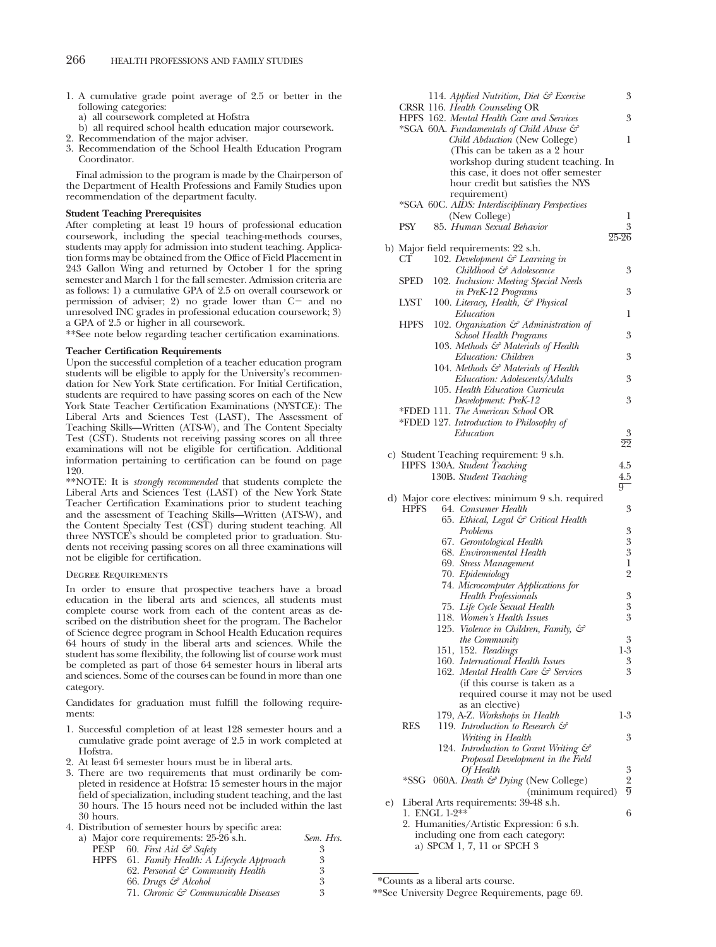- 1. A cumulative grade point average of 2.5 or better in the following categories:
	- a) all coursework completed at Hofstra
	- b) all required school health education major coursework.
- 2. Recommendation of the major adviser.
- 3. Recommendation of the School Health Education Program Coordinator.

Final admission to the program is made by the Chairperson of the Department of Health Professions and Family Studies upon recommendation of the department faculty.

#### **Student Teaching Prerequisites**

After completing at least 19 hours of professional education coursework, including the special teaching-methods courses, students may apply for admission into student teaching. Application forms may be obtained from the Office of Field Placement in 243 Gallon Wing and returned by October 1 for the spring semester and March 1 for the fall semester. Admission criteria are as follows: 1) a cumulative GPA of 2.5 on overall coursework or permission of adviser; 2) no grade lower than  $C$  and no unresolved INC grades in professional education coursework; 3) a GPA of 2.5 or higher in all coursework.

\*\*See note below regarding teacher certification examinations.

### **Teacher Certification Requirements**

Upon the successful completion of a teacher education program students will be eligible to apply for the University's recommendation for New York State certification. For Initial Certification, students are required to have passing scores on each of the New York State Teacher Certification Examinations (NYSTCE): The Liberal Arts and Sciences Test (LAST), The Assessment of Teaching Skills—Written (ATS-W), and The Content Specialty Test (CST). Students not receiving passing scores on all three examinations will not be eligible for certification. Additional information pertaining to certification can be found on page 120.

\*\*NOTE: It is *strongly recommended* that students complete the Liberal Arts and Sciences Test (LAST) of the New York State Teacher Certification Examinations prior to student teaching and the assessment of Teaching Skills—Written (ATS-W), and the Content Specialty Test (CST) during student teaching. All three NYSTCE's should be completed prior to graduation. Students not receiving passing scores on all three examinations will not be eligible for certification.

#### Degree Requirements

In order to ensure that prospective teachers have a broad education in the liberal arts and sciences, all students must complete course work from each of the content areas as described on the distribution sheet for the program. The Bachelor of Science degree program in School Health Education requires 64 hours of study in the liberal arts and sciences. While the student has some flexibility, the following list of course work must be completed as part of those 64 semester hours in liberal arts and sciences. Some of the courses can be found in more than one category.

Candidates for graduation must fulfill the following requirements:

- 1. Successful completion of at least 128 semester hours and a cumulative grade point average of 2.5 in work completed at Hofstra.
- 2. At least 64 semester hours must be in liberal arts.
- 3. There are two requirements that must ordinarily be completed in residence at Hofstra: 15 semester hours in the major field of specialization, including student teaching, and the last 30 hours. The 15 hours need not be included within the last 30 hours.

4. Distribution of semester hours by specific area:

|             |                                             | Sem. Hrs.                                                                                |
|-------------|---------------------------------------------|------------------------------------------------------------------------------------------|
|             |                                             |                                                                                          |
| <b>HPFS</b> | 61. Family Health: A Lifecycle Approach     | 3                                                                                        |
|             | 62. Personal $\mathcal{C}$ Community Health | 3                                                                                        |
|             | 66. Drugs & Alcohol                         | 3                                                                                        |
|             | 71. Chronic & Communicable Diseases         | 3                                                                                        |
|             |                                             | a) Major core requirements: 25-26 s.h.<br><b>PESP</b> 60. First Aid $\mathcal{C}$ Safety |

|    |             | 114. Applied Nutrition, Diet $\mathcal G$ Exercise                            | 3                          |
|----|-------------|-------------------------------------------------------------------------------|----------------------------|
|    |             | CRSR 116. Health Counseling OR<br>HPFS 162. Mental Health Care and Services   | 3                          |
|    |             | *SGA 60A. Fundamentals of Child Abuse &<br>Child Abduction (New College)      | 1                          |
|    |             | (This can be taken as a 2 hour                                                |                            |
|    |             | workshop during student teaching. In<br>this case, it does not offer semester |                            |
|    |             | hour credit but satisfies the NYS                                             |                            |
|    |             | requirement)                                                                  |                            |
|    |             | *SGA 60C. AIDS: Interdisciplinary Perspectives<br>(New College)               | 1                          |
|    | PSY         | 85. Human Sexual Behavior                                                     | 3                          |
|    |             |                                                                               | $25 - 26$                  |
|    | CТ          | b) Major field requirements: 22 s.h.<br>102. Development & Learning in        |                            |
|    |             | Childhood & Adolescence                                                       | 3                          |
|    | SPED        | 102. Inclusion: Meeting Special Needs                                         |                            |
|    |             | in PreK-12 Programs                                                           | 3                          |
|    | LYST        | 100. Literacy, Health, & Physical<br>Education                                | 1                          |
|    | <b>HPFS</b> | 102. Organization $\mathcal{C}$ Administration of                             |                            |
|    |             | <b>School Health Programs</b>                                                 | 3                          |
|    |             | 103. Methods & Materials of Health                                            |                            |
|    |             | Education: Children<br>104. Methods & Materials of Health                     | 3                          |
|    |             | Education: Adolescents/Adults                                                 | 3                          |
|    |             | 105. Health Education Curricula                                               |                            |
|    |             | Development: PreK-12                                                          | 3                          |
|    |             | *FDED 111. The American School OR<br>*FDED 127. Introduction to Philosophy of |                            |
|    |             | Education                                                                     | $\boldsymbol{3}$           |
|    |             |                                                                               | $\overline{2}\overline{2}$ |
|    |             | c) Student Teaching requirement: 9 s.h.                                       |                            |
|    |             | HPFS 130A. Student Teaching<br>130B. Student Teaching                         | 4.5<br>4.5                 |
|    |             |                                                                               | $\overline{9}$             |
|    |             | d) Major core electives: minimum 9 s.h. required                              |                            |
|    | HPFS        | 64. Consumer Health                                                           | 3                          |
|    |             | 65. Ethical, Legal & Critical Health<br>Problems                              | $\boldsymbol{3}$           |
|    |             | 67. Gerontological Health                                                     | $\overline{3}$             |
|    |             | 68. Environmental Health                                                      | $\boldsymbol{3}$           |
|    |             | 69. Stress Management                                                         | 1                          |
|    |             | 70. Epidemiology<br>74. Microcomputer Applications for                        | $\overline{2}$             |
|    |             | <b>Health Professionals</b>                                                   | $\boldsymbol{3}$           |
|    |             | 75. Life Cycle Sexual Health                                                  | $\boldsymbol{3}$           |
|    |             | 118. Women's Health Issues                                                    | 3                          |
|    |             | 125. Violence in Children, Family, &                                          | 3                          |
|    |             | the Community<br>151, 152. Readings                                           | 1-3                        |
|    |             | 160. International Health Issues                                              | 3                          |
|    |             | 162. Mental Health Care & Services                                            | 3                          |
|    |             | (if this course is taken as a                                                 |                            |
|    |             | required course it may not be used<br>as an elective)                         |                            |
|    |             | 179, A-Z. Workshops in Health                                                 | $1-3$                      |
|    | RES         | 119. Introduction to Research $\mathcal{C}$                                   |                            |
|    |             | Writing in Health<br>124. Introduction to Grant Writing &                     | 3                          |
|    |             | Proposal Development in the Field                                             |                            |
|    |             | Of Health                                                                     | 3                          |
|    |             | *SSG 060A. Death & Dying (New College)                                        | $\overline{2}$             |
|    |             | (minimum required)                                                            | $\overline{9}$             |
| e) |             | Liberal Arts requirements: 39-48 s.h.<br>1. ENGL 1-2**                        | 6                          |
|    |             | 2. Humanities/Artistic Expression: 6 s.h.                                     |                            |
|    |             | including one from each category:                                             |                            |
|    |             | a) SPCM 1, 7, 11 or SPCH 3                                                    |                            |

\*Counts as a liberal arts course.

\*\*See University Degree Requirements, page 69.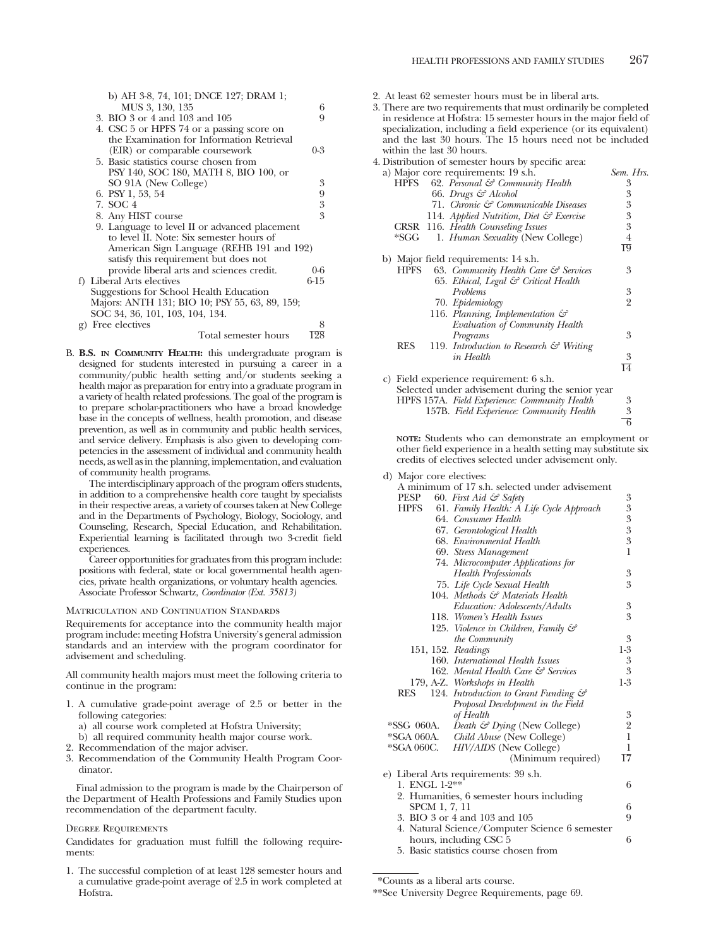|    | b) AH 3-8, 74, 101; DNCE 127; DRAM 1;          |            |
|----|------------------------------------------------|------------|
|    | MUS 3, 130, 135                                | 6          |
|    | 3. BIO 3 or 4 and 103 and 105                  | 9          |
|    | 4. CSC 5 or HPFS 74 or a passing score on      |            |
|    | the Examination for Information Retrieval      |            |
|    | (EIR) or comparable coursework                 | $0 - 3$    |
|    | 5. Basic statistics course chosen from         |            |
|    | PSY 140, SOC 180, MATH 8, BIO 100, or          |            |
|    | SO 91A (New College)                           | 3          |
|    | 6. PSY 1, 53, 54                               | 9          |
|    | 7. SOC 4                                       | $\sqrt{3}$ |
|    | 8. Any HIST course                             | 3          |
|    | 9. Language to level II or advanced placement  |            |
|    | to level II. Note: Six semester hours of       |            |
|    | American Sign Language (REHB 191 and 192)      |            |
|    | satisfy this requirement but does not          |            |
|    | provide liberal arts and sciences credit.      | $0 - 6$    |
|    | f) Liberal Arts electives                      | 6-15       |
|    | Suggestions for School Health Education        |            |
|    | Majors: ANTH 131; BIO 10; PSY 55, 63, 89, 159; |            |
|    | SOC 34, 36, 101, 103, 104, 134.                |            |
| g) | Free electives                                 | 8          |
|    | Total semester hours                           | 198        |
|    |                                                |            |

B. **B.S. IN COMMUNITY HEALTH:** this undergraduate program is designed for students interested in pursuing a career in a community/public health setting and/or students seeking a health major as preparation for entry into a graduate program in a variety of health related professions. The goal of the program is to prepare scholar-practitioners who have a broad knowledge base in the concepts of wellness, health promotion, and disease prevention, as well as in community and public health services, and service delivery. Emphasis is also given to developing competencies in the assessment of individual and community health needs, as well as in the planning, implementation, and evaluation of community health programs.

The interdisciplinary approach of the program offers students, in addition to a comprehensive health core taught by specialists in their respective areas, a variety of courses taken at New College and in the Departments of Psychology, Biology, Sociology, and Counseling, Research, Special Education, and Rehabilitation. Experiential learning is facilitated through two 3-credit field experiences.

Career opportunities for graduates from this program include: positions with federal, state or local governmental health agencies, private health organizations, or voluntary health agencies. Associate Professor Schwartz, *Coordinator (Ext. 35813)*

Matriculation and Continuation Standards

Requirements for acceptance into the community health major program include: meeting Hofstra University's general admission standards and an interview with the program coordinator for advisement and scheduling.

All community health majors must meet the following criteria to continue in the program:

- 1. A cumulative grade-point average of 2.5 or better in the following categories:
	- a) all course work completed at Hofstra University;
	- b) all required community health major course work.
- 2. Recommendation of the major adviser.
- 3. Recommendation of the Community Health Program Coordinator.

Final admission to the program is made by the Chairperson of the Department of Health Professions and Family Studies upon recommendation of the department faculty.

#### Degree Requirements

Candidates for graduation must fulfill the following requirements:

1. The successful completion of at least 128 semester hours and a cumulative grade-point average of 2.5 in work completed at Hofstra.

- 2. At least 62 semester hours must be in liberal arts.
- 3. There are two requirements that must ordinarily be completed in residence at Hofstra: 15 semester hours in the major field of specialization, including a field experience (or its equivalent) and the last 30 hours. The 15 hours need not be included within the last 30 hours.

| 4. Distribution of semester hours by specific area:              |           |
|------------------------------------------------------------------|-----------|
| a) Major core requirements: 19 s.h.                              | Sem. Hrs. |
| 62. Personal & Community Health<br><b>HPFS</b>                   | 3         |
| 66. Drugs & Alcohol                                              | 3         |
| 71. Chronic & Communicable Diseases                              | 3         |
| 114. Applied Nutrition, Diet $\mathcal G$ Exercise               | 3         |
| CRSR 116. Health Counseling Issues                               | 3         |
| *SGG-<br>1. Human Sexuality (New College)                        | 4         |
|                                                                  | 19        |
| b) Major field requirements: 14 s.h.                             |           |
| 63. Community Health Care $\mathcal G$ Services<br><b>HPFS</b>   | 3         |
| 65. Ethical, Legal & Critical Health                             |           |
| Problems                                                         | 3         |
| 70. Epidemiology                                                 | 2         |
| 116. Planning, Implementation $\mathcal{C}$                      |           |
| Evaluation of Community Health                                   |           |
| Programs                                                         | 3         |
| <b>RES</b><br>119. Introduction to Research $\mathcal G$ Writing |           |
| in Health                                                        | 3         |
|                                                                  | 14        |
| $\sim$ $\sim$ 11 $\sim$ $\sim$ $\sim$ $\sim$ 1                   |           |

c) Field experience requirement: 6 s.h.

| Selected under advisement during the senior year |   |
|--------------------------------------------------|---|
| HPFS 157A. Field Experience: Community Health    | 3 |
| 157B. Field Experience: Community Health         | 3 |
|                                                  |   |

**NOTE:** Students who can demonstrate an employment or other field experience in a health setting may substitute six credits of electives selected under advisement only.

| d) Major core electives:                               |                                                  |                                               |
|--------------------------------------------------------|--------------------------------------------------|-----------------------------------------------|
|                                                        | A minimum of 17 s.h. selected under advisement   |                                               |
| PESP<br>60. First Aid $\mathcal{C}$ Safety             |                                                  | 3                                             |
| <b>HPFS</b>                                            | 61. Family Health: A Life Cycle Approach         | $\begin{smallmatrix}3\3\3\3\end{smallmatrix}$ |
| 64. Consumer Health                                    |                                                  |                                               |
|                                                        | 67. Gerontological Health                        |                                               |
|                                                        | 68. Environmental Health                         |                                               |
|                                                        | 69. Stress Management                            | $\mathbf{1}$                                  |
|                                                        | 74. Microcomputer Applications for               |                                               |
|                                                        | <b>Health Professionals</b>                      | 3                                             |
|                                                        | 75. Life Cycle Sexual Health                     | 3                                             |
|                                                        | 104. Methods & Materials Health                  |                                               |
|                                                        | Education: Adolescents/Adults                    | 3                                             |
|                                                        | 118. Women's Health Issues                       | 3                                             |
|                                                        | 125. Violence in Children, Family &              |                                               |
|                                                        | the Community                                    | 3                                             |
| 151, 152. Readings                                     |                                                  | $1-3$                                         |
|                                                        | 160. International Health Issues                 | 3                                             |
|                                                        | 162. Mental Health Care & Services               | 3                                             |
| 179, A-Z. Workshops in Health                          |                                                  | $1-3$                                         |
| <b>RES</b>                                             | 124. Introduction to Grant Funding $\mathcal{C}$ |                                               |
|                                                        | Proposal Development in the Field                |                                               |
| of Health                                              |                                                  |                                               |
| *SSG 060A.                                             | Death $\mathcal{G}$ Dying (New College)          | $\frac{3}{2}$                                 |
| *SGA 060A. Child Abuse (New College)                   |                                                  |                                               |
| *SGA 060C.                                             | <i>HIV/AIDS</i> (New College)                    | 1                                             |
|                                                        | (Minimum required)                               | $\overline{17}$                               |
|                                                        |                                                  |                                               |
| e) Liberal Arts requirements: 39 s.h.<br>1. ENGL 1-2** |                                                  |                                               |
|                                                        |                                                  | 6                                             |
|                                                        | 2. Humanities, 6 semester hours including        |                                               |
| SPCM 1, 7, 11                                          |                                                  | 6                                             |
| 3. BIO 3 or 4 and 103 and 105                          |                                                  | 9                                             |
|                                                        | 4. Natural Science/Computer Science 6 semester   |                                               |
| hours, including CSC 5                                 |                                                  | 6                                             |

\*Counts as a liberal arts course.

5. Basic statistics course chosen from

<sup>\*\*</sup>See University Degree Requirements, page 69.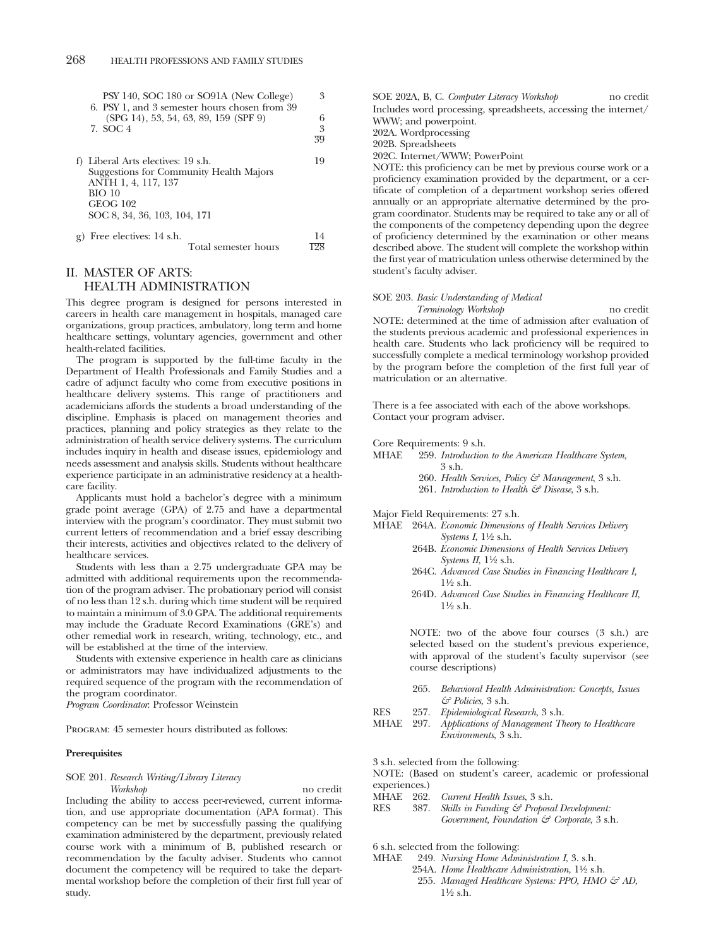| PSY 140, SOC 180 or SO91A (New College)<br>6. PSY 1, and 3 semester hours chosen from 39 | 3  |
|------------------------------------------------------------------------------------------|----|
| $(SPG 14)$ , 53, 54, 63, 89, 159 $(SPF 9)$                                               | 6  |
| 7. SOC 4                                                                                 | 3  |
|                                                                                          | 39 |
| f) Liberal Arts electives: 19 s.h.<br>Suggestions for Community Health Majors            | 19 |
| ANTH 1, 4, 117, 137                                                                      |    |
| BIO 10                                                                                   |    |

GEOG 102 SOC 8, 34, 36, 103, 104, 171 g) Free electives: 14 s.h.  $\frac{14}{198}$ Total semester hours

### II. MASTER OF ARTS: HEALTH ADMINISTRATION

This degree program is designed for persons interested in careers in health care management in hospitals, managed care organizations, group practices, ambulatory, long term and home healthcare settings, voluntary agencies, government and other health-related facilities.

The program is supported by the full-time faculty in the Department of Health Professionals and Family Studies and a cadre of adjunct faculty who come from executive positions in healthcare delivery systems. This range of practitioners and academicians affords the students a broad understanding of the discipline. Emphasis is placed on management theories and practices, planning and policy strategies as they relate to the administration of health service delivery systems. The curriculum includes inquiry in health and disease issues, epidemiology and needs assessment and analysis skills. Students without healthcare experience participate in an administrative residency at a healthcare facility.

Applicants must hold a bachelor's degree with a minimum grade point average (GPA) of 2.75 and have a departmental interview with the program's coordinator. They must submit two current letters of recommendation and a brief essay describing their interests, activities and objectives related to the delivery of healthcare services.

Students with less than a 2.75 undergraduate GPA may be admitted with additional requirements upon the recommendation of the program adviser. The probationary period will consist of no less than 12 s.h. during which time student will be required to maintain a minimum of 3.0 GPA. The additional requirements may include the Graduate Record Examinations (GRE's) and other remedial work in research, writing, technology, etc., and will be established at the time of the interview.

Students with extensive experience in health care as clinicians or administrators may have individualized adjustments to the required sequence of the program with the recommendation of the program coordinator.

*Program Coordinator*: Professor Weinstein

Program: 45 semester hours distributed as follows:

#### **Prerequisites**

### SOE 201. *Research Writing/Library Literacy*

*Workshop* no credit Including the ability to access peer-reviewed, current information, and use appropriate documentation (APA format). This competency can be met by successfully passing the qualifying examination administered by the department, previously related course work with a minimum of B, published research or recommendation by the faculty adviser. Students who cannot document the competency will be required to take the departmental workshop before the completion of their first full year of study.

SOE 202A, B, C. *Computer Literacy Workshop* no credit Includes word processing, spreadsheets, accessing the internet/ WWW; and powerpoint.

202A. Wordprocessing

202B. Spreadsheets

202C. Internet/WWW; PowerPoint

NOTE: this proficiency can be met by previous course work or a proficiency examination provided by the department, or a certificate of completion of a department workshop series offered annually or an appropriate alternative determined by the program coordinator. Students may be required to take any or all of the components of the competency depending upon the degree of proficiency determined by the examination or other means described above. The student will complete the workshop within the first year of matriculation unless otherwise determined by the student's faculty adviser.

### SOE 203. *Basic Understanding of Medical Terminology Workshop* no credit

NOTE: determined at the time of admission after evaluation of the students previous academic and professional experiences in health care. Students who lack proficiency will be required to successfully complete a medical terminology workshop provided by the program before the completion of the first full year of matriculation or an alternative.

There is a fee associated with each of the above workshops. Contact your program adviser.

## Core Requirements: 9 s.h.<br>MHAE 959 Introduction

259. *Introduction to the American Healthcare System,* 3 s.h.

- 260. *Health Services, Policy & Management*, 3 s.h.
- 261. *Introduction to Health & Disease*, 3 s.h.

Major Field Requirements: 27 s.h.

- MHAE 264A. *Economic Dimensions of Health Services Delivery Systems I*, 11⁄2 s.h.
	- 264B. *Economic Dimensions of Health Services Delivery Systems II*, 1½ s.h.
	- 264C. *Advanced Case Studies in Financing Healthcare I*, 11⁄2 s.h.
	- 264D. *Advanced Case Studies in Financing Healthcare II*, 11⁄2 s.h.

NOTE: two of the above four courses (3 s.h.) are selected based on the student's previous experience, with approval of the student's faculty supervisor (see course descriptions)

- 265. *Behavioral Health Administration: Concepts, Issues & Policies*, 3 s.h.
- RES 257. *Epidemiological Research*, 3 s.h.
- MHAE 297. *Applications of Management Theory to Healthcare Environments*, 3 s.h.
- 3 s.h. selected from the following:

NOTE: (Based on student's career, academic or professional experiences.)

- MHAE 262. *Current Health Issues*, 3 s.h.
- Skills in Funding & Proposal Development: *Government, Foundation & Corporate,* 3 s.h.

6 s.h. selected from the following:

- MHAE 249. *Nursing Home Administration I*, 3. s.h.
	- 254A. *Home Healthcare Administration*,  $1\frac{1}{2}$  s.h. 255. Managed Healthcare Systems: PPO, HMO & AD,  $1\frac{1}{2}$  s.h.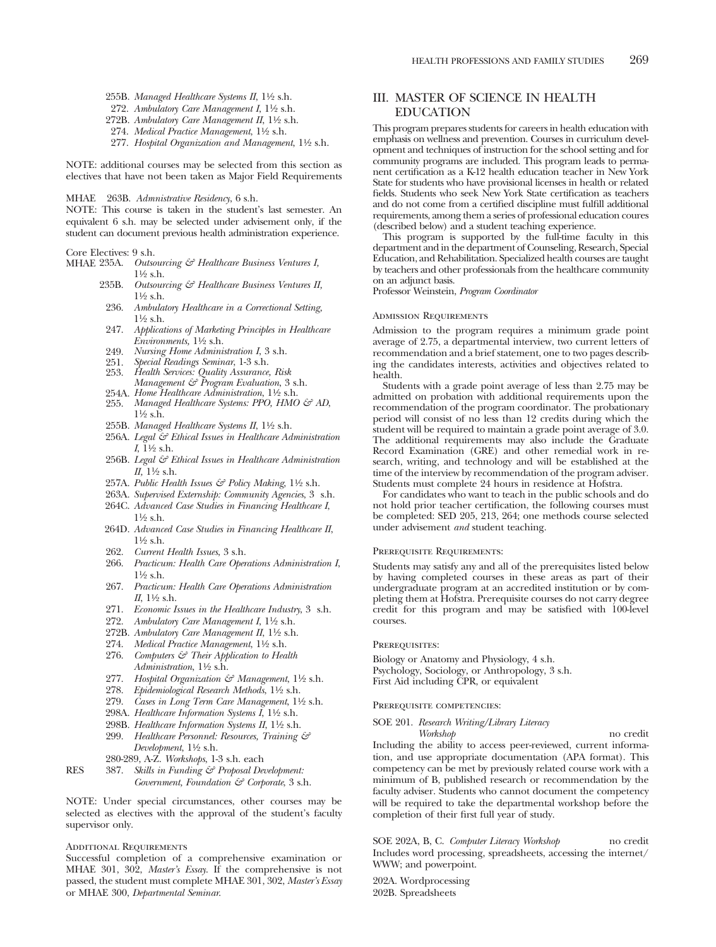- 255B. *Managed Healthcare Systems II*, 11⁄2 s.h.
- 272. *Ambulatory Care Management I*, 11⁄2 s.h.
- 272B. Ambulatory Care Management II, 1<sup>1</sup>/2 s.h.
- 274. *Medical Practice Management*, 11⁄2 s.h.
- 277. *Hospital Organization and Management*, 11⁄2 s.h.

NOTE: additional courses may be selected from this section as electives that have not been taken as Major Field Requirements

MHAE 263B. *Admnistrative Residency*, 6 s.h.

NOTE: This course is taken in the student's last semester. An equivalent 6 s.h. may be selected under advisement only, if the student can document previous health administration experience.

#### Core Electives: 9 s.h.

- MHAE 235A. *Outsourcing & Healthcare Business Ventures I,*  $1\frac{1}{2}$  s.h.
	- 235B. *Outsourcing & Healthcare Business Ventures II,* 11⁄2 s.h.
	- 236. *Ambulatory Healthcare in a Correctional Setting,*  $1\frac{1}{2}$  s.h.
	- 247. *Applications of Marketing Principles in Healthcare Environments,* 11⁄2 s.h.
	- 249. *Nursing Home Administration I*, 3 s.h.
	- 251. *Special Readings Seminar*, 1-3 s.h.
	- 253. *Health Services: Quality Assurance, Risk Management & Program Evaluation*, 3 s.h.
	- 254A. *Home Healthcare Administration*, 11⁄2 s.h.
	- 255. Managed Healthcare Systems: PPO, HMO & AD,  $1\frac{1}{2}$  s.h.
	- 255B. *Managed Healthcare Systems II*, 11⁄2 s.h.
	- 256A. *Legal & Ethical Issues in Healthcare Administration*  $I, \bar{1}\frac{1}{2}$  s.h.
	- 256B. *Legal & Ethical Issues in Healthcare Administration II,* 11⁄2 s.h.
	- 257A. *Public Health Issues & Policy Making*, 11⁄2 s.h.
	- 263A. *Supervised Externship: Community Agencies*, 3 s.h.
	- 264C. *Advanced Case Studies in Financing Healthcare I*, 11⁄2 s.h.
	- 264D. *Advanced Case Studies in Financing Healthcare II*, 11⁄2 s.h.
	- 262. *Current Health Issues*, 3 s.h.
	- 266. *Practicum: Health Care Operations Administration I*, 11⁄2 s.h.
	- 267. *Practicum: Health Care Operations Administration II*, 11⁄2 s.h.
	- 271. *Economic Issues in the Healthcare Industry*, 3 s.h.
	- 272. *Ambulatory Care Management I*, 11⁄2 s.h.
	- 272B. Ambulatory Care Management II, 1<sup>1</sup>/2 s.h.
	- 274. *Medical Practice Management*, 11⁄2 s.h.
	- 276. *Computers & Their Application to Health Administration*, 11⁄2 s.h.
	- 277. *Hospital Organization & Management*,  $1\frac{1}{2}$  s.h.
	- 278. *Epidemiological Research Methods*, 11/2 s.h.
	- 279. *Cases in Long Term Care Management*, 11⁄2 s.h.
	- 298A. *Healthcare Information Systems I*, 11⁄2 s.h.
	- 298B. *Healthcare Information Systems II*, 11⁄2 s.h.
	- 299. *Healthcare Personnel: Resources, Training & Development*, 11⁄2 s.h.
	- 280-289, A-Z. *Workshops*, 1-3 s.h. each
- RES 387. *Skills in Funding & Proposal Development: Government, Foundation & Corporate*, 3 s.h.

NOTE: Under special circumstances, other courses may be selected as electives with the approval of the student's faculty supervisor only.

### Additional Requirements

Successful completion of a comprehensive examination or MHAE 301, 302, *Master's Essay*. If the comprehensive is not passed, the student must complete MHAE 301, 302, *Master's Essay* or MHAE 300, *Departmental Seminar*.

### III. MASTER OF SCIENCE IN HEALTH EDUCATION

This program prepares students for careers in health education with emphasis on wellness and prevention. Courses in curriculum development and techniques of instruction for the school setting and for community programs are included. This program leads to permanent certification as a K-12 health education teacher in New York State for students who have provisional licenses in health or related fields. Students who seek New York State certification as teachers and do not come from a certified discipline must fulfill additional requirements, among them a series of professional education coures (described below) and a student teaching experience.

This program is supported by the full-time faculty in this department and in the department of Counseling, Research, Special Education, and Rehabilitation. Specialized health courses are taught by teachers and other professionals from the healthcare community on an adjunct basis.

Professor Weinstein, *Program Coordinator*

### Admission Requirements

Admission to the program requires a minimum grade point average of 2.75, a departmental interview, two current letters of recommendation and a brief statement, one to two pages describing the candidates interests, activities and objectives related to health.

Students with a grade point average of less than 2.75 may be admitted on probation with additional requirements upon the recommendation of the program coordinator. The probationary period will consist of no less than 12 credits during which the student will be required to maintain a grade point average of 3.0. The additional requirements may also include the Graduate Record Examination (GRE) and other remedial work in research, writing, and technology and will be established at the time of the interview by recommendation of the program adviser. Students must complete 24 hours in residence at Hofstra.

For candidates who want to teach in the public schools and do not hold prior teacher certification, the following courses must be completed: SED 205, 213, 264; one methods course selected under advisement *and* student teaching.

### Prerequisite Requirements:

Students may satisfy any and all of the prerequisites listed below by having completed courses in these areas as part of their undergraduate program at an accredited institution or by completing them at Hofstra. Prerequisite courses do not carry degree credit for this program and may be satisfied with 100-level courses.

#### PREREQUISITES:

Biology or Anatomy and Physiology, 4 s.h. Psychology, Sociology, or Anthropology, 3 s.h. First Aid including CPR, or equivalent

### Prerequisite competencies:

### SOE 201. *Research Writing/Library Literacy*

*Workshop* no credit Including the ability to access peer-reviewed, current information, and use appropriate documentation (APA format). This competency can be met by previously related course work with a minimum of B, published research or recommendation by the faculty adviser. Students who cannot document the competency will be required to take the departmental workshop before the completion of their first full year of study.

SOE 202A, B, C. *Computer Literacy Workshop* no credit Includes word processing, spreadsheets, accessing the internet/ WWW; and powerpoint.

202A. Wordprocessing 202B. Spreadsheets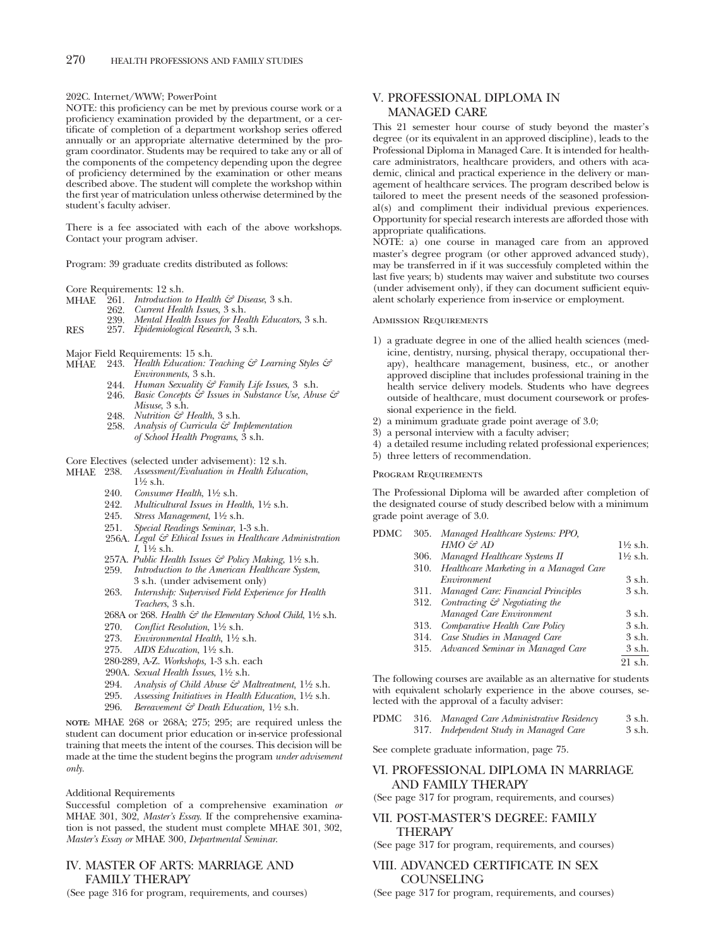202C. Internet/WWW; PowerPoint

NOTE: this proficiency can be met by previous course work or a proficiency examination provided by the department, or a certificate of completion of a department workshop series offered annually or an appropriate alternative determined by the program coordinator. Students may be required to take any or all of the components of the competency depending upon the degree of proficiency determined by the examination or other means described above. The student will complete the workshop within the first year of matriculation unless otherwise determined by the student's faculty adviser.

There is a fee associated with each of the above workshops. Contact your program adviser.

Program: 39 graduate credits distributed as follows:

Core Requirements: 12 s.h.<br>MHAE 261. *Introduction* 

- $^{12}$ 61. *Introduction to Health & Disease*, 3 s.h.<br>262. *Current Health Issues*, 3 s.h.
- 262. *Current Health Issues*, 3 s.h.
- 239. *Mental Health Issues for Health Educators*, 3 s.h. RES 257. *Epidemiological Research*, 3 s.h.
- 
- 
- Major Field Requirements: 15 s.h. MHAE 243. *Health Education: Teaching & Learning Styles & Environments*, 3 s.h.
	- 244. *Human Sexuality & Family Life Issues*, 3 s.h. 246. *Basic Concepts & Issues in Substance Use, Abuse &*
	- *Misuse*, 3 s.h. 248. *Nutrition & Health*, 3 s.h.
	- 258. *Analysis of Curricula & Implementation of School Health Programs*, 3 s.h.

## Core Electives (selected under advisement): 12 s.h.<br>MHAE 238. Assessment/Evaluation in Health Educe

- MHAE 238. *Assessment/Evaluation in Health Education*,  $1\frac{1}{2}$  s.h.
	- 240. *Consumer Health*, 11⁄2 s.h.
	- 242. *Multicultural Issues in Health*, 11⁄2 s.h.
	- 245. Stress Management, 1½ s.h.
	- 251. *Special Readings Seminar*, 1-3 s.h.
	- 256A. *Legal & Ethical Issues in Healthcare Administration I,* 11⁄2 s.h.
	- 257A. *Public Health Issues & Policy Making*, 11⁄2 s.h.
	- 259. *Introduction to the American Healthcare System*, 3 s.h. (under advisement only)
	- 263. *Internship: Supervised Field Experience for Health Teachers*, 3 s.h.
	- 268A or 268. *Health & the Elementary School Child*, 1<sup>1</sup>/2 s.h.
	- 270. *Conflict Resolution*, 11⁄2 s.h.
	- 273. *Environmental Health*, 11⁄2 s.h.
	- 275. *AIDS Education*, 11⁄2 s.h.
	- 280-289, A-Z. *Workshops,* 1-3 s.h. each
	- 290A. *Sexual Health Issues*, 11⁄2 s.h.
	- 294. Analysis of Child Abuse & Maltreatment, 1<sup>1</sup>/2 s.h.
	- 295. *Assessing Initiatives in Health Education*, 11⁄2 s.h.
	- 296. *Bereavement & Death Education,* 11⁄2 s.h.

**NOTE:** MHAE 268 or 268A; 275; 295; are required unless the student can document prior education or in-service professional training that meets the intent of the courses. This decision will be made at the time the student begins the program *under advisement only.*

### Additional Requirements

Successful completion of a comprehensive examination *or* MHAE 301, 302, *Master's Essay*. If the comprehensive examination is not passed, the student must complete MHAE 301, 302, *Master's Essay or* MHAE 300, *Departmental Seminar*.

### IV. MASTER OF ARTS: MARRIAGE AND FAMILY THERAPY

(See page 316 for program, requirements, and courses)

### V. PROFESSIONAL DIPLOMA IN MANAGED CARE

This 21 semester hour course of study beyond the master's degree (or its equivalent in an approved discipline), leads to the Professional Diploma in Managed Care. It is intended for healthcare administrators, healthcare providers, and others with academic, clinical and practical experience in the delivery or management of healthcare services. The program described below is tailored to meet the present needs of the seasoned professional(s) and compliment their individual previous experiences. Opportunity for special research interests are afforded those with appropriate qualifications.

NOTE: a) one course in managed care from an approved master's degree program (or other approved advanced study), may be transferred in if it was successfuly completed within the last five years; b) students may waiver and substitute two courses (under advisement only), if they can document sufficient equivalent scholarly experience from in-service or employment.

### Admission Requirements

- 1) a graduate degree in one of the allied health sciences (medicine, dentistry, nursing, physical therapy, occupational therapy), healthcare management, business, etc., or another approved discipline that includes professional training in the health service delivery models. Students who have degrees outside of healthcare, must document coursework or professional experience in the field.
- 2) a minimum graduate grade point average of 3.0;
- 3) a personal interview with a faculty adviser;
- 4) a detailed resume including related professional experiences;
- 5) three letters of recommendation.

#### Program Requirements

The Professional Diploma will be awarded after completion of the designated course of study described below with a minimum grade point average of 3.0.

| PDMC |      | 305. Managed Healthcare Systems: PPO,         |                     |
|------|------|-----------------------------------------------|---------------------|
|      |      | HMO & AD                                      | $1\frac{1}{2}$ s.h. |
|      | 306. | Managed Healthcare Systems II                 | $1\frac{1}{2}$ s.h. |
|      | 310. | Healthcare Marketing in a Managed Care        |                     |
|      |      | Environment                                   | 3 s.h.              |
|      |      | 311. Managed Care: Financial Principles       | 3 s.h.              |
|      |      | 312. Contracting $\mathcal G$ Negotiating the |                     |
|      |      | Managed Care Environment                      | 3 s.h.              |
|      | 313. | Comparative Health Care Policy                | $3$ s.h.            |
|      | 314. | Case Studies in Managed Care                  | 3 s.h.              |
|      |      | 315. Advanced Seminar in Managed Care         | 3 s.h.              |
|      |      |                                               | 21 s.h.             |
|      |      |                                               |                     |

The following courses are available as an alternative for students with equivalent scholarly experience in the above courses, selected with the approval of a faculty adviser:

|  | PDMC 316. Managed Care Administrative Residency | 3 s.h. |
|--|-------------------------------------------------|--------|
|  | 317. Independent Study in Managed Care          | 3 s.h. |

See complete graduate information, page 75.

### VI. PROFESSIONAL DIPLOMA IN MARRIAGE AND FAMILY THERAPY

(See page 317 for program, requirements, and courses)

### VII. POST-MASTER'S DEGREE: FAMILY THERAPY

(See page 317 for program, requirements, and courses)

### VIII. ADVANCED CERTIFICATE IN SEX COUNSELING

(See page 317 for program, requirements, and courses)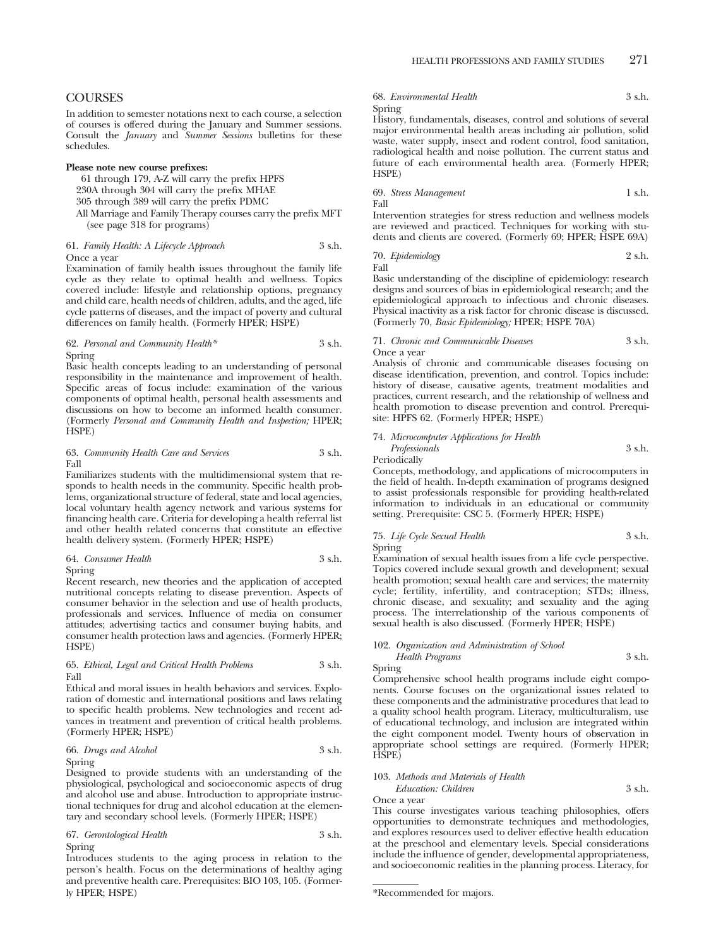### **COURSES**

In addition to semester notations next to each course, a selection of courses is offered during the January and Summer sessions. Consult the *January* and *Summer Sessions* bulletins for these schedules.

### **Please note new course prefixes:**

61 through 179, A-Z will carry the prefix HPFS

230A through 304 will carry the prefix MHAE

305 through 389 will carry the prefix PDMC

All Marriage and Family Therapy courses carry the prefix MFT (see page 318 for programs)

### 61. *Family Health: A Lifecycle Approach* 3 s.h. Once a year

Examination of family health issues throughout the family life cycle as they relate to optimal health and wellness. Topics covered include: lifestyle and relationship options, pregnancy and child care, health needs of children, adults, and the aged, life cycle patterns of diseases, and the impact of poverty and cultural differences on family health. (Formerly HPER; HSPE)

### 62. *Personal and Community Health\** 3 s.h. Spring

Basic health concepts leading to an understanding of personal responsibility in the maintenance and improvement of health. Specific areas of focus include: examination of the various components of optimal health, personal health assessments and discussions on how to become an informed health consumer. (Formerly *Personal and Community Health and Inspection;* HPER; HSPE)

### 63. *Community Health Care and Services* 3 s.h. Fall

Familiarizes students with the multidimensional system that responds to health needs in the community. Specific health problems, organizational structure of federal, state and local agencies, local voluntary health agency network and various systems for financing health care. Criteria for developing a health referral list and other health related concerns that constitute an effective health delivery system. (Formerly HPER; HSPE)

### 64. *Consumer Health* 3 s.h.

Spring

Recent research, new theories and the application of accepted nutritional concepts relating to disease prevention. Aspects of consumer behavior in the selection and use of health products, professionals and services. Influence of media on consumer attitudes; advertising tactics and consumer buying habits, and consumer health protection laws and agencies. (Formerly HPER; HSPE)

### 65. *Ethical, Legal and Critical Health Problems* 3 s.h. Fall

Ethical and moral issues in health behaviors and services. Exploration of domestic and international positions and laws relating to specific health problems. New technologies and recent advances in treatment and prevention of critical health problems. (Formerly HPER; HSPE)

### 66. *Drugs and Alcohol* 3 s.h. Spring

Designed to provide students with an understanding of the physiological, psychological and socioeconomic aspects of drug and alcohol use and abuse. Introduction to appropriate instructional techniques for drug and alcohol education at the elementary and secondary school levels. (Formerly HPER; HSPE)

### 67. *Gerontological Health* 3 s.h. Spring

Introduces students to the aging process in relation to the person's health. Focus on the determinations of healthy aging and preventive health care. Prerequisites: BIO 103, 105. (Formerly HPER; HSPE)

68. *Environmental Health* 3 s.h. Spring

History, fundamentals, diseases, control and solutions of several major environmental health areas including air pollution, solid waste, water supply, insect and rodent control, food sanitation, radiological health and noise pollution. The current status and future of each environmental health area. (Formerly HPER; HSPE)

69. *Stress Management* 1 s.h. Fall

Intervention strategies for stress reduction and wellness models are reviewed and practiced. Techniques for working with students and clients are covered. (Formerly 69; HPER; HSPE 69A)

70. *Epidemiology* 2 s.h. Fall

Basic understanding of the discipline of epidemiology: research designs and sources of bias in epidemiological research; and the epidemiological approach to infectious and chronic diseases. Physical inactivity as a risk factor for chronic disease is discussed. (Formerly 70, *Basic Epidemiology;* HPER; HSPE 70A)

### 71. *Chronic and Communicable Diseases* 3 s.h. Once a year

Analysis of chronic and communicable diseases focusing on disease identification, prevention, and control. Topics include: history of disease, causative agents, treatment modalities and practices, current research, and the relationship of wellness and health promotion to disease prevention and control. Prerequisite: HPFS 62. (Formerly HPER; HSPE)

### 74. *Microcomputer Applications for Health*

*Professionals* 3 s.h. Periodically

Concepts, methodology, and applications of microcomputers in the field of health. In-depth examination of programs designed to assist professionals responsible for providing health-related information to individuals in an educational or community setting. Prerequisite: CSC 5. (Formerly HPER; HSPE)

### 75. *Life Cycle Sexual Health* 3 s.h. Spring

Examination of sexual health issues from a life cycle perspective. Topics covered include sexual growth and development; sexual health promotion; sexual health care and services; the maternity cycle; fertility, infertility, and contraception; STDs; illness, chronic disease, and sexuality; and sexuality and the aging process. The interrelationship of the various components of sexual health is also discussed. (Formerly HPER; HSPE)

#### 102. *Organization and Administration of School Health Programs* 3 s.h.

Spring

Comprehensive school health programs include eight components. Course focuses on the organizational issues related to these components and the administrative procedures that lead to a quality school health program. Literacy, multiculturalism, use of educational technology, and inclusion are integrated within the eight component model. Twenty hours of observation in appropriate school settings are required. (Formerly HPER; HSPE)

### 103. *Methods and Materials of Health*

*Education: Children* 3 s.h. Once a year

This course investigates various teaching philosophies, offers opportunities to demonstrate techniques and methodologies, and explores resources used to deliver effective health education at the preschool and elementary levels. Special considerations include the influence of gender, developmental appropriateness, and socioeconomic realities in the planning process. Literacy, for

<sup>\*</sup>Recommended for majors.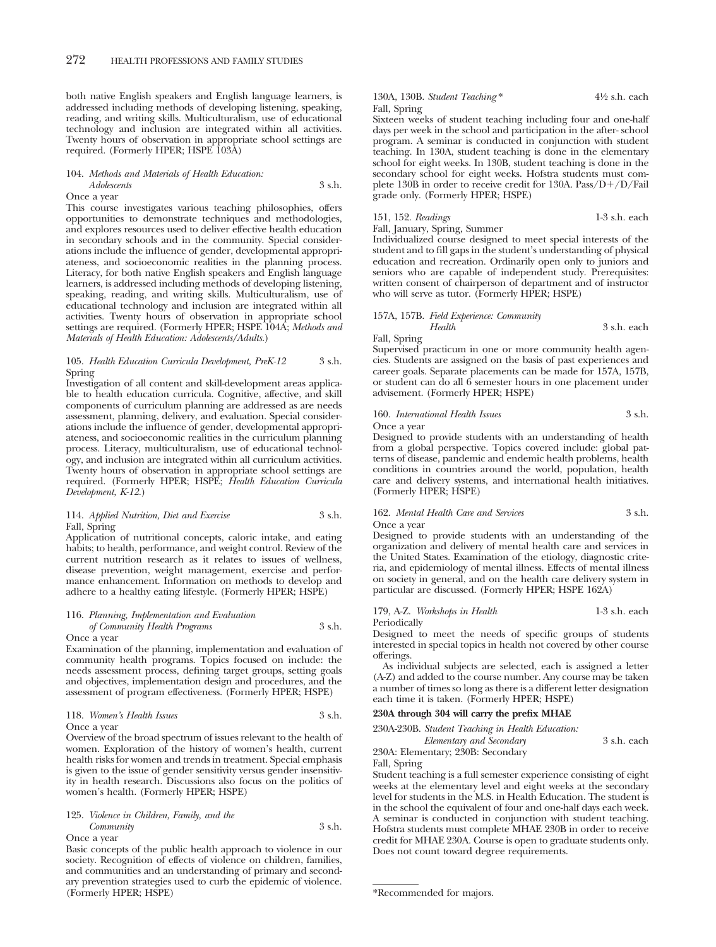both native English speakers and English language learners, is addressed including methods of developing listening, speaking, reading, and writing skills. Multiculturalism, use of educational technology and inclusion are integrated within all activities. Twenty hours of observation in appropriate school settings are required. (Formerly HPER; HSPE 103A)

### 104. *Methods and Materials of Health Education: Adolescents* 3 s.h.

Once a year

This course investigates various teaching philosophies, offers opportunities to demonstrate techniques and methodologies, and explores resources used to deliver effective health education in secondary schools and in the community. Special considerations include the influence of gender, developmental appropriateness, and socioeconomic realities in the planning process. Literacy, for both native English speakers and English language learners, is addressed including methods of developing listening, speaking, reading, and writing skills. Multiculturalism, use of educational technology and inclusion are integrated within all activities. Twenty hours of observation in appropriate school settings are required. (Formerly HPER; HSPE 104A; *Methods and Materials of Health Education: Adolescents/Adults.*)

### 105. *Health Education Curricula Development, PreK-12* 3 s.h. Spring

Investigation of all content and skill-development areas applicable to health education curricula. Cognitive, affective, and skill components of curriculum planning are addressed as are needs assessment, planning, delivery, and evaluation. Special considerations include the influence of gender, developmental appropriateness, and socioeconomic realities in the curriculum planning process. Literacy, multiculturalism, use of educational technology, and inclusion are integrated within all curriculum activities. Twenty hours of observation in appropriate school settings are required. (Formerly HPER; HSPE; *Health Education Curricula Development, K-12.*)

### 114. *Applied Nutrition, Diet and Exercise* 3 s.h. Fall, Spring

Application of nutritional concepts, caloric intake, and eating habits; to health, performance, and weight control. Review of the current nutrition research as it relates to issues of wellness, disease prevention, weight management, exercise and performance enhancement. Information on methods to develop and adhere to a healthy eating lifestyle. (Formerly HPER; HSPE)

### 116. *Planning, Implementation and Evaluation of Community Health Programs* 3 s.h.

#### Once a year

Examination of the planning, implementation and evaluation of community health programs. Topics focused on include: the needs assessment process, defining target groups, setting goals and objectives, implementation design and procedures, and the assessment of program effectiveness. (Formerly HPER; HSPE)

#### 118. *Women's Health Issues* 3 s.h.

Once a year

Overview of the broad spectrum of issues relevant to the health of women. Exploration of the history of women's health, current health risks for women and trends in treatment. Special emphasis is given to the issue of gender sensitivity versus gender insensitivity in health research. Discussions also focus on the politics of women's health. (Formerly HPER; HSPE)

### 125. *Violence in Children, Family, and the Community* 3 s.h. Once a year

Basic concepts of the public health approach to violence in our society. Recognition of effects of violence on children, families, and communities and an understanding of primary and secondary prevention strategies used to curb the epidemic of violence. (Formerly HPER; HSPE)

130A, 130B. *Student Teaching* \* 41⁄2 s.h. each Fall, Spring

Sixteen weeks of student teaching including four and one-half days per week in the school and participation in the after- school program. A seminar is conducted in conjunction with student teaching. In 130A, student teaching is done in the elementary school for eight weeks. In 130B, student teaching is done in the secondary school for eight weeks. Hofstra students must complete 130B in order to receive credit for 130A. Pass/D+/D/Fail grade only. (Formerly HPER; HSPE)

### 151, 152. *Readings* 1-3 s.h. each

Fall, January, Spring, Summer

Individualized course designed to meet special interests of the student and to fill gaps in the student's understanding of physical education and recreation. Ordinarily open only to juniors and seniors who are capable of independent study. Prerequisites: written consent of chairperson of department and of instructor who will serve as tutor. (Formerly HPER; HSPE)

*Health* 3 s.h. each

### 157A, 157B. *Field Experience: Community*

Fall, Spring

Supervised practicum in one or more community health agencies. Students are assigned on the basis of past experiences and career goals. Separate placements can be made for 157A, 157B, or student can do all 6 semester hours in one placement under advisement. (Formerly HPER; HSPE)

### 160. *International Health Issues* 3 s.h. Once a year

Designed to provide students with an understanding of health from a global perspective. Topics covered include: global patterns of disease, pandemic and endemic health problems, health conditions in countries around the world, population, health care and delivery systems, and international health initiatives. (Formerly HPER; HSPE)

162. *Mental Health Care and Services* 3 s.h. Once a year

Designed to provide students with an understanding of the organization and delivery of mental health care and services in the United States. Examination of the etiology, diagnostic criteria, and epidemiology of mental illness. Effects of mental illness on society in general, and on the health care delivery system in particular are discussed. (Formerly HPER; HSPE 162A)

179, A-Z. *Workshops in Health* 1-3 s.h. each Periodically

Designed to meet the needs of specific groups of students interested in special topics in health not covered by other course offerings.

As individual subjects are selected, each is assigned a letter (A-Z) and added to the course number. Any course may be taken a number of times so long as there is a different letter designation each time it is taken. (Formerly HPER; HSPE)

### **230A through 304 will carry the prefix MHAE**

230A-230B. *Student Teaching in Health Education:*

*Elementary and Secondary* 3 s.h. each

230A: Elementary; 230B: Secondary

Fall, Spring

Student teaching is a full semester experience consisting of eight weeks at the elementary level and eight weeks at the secondary level for students in the M.S. in Health Education. The student is in the school the equivalent of four and one-half days each week. A seminar is conducted in conjunction with student teaching. Hofstra students must complete MHAE 230B in order to receive credit for MHAE 230A. Course is open to graduate students only. Does not count toward degree requirements.

<sup>\*</sup>Recommended for majors.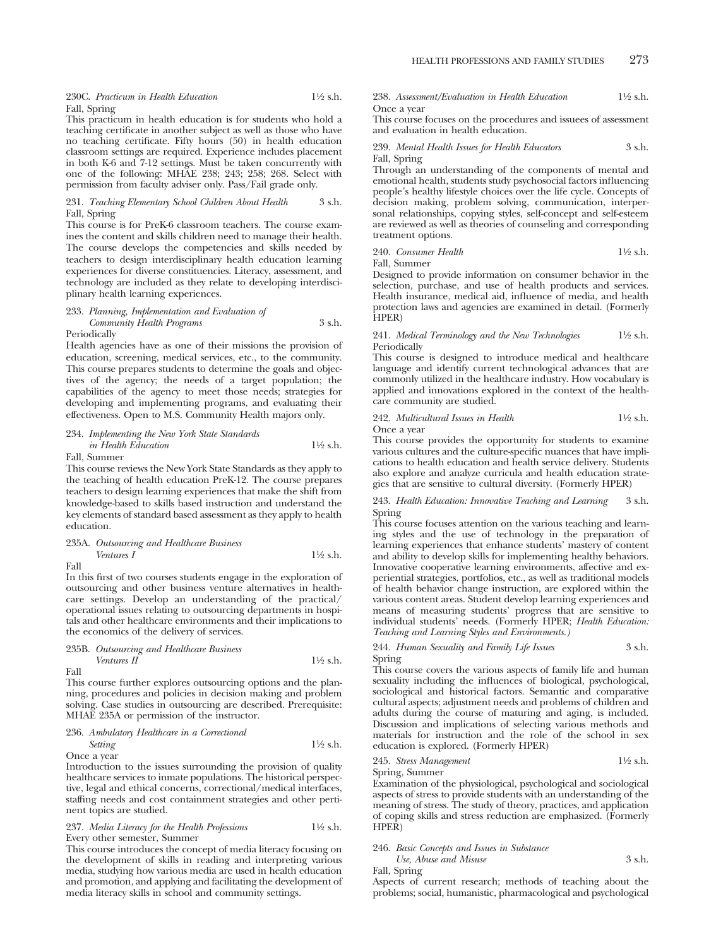230C. *Practicum in Health Education* 11⁄2 s.h. Fall, Spring

This practicum in health education is for students who hold a teaching certificate in another subject as well as those who have no teaching certificate. Fifty hours (50) in health education classroom settings are required. Experience includes placement in both K-6 and 7-12 settings. Must be taken concurrently with one of the following: MHAE 238; 243; 258; 268. Select with permission from faculty adviser only. Pass/Fail grade only.

### 231. *Teaching Elementary School Children About Health* 3 s.h. Fall, Spring

This course is for PreK-6 classroom teachers. The course examines the content and skills children need to manage their health. The course develops the competencies and skills needed by teachers to design interdisciplinary health education learning experiences for diverse constituencies. Literacy, assessment, and technology are included as they relate to developing interdisciplinary health learning experiences.

#### 233. *Planning, Implementation and Evaluation of Community Health Programs* 3 s.h. **Periodically**

Health agencies have as one of their missions the provision of education, screening, medical services, etc., to the community. This course prepares students to determine the goals and objectives of the agency; the needs of a target population; the capabilities of the agency to meet those needs; strategies for developing and implementing programs, and evaluating their effectiveness. Open to M.S. Community Health majors only.

234. *Implementing the New York State Standards in Health Education* 11⁄2 s.h.

Fall, Summer

This course reviews the New York State Standards as they apply to the teaching of health education PreK-12. The course prepares teachers to design learning experiences that make the shift from knowledge-based to skills based instruction and understand the key elements of standard based assessment as they apply to health education.

### 235A. *Outsourcing and Healthcare Business Ventures I*  $1\frac{1}{2}$  s.h.

Fall

In this first of two courses students engage in the exploration of outsourcing and other business venture alternatives in healthcare settings. Develop an understanding of the practical/ operational issues relating to outsourcing departments in hospitals and other healthcare environments and their implications to the economics of the delivery of services.

235B. *Outsourcing and Healthcare Business Ventures II* 11⁄2 s.h.

Fall

This course further explores outsourcing options and the planning, procedures and policies in decision making and problem solving. Case studies in outsourcing are described. Prerequisite: MHAE 235A or permission of the instructor.

236. *Ambulatory Healthcare in a Correctional Setting* 11⁄2 s.h.

Once a year

Introduction to the issues surrounding the provision of quality healthcare services to inmate populations. The historical perspective, legal and ethical concerns, correctional/medical interfaces, staffing needs and cost containment strategies and other pertinent topics are studied.

### 237. *Media Literacy for the Health Professions* 11⁄2 s.h. Every other semester, Summer

This course introduces the concept of media literacy focusing on the development of skills in reading and interpreting various media, studying how various media are used in health education and promotion, and applying and facilitating the development of media literacy skills in school and community settings.

238. *Assessment/Evaluation in Health Education* 11⁄2 s.h. Once a year

This course focuses on the procedures and issuees of assessment and evaluation in health education.

239. *Mental Health Issues for Health Educators* 3 s.h. Fall, Spring

Through an understanding of the components of mental and emotional health, students study psychosocial factors influencing people's healthy lifestyle choices over the life cycle. Concepts of decision making, problem solving, communication, interpersonal relationships, copying styles, self-concept and self-esteem are reviewed as well as theories of counseling and corresponding treatment options.

240. *Consumer Health* 11⁄2 s.h. Fall, Summer

Designed to provide information on consumer behavior in the selection, purchase, and use of health products and services. Health insurance, medical aid, influence of media, and health protection laws and agencies are examined in detail. (Formerly HPER)

241. *Medical Terminology and the New Technologies* 11⁄2 s.h. Periodically

This course is designed to introduce medical and healthcare language and identify current technological advances that are commonly utilized in the healthcare industry. How vocabulary is applied and innovations explored in the context of the healthcare community are studied.

#### 242. *Multicultural Issues in Health* 11⁄2 s.h. Once a year

This course provides the opportunity for students to examine various cultures and the culture-specific nuances that have implications to health education and health service delivery. Students also explore and analyze curricula and health education strategies that are sensitive to cultural diversity. (Formerly HPER)

243. *Health Education: Innovative Teaching and Learning* 3 s.h. Spring

This course focuses attention on the various teaching and learning styles and the use of technology in the preparation of learning experiences that enhance students' mastery of content and ability to develop skills for implementing healthy behaviors. Innovative cooperative learning environments, affective and experiential strategies, portfolios, etc., as well as traditional models of health behavior change instruction, are explored within the various content areas. Student develop learning experiences and means of measuring students' progress that are sensitive to individual students' needs. (Formerly HPER; *Health Education: Teaching and Learning Styles and Environments.)*

### 244. *Human Sexuality and Family Life Issues* 3 s.h. Spring

This course covers the various aspects of family life and human sexuality including the influences of biological, psychological, sociological and historical factors. Semantic and comparative cultural aspects; adjustment needs and problems of children and adults during the course of maturing and aging, is included. Discussion and implications of selecting various methods and materials for instruction and the role of the school in sex education is explored. (Formerly HPER)

245. *Stress Management* 11⁄2 s.h. Spring, Summer

Examination of the physiological, psychological and sociological aspects of stress to provide students with an understanding of the meaning of stress. The study of theory, practices, and application of coping skills and stress reduction are emphasized. (Formerly HPER)

### 246. *Basic Concepts and Issues in Substance Use, Abuse and Misuse* 3 s.h.

Fall, Spring

Aspects of current research; methods of teaching about the problems; social, humanistic, pharmacological and psychological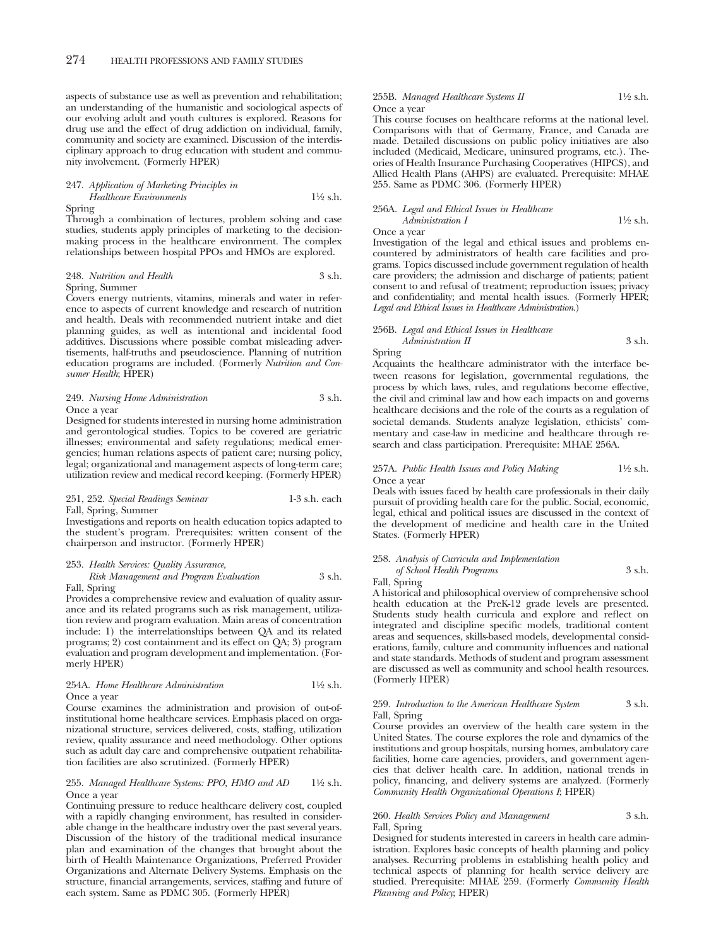aspects of substance use as well as prevention and rehabilitation; an understanding of the humanistic and sociological aspects of our evolving adult and youth cultures is explored. Reasons for drug use and the effect of drug addiction on individual, family, community and society are examined. Discussion of the interdisciplinary approach to drug education with student and community involvement. (Formerly HPER)

### 247. *Application of Marketing Principles in Healthcare Environments* 11⁄2 s.h. Spring

Through a combination of lectures, problem solving and case studies, students apply principles of marketing to the decisionmaking process in the healthcare environment. The complex relationships between hospital PPOs and HMOs are explored.

#### 248. *Nutrition and Health* 3 s.h. Spring, Summer

Covers energy nutrients, vitamins, minerals and water in reference to aspects of current knowledge and research of nutrition and health. Deals with recommended nutrient intake and diet planning guides, as well as intentional and incidental food additives. Discussions where possible combat misleading advertisements, half-truths and pseudoscience. Planning of nutrition education programs are included. (Formerly *Nutrition and Consumer Health*; HPER)

### 249. *Nursing Home Administration* 3 s.h. Once a year

Designed for students interested in nursing home administration and gerontological studies. Topics to be covered are geriatric illnesses; environmental and safety regulations; medical emergencies; human relations aspects of patient care; nursing policy, legal; organizational and management aspects of long-term care; utilization review and medical record keeping. (Formerly HPER)

### 251, 252. *Special Readings Seminar* 1-3 s.h. each Fall, Spring, Summer

Investigations and reports on health education topics adapted to the student's program. Prerequisites: written consent of the chairperson and instructor. (Formerly HPER)

### 253. *Health Services: Quality Assurance, Risk Management and Program Evaluation* 3 s.h.

Fall, Spring

Provides a comprehensive review and evaluation of quality assurance and its related programs such as risk management, utilization review and program evaluation. Main areas of concentration include: 1) the interrelationships between QA and its related programs; 2) cost containment and its effect on QA; 3) program evaluation and program development and implementation. (Formerly HPER)

### 254A. *Home Healthcare Administration* 11⁄2 s.h. Once a year

Course examines the administration and provision of out-ofinstitutional home healthcare services. Emphasis placed on organizational structure, services delivered, costs, staffing, utilization review, quality assurance and need methodology. Other options such as adult day care and comprehensive outpatient rehabilitation facilities are also scrutinized. (Formerly HPER)

#### 255. *Managed Healthcare Systems: PPO, HMO and AD* 11⁄2 s.h. Once a year

Continuing pressure to reduce healthcare delivery cost, coupled with a rapidly changing environment, has resulted in considerable change in the healthcare industry over the past several years. Discussion of the history of the traditional medical insurance plan and examination of the changes that brought about the birth of Health Maintenance Organizations, Preferred Provider Organizations and Alternate Delivery Systems. Emphasis on the structure, financial arrangements, services, staffing and future of each system. Same as PDMC 305. (Formerly HPER)

### 255B. *Managed Healthcare Systems II* 11/2 s.h. Once a year

This course focuses on healthcare reforms at the national level. Comparisons with that of Germany, France, and Canada are made. Detailed discussions on public policy initiatives are also included (Medicaid, Medicare, uninsured programs, etc.). Theories of Health Insurance Purchasing Cooperatives (HIPCS), and Allied Health Plans (AHPS) are evaluated. Prerequisite: MHAE 255. Same as PDMC 306. (Formerly HPER)

### 256A. *Legal and Ethical Issues in Healthcare Administration I* 1<sup>1</sup>/2 s.h.

Once a year

Investigation of the legal and ethical issues and problems encountered by administrators of health care facilities and programs. Topics discussed include government regulation of health care providers; the admission and discharge of patients; patient consent to and refusal of treatment; reproduction issues; privacy and confidentiality; and mental health issues. (Formerly HPER; *Legal and Ethical Issues in Healthcare Administration*.)

### 256B. *Legal and Ethical Issues in Healthcare Administration II* 3 s.h.

Spring

Acquaints the healthcare administrator with the interface between reasons for legislation, governmental regulations, the process by which laws, rules, and regulations become effective, the civil and criminal law and how each impacts on and governs healthcare decisions and the role of the courts as a regulation of societal demands. Students analyze legislation, ethicists' commentary and case-law in medicine and healthcare through research and class participation. Prerequisite: MHAE 256A.

#### 257A. *Public Health Issues and Policy Making* 11⁄2 s.h. Once a year

Deals with issues faced by health care professionals in their daily pursuit of providing health care for the public. Social, economic, legal, ethical and political issues are discussed in the context of the development of medicine and health care in the United States. (Formerly HPER)

### 258. *Analysis of Curricula and Implementation*

*of School Health Programs* 3 s.h. Fall, Spring

A historical and philosophical overview of comprehensive school health education at the PreK-12 grade levels are presented. Students study health curricula and explore and reflect on integrated and discipline specific models, traditional content areas and sequences, skills-based models, developmental considerations, family, culture and community influences and national and state standards. Methods of student and program assessment are discussed as well as community and school health resources. (Formerly HPER)

### 259. *Introduction to the American Healthcare System* 3 s.h. Fall, Spring

Course provides an overview of the health care system in the United States. The course explores the role and dynamics of the institutions and group hospitals, nursing homes, ambulatory care facilities, home care agencies, providers, and government agencies that deliver health care. In addition, national trends in policy, financing, and delivery systems are analyzed. (Formerly *Community Health Organizational Operations I*; HPER)

### 260. *Health Services Policy and Management* 3 s.h. Fall, Spring

Designed for students interested in careers in health care administration. Explores basic concepts of health planning and policy analyses. Recurring problems in establishing health policy and technical aspects of planning for health service delivery are studied. Prerequisite: MHAE 259. (Formerly *Community Health Planning and Policy*; HPER)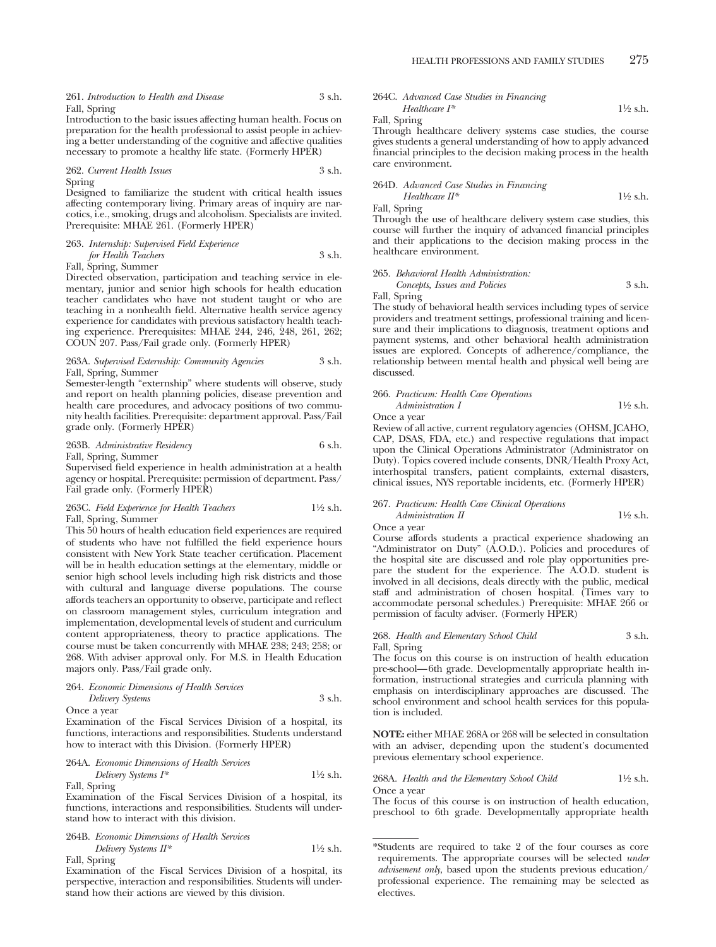261. *Introduction to Health and Disease* 3 s.h. Fall, Spring

Introduction to the basic issues affecting human health. Focus on preparation for the health professional to assist people in achieving a better understanding of the cognitive and affective qualities necessary to promote a healthy life state. (Formerly HPER)

262. *Current Health Issues* 3 s.h. Spring

Designed to familiarize the student with critical health issues affecting contemporary living. Primary areas of inquiry are narcotics, i.e., smoking, drugs and alcoholism. Specialists are invited. Prerequisite: MHAE 261. (Formerly HPER)

263. *Internship: Supervised Field Experience for Health Teachers* 3 s.h. Fall, Spring, Summer

Directed observation, participation and teaching service in elementary, junior and senior high schools for health education teacher candidates who have not student taught or who are teaching in a nonhealth field. Alternative health service agency experience for candidates with previous satisfactory health teaching experience. Prerequisites: MHAE 244, 246, 248, 261, 262; COUN 207. Pass/Fail grade only. (Formerly HPER)

### 263A. *Supervised Externship: Community Agencies* 3 s.h. Fall, Spring, Summer

Semester-length "externship" where students will observe, study and report on health planning policies, disease prevention and health care procedures, and advocacy positions of two community health facilities. Prerequisite: department approval. Pass/Fail grade only. (Formerly HPER)

263B. *Administrative Residency* 6 s.h. Fall, Spring, Summer Supervised field experience in health administration at a health

agency or hospital. Prerequisite: permission of department. Pass/ Fail grade only. (Formerly HPER)

### 263C. *Field Experience for Health Teachers* 11⁄2 s.h. Fall, Spring, Summer

This 50 hours of health education field experiences are required of students who have not fulfilled the field experience hours consistent with New York State teacher certification. Placement will be in health education settings at the elementary, middle or senior high school levels including high risk districts and those with cultural and language diverse populations. The course affords teachers an opportunity to observe, participate and reflect on classroom management styles, curriculum integration and implementation, developmental levels of student and curriculum content appropriateness, theory to practice applications. The course must be taken concurrently with MHAE 238; 243; 258; or 268. With adviser approval only. For M.S. in Health Education majors only. Pass/Fail grade only.

264. *Economic Dimensions of Health Services Delivery Systems* 3 s.h.

Once a year

Examination of the Fiscal Services Division of a hospital, its functions, interactions and responsibilities. Students understand how to interact with this Division. (Formerly HPER)

264A. *Economic Dimensions of Health Services Delivery Systems I\** 11⁄2 s.h.

Fall, Spring

Examination of the Fiscal Services Division of a hospital, its functions, interactions and responsibilities. Students will understand how to interact with this division.

264B. *Economic Dimensions of Health Services Delivery Systems II\** 11⁄2 s.h. Fall, Spring

Examination of the Fiscal Services Division of a hospital, its perspective, interaction and responsibilities. Students will understand how their actions are viewed by this division.

264C. *Advanced Case Studies in Financing Healthcare I\** 11⁄2 s.h.

Fall, Spring

Through healthcare delivery systems case studies, the course gives students a general understanding of how to apply advanced financial principles to the decision making process in the health care environment.

### 264D. *Advanced Case Studies in Financing*

*Healthcare II\** 1<sup>1</sup>⁄2 s.h. Fall, Spring

Through the use of healthcare delivery system case studies, this course will further the inquiry of advanced financial principles and their applications to the decision making process in the healthcare environment.

### 265. *Behavioral Health Administration: Concepts, Issues and Policies* 3 s.h.

Fall, Spring

The study of behavioral health services including types of service providers and treatment settings, professional training and licensure and their implications to diagnosis, treatment options and payment systems, and other behavioral health administration issues are explored. Concepts of adherence/compliance, the relationship between mental health and physical well being are discussed.

### 266. *Practicum: Health Care Operations Administration I* 1<sup>1</sup>/<sub>2</sub> s.h.

Once a year

Review of all active, current regulatory agencies (OHSM, JCAHO, CAP, DSAS, FDA, etc.) and respective regulations that impact upon the Clinical Operations Administrator (Administrator on Duty). Topics covered include consents, DNR/Health Proxy Act, interhospital transfers, patient complaints, external disasters, clinical issues, NYS reportable incidents, etc. (Formerly HPER)

### 267. *Practicum: Health Care Clinical Operations*

*Administration II* 1<sup>1</sup>⁄2 s.h. Once a year

Course affords students a practical experience shadowing an "Administrator on Duty" (A.O.D.). Policies and procedures of the hospital site are discussed and role play opportunities prepare the student for the experience. The A.O.D. student is involved in all decisions, deals directly with the public, medical staff and administration of chosen hospital. (Times vary to accommodate personal schedules.) Prerequisite: MHAE 266 or permission of faculty adviser. (Formerly HPER)

### 268. *Health and Elementary School Child* 3 s.h. Fall, Spring

The focus on this course is on instruction of health education pre-school—6th grade. Developmentally appropriate health information, instructional strategies and curricula planning with emphasis on interdisciplinary approaches are discussed. The school environment and school health services for this population is included.

**NOTE:** either MHAE 268A or 268 will be selected in consultation with an adviser, depending upon the student's documented previous elementary school experience.

268A. *Health and the Elementary School Child* 11⁄2 s.h. Once a year

The focus of this course is on instruction of health education, preschool to 6th grade. Developmentally appropriate health

<sup>\*</sup>Students are required to take 2 of the four courses as core requirements. The appropriate courses will be selected *under advisement only*, based upon the students previous education/ professional experience. The remaining may be selected as electives.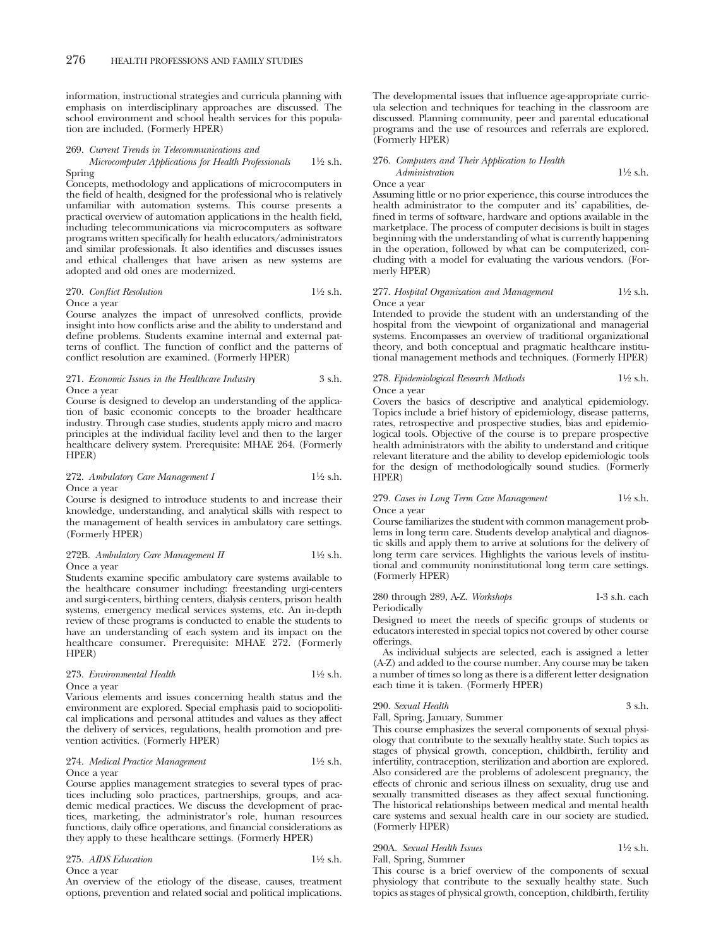information, instructional strategies and curricula planning with emphasis on interdisciplinary approaches are discussed. The school environment and school health services for this population are included. (Formerly HPER)

#### 269. *Current Trends in Telecommunications and*

### *Microcomputer Applications for Health Professionals* 11⁄2 s.h. Spring

Concepts, methodology and applications of microcomputers in the field of health, designed for the professional who is relatively unfamiliar with automation systems. This course presents a practical overview of automation applications in the health field, including telecommunications via microcomputers as software programs written specifically for health educators/administrators and similar professionals. It also identifies and discusses issues and ethical challenges that have arisen as new systems are adopted and old ones are modernized.

#### 270. *Conflict Resolution* 11⁄2 s.h. Once a year

Course analyzes the impact of unresolved conflicts, provide insight into how conflicts arise and the ability to understand and define problems. Students examine internal and external patterns of conflict. The function of conflict and the patterns of conflict resolution are examined. (Formerly HPER)

#### 271. *Economic Issues in the Healthcare Industry* 3 s.h. Once a year

Course is designed to develop an understanding of the application of basic economic concepts to the broader healthcare industry. Through case studies, students apply micro and macro principles at the individual facility level and then to the larger healthcare delivery system. Prerequisite: MHAE 264. (Formerly HPER)

### 272. *Ambulatory Care Management I* 1<sup>1</sup>/2 s.h. Once a year

Course is designed to introduce students to and increase their knowledge, understanding, and analytical skills with respect to the management of health services in ambulatory care settings. (Formerly HPER)

### 272B. *Ambulatory Care Management II* 1<sup>1</sup>/2 s.h. Once a year

Students examine specific ambulatory care systems available to the healthcare consumer including: freestanding urgi-centers and surgi-centers, birthing centers, dialysis centers, prison health systems, emergency medical services systems, etc. An in-depth review of these programs is conducted to enable the students to have an understanding of each system and its impact on the healthcare consumer. Prerequisite: MHAE 272. (Formerly HPER)

273. *Environmental Health* 11⁄2 s.h. Once a year

Various elements and issues concerning health status and the environment are explored. Special emphasis paid to sociopolitical implications and personal attitudes and values as they affect the delivery of services, regulations, health promotion and prevention activities. (Formerly HPER)

#### 274. *Medical Practice Management* 11⁄2 s.h. Once a year

Course applies management strategies to several types of practices including solo practices, partnerships, groups, and academic medical practices. We discuss the development of practices, marketing, the administrator's role, human resources functions, daily office operations, and financial considerations as they apply to these healthcare settings. (Formerly HPER)

### 275. *AIDS Education* 11⁄2 s.h. Once a year

An overview of the etiology of the disease, causes, treatment options, prevention and related social and political implications.

The developmental issues that influence age-appropriate curricula selection and techniques for teaching in the classroom are discussed. Planning community, peer and parental educational programs and the use of resources and referrals are explored. (Formerly HPER)

### 276. *Computers and Their Application to Health Administration* 1<sup>1</sup>⁄2 s.h.

Once a year

Assuming little or no prior experience, this course introduces the health administrator to the computer and its' capabilities, defined in terms of software, hardware and options available in the marketplace. The process of computer decisions is built in stages beginning with the understanding of what is currently happening in the operation, followed by what can be computerized, concluding with a model for evaluating the various vendors. (Formerly HPER)

### 277. *Hospital Organization and Management* 11⁄2 s.h. Once a year

Intended to provide the student with an understanding of the hospital from the viewpoint of organizational and managerial systems. Encompasses an overview of traditional organizational theory, and both conceptual and pragmatic healthcare institutional management methods and techniques. (Formerly HPER)

278. *Epidemiological Research Methods* 11⁄2 s.h. Once a year

Covers the basics of descriptive and analytical epidemiology. Topics include a brief history of epidemiology, disease patterns, rates, retrospective and prospective studies, bias and epidemiological tools. Objective of the course is to prepare prospective health administrators with the ability to understand and critique relevant literature and the ability to develop epidemiologic tools for the design of methodologically sound studies. (Formerly HPER)

### 279. *Cases in Long Term Care Management* 11⁄2 s.h. Once a year

Course familiarizes the student with common management problems in long term care. Students develop analytical and diagnostic skills and apply them to arrive at solutions for the delivery of long term care services. Highlights the various levels of institutional and community noninstitutional long term care settings. (Formerly HPER)

280 through 289, A-Z. *Workshops* 1-3 s.h. each Periodically

Designed to meet the needs of specific groups of students or educators interested in special topics not covered by other course offerings.

As individual subjects are selected, each is assigned a letter (A-Z) and added to the course number. Any course may be taken a number of times so long as there is a different letter designation each time it is taken. (Formerly HPER)

### 290. *Sexual Health* 3 s.h.

Fall, Spring, January, Summer This course emphasizes the several components of sexual physiology that contribute to the sexually healthy state. Such topics as stages of physical growth, conception, childbirth, fertility and infertility, contraception, sterilization and abortion are explored. Also considered are the problems of adolescent pregnancy, the effects of chronic and serious illness on sexuality, drug use and sexually transmitted diseases as they affect sexual functioning. The historical relationships between medical and mental health care systems and sexual health care in our society are studied. (Formerly HPER)

### 290A. *Sexual Health Issues* 11⁄2 s.h. Fall, Spring, Summer

This course is a brief overview of the components of sexual physiology that contribute to the sexually healthy state. Such topics as stages of physical growth, conception, childbirth, fertility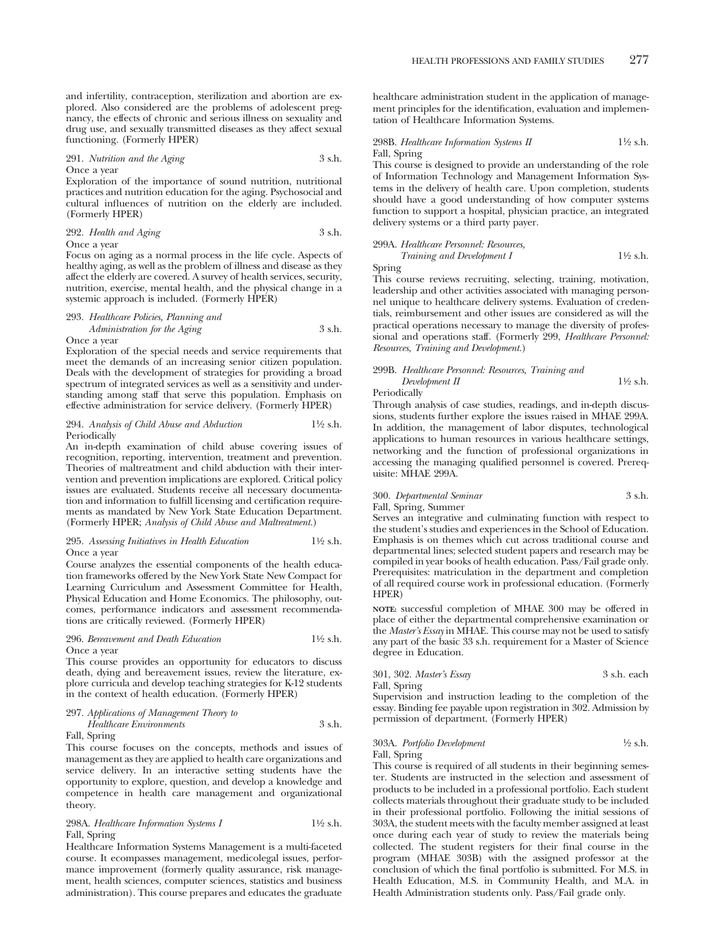and infertility, contraception, sterilization and abortion are explored. Also considered are the problems of adolescent pregnancy, the effects of chronic and serious illness on sexuality and drug use, and sexually transmitted diseases as they affect sexual functioning. (Formerly HPER)

### 291. *Nutrition and the Aging* 3 s.h. Once a year

Exploration of the importance of sound nutrition, nutritional practices and nutrition education for the aging. Psychosocial and cultural influences of nutrition on the elderly are included. (Formerly HPER)

292. *Health and Aging* 3 s.h. Once a year

Focus on aging as a normal process in the life cycle. Aspects of healthy aging, as well as the problem of illness and disease as they affect the elderly are covered. A survey of health services, security, nutrition, exercise, mental health, and the physical change in a systemic approach is included. (Formerly HPER)

### 293. *Healthcare Policies, Planning and*

### *Administration for the Aging* 3 s.h. Once a year

Exploration of the special needs and service requirements that meet the demands of an increasing senior citizen population. Deals with the development of strategies for providing a broad spectrum of integrated services as well as a sensitivity and understanding among staff that serve this population. Emphasis on effective administration for service delivery. (Formerly HPER)

### 294. *Analysis of Child Abuse and Abduction* 11⁄2 s.h. Periodically

An in-depth examination of child abuse covering issues of recognition, reporting, intervention, treatment and prevention. Theories of maltreatment and child abduction with their intervention and prevention implications are explored. Critical policy issues are evaluated. Students receive all necessary documentation and information to fulfill licensing and certification requirements as mandated by New York State Education Department. (Formerly HPER; *Analysis of Child Abuse and Maltreatment.*)

#### 295. *Assessing Initiatives in Health Education* 11⁄2 s.h. Once a year

Course analyzes the essential components of the health education frameworks offered by the New York State New Compact for Learning Curriculum and Assessment Committee for Health, Physical Education and Home Economics. The philosophy, outcomes, performance indicators and assessment recommendations are critically reviewed. (Formerly HPER)

### 296. *Bereavement and Death Education* 11⁄2 s.h. Once a year

This course provides an opportunity for educators to discuss death, dying and bereavement issues, review the literature, explore curricula and develop teaching strategies for K-12 students in the context of health education. (Formerly HPER)

### 297. *Applications of Management Theory to*

*Healthcare Environments* 3 s.h.

Fall, Spring

This course focuses on the concepts, methods and issues of management as they are applied to health care organizations and service delivery. In an interactive setting students have the opportunity to explore, question, and develop a knowledge and competence in health care management and organizational theory.

### 298A. *Healthcare Information Systems I* 1<sup>1</sup>⁄2 s.h. Fall, Spring

Healthcare Information Systems Management is a multi-faceted course. It ecompasses management, medicolegal issues, performance improvement (formerly quality assurance, risk management, health sciences, computer sciences, statistics and business administration). This course prepares and educates the graduate healthcare administration student in the application of management principles for the identification, evaluation and implementation of Healthcare Information Systems.

#### 298B. *Healthcare Information Systems II* 1<sup>1</sup>⁄2 s.h. Fall, Spring

This course is designed to provide an understanding of the role of Information Technology and Management Information Systems in the delivery of health care. Upon completion, students should have a good understanding of how computer systems function to support a hospital, physician practice, an integrated delivery systems or a third party payer.

### 299A. *Healthcare Personnel: Resources, Training and Development I* 1<sup>1/2</sup> s.h.

Spring

This course reviews recruiting, selecting, training, motivation, leadership and other activities associated with managing personnel unique to healthcare delivery systems. Evaluation of credentials, reimbursement and other issues are considered as will the practical operations necessary to manage the diversity of professional and operations staff. (Formerly 299, *Healthcare Personnel: Resources, Training and Development.*)

### 299B. *Healthcare Personnel: Resources, Training and Development II* 1<sup>1</sup>⁄2 s.h.

Periodically

Through analysis of case studies, readings, and in-depth discussions, students further explore the issues raised in MHAE 299A. In addition, the management of labor disputes, technological applications to human resources in various healthcare settings, networking and the function of professional organizations in accessing the managing qualified personnel is covered. Prerequisite: MHAE 299A.

### 300. *Departmental Seminar* 3 s.h.

Fall, Spring, Summer

Serves an integrative and culminating function with respect to the student's studies and experiences in the School of Education. Emphasis is on themes which cut across traditional course and departmental lines; selected student papers and research may be compiled in year books of health education. Pass/Fail grade only. Prerequisites: matriculation in the department and completion of all required course work in professional education. (Formerly HPER)

**NOTE:** successful completion of MHAE 300 may be offered in place of either the departmental comprehensive examination or the *Master's Essay* in MHAE. This course may not be used to satisfy any part of the basic 33 s.h. requirement for a Master of Science degree in Education.

301, 302. *Master's Essay* 3 s.h. each Fall, Spring

Supervision and instruction leading to the completion of the essay. Binding fee payable upon registration in 302. Admission by permission of department. (Formerly HPER)

## 303A. *Portfolio Development* 1⁄2 s.h. Fall, Spring

This course is required of all students in their beginning semester. Students are instructed in the selection and assessment of products to be included in a professional portfolio. Each student collects materials throughout their graduate study to be included in their professional portfolio. Following the initial sessions of 303A, the student meets with the faculty member assigned at least once during each year of study to review the materials being collected. The student registers for their final course in the program (MHAE 303B) with the assigned professor at the conclusion of which the final portfolio is submitted. For M.S. in Health Education, M.S. in Community Health, and M.A. in Health Administration students only. Pass/Fail grade only.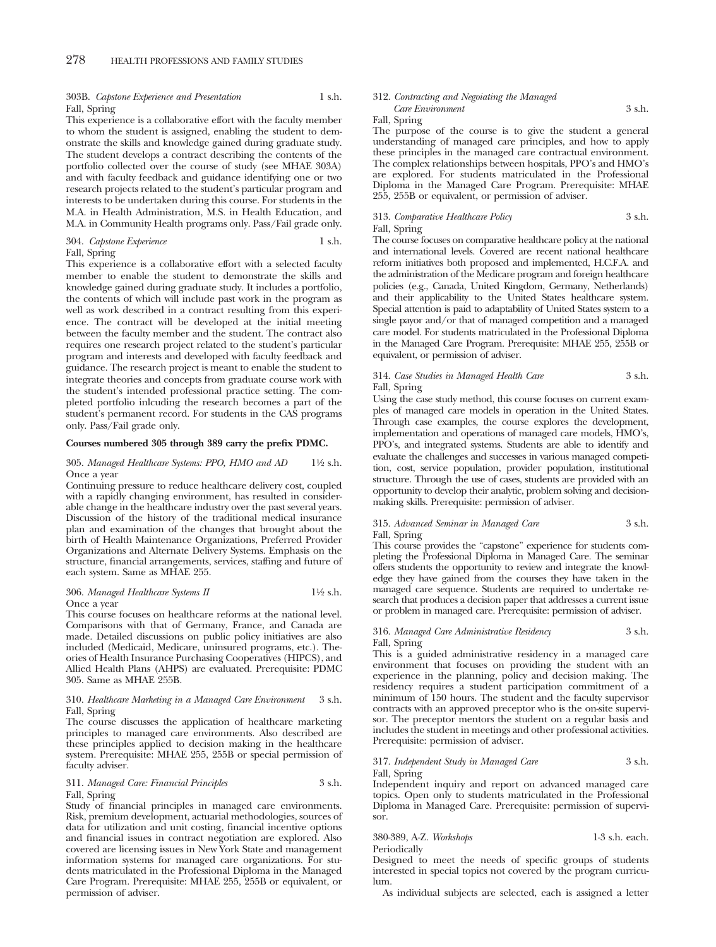### 303B. *Capstone Experience and Presentation* 1 s.h. Fall, Spring

This experience is a collaborative effort with the faculty member to whom the student is assigned, enabling the student to demonstrate the skills and knowledge gained during graduate study. The student develops a contract describing the contents of the portfolio collected over the course of study (see MHAE 303A) and with faculty feedback and guidance identifying one or two research projects related to the student's particular program and interests to be undertaken during this course. For students in the M.A. in Health Administration, M.S. in Health Education, and M.A. in Community Health programs only. Pass/Fail grade only.

### 304. *Capstone Experience* 1 s.h.

Fall, Spring

This experience is a collaborative effort with a selected faculty member to enable the student to demonstrate the skills and knowledge gained during graduate study. It includes a portfolio, the contents of which will include past work in the program as well as work described in a contract resulting from this experience. The contract will be developed at the initial meeting between the faculty member and the student. The contract also requires one research project related to the student's particular program and interests and developed with faculty feedback and guidance. The research project is meant to enable the student to integrate theories and concepts from graduate course work with the student's intended professional practice setting. The completed portfolio inlcuding the research becomes a part of the student's permanent record. For students in the CAS programs only. Pass/Fail grade only.

### **Courses numbered 305 through 389 carry the prefix PDMC.**

#### 305. *Managed Healthcare Systems: PPO, HMO and AD* 11⁄2 s.h. Once a year

Continuing pressure to reduce healthcare delivery cost, coupled with a rapidly changing environment, has resulted in considerable change in the healthcare industry over the past several years. Discussion of the history of the traditional medical insurance plan and examination of the changes that brought about the birth of Health Maintenance Organizations, Preferred Provider Organizations and Alternate Delivery Systems. Emphasis on the structure, financial arrangements, services, staffing and future of each system. Same as MHAE 255.

#### 306. *Managed Healthcare Systems II* 11⁄2 s.h. Once a year

This course focuses on healthcare reforms at the national level. Comparisons with that of Germany, France, and Canada are made. Detailed discussions on public policy initiatives are also included (Medicaid, Medicare, uninsured programs, etc.). Theories of Health Insurance Purchasing Cooperatives (HIPCS), and Allied Health Plans (AHPS) are evaluated. Prerequisite: PDMC 305. Same as MHAE 255B.

### 310. *Healthcare Marketing in a Managed Care Environment* 3 s.h. Fall, Spring

The course discusses the application of healthcare marketing principles to managed care environments. Also described are these principles applied to decision making in the healthcare system. Prerequisite: MHAE 255, 255B or special permission of faculty adviser.

### 311. *Managed Care: Financial Principles* 3 s.h. Fall, Spring

Study of financial principles in managed care environments. Risk, premium development, actuarial methodologies, sources of data for utilization and unit costing, financial incentive options and financial issues in contract negotiation are explored. Also covered are licensing issues in New York State and management information systems for managed care organizations. For students matriculated in the Professional Diploma in the Managed Care Program. Prerequisite: MHAE 255, 255B or equivalent, or permission of adviser.

### 312. *Contracting and Negoiating the Managed*

*Care Environment* 3 s.h.

Fall, Spring

The purpose of the course is to give the student a general understanding of managed care principles, and how to apply these principles in the managed care contractual environment. The complex relationships between hospitals, PPO's and HMO's are explored. For students matriculated in the Professional Diploma in the Managed Care Program. Prerequisite: MHAE 255, 255B or equivalent, or permission of adviser.

### 313. *Comparative Healthcare Policy* 3 s.h. Fall, Spring

The course focuses on comparative healthcare policy at the national and international levels. Covered are recent national healthcare reform initiatives both proposed and implemented, H.C.F.A. and the administration of the Medicare program and foreign healthcare policies (e.g., Canada, United Kingdom, Germany, Netherlands) and their applicability to the United States healthcare system. Special attention is paid to adaptability of United States system to a single payor and/or that of managed competition and a managed care model. For students matriculated in the Professional Diploma in the Managed Care Program. Prerequisite: MHAE 255, 255B or equivalent, or permission of adviser.

### 314. *Case Studies in Managed Health Care* 3 s.h. Fall, Spring

Using the case study method, this course focuses on current examples of managed care models in operation in the United States. Through case examples, the course explores the development, implementation and operations of managed care models, HMO's, PPO's, and integrated systems. Students are able to identify and evaluate the challenges and successes in various managed competition, cost, service population, provider population, institutional structure. Through the use of cases, students are provided with an opportunity to develop their analytic, problem solving and decisionmaking skills. Prerequisite: permission of adviser.

## 315. *Advanced Seminar in Managed Care* 3 s.h.

Fall, Spring

This course provides the "capstone" experience for students completing the Professional Diploma in Managed Care. The seminar offers students the opportunity to review and integrate the knowledge they have gained from the courses they have taken in the managed care sequence. Students are required to undertake research that produces a decision paper that addresses a current issue or problem in managed care. Prerequisite: permission of adviser.

### 316. *Managed Care Administrative Residency* 3 s.h. Fall, Spring

This is a guided administrative residency in a managed care environment that focuses on providing the student with an experience in the planning, policy and decision making. The residency requires a student participation commitment of a minimum of 150 hours. The student and the faculty supervisor contracts with an approved preceptor who is the on-site supervisor. The preceptor mentors the student on a regular basis and includes the student in meetings and other professional activities. Prerequisite: permission of adviser.

### 317. *Independent Study in Managed Care* 3 s.h. Fall, Spring

Independent inquiry and report on advanced managed care topics. Open only to students matriculated in the Professional Diploma in Managed Care. Prerequisite: permission of supervisor.

### 380-389, A-Z. *Workshops* 1-3 s.h. each. Periodically

Designed to meet the needs of specific groups of students interested in special topics not covered by the program curriculum.

As individual subjects are selected, each is assigned a letter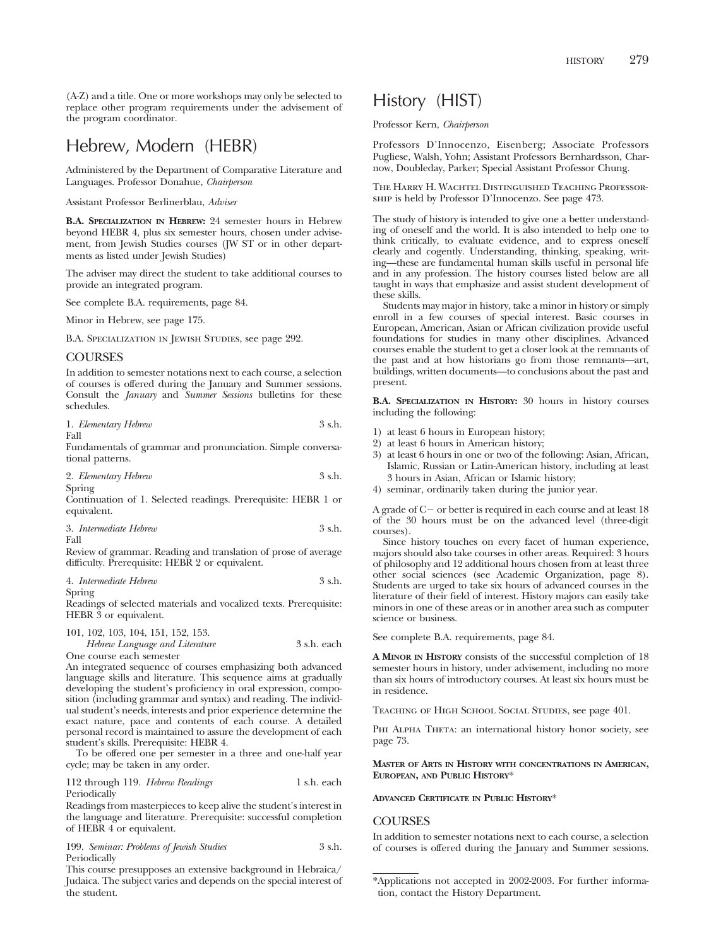(A-Z) and a title. One or more workshops may only be selected to replace other program requirements under the advisement of the program coordinator.

## Hebrew, Modern (HEBR)

Administered by the Department of Comparative Literature and Languages. Professor Donahue, *Chairperson*

Assistant Professor Berlinerblau, *Adviser*

**B.A. SPECIALIZATION IN HEBREW:** 24 semester hours in Hebrew beyond HEBR 4, plus six semester hours, chosen under advisement, from Jewish Studies courses (JW ST or in other departments as listed under Jewish Studies)

The adviser may direct the student to take additional courses to provide an integrated program.

See complete B.A. requirements, page 84.

Minor in Hebrew, see page 175.

B.A. Specialization in Jewish Studies, see page 292.

### **COURSES**

In addition to semester notations next to each course, a selection of courses is offered during the January and Summer sessions. Consult the *January* and *Summer Sessions* bulletins for these schedules.

|  | 1. Elementary Hebrew | 3 s.h. |
|--|----------------------|--------|
|--|----------------------|--------|

Fall

Fundamentals of grammar and pronunciation. Simple conversational patterns.

| 2. Elementary Hebrew | 3 s.h. |
|----------------------|--------|
| Spring               |        |

Continuation of 1. Selected readings. Prerequisite: HEBR 1 or equivalent.

3. *Intermediate Hebrew* 3 s.h. Fall

Review of grammar. Reading and translation of prose of average difficulty. Prerequisite: HEBR 2 or equivalent.

4. *Intermediate Hebrew* 3 s.h.

Spring

Readings of selected materials and vocalized texts. Prerequisite: HEBR 3 or equivalent.

101, 102, 103, 104, 151, 152, 153.

| Hebrew Language and Literature | 3 s.h. each |
|--------------------------------|-------------|
| One course each semester       |             |

An integrated sequence of courses emphasizing both advanced language skills and literature. This sequence aims at gradually developing the student's proficiency in oral expression, composition (including grammar and syntax) and reading. The individual student's needs, interests and prior experience determine the exact nature, pace and contents of each course. A detailed personal record is maintained to assure the development of each student's skills. Prerequisite: HEBR 4.

To be offered one per semester in a three and one-half year cycle; may be taken in any order.

112 through 119. *Hebrew Readings* 1 s.h. each Periodically

Readings from masterpieces to keep alive the student's interest in the language and literature. Prerequisite: successful completion of HEBR 4 or equivalent.

199. *Seminar: Problems of Jewish Studies* 3 s.h. Periodically

This course presupposes an extensive background in Hebraica/ Judaica. The subject varies and depends on the special interest of the student.

## History (HIST)

Professor Kern, *Chairperson*

Professors D'Innocenzo, Eisenberg; Associate Professors Pugliese, Walsh, Yohn; Assistant Professors Bernhardsson, Charnow, Doubleday, Parker; Special Assistant Professor Chung.

The Harry H. Wachtel Distinguished Teaching Professorship is held by Professor D'Innocenzo. See page 473.

The study of history is intended to give one a better understanding of oneself and the world. It is also intended to help one to think critically, to evaluate evidence, and to express oneself clearly and cogently. Understanding, thinking, speaking, writing—these are fundamental human skills useful in personal life and in any profession. The history courses listed below are all taught in ways that emphasize and assist student development of these skills.

Students may major in history, take a minor in history or simply enroll in a few courses of special interest. Basic courses in European, American, Asian or African civilization provide useful foundations for studies in many other disciplines. Advanced courses enable the student to get a closer look at the remnants of the past and at how historians go from those remnants—art, buildings, written documents—to conclusions about the past and present.

**B.A. SPECIALIZATION IN HISTORY:** 30 hours in history courses including the following:

- 1) at least 6 hours in European history;
- 2) at least 6 hours in American history;
- 3) at least 6 hours in one or two of the following: Asian, African, Islamic, Russian or Latin-American history, including at least 3 hours in Asian, African or Islamic history;
- 4) seminar, ordinarily taken during the junior year.

A grade of  $C$  – or better is required in each course and at least  $18$ of the 30 hours must be on the advanced level (three-digit courses).

Since history touches on every facet of human experience, majors should also take courses in other areas. Required: 3 hours of philosophy and 12 additional hours chosen from at least three other social sciences (see Academic Organization, page 8). Students are urged to take six hours of advanced courses in the literature of their field of interest. History majors can easily take minors in one of these areas or in another area such as computer science or business.

See complete B.A. requirements, page 84.

**A MINOR IN HISTORY** consists of the successful completion of 18 semester hours in history, under advisement, including no more than six hours of introductory courses. At least six hours must be in residence.

Teaching of High School Social Studies, see page 401.

PHI ALPHA THETA: an international history honor society, see page 73.

**MASTER OF ARTS IN HISTORY WITH CONCENTRATIONS IN AMERICAN, EUROPEAN, AND PUBLIC HISTORY**\*

### **ADVANCED CERTIFICATE IN PUBLIC HISTORY**\*

### **COURSES**

In addition to semester notations next to each course, a selection of courses is offered during the January and Summer sessions.

<sup>\*</sup>Applications not accepted in 2002-2003. For further information, contact the History Department.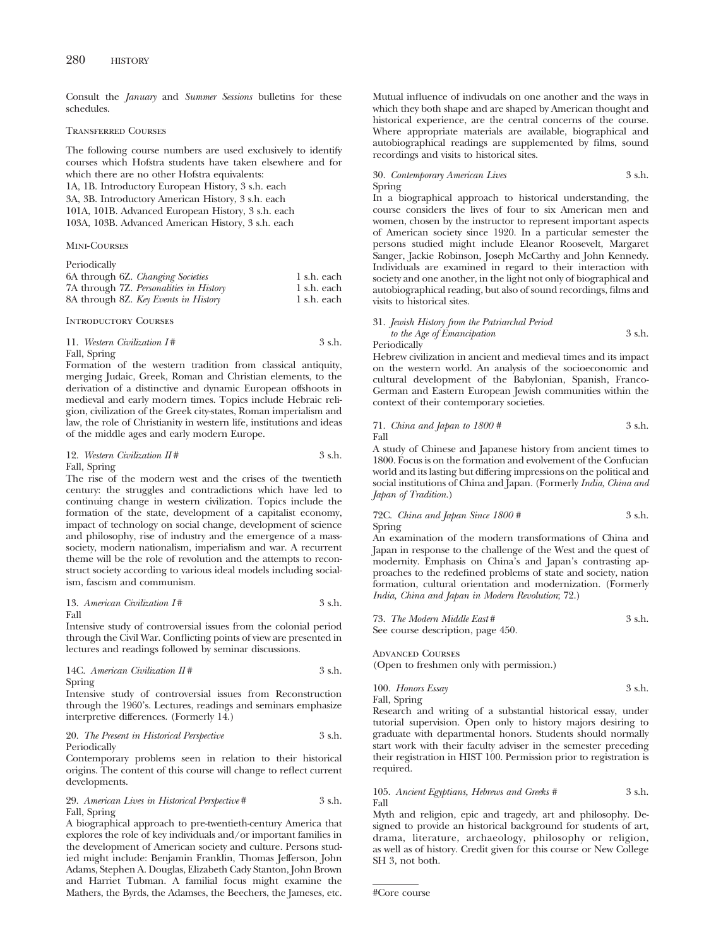Consult the *January* and *Summer Sessions* bulletins for these schedules.

### Transferred Courses

The following course numbers are used exclusively to identify courses which Hofstra students have taken elsewhere and for which there are no other Hofstra equivalents: 1A, 1B. Introductory European History, 3 s.h. each

3A, 3B. Introductory American History, 3 s.h. each

101A, 101B. Advanced European History, 3 s.h. each

103A, 103B. Advanced American History, 3 s.h. each

### Mini-Courses

### Periodically

| 6A through 6Z. Changing Societies       | 1 s.h. each |  |
|-----------------------------------------|-------------|--|
| 7A through 7Z. Personalities in History | 1 s.h. each |  |
| 8A through 8Z. Key Events in History    | 1 s.h. each |  |

Introductory Courses

11. *Western Civilization I* # 3 s.h. Fall, Spring

Formation of the western tradition from classical antiquity, merging Judaic, Greek, Roman and Christian elements, to the derivation of a distinctive and dynamic European offshoots in medieval and early modern times. Topics include Hebraic religion, civilization of the Greek city-states, Roman imperialism and law, the role of Christianity in western life, institutions and ideas of the middle ages and early modern Europe.

### 12. *Western Civilization II* # 3 s.h. Fall, Spring

The rise of the modern west and the crises of the twentieth century: the struggles and contradictions which have led to continuing change in western civilization. Topics include the formation of the state, development of a capitalist economy, impact of technology on social change, development of science and philosophy, rise of industry and the emergence of a masssociety, modern nationalism, imperialism and war. A recurrent theme will be the role of revolution and the attempts to reconstruct society according to various ideal models including socialism, fascism and communism.

13. *American Civilization I* # 3 s.h. Fall

Intensive study of controversial issues from the colonial period through the Civil War. Conflicting points of view are presented in lectures and readings followed by seminar discussions.

14C. *American Civilization II* # 3 s.h. Spring

Intensive study of controversial issues from Reconstruction through the 1960's. Lectures, readings and seminars emphasize interpretive differences. (Formerly 14.)

### 20. *The Present in Historical Perspective* 3 s.h. Periodically

Contemporary problems seen in relation to their historical origins. The content of this course will change to reflect current developments.

29. *American Lives in Historical Perspective* # 3 s.h. Fall, Spring

A biographical approach to pre-twentieth-century America that explores the role of key individuals and/or important families in the development of American society and culture. Persons studied might include: Benjamin Franklin, Thomas Jefferson, John Adams, Stephen A. Douglas, Elizabeth Cady Stanton, John Brown and Harriet Tubman. A familial focus might examine the Mathers, the Byrds, the Adamses, the Beechers, the Jameses, etc.

Mutual influence of indivudals on one another and the ways in which they both shape and are shaped by American thought and historical experience, are the central concerns of the course. Where appropriate materials are available, biographical and autobiographical readings are supplemented by films, sound recordings and visits to historical sites.

30. *Contemporary American Lives* 3 s.h. Spring

In a biographical approach to historical understanding, the course considers the lives of four to six American men and women, chosen by the instructor to represent important aspects of American society since 1920. In a particular semester the persons studied might include Eleanor Roosevelt, Margaret Sanger, Jackie Robinson, Joseph McCarthy and John Kennedy. Individuals are examined in regard to their interaction with society and one another, in the light not only of biographical and autobiographical reading, but also of sound recordings, films and visits to historical sites.

### 31. *Jewish History from the Patriarchal Period*

*to the Age of Emancipation* 3 s.h. Periodically

Hebrew civilization in ancient and medieval times and its impact on the western world. An analysis of the socioeconomic and cultural development of the Babylonian, Spanish, Franco-German and Eastern European Jewish communities within the context of their contemporary societies.

71. *China and Japan to 1800 #* 3 s.h. Fall

A study of Chinese and Japanese history from ancient times to 1800. Focus is on the formation and evolvement of the Confucian world and its lasting but differing impressions on the political and social institutions of China and Japan. (Formerly *India, China and Japan of Tradition.*)

72C. *China and Japan Since 1800 #* 3 s.h. Spring

An examination of the modern transformations of China and Japan in response to the challenge of the West and the quest of modernity. Emphasis on China's and Japan's contrasting approaches to the redefined problems of state and society, nation formation, cultural orientation and modernization. (Formerly *India, China and Japan in Modern Revolution*; 72.)

73. *The Modern Middle East#* 3 s.h. See course description, page 450.

Advanced Courses (Open to freshmen only with permission.)

100. *Honors Essay* 3 s.h. Fall, Spring

Research and writing of a substantial historical essay, under tutorial supervision. Open only to history majors desiring to graduate with departmental honors. Students should normally start work with their faculty adviser in the semester preceding their registration in HIST 100. Permission prior to registration is required.

105. *Ancient Egyptians, Hebrews and Greeks #* 3 s.h. Fall

Myth and religion, epic and tragedy, art and philosophy. Designed to provide an historical background for students of art, drama, literature, archaeology, philosophy or religion, as well as of history. Credit given for this course or New College SH 3, not both.

<sup>#</sup>Core course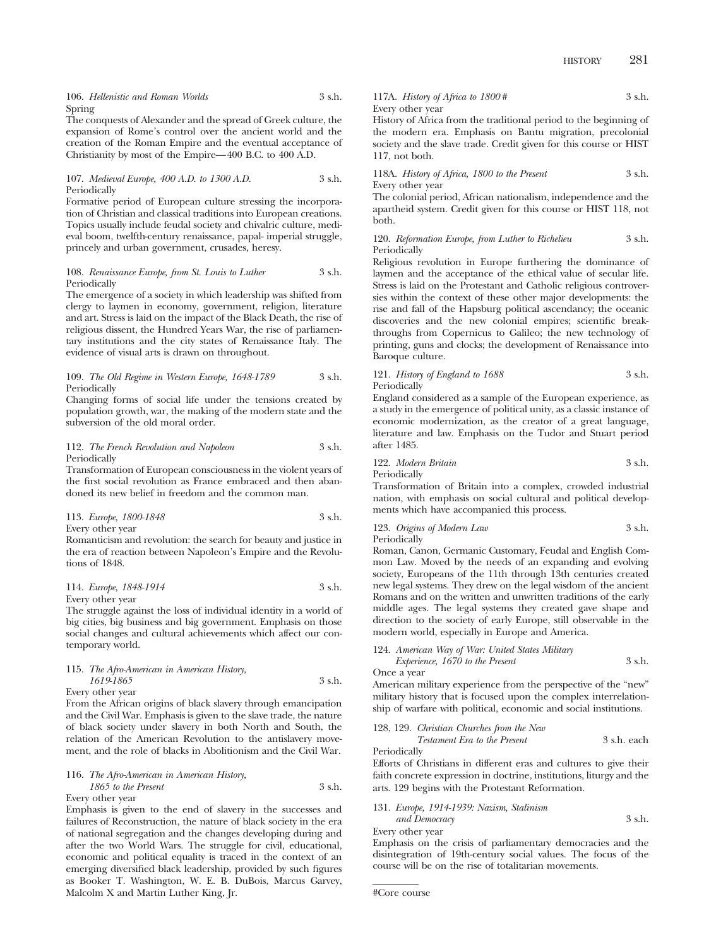106. *Hellenistic and Roman Worlds* 3 s.h. Spring

The conquests of Alexander and the spread of Greek culture, the expansion of Rome's control over the ancient world and the creation of the Roman Empire and the eventual acceptance of Christianity by most of the Empire—400 B.C. to 400 A.D.

#### 107. *Medieval Europe, 400 A.D. to 1300 A.D.* 3 s.h. Periodically

Formative period of European culture stressing the incorporation of Christian and classical traditions into European creations. Topics usually include feudal society and chivalric culture, medieval boom, twelfth-century renaissance, papal- imperial struggle, princely and urban government, crusades, heresy.

### 108. *Renaissance Europe, from St. Louis to Luther* 3 s.h. Periodically

The emergence of a society in which leadership was shifted from clergy to laymen in economy, government, religion, literature and art. Stress is laid on the impact of the Black Death, the rise of religious dissent, the Hundred Years War, the rise of parliamentary institutions and the city states of Renaissance Italy. The evidence of visual arts is drawn on throughout.

### 109. *The Old Regime in Western Europe, 1648-1789* 3 s.h. Periodically

Changing forms of social life under the tensions created by population growth, war, the making of the modern state and the subversion of the old moral order.

### 112. *The French Revolution and Napoleon* 3 s.h. Periodically

Transformation of European consciousness in the violent years of the first social revolution as France embraced and then abandoned its new belief in freedom and the common man.

|                  | 113. Europe, 1800-1848 | 3 s.h. |
|------------------|------------------------|--------|
| Every other year |                        |        |

Romanticism and revolution: the search for beauty and justice in the era of reaction between Napoleon's Empire and the Revolutions of 1848.

### 114. *Europe, 1848-1914* 3 s.h. Every other year

The struggle against the loss of individual identity in a world of big cities, big business and big government. Emphasis on those social changes and cultural achievements which affect our contemporary world.

### 115. *The Afro-American in American History, 1619-1865* 3 s.h.

Every other year

From the African origins of black slavery through emancipation and the Civil War. Emphasis is given to the slave trade, the nature of black society under slavery in both North and South, the relation of the American Revolution to the antislavery movement, and the role of blacks in Abolitionism and the Civil War.

116. *The Afro-American in American History, 1865 to the Present* 3 s.h. Every other year

Emphasis is given to the end of slavery in the successes and failures of Reconstruction, the nature of black society in the era of national segregation and the changes developing during and after the two World Wars. The struggle for civil, educational, economic and political equality is traced in the context of an emerging diversified black leadership, provided by such figures as Booker T. Washington, W. E. B. DuBois, Marcus Garvey, Malcolm X and Martin Luther King, Jr.

117A. *History of Africa to 1800* # 3 s.h. Every other year

History of Africa from the traditional period to the beginning of the modern era. Emphasis on Bantu migration, precolonial society and the slave trade. Credit given for this course or HIST 117, not both.

118A. *History of Africa, 1800 to the Present* 3 s.h. Every other year

The colonial period, African nationalism, independence and the apartheid system. Credit given for this course or HIST 118, not both.

120. *Reformation Europe, from Luther to Richelieu* 3 s.h. Periodically

Religious revolution in Europe furthering the dominance of laymen and the acceptance of the ethical value of secular life. Stress is laid on the Protestant and Catholic religious controversies within the context of these other major developments: the rise and fall of the Hapsburg political ascendancy; the oceanic discoveries and the new colonial empires; scientific breakthroughs from Copernicus to Galileo; the new technology of printing, guns and clocks; the development of Renaissance into Baroque culture.

121. *History of England to 1688* 3 s.h. Periodically

England considered as a sample of the European experience, as a study in the emergence of political unity, as a classic instance of economic modernization, as the creator of a great language, literature and law. Emphasis on the Tudor and Stuart period after 1485.

122. *Modern Britain* 3 s.h. Periodically

Transformation of Britain into a complex, crowded industrial nation, with emphasis on social cultural and political developments which have accompanied this process.

123. *Origins of Modern Law* 3 s.h. Periodically

Roman, Canon, Germanic Customary, Feudal and English Common Law. Moved by the needs of an expanding and evolving society, Europeans of the 11th through 13th centuries created new legal systems. They drew on the legal wisdom of the ancient Romans and on the written and unwritten traditions of the early middle ages. The legal systems they created gave shape and direction to the society of early Europe, still observable in the modern world, especially in Europe and America.

124. *American Way of War: United States Military Experience, 1670 to the Present* 3 s.h.

Once a year

American military experience from the perspective of the "new" military history that is focused upon the complex interrelationship of warfare with political, economic and social institutions.

128, 129. *Christian Churches from the New Testament Era to the Present* 3 s.h. each

Periodically

Efforts of Christians in different eras and cultures to give their faith concrete expression in doctrine, institutions, liturgy and the arts. 129 begins with the Protestant Reformation.

131. *Europe, 1914-1939: Nazism, Stalinism*

*and Democracy* 3 s.h. Every other year

Emphasis on the crisis of parliamentary democracies and the disintegration of 19th-century social values. The focus of the course will be on the rise of totalitarian movements.

```
#Core course
```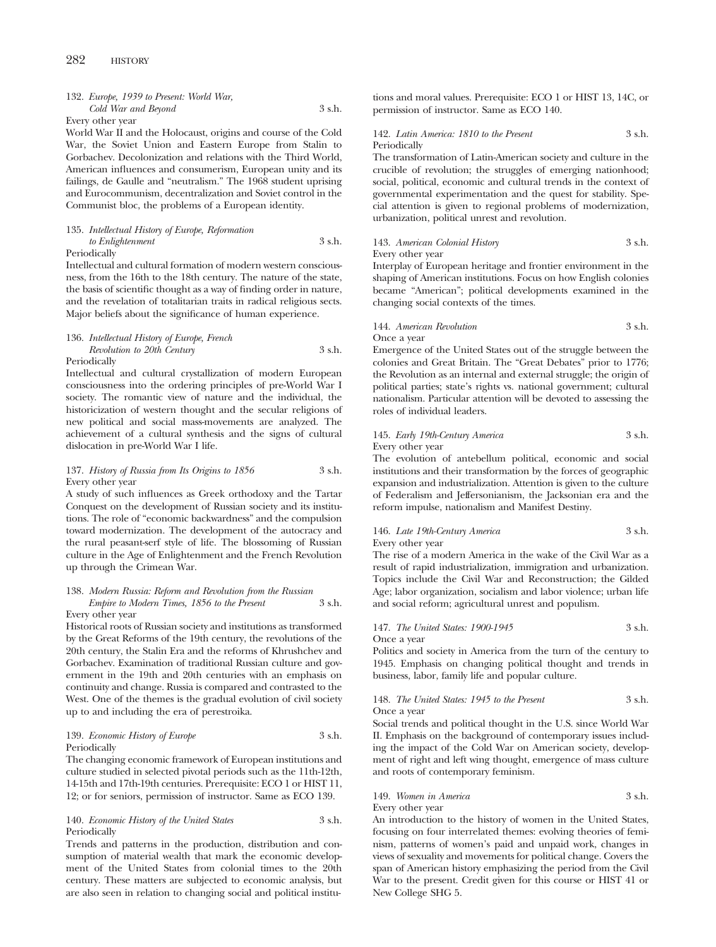### 132. *Europe, 1939 to Present: World War, Cold War and Beyond* 3 s.h.

Every other year

World War II and the Holocaust, origins and course of the Cold War, the Soviet Union and Eastern Europe from Stalin to Gorbachev. Decolonization and relations with the Third World, American influences and consumerism, European unity and its failings, de Gaulle and "neutralism." The 1968 student uprising and Eurocommunism, decentralization and Soviet control in the Communist bloc, the problems of a European identity.

### 135. *Intellectual History of Europe, Reformation to Enlightenment* 3 s.h.

Periodically

Intellectual and cultural formation of modern western consciousness, from the 16th to the 18th century. The nature of the state, the basis of scientific thought as a way of finding order in nature, and the revelation of totalitarian traits in radical religious sects. Major beliefs about the significance of human experience.

### 136. *Intellectual History of Europe, French Revolution to 20th Century* 3 s.h. Periodically

Intellectual and cultural crystallization of modern European consciousness into the ordering principles of pre-World War I society. The romantic view of nature and the individual, the historicization of western thought and the secular religions of new political and social mass-movements are analyzed. The achievement of a cultural synthesis and the signs of cultural dislocation in pre-World War I life.

### 137. *History of Russia from Its Origins to 1856* 3 s.h. Every other year

A study of such influences as Greek orthodoxy and the Tartar Conquest on the development of Russian society and its institutions. The role of "economic backwardness" and the compulsion toward modernization. The development of the autocracy and the rural peasant-serf style of life. The blossoming of Russian culture in the Age of Enlightenment and the French Revolution up through the Crimean War.

### 138. *Modern Russia: Reform and Revolution from the Russian Empire to Modern Times, 1856 to the Present* 3 s.h.

Every other year

Historical roots of Russian society and institutions as transformed by the Great Reforms of the 19th century, the revolutions of the 20th century, the Stalin Era and the reforms of Khrushchev and Gorbachev. Examination of traditional Russian culture and government in the 19th and 20th centuries with an emphasis on continuity and change. Russia is compared and contrasted to the West. One of the themes is the gradual evolution of civil society up to and including the era of perestroika.

### 139. *Economic History of Europe* 3 s.h. Periodically

The changing economic framework of European institutions and culture studied in selected pivotal periods such as the 11th-12th, 14-15th and 17th-19th centuries. Prerequisite: ECO 1 or HIST 11, 12; or for seniors, permission of instructor. Same as ECO 139.

### 140. *Economic History of the United States* 3 s.h. Periodically

Trends and patterns in the production, distribution and consumption of material wealth that mark the economic development of the United States from colonial times to the 20th century. These matters are subjected to economic analysis, but are also seen in relation to changing social and political institutions and moral values. Prerequisite: ECO 1 or HIST 13, 14C, or permission of instructor. Same as ECO 140.

### 142. *Latin America: 1810 to the Present* 3 s.h. Periodically

The transformation of Latin-American society and culture in the crucible of revolution; the struggles of emerging nationhood; social, political, economic and cultural trends in the context of governmental experimentation and the quest for stability. Special attention is given to regional problems of modernization, urbanization, political unrest and revolution.

### 143. *American Colonial History* 3 s.h. Every other year

Interplay of European heritage and frontier environment in the shaping of American institutions. Focus on how English colonies became "American"; political developments examined in the changing social contexts of the times.

### 144. *American Revolution* 3 s.h. Once a year

Emergence of the United States out of the struggle between the colonies and Great Britain. The "Great Debates" prior to 1776; the Revolution as an internal and external struggle; the origin of political parties; state's rights vs. national government; cultural nationalism. Particular attention will be devoted to assessing the roles of individual leaders.

### 145. *Early 19th-Century America* 3 s.h. Every other year

The evolution of antebellum political, economic and social institutions and their transformation by the forces of geographic expansion and industrialization. Attention is given to the culture of Federalism and Jeffersonianism, the Jacksonian era and the reform impulse, nationalism and Manifest Destiny.

### 146. *Late 19th-Century America* 3 s.h. Every other year

The rise of a modern America in the wake of the Civil War as a result of rapid industrialization, immigration and urbanization. Topics include the Civil War and Reconstruction; the Gilded Age; labor organization, socialism and labor violence; urban life and social reform; agricultural unrest and populism.

### 147. *The United States: 1900-1945* 3 s.h.

Once a year

Politics and society in America from the turn of the century to 1945. Emphasis on changing political thought and trends in business, labor, family life and popular culture.

#### 148. *The United States: 1945 to the Present* 3 s.h. Once a year

Social trends and political thought in the U.S. since World War II. Emphasis on the background of contemporary issues including the impact of the Cold War on American society, development of right and left wing thought, emergence of mass culture and roots of contemporary feminism.

### 149. *Women in America* 3 s.h. Every other year

An introduction to the history of women in the United States, focusing on four interrelated themes: evolving theories of feminism, patterns of women's paid and unpaid work, changes in views of sexuality and movements for political change. Covers the span of American history emphasizing the period from the Civil War to the present. Credit given for this course or HIST 41 or New College SHG 5.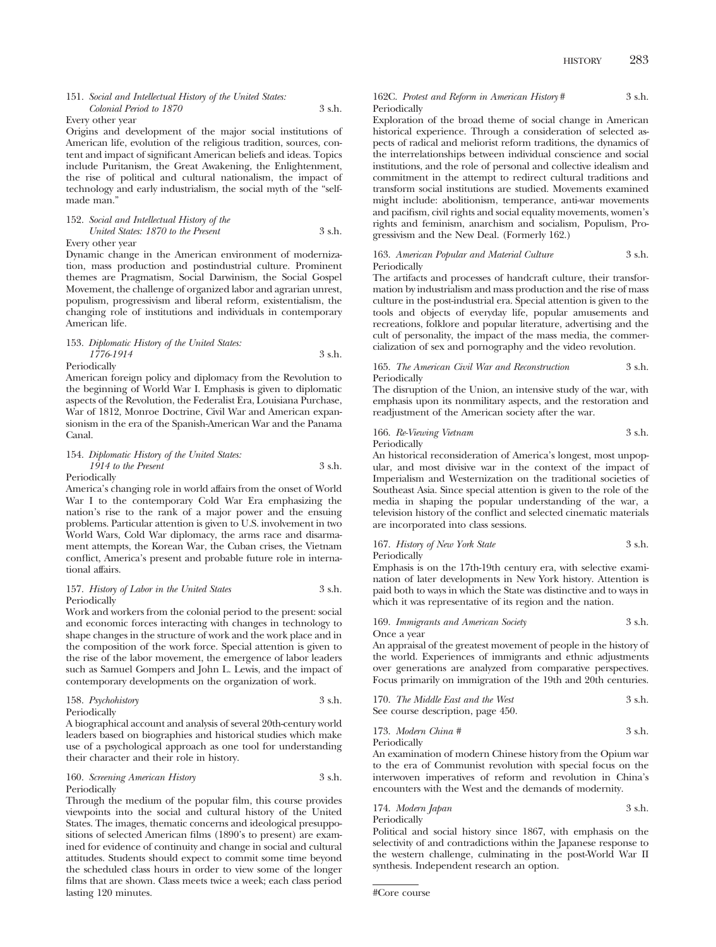### 151. *Social and Intellectual History of the United States: Colonial Period to 1870* 3 s.h.

Every other year

Origins and development of the major social institutions of American life, evolution of the religious tradition, sources, content and impact of significant American beliefs and ideas. Topics include Puritanism, the Great Awakening, the Enlightenment, the rise of political and cultural nationalism, the impact of technology and early industrialism, the social myth of the "selfmade man."

### 152. *Social and Intellectual History of the United States: 1870 to the Present* 3 s.h. Every other year

Dynamic change in the American environment of modernization, mass production and postindustrial culture. Prominent themes are Pragmatism, Social Darwinism, the Social Gospel Movement, the challenge of organized labor and agrarian unrest, populism, progressivism and liberal reform, existentialism, the changing role of institutions and individuals in contemporary American life.

### 153. *Diplomatic History of the United States: 1776-1914* 3 s.h. Periodically

American foreign policy and diplomacy from the Revolution to the beginning of World War I. Emphasis is given to diplomatic aspects of the Revolution, the Federalist Era, Louisiana Purchase, War of 1812, Monroe Doctrine, Civil War and American expansionism in the era of the Spanish-American War and the Panama Canal.

### 154. *Diplomatic History of the United States: 1914 to the Present* 3 s.h. Periodically

America's changing role in world affairs from the onset of World War I to the contemporary Cold War Era emphasizing the nation's rise to the rank of a major power and the ensuing problems. Particular attention is given to U.S. involvement in two World Wars, Cold War diplomacy, the arms race and disarmament attempts, the Korean War, the Cuban crises, the Vietnam conflict, America's present and probable future role in international affairs.

### 157. *History of Labor in the United States* 3 s.h. Periodically

Work and workers from the colonial period to the present: social and economic forces interacting with changes in technology to shape changes in the structure of work and the work place and in the composition of the work force. Special attention is given to the rise of the labor movement, the emergence of labor leaders such as Samuel Gompers and John L. Lewis, and the impact of contemporary developments on the organization of work.

|    | 158. Psychohistory | 3 s.h. |
|----|--------------------|--------|
| __ |                    |        |

Periodically

A biographical account and analysis of several 20th-century world leaders based on biographies and historical studies which make use of a psychological approach as one tool for understanding their character and their role in history.

### 160. *Screening American History* 3 s.h. Periodically

Through the medium of the popular film, this course provides viewpoints into the social and cultural history of the United States. The images, thematic concerns and ideological presuppositions of selected American films (1890's to present) are examined for evidence of continuity and change in social and cultural attitudes. Students should expect to commit some time beyond the scheduled class hours in order to view some of the longer films that are shown. Class meets twice a week; each class period lasting 120 minutes.

### 162C. *Protest and Reform in American History* # 3 s.h. Periodically

Exploration of the broad theme of social change in American historical experience. Through a consideration of selected aspects of radical and meliorist reform traditions, the dynamics of the interrelationships between individual conscience and social institutions, and the role of personal and collective idealism and commitment in the attempt to redirect cultural traditions and transform social institutions are studied. Movements examined might include: abolitionism, temperance, anti-war movements and pacifism, civil rights and social equality movements, women's rights and feminism, anarchism and socialism, Populism, Progressivism and the New Deal. (Formerly 162.)

### 163. *American Popular and Material Culture* 3 s.h. Periodically

The artifacts and processes of handcraft culture, their transformation by industrialism and mass production and the rise of mass culture in the post-industrial era. Special attention is given to the tools and objects of everyday life, popular amusements and recreations, folklore and popular literature, advertising and the cult of personality, the impact of the mass media, the commercialization of sex and pornography and the video revolution.

### 165. *The American Civil War and Reconstruction* 3 s.h. Periodically

The disruption of the Union, an intensive study of the war, with emphasis upon its nonmilitary aspects, and the restoration and readjustment of the American society after the war.

166. *Re-Viewing Vietnam* 3 s.h. Periodically

An historical reconsideration of America's longest, most unpopular, and most divisive war in the context of the impact of Imperialism and Westernization on the traditional societies of Southeast Asia. Since special attention is given to the role of the media in shaping the popular understanding of the war, a television history of the conflict and selected cinematic materials are incorporated into class sessions.

167. *History of New York State* 3 s.h.

Periodically

Emphasis is on the 17th-19th century era, with selective examination of later developments in New York history. Attention is paid both to ways in which the State was distinctive and to ways in which it was representative of its region and the nation.

169. *Immigrants and American Society* 3 s.h.

Once a year

An appraisal of the greatest movement of people in the history of the world. Experiences of immigrants and ethnic adjustments over generations are analyzed from comparative perspectives. Focus primarily on immigration of the 19th and 20th centuries.

170. *The Middle East and the West* 3 s.h. See course description, page 450.

173. *Modern China #* 3 s.h. Periodically

An examination of modern Chinese history from the Opium war to the era of Communist revolution with special focus on the interwoven imperatives of reform and revolution in China's encounters with the West and the demands of modernity.

174. *Modern Japan* 3 s.h. Periodically

Political and social history since 1867, with emphasis on the selectivity of and contradictions within the Japanese response to the western challenge, culminating in the post-World War II synthesis. Independent research an option.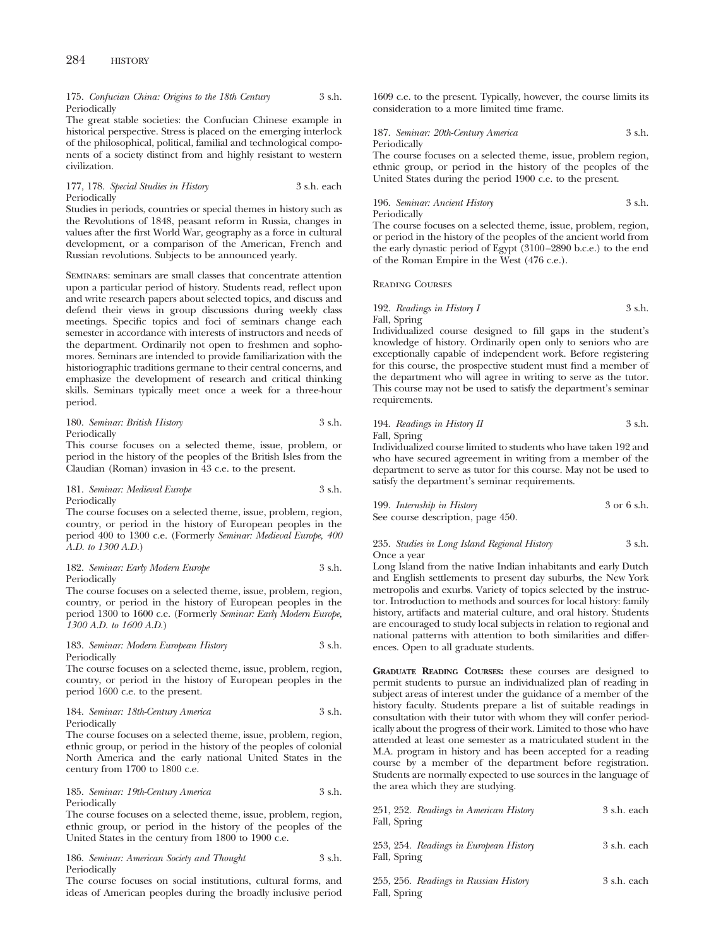### 175. *Confucian China: Origins to the 18th Century* 3 s.h. Periodically

The great stable societies: the Confucian Chinese example in historical perspective. Stress is placed on the emerging interlock of the philosophical, political, familial and technological components of a society distinct from and highly resistant to western civilization.

### 177, 178. *Special Studies in History* 3 s.h. each Periodically

Studies in periods, countries or special themes in history such as the Revolutions of 1848, peasant reform in Russia, changes in values after the first World War, geography as a force in cultural development, or a comparison of the American, French and Russian revolutions. Subjects to be announced yearly.

Seminars: seminars are small classes that concentrate attention upon a particular period of history. Students read, reflect upon and write research papers about selected topics, and discuss and defend their views in group discussions during weekly class meetings. Specific topics and foci of seminars change each semester in accordance with interests of instructors and needs of the department. Ordinarily not open to freshmen and sophomores. Seminars are intended to provide familiarization with the historiographic traditions germane to their central concerns, and emphasize the development of research and critical thinking skills. Seminars typically meet once a week for a three-hour period.

### 180. *Seminar: British History* 3 s.h. Periodically

This course focuses on a selected theme, issue, problem, or period in the history of the peoples of the British Isles from the Claudian (Roman) invasion in 43 c.e. to the present.

### 181. *Seminar: Medieval Europe* 3 s.h. Periodically

The course focuses on a selected theme, issue, problem, region, country, or period in the history of European peoples in the period 400 to 1300 c.e. (Formerly *Seminar: Medieval Europe, 400 A.D. to 1300 A.D.*)

### 182. *Seminar: Early Modern Europe* 3 s.h. Periodically

The course focuses on a selected theme, issue, problem, region, country, or period in the history of European peoples in the period 1300 to 1600 c.e. (Formerly *Seminar: Early Modern Europe, 1300 A.D. to 1600 A.D.*)

### 183. *Seminar: Modern European History* 3 s.h. Periodically

The course focuses on a selected theme, issue, problem, region, country, or period in the history of European peoples in the period 1600 c.e. to the present.

### 184. *Seminar: 18th-Century America* 3 s.h. Periodically

The course focuses on a selected theme, issue, problem, region, ethnic group, or period in the history of the peoples of colonial North America and the early national United States in the century from 1700 to 1800 c.e.

### 185. *Seminar: 19th-Century America* 3 s.h. Periodically

The course focuses on a selected theme, issue, problem, region, ethnic group, or period in the history of the peoples of the United States in the century from 1800 to 1900 c.e.

186. *Seminar: American Society and Thought* 3 s.h. Periodically

The course focuses on social institutions, cultural forms, and ideas of American peoples during the broadly inclusive period 1609 c.e. to the present. Typically, however, the course limits its consideration to a more limited time frame.

### 187. *Seminar: 20th-Century America* 3 s.h. Periodically

The course focuses on a selected theme, issue, problem region, ethnic group, or period in the history of the peoples of the United States during the period 1900 c.e. to the present.

### 196. *Seminar: Ancient History* 3 s.h. Periodically

The course focuses on a selected theme, issue, problem, region, or period in the history of the peoples of the ancient world from the early dynastic period of Egypt (3100–2890 b.c.e.) to the end of the Roman Empire in the West (476 c.e.).

Reading Courses

### 192. *Readings in History I* 3 s.h. Fall, Spring

Individualized course designed to fill gaps in the student's knowledge of history. Ordinarily open only to seniors who are exceptionally capable of independent work. Before registering for this course, the prospective student must find a member of the department who will agree in writing to serve as the tutor. This course may not be used to satisfy the department's seminar requirements.

### 194. *Readings in History II* 3 s.h. Fall, Spring

Individualized course limited to students who have taken 192 and who have secured agreement in writing from a member of the department to serve as tutor for this course. May not be used to satisfy the department's seminar requirements.

199. *Internship in History* 3 or 6 s.h. See course description, page 450.

### 235. *Studies in Long Island Regional History* 3 s.h. Once a year

Long Island from the native Indian inhabitants and early Dutch and English settlements to present day suburbs, the New York metropolis and exurbs. Variety of topics selected by the instructor. Introduction to methods and sources for local history: family history, artifacts and material culture, and oral history. Students are encouraged to study local subjects in relation to regional and national patterns with attention to both similarities and differences. Open to all graduate students.

**GRADUATE READING COURSES:** these courses are designed to permit students to pursue an individualized plan of reading in subject areas of interest under the guidance of a member of the history faculty. Students prepare a list of suitable readings in consultation with their tutor with whom they will confer periodically about the progress of their work. Limited to those who have attended at least one semester as a matriculated student in the M.A. program in history and has been accepted for a reading course by a member of the department before registration. Students are normally expected to use sources in the language of the area which they are studying.

| 251, 252. Readings in American History<br>Fall, Spring | 3 s.h. each |
|--------------------------------------------------------|-------------|
| 253, 254. Readings in European History<br>Fall, Spring | 3 s.h. each |
| 255, 256. Readings in Russian History                  | 3 s.h. each |

Fall, Spring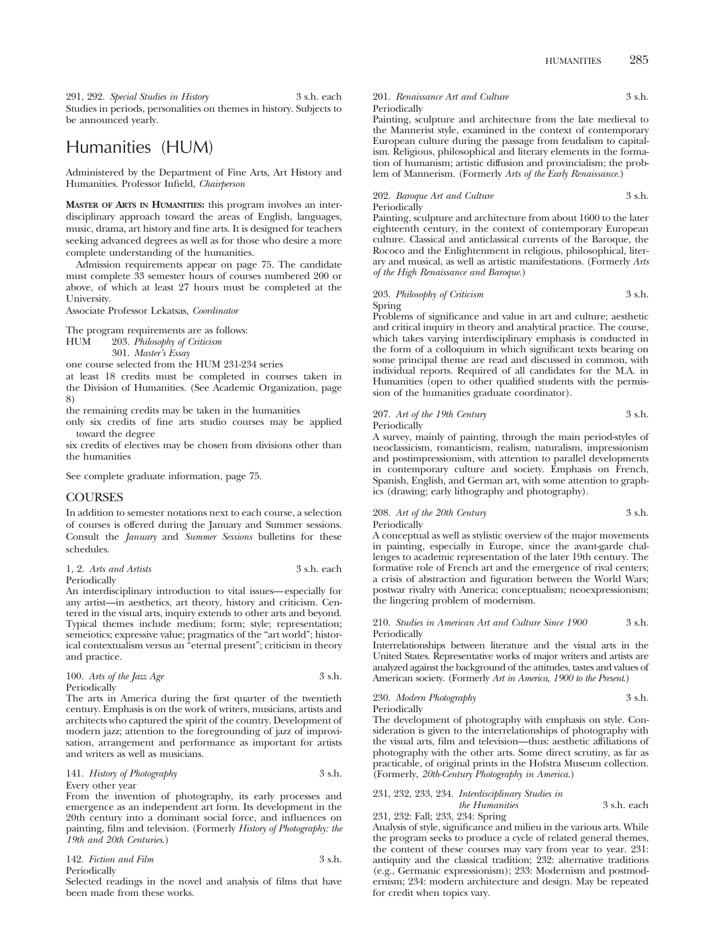291, 292. *Special Studies in History* 3 s.h. each Studies in periods, personalities on themes in history. Subjects to be announced yearly.

## Humanities (HUM)

Administered by the Department of Fine Arts, Art History and Humanities. Professor Infield, *Chairperson*

**MASTER OF ARTS IN HUMANITIES:** this program involves an interdisciplinary approach toward the areas of English, languages, music, drama, art history and fine arts. It is designed for teachers seeking advanced degrees as well as for those who desire a more complete understanding of the humanities.

Admission requirements appear on page 75. The candidate must complete 33 semester hours of courses numbered 200 or above, of which at least 27 hours must be completed at the University.

Associate Professor Lekatsas, *Coordinator*

The program requirements are as follows:

HUM 203. *Philosophy of Criticism*

301. *Master's Essay*

one course selected from the HUM 231-234 series

at least 18 credits must be completed in courses taken in the Division of Humanities. (See Academic Organization, page 8)

the remaining credits may be taken in the humanities

only six credits of fine arts studio courses may be applied toward the degree

six credits of electives may be chosen from divisions other than the humanities

See complete graduate information, page 75.

### COURSES

In addition to semester notations next to each course, a selection of courses is offered during the January and Summer sessions. Consult the *January* and *Summer Sessions* bulletins for these schedules.

| 1, 2. Arts and Artists | 3 s.h. each |  |
|------------------------|-------------|--|
| Periodically           |             |  |

An interdisciplinary introduction to vital issues—especially for any artist—in aesthetics, art theory, history and criticism. Centered in the visual arts, inquiry extends to other arts and beyond. Typical themes include medium; form; style; representation; semeiotics; expressive value; pragmatics of the "art world"; historical contextualism versus an "eternal present"; criticism in theory and practice.

| 100. Arts of the Jazz Age | 3 s.h. |
|---------------------------|--------|
| Periodically              |        |

The arts in America during the first quarter of the twentieth century. Emphasis is on the work of writers, musicians, artists and architects who captured the spirit of the country. Development of modern jazz; attention to the foregrounding of jazz of improvisation, arrangement and performance as important for artists and writers as well as musicians.

### 141. *History of Photography* 3 s.h. Every other year

From the invention of photography, its early processes and emergence as an independent art form. Its development in the 20th century into a dominant social force, and influences on painting, film and television. (Formerly *History of Photography: the 19th and 20th Centuries*.)

| 142. Fiction and Film | 3 s.h. |
|-----------------------|--------|
| Periodically          |        |

Selected readings in the novel and analysis of films that have been made from these works.

### 201. *Renaissance Art and Culture* 3 s.h. Periodically

Painting, sculpture and architecture from the late medieval to the Mannerist style, examined in the context of contemporary European culture during the passage from feudalism to capitalism. Religious, philosophical and literary elements in the formation of humanism; artistic diffusion and provincialism; the problem of Mannerism. (Formerly *Arts of the Early Renaissance.*)

202. *Baroque Art and Culture* 3 s.h. Periodically

Painting, sculpture and architecture from about 1600 to the later eighteenth century, in the context of contemporary European culture. Classical and anticlassical currents of the Baroque, the Rococo and the Enlightenment in religious, philosophical, literary and musical, as well as artistic manifestations. (Formerly *Arts of the High Renaissance and Baroque.*)

### 203. *Philosophy of Criticism* 3 s.h. Spring

Problems of significance and value in art and culture; aesthetic and critical inquiry in theory and analytical practice. The course, which takes varying interdisciplinary emphasis is conducted in the form of a colloquium in which significant texts bearing on some principal theme are read and discussed in common, with individual reports. Required of all candidates for the M.A. in Humanities (open to other qualified students with the permission of the humanities graduate coordinator).

### 207. Art of the 19th Century 3 s.h. Periodically

A survey, mainly of painting, through the main period-styles of neoclassicism, romanticism, realism, naturalism, impressionism and postimpressionism, with attention to parallel developments in contemporary culture and society. Emphasis on French, Spanish, English, and German art, with some attention to graphics (drawing; early lithography and photography).

208. Art of the 20th Century 3 s.h. Periodically

A conceptual as well as stylistic overview of the major movements in painting, especially in Europe, since the avant-garde challenges to academic representation of the later 19th century. The formative role of French art and the emergence of rival centers; a crisis of abstraction and figuration between the World Wars; postwar rivalry with America; conceptualism; neoexpressionism; the lingering problem of modernism.

### 210. *Studies in American Art and Culture Since 1900* 3 s.h. Periodically

Interrelationships between literature and the visual arts in the United States. Representative works of major writers and artists are analyzed against the background of the attitudes, tastes and values of American society. (Formerly *Art in America, 1900 to the Present*.)

### 230. *Modern Photography* 3 s.h.

Periodically

The development of photography with emphasis on style. Consideration is given to the interrelationships of photography with the visual arts, film and television—thus: aesthetic affiliations of photography with the other arts. Some direct scrutiny, as far as practicable, of original prints in the Hofstra Museum collection. (Formerly, *20th-Century Photography in America.*)

### 231, 232, 233, 234. *Interdisciplinary Studies in the Humanities* 3 s.h. each

231, 232: Fall; 233, 234: Spring Analysis of style, significance and milieu in the various arts. While the program seeks to produce a cycle of related general themes, the content of these courses may vary from year to year. 231: antiquity and the classical tradition; 232: alternative traditions (e.g., Germanic expressionism); 233: Modernism and postmodernism; 234: modern architecture and design. May be repeated for credit when topics vary.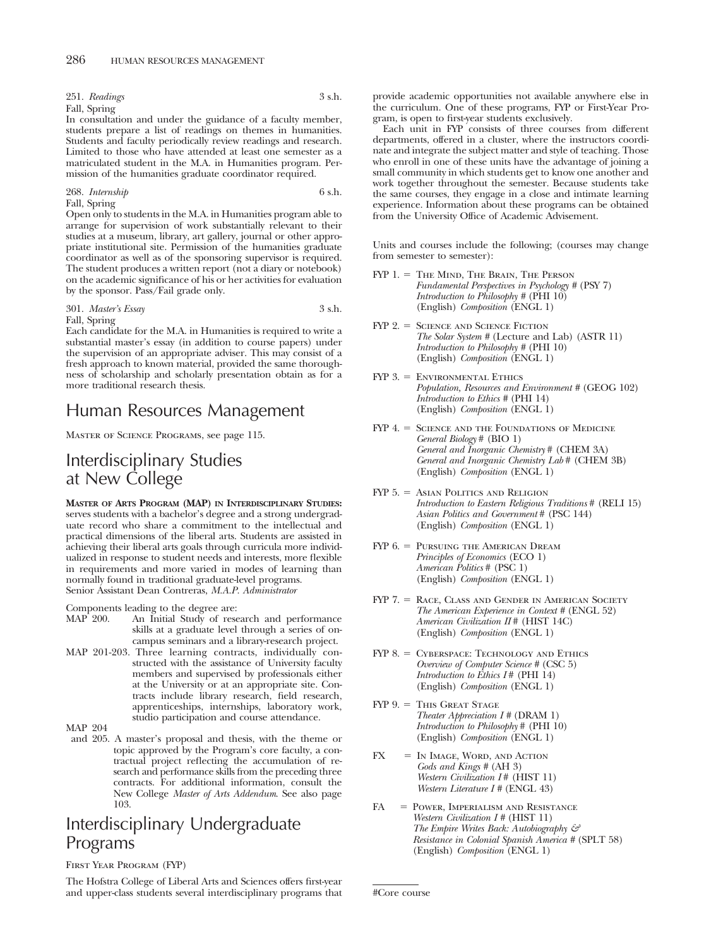251. *Readings* 3 s.h. Fall, Spring

In consultation and under the guidance of a faculty member, students prepare a list of readings on themes in humanities. Students and faculty periodically review readings and research. Limited to those who have attended at least one semester as a matriculated student in the M.A. in Humanities program. Permission of the humanities graduate coordinator required.

268. *Internship* 6 s.h. Fall, Spring

Open only to students in the M.A. in Humanities program able to arrange for supervision of work substantially relevant to their studies at a museum, library, art gallery, journal or other appropriate institutional site. Permission of the humanities graduate coordinator as well as of the sponsoring supervisor is required. The student produces a written report (not a diary or notebook) on the academic significance of his or her activities for evaluation by the sponsor. Pass/Fail grade only.

301. *Master's Essay* 3 s.h. Fall, Spring

Each candidate for the M.A. in Humanities is required to write a substantial master's essay (in addition to course papers) under the supervision of an appropriate adviser. This may consist of a fresh approach to known material, provided the same thoroughness of scholarship and scholarly presentation obtain as for a more traditional research thesis.

## Human Resources Management

Master of Science Programs, see page 115.

## Interdisciplinary Studies at New College

**MASTER OF ARTS PROGRAM (MAP) IN INTERDISCIPLINARY STUDIES:** serves students with a bachelor's degree and a strong undergraduate record who share a commitment to the intellectual and practical dimensions of the liberal arts. Students are assisted in achieving their liberal arts goals through curricula more individualized in response to student needs and interests, more flexible in requirements and more varied in modes of learning than normally found in traditional graduate-level programs. Senior Assistant Dean Contreras, *M.A.P. Administrator*

Components leading to the degree are:<br>MAP 200 An Initial Study of rese

- An Initial Study of research and performance skills at a graduate level through a series of oncampus seminars and a library-research project.
- MAP 201-203. Three learning contracts, individually constructed with the assistance of University faculty members and supervised by professionals either at the University or at an appropriate site. Contracts include library research, field research, apprenticeships, internships, laboratory work, studio participation and course attendance.

MAP 204

and 205. A master's proposal and thesis, with the theme or topic approved by the Program's core faculty, a contractual project reflecting the accumulation of research and performance skills from the preceding three contracts. For additional information, consult the New College *Master of Arts Addendum*. See also page 103.

## Interdisciplinary Undergraduate Programs

### First Year Program (FYP)

The Hofstra College of Liberal Arts and Sciences offers first-year and upper-class students several interdisciplinary programs that provide academic opportunities not available anywhere else in the curriculum. One of these programs, FYP or First-Year Program, is open to first-year students exclusively.

Each unit in FYP consists of three courses from different departments, offered in a cluster, where the instructors coordinate and integrate the subject matter and style of teaching. Those who enroll in one of these units have the advantage of joining a small community in which students get to know one another and work together throughout the semester. Because students take the same courses, they engage in a close and intimate learning experience. Information about these programs can be obtained from the University Office of Academic Advisement.

Units and courses include the following; (courses may change from semester to semester):

- FYP 1. = THE MIND, THE BRAIN, THE PERSON *Fundamental Perspectives in Psychology #* (PSY 7) *Introduction to Philosophy* # (PHI 10) (English) *Composition* (ENGL 1)
- FYP 2. = SCIENCE AND SCIENCE FICTION *The Solar System #* (Lecture and Lab) (ASTR 11) *Introduction to Philosophy #* (PHI 10) (English) *Composition* (ENGL 1)
- FYP 3. Environmental Ethics *Population, Resources and Environment #* (GEOG 102) *Introduction to Ethics #* (PHI 14) (English) *Composition* (ENGL 1)
- FYP 4. = SCIENCE AND THE FOUNDATIONS OF MEDICINE *General Biology* # (BIO 1) *General and Inorganic Chemistry* # (CHEM 3A) *General and Inorganic Chemistry Lab* # (CHEM 3B) (English) *Composition* (ENGL 1)
- $FYP 5. =$  Asian Politics and Religion *Introduction to Eastern Religious Traditions* # (RELI 15) *Asian Politics and Government* # (PSC 144) (English) *Composition* (ENGL 1)
- FYP 6. = PURSUING THE AMERICAN DREAM *Principles of Economics* (ECO 1) *American Politics* # (PSC 1) (English) *Composition* (ENGL 1)
- FYP 7. = RACE, CLASS AND GENDER IN AMERICAN SOCIETY *The American Experience in Context #* (ENGL 52) *American Civilization II* # (HIST 14C) (English) *Composition* (ENGL 1)
- FYP 8. = CYBERSPACE: TECHNOLOGY AND ETHICS *Overview of Computer Science #* (CSC 5) *Introduction to Ethics I* # (PHI 14) (English) *Composition* (ENGL 1)
- FYP 9. = This Great Stage *Theater Appreciation I #* (DRAM 1) *Introduction to Philosophy* # (PHI 10) (English) *Composition* (ENGL 1)
- $FX = IN IMAGE, WORD, AND ACTION$ *Gods and Kings #* (AH 3) *Western Civilization I* # (HIST 11) *Western Literature I #* (ENGL 43)
- FA Power, Imperialism and Resistance *Western Civilization I #* (HIST 11) *The Empire Writes Back: Autobiography & Resistance in Colonial Spanish America #* (SPLT 58) (English) *Composition* (ENGL 1)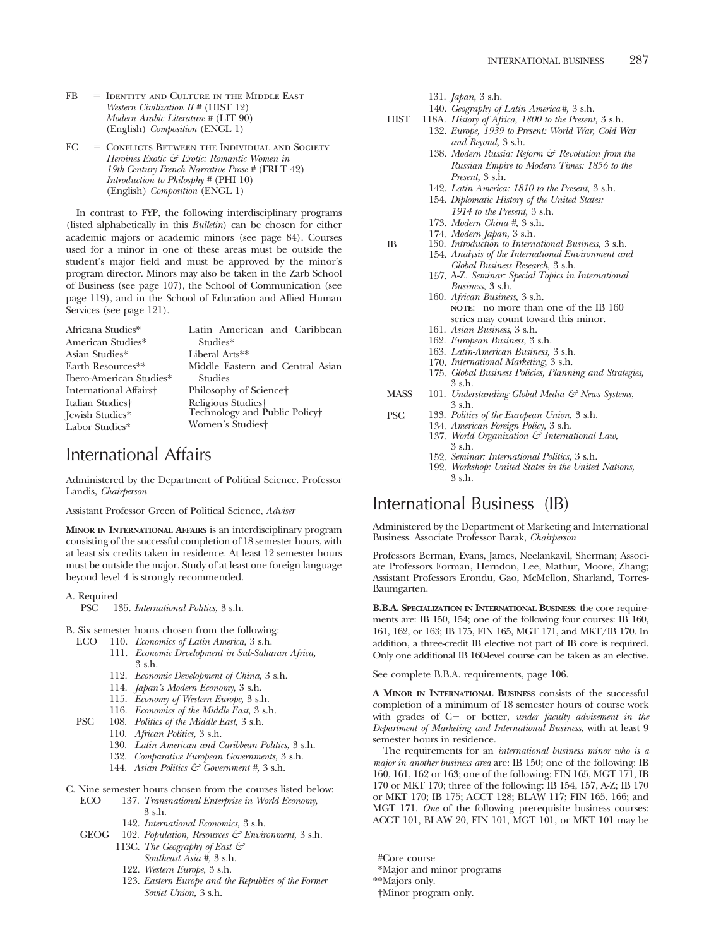- FB Identity and Culture in the Middle East *Western Civilization II #* (HIST 12) *Modern Arabic Literature #* (LIT 90) (English) *Composition* (ENGL 1)
- FC Conflicts Between the Individual and Society *Heroines Exotic & Erotic: Romantic Women in 19th-Century French Narrative Prose #* (FRLT 42) *Introduction to Philosphy #* (PHI 10) (English) *Composition* (ENGL 1)

In contrast to FYP, the following interdisciplinary programs (listed alphabetically in this *Bulletin*) can be chosen for either academic majors or academic minors (see page 84). Courses used for a minor in one of these areas must be outside the student's major field and must be approved by the minor's program director. Minors may also be taken in the Zarb School of Business (see page 107), the School of Communication (see page 119), and in the School of Education and Allied Human Services (see page 121).

| Africana Studies*       | Latin American and Caribbean     |
|-------------------------|----------------------------------|
| American Studies*       | Studies*                         |
| Asian Studies*          | Liberal Arts**                   |
| Earth Resources**       | Middle Eastern and Central Asian |
| Ibero-American Studies* | <b>Studies</b>                   |
| International Affairs†  | Philosophy of Science†           |
| Italian Studiest        | Religious Studies†               |
| Jewish Studies*         | Technology and Public Policy     |
| Labor Studies*          | Women's Studies+                 |
|                         |                                  |

## International Affairs

Administered by the Department of Political Science. Professor Landis, *Chairperson*

Assistant Professor Green of Political Science, *Adviser*

**MINOR IN INTERNATIONAL AFFAIRS** is an interdisciplinary program consisting of the successful completion of 18 semester hours, with at least six credits taken in residence. At least 12 semester hours must be outside the major. Study of at least one foreign language beyond level 4 is strongly recommended.

A. Required PSC 135. *International Politics,* 3 s.h.

- B. Six semester hours chosen from the following:
	- ECO 110. *Economics of Latin America,* 3 s.h.
		- 111. *Economic Development in Sub-Saharan Africa,* 3 s.h.
		- 112. *Economic Development of China,* 3 s.h.
		- 114. *Japan's Modern Economy,* 3 s.h.
		- 115. *Economy of Western Europe,* 3 s.h.
		- 116. *Economics of the Middle East,* 3 s.h.
	- PSC 108. *Politics of the Middle East,* 3 s.h.
		- 110. *African Politics,* 3 s.h.
		- 130. *Latin American and Caribbean Politics,* 3 s.h.
		- 132. *Comparative European Governments,* 3 s.h.
		- 144. *Asian Politics & Government #,* 3 s.h.
- C. Nine semester hours chosen from the courses listed below: ECO 137. *Transnational Enterprise in World Economy,*
	- 3 s.h.
		- 142. *International Economics,* 3 s.h.
	- GEOG 102. *Population, Resources & Environment,* 3 s.h.
		- 113C. *The Geography of East & Southeast Asia #,* 3 s.h.
		- 122. *Western Europe,* 3 s.h.
		- 123. *Eastern Europe and the Republics of the Former*

*Soviet Union,* 3 s.h.

131. *Japan,* 3 s.h.

- 140. *Geography of Latin America#,* 3 s.h.
- HIST 118A. *History of Africa, 1800 to the Present,* 3 s.h. 132. *Europe, 1939 to Present: World War, Cold War*
	- *and Beyond,* 3 s.h. 138. *Modern Russia: Reform & Revolution from the Russian Empire to Modern Times: 1856 to the Present,* 3 s.h.
	- 142. *Latin America: 1810 to the Present,* 3 s.h.
	- 154. *Diplomatic History of the United States: 1914 to the Present,* 3 s.h.
	- 173. *Modern China #,* 3 s.h.
	- 174. *Modern Japan,* 3 s.h.
- IB 150. *Introduction to International Business,* 3 s.h. 154. *Analysis of the International Environment and*
	- *Global Business Research,* 3 s.h. 157. A-Z. *Seminar: Special Topics in International Business,* 3 s.h.
	- 160. *African Business,* 3 s.h. **NOTE**: no more than one of the IB 160 series may count toward this minor.
	- 161. *Asian Business,* 3 s.h.
	- 162. *European Business,* 3 s.h.
	- 163. *Latin-American Business,* 3 s.h.
	- 170. *International Marketing,* 3 s.h.
	- 175. *Global Business Policies, Planning and Strategies,* 3 s.h.
- MASS 101. *Understanding Global Media & News Systems*, 3 s.h.
- PSC 133. *Politics of the European Union,* 3 s.h. 134. *American Foreign Policy,* 3 s.h.
	- 137. *World Organization & International Law,* 3 s.h.
	- 152. *Seminar: International Politics,* 3 s.h.
	- 192. *Workshop: United States in the United Nations,* 3 s.h.

## International Business (IB)

Administered by the Department of Marketing and International Business. Associate Professor Barak, *Chairperson*

Professors Berman, Evans, James, Neelankavil, Sherman; Associate Professors Forman, Herndon, Lee, Mathur, Moore, Zhang; Assistant Professors Erondu, Gao, McMellon, Sharland, Torres-Baumgarten.

**B.B.A. SPECIALIZATION IN INTERNATIONAL BUSINESS**: the core requirements are: IB 150, 154; one of the following four courses: IB 160, 161, 162, or 163; IB 175, FIN 165, MGT 171, and MKT/IB 170. In addition, a three-credit IB elective not part of IB core is required. Only one additional IB 160-level course can be taken as an elective.

See complete B.B.A. requirements, page 106.

**A MINOR IN INTERNATIONAL BUSINESS** consists of the successful completion of a minimum of 18 semester hours of course work with grades of C- or better, *under faculty advisement in the Department of Marketing and International Business,* with at least 9 semester hours in residence.

The requirements for an *international business minor who is a major in another business area* are: IB 150; one of the following: IB 160, 161, 162 or 163; one of the following: FIN 165, MGT 171, IB 170 or MKT 170; three of the following: IB 154, 157, A-Z; IB 170 or MKT 170; IB 175; ACCT 128; BLAW 117; FIN 165, 166; and MGT 171. *One* of the following prerequisite business courses: ACCT 101, BLAW 20, FIN 101, MGT 101, or MKT 101 may be

- #Core course
- \*Major and minor programs

†Minor program only.

<sup>\*\*</sup>Majors only.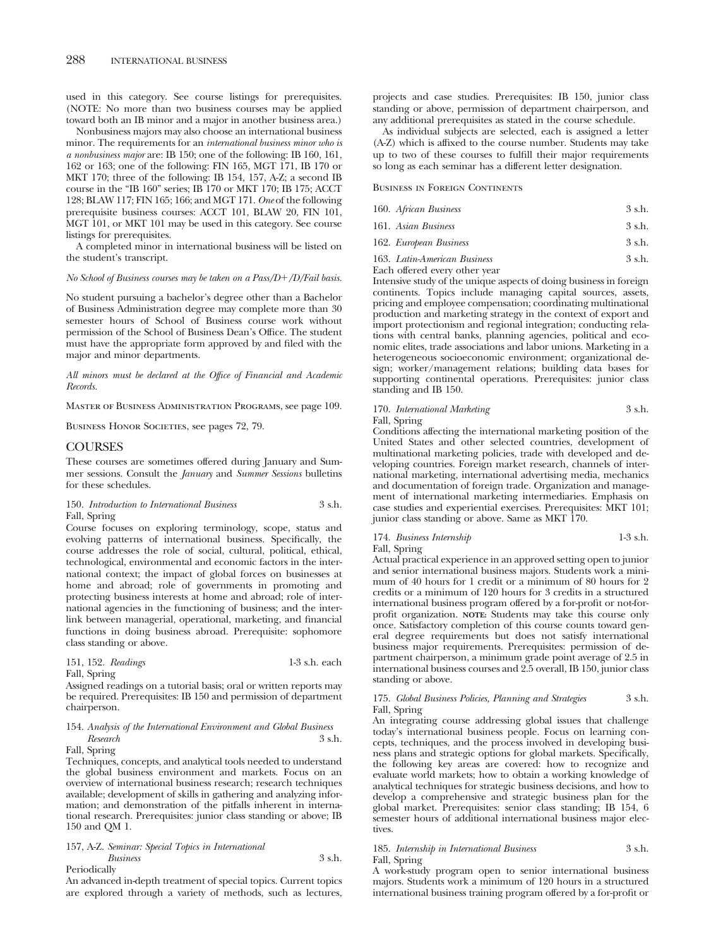used in this category. See course listings for prerequisites. (NOTE: No more than two business courses may be applied toward both an IB minor and a major in another business area.)

Nonbusiness majors may also choose an international business minor. The requirements for an *international business minor who is a nonbusiness major* are: IB 150; one of the following: IB 160, 161, 162 or 163; one of the following: FIN 165, MGT 171, IB 170 or MKT 170; three of the following: IB 154, 157, A-Z; a second IB course in the "IB 160" series; IB 170 or MKT 170; IB 175; ACCT 128; BLAW 117; FIN 165; 166; and MGT 171. *One* of the following prerequisite business courses: ACCT 101, BLAW 20, FIN 101, MGT 101, or MKT 101 may be used in this category. See course listings for prerequisites.

A completed minor in international business will be listed on the student's transcript.

*No School of Business courses may be taken on a Pass/D*-*/D/Fail basis.*

No student pursuing a bachelor's degree other than a Bachelor of Business Administration degree may complete more than 30 semester hours of School of Business course work without permission of the School of Business Dean's Office. The student must have the appropriate form approved by and filed with the major and minor departments.

*All minors must be declared at the Office of Financial and Academic Records.*

Master of Business Administration Programs, see page 109.

BUSINESS HONOR SOCIETIES, see pages 72, 79.

### COURSES

These courses are sometimes offered during January and Summer sessions. Consult the *January* and *Summer Sessions* bulletins for these schedules.

150. *Introduction to International Business* 3 s.h. Fall, Spring

Course focuses on exploring terminology, scope, status and evolving patterns of international business. Specifically, the course addresses the role of social, cultural, political, ethical, technological, environmental and economic factors in the international context; the impact of global forces on businesses at home and abroad; role of governments in promoting and protecting business interests at home and abroad; role of international agencies in the functioning of business; and the interlink between managerial, operational, marketing, and financial functions in doing business abroad. Prerequisite: sophomore class standing or above.

| 151, 152. Readings |  |  |  | $1-3$ s.h. each |
|--------------------|--|--|--|-----------------|
|--------------------|--|--|--|-----------------|

Fall, Spring

Assigned readings on a tutorial basis; oral or written reports may be required. Prerequisites: IB 150 and permission of department chairperson.

### 154. *Analysis of the International Environment and Global Business Research* 3 s.h.

Fall, Spring

Techniques, concepts, and analytical tools needed to understand the global business environment and markets. Focus on an overview of international business research; research techniques available; development of skills in gathering and analyzing information; and demonstration of the pitfalls inherent in international research. Prerequisites: junior class standing or above; IB 150 and QM 1.

### 157, A-Z. *Seminar: Special Topics in International Business* 3 s.h.

Periodically

An advanced in-depth treatment of special topics. Current topics are explored through a variety of methods, such as lectures, projects and case studies. Prerequisites: IB 150, junior class standing or above, permission of department chairperson, and any additional prerequisites as stated in the course schedule.

As individual subjects are selected, each is assigned a letter (A-Z) which is affixed to the course number. Students may take up to two of these courses to fulfill their major requirements so long as each seminar has a different letter designation.

Business in Foreign Continents

| 160. African Business  | 3 s.h. |
|------------------------|--------|
| 161. Asian Business    | 3 s.h. |
| 162. European Business | 3 s.h. |

163. *Latin-American Business* 3 s.h.

Each offered every other year

Intensive study of the unique aspects of doing business in foreign continents. Topics include managing capital sources, assets, pricing and employee compensation; coordinating multinational production and marketing strategy in the context of export and import protectionism and regional integration; conducting relations with central banks, planning agencies, political and economic elites, trade associations and labor unions. Marketing in a heterogeneous socioeconomic environment; organizational design; worker/management relations; building data bases for supporting continental operations. Prerequisites: junior class standing and IB 150.

### 170. *International Marketing* 3 s.h. Fall, Spring

Conditions affecting the international marketing position of the United States and other selected countries, development of multinational marketing policies, trade with developed and developing countries. Foreign market research, channels of international marketing, international advertising media, mechanics and documentation of foreign trade. Organization and management of international marketing intermediaries. Emphasis on case studies and experiential exercises. Prerequisites: MKT 101; junior class standing or above. Same as MKT 170.

### 174. *Business Internship* 1-3 s.h. Fall, Spring

Actual practical experience in an approved setting open to junior and senior international business majors. Students work a minimum of 40 hours for 1 credit or a minimum of 80 hours for 2 credits or a minimum of 120 hours for 3 credits in a structured international business program offered by a for-profit or not-forprofit organization. **NOTE:** Students may take this course only once. Satisfactory completion of this course counts toward general degree requirements but does not satisfy international business major requirements. Prerequisites: permission of department chairperson, a minimum grade point average of 2.5 in international business courses and 2.5 overall, IB 150, junior class standing or above.

### 175. *Global Business Policies, Planning and Strategies* 3 s.h. Fall, Spring

An integrating course addressing global issues that challenge today's international business people. Focus on learning concepts, techniques, and the process involved in developing business plans and strategic options for global markets. Specifically, the following key areas are covered: how to recognize and evaluate world markets; how to obtain a working knowledge of analytical techniques for strategic business decisions, and how to develop a comprehensive and strategic business plan for the global market. Prerequisites: senior class standing; IB 154, 6 semester hours of additional international business major electives.

### 185. *Internship in International Business* 3 s.h. Fall, Spring

A work-study program open to senior international business majors. Students work a minimum of 120 hours in a structured international business training program offered by a for-profit or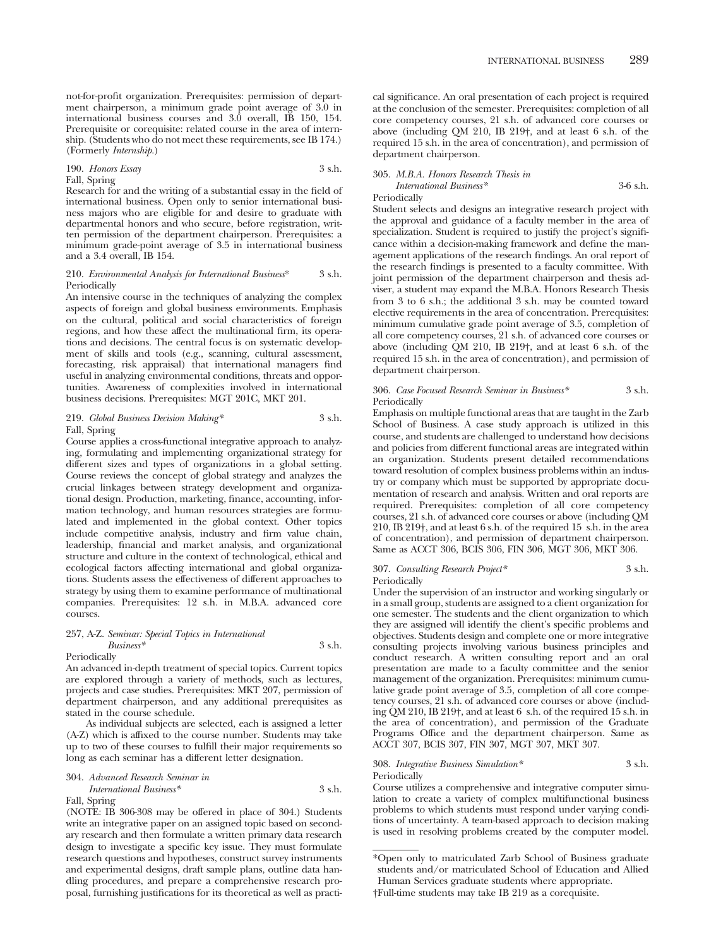not-for-profit organization. Prerequisites: permission of department chairperson, a minimum grade point average of 3.0 in international business courses and 3.0 overall, IB 150, 154. Prerequisite or corequisite: related course in the area of internship. (Students who do not meet these requirements, see IB 174.) (Formerly *Internship.*)

### 190. *Honors Essay* 3 s.h.

Fall, Spring

Research for and the writing of a substantial essay in the field of international business. Open only to senior international business majors who are eligible for and desire to graduate with departmental honors and who secure, before registration, written permission of the department chairperson. Prerequisites: a minimum grade-point average of 3.5 in international business and a 3.4 overall, IB 154.

### 210. *Environmental Analysis for International Business*\* 3 s.h. Periodically

An intensive course in the techniques of analyzing the complex aspects of foreign and global business environments. Emphasis on the cultural, political and social characteristics of foreign regions, and how these affect the multinational firm, its operations and decisions. The central focus is on systematic development of skills and tools (e.g., scanning, cultural assessment, forecasting, risk appraisal) that international managers find useful in analyzing environmental conditions, threats and opportunities. Awareness of complexities involved in international business decisions. Prerequisites: MGT 201C, MKT 201.

### 219. *Global Business Decision Making\** 3 s.h. Fall, Spring

Course applies a cross-functional integrative approach to analyzing, formulating and implementing organizational strategy for different sizes and types of organizations in a global setting. Course reviews the concept of global strategy and analyzes the crucial linkages between strategy development and organizational design. Production, marketing, finance, accounting, information technology, and human resources strategies are formulated and implemented in the global context. Other topics include competitive analysis, industry and firm value chain, leadership, financial and market analysis, and organizational structure and culture in the context of technological, ethical and ecological factors affecting international and global organizations. Students assess the effectiveness of different approaches to strategy by using them to examine performance of multinational companies. Prerequisites: 12 s.h. in M.B.A. advanced core courses.

### 257, A-Z. *Seminar: Special Topics in International*

#### *Business\** 3 s.h. Periodically

An advanced in-depth treatment of special topics. Current topics are explored through a variety of methods, such as lectures, projects and case studies. Prerequisites: MKT 207, permission of department chairperson, and any additional prerequisites as stated in the course schedule.

As individual subjects are selected, each is assigned a letter (A-Z) which is affixed to the course number. Students may take up to two of these courses to fulfill their major requirements so long as each seminar has a different letter designation.

304. *Advanced Research Seminar in International Business\** 3 s.h. Fall, Spring

(NOTE: IB 306-308 may be offered in place of 304.) Students write an integrative paper on an assigned topic based on secondary research and then formulate a written primary data research design to investigate a specific key issue. They must formulate research questions and hypotheses, construct survey instruments and experimental designs, draft sample plans, outline data handling procedures, and prepare a comprehensive research proposal, furnishing justifications for its theoretical as well as practical significance. An oral presentation of each project is required at the conclusion of the semester. Prerequisites: completion of all core competency courses, 21 s.h. of advanced core courses or above (including QM 210, IB 219†, and at least 6 s.h. of the required 15 s.h. in the area of concentration), and permission of department chairperson.

### 305. *M.B.A. Honors Research Thesis in International Business\** 3-6 s.h.

Periodically

Student selects and designs an integrative research project with the approval and guidance of a faculty member in the area of specialization. Student is required to justify the project's significance within a decision-making framework and define the management applications of the research findings. An oral report of the research findings is presented to a faculty committee. With joint permission of the department chairperson and thesis adviser, a student may expand the M.B.A. Honors Research Thesis from 3 to 6 s.h.; the additional 3 s.h. may be counted toward elective requirements in the area of concentration. Prerequisites: minimum cumulative grade point average of 3.5, completion of all core competency courses, 21 s.h. of advanced core courses or above (including QM 210, IB 219†, and at least 6 s.h. of the required 15 s.h. in the area of concentration), and permission of department chairperson.

### 306. *Case Focused Research Seminar in Business\** 3 s.h. Periodically

Emphasis on multiple functional areas that are taught in the Zarb School of Business. A case study approach is utilized in this course, and students are challenged to understand how decisions and policies from different functional areas are integrated within an organization. Students present detailed recommendations toward resolution of complex business problems within an industry or company which must be supported by appropriate documentation of research and analysis. Written and oral reports are required. Prerequisites: completion of all core competency courses, 21 s.h. of advanced core courses or above (including QM 210, IB 219†, and at least 6 s.h. of the required 15 s.h. in the area of concentration), and permission of department chairperson. Same as ACCT 306, BCIS 306, FIN 306, MGT 306, MKT 306.

### 307. *Consulting Research Project\** 3 s.h. Periodically

Under the supervision of an instructor and working singularly or in a small group, students are assigned to a client organization for one semester. The students and the client organization to which they are assigned will identify the client's specific problems and objectives. Students design and complete one or more integrative consulting projects involving various business principles and conduct research. A written consulting report and an oral presentation are made to a faculty committee and the senior management of the organization. Prerequisites: minimum cumulative grade point average of 3.5, completion of all core competency courses, 21 s.h. of advanced core courses or above (including QM 210, IB 219†, and at least 6 s.h. of the required 15 s.h. in the area of concentration), and permission of the Graduate Programs Office and the department chairperson. Same as ACCT 307, BCIS 307, FIN 307, MGT 307, MKT 307.

### 308. *Integrative Business Simulation\** 3 s.h. Periodically

Course utilizes a comprehensive and integrative computer simulation to create a variety of complex multifunctional business problems to which students must respond under varying conditions of uncertainty. A team-based approach to decision making is used in resolving problems created by the computer model.

<sup>\*</sup>Open only to matriculated Zarb School of Business graduate students and/or matriculated School of Education and Allied Human Services graduate students where appropriate.

<sup>†</sup>Full-time students may take IB 219 as a corequisite.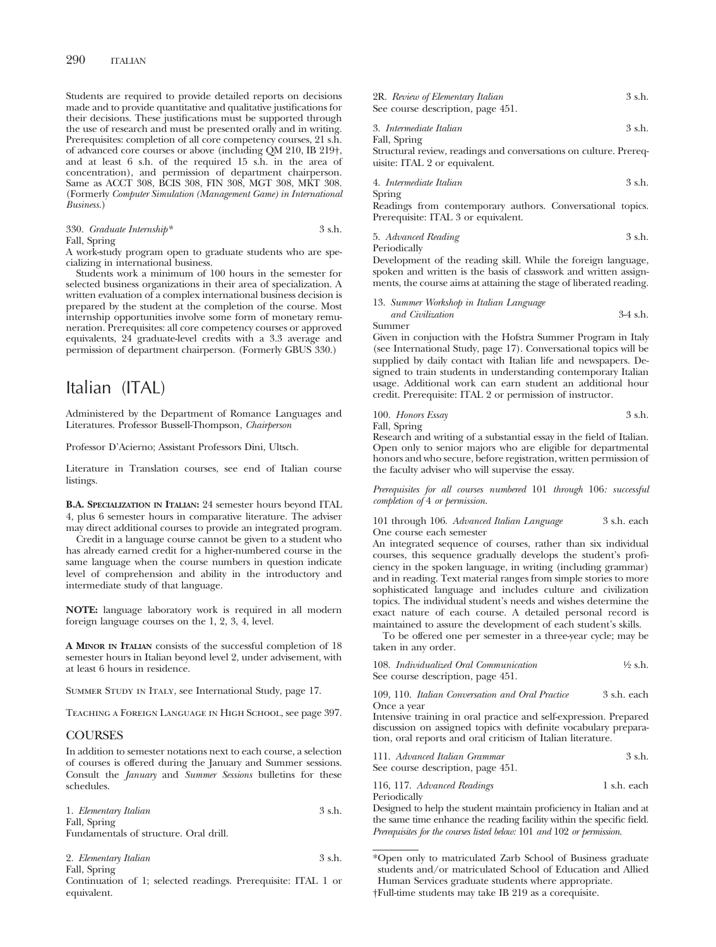Students are required to provide detailed reports on decisions made and to provide quantitative and qualitative justifications for their decisions. These justifications must be supported through the use of research and must be presented orally and in writing. Prerequisites: completion of all core competency courses, 21 s.h. of advanced core courses or above (including QM 210, IB 219†, and at least 6 s.h. of the required 15 s.h. in the area of concentration), and permission of department chairperson. Same as ACCT 308, BCIS 308, FIN 308, MGT 308, MKT 308. (Formerly *Computer Simulation (Management Game) in International Business.*)

| 330. Graduate Internship*     | 3 s.h. |
|-------------------------------|--------|
| $\Gamma$ 11 $\alpha$ $\cdots$ |        |

Fall, Spring

A work-study program open to graduate students who are specializing in international business.

Students work a minimum of 100 hours in the semester for selected business organizations in their area of specialization. A written evaluation of a complex international business decision is prepared by the student at the completion of the course. Most internship opportunities involve some form of monetary remuneration. Prerequisites: all core competency courses or approved equivalents, 24 graduate-level credits with a 3.3 average and permission of department chairperson. (Formerly GBUS 330.)

## Italian (ITAL)

Administered by the Department of Romance Languages and Literatures. Professor Bussell-Thompson, *Chairperson*

Professor D'Acierno; Assistant Professors Dini, Ultsch.

Literature in Translation courses, see end of Italian course listings.

**B.A. SPECIALIZATION IN ITALIAN:** 24 semester hours beyond ITAL 4, plus 6 semester hours in comparative literature. The adviser may direct additional courses to provide an integrated program.

Credit in a language course cannot be given to a student who has already earned credit for a higher-numbered course in the same language when the course numbers in question indicate level of comprehension and ability in the introductory and intermediate study of that language.

**NOTE:** language laboratory work is required in all modern foreign language courses on the 1, 2, 3, 4, level.

**A MINOR IN ITALIAN** consists of the successful completion of 18 semester hours in Italian beyond level 2, under advisement, with at least 6 hours in residence.

Summer Study in Italy, see International Study, page 17.

Teaching a Foreign Language in High School, see page 397.

### **COURSES**

In addition to semester notations next to each course, a selection of courses is offered during the January and Summer sessions. Consult the *January* and *Summer Sessions* bulletins for these schedules.

| 1. Elementary Italian                  | 3 s.h. |
|----------------------------------------|--------|
| Fall, Spring                           |        |
| Fundamentals of structure. Oral drill. |        |

2. *Elementary Italian* 3 s.h. Fall, Spring

Continuation of 1; selected readings. Prerequisite: ITAL 1 or equivalent.

|  | 2R. Review of Elementary Italian  | 3 s.h. |
|--|-----------------------------------|--------|
|  | See course description, page 451. |        |

3. *Intermediate Italian* 3 s.h.

Fall, Spring Structural review, readings and conversations on culture. Prerequisite: ITAL 2 or equivalent.

4. *Intermediate Italian* 3 s.h.

Spring

Readings from contemporary authors. Conversational topics. Prerequisite: ITAL 3 or equivalent.

5. *Advanced Reading* 3 s.h. Periodically

Development of the reading skill. While the foreign language, spoken and written is the basis of classwork and written assignments, the course aims at attaining the stage of liberated reading.

13. *Summer Workshop in Italian Language*

*and Civilization* 3-4 s.h. Summer

Given in conjuction with the Hofstra Summer Program in Italy (see International Study, page 17). Conversational topics will be supplied by daily contact with Italian life and newspapers. Designed to train students in understanding contemporary Italian usage. Additional work can earn student an additional hour credit. Prerequisite: ITAL 2 or permission of instructor.

100. *Honors Essay* 3 s.h. Fall, Spring

Research and writing of a substantial essay in the field of Italian. Open only to senior majors who are eligible for departmental honors and who secure, before registration, written permission of the faculty adviser who will supervise the essay.

*Prerequisites for all courses numbered* 101 *through* 106*: successful completion of* 4 *or permission.*

101 through 106. *Advanced Italian Language* 3 s.h. each One course each semester

An integrated sequence of courses, rather than six individual courses, this sequence gradually develops the student's proficiency in the spoken language, in writing (including grammar) and in reading. Text material ranges from simple stories to more sophisticated language and includes culture and civilization topics. The individual student's needs and wishes determine the exact nature of each course. A detailed personal record is maintained to assure the development of each student's skills.

To be offered one per semester in a three-year cycle; may be taken in any order.

| 108. Individualized Oral Communication | $\frac{1}{2}$ s.h. |
|----------------------------------------|--------------------|
| See course description, page 451.      |                    |

109, 110. *Italian Conversation and Oral Practice* 3 s.h. each Once a year

Intensive training in oral practice and self-expression. Prepared discussion on assigned topics with definite vocabulary preparation, oral reports and oral criticism of Italian literature.

| 111. Advanced Italian Grammar     | $3$ s.h. |
|-----------------------------------|----------|
| See course description, page 451. |          |

116, 117. *Advanced Readings* 1 s.h. each Periodically

Designed to help the student maintain proficiency in Italian and at the same time enhance the reading facility within the specific field. *Prerequisites for the courses listed below:* 101 *and* 102 *or permission.*

<sup>\*</sup>Open only to matriculated Zarb School of Business graduate students and/or matriculated School of Education and Allied Human Services graduate students where appropriate. †Full-time students may take IB 219 as a corequisite.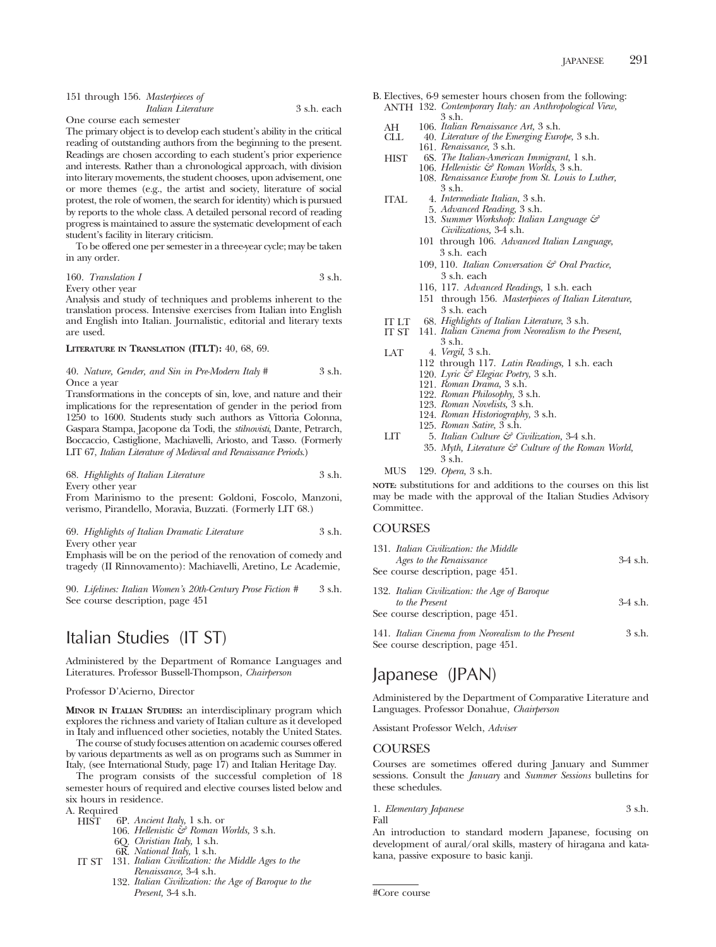| 151 through 156. Masterpieces of |                    |             |
|----------------------------------|--------------------|-------------|
|                                  | Italian Literature | 3 s.h. each |

One course each semester

The primary object is to develop each student's ability in the critical reading of outstanding authors from the beginning to the present. Readings are chosen according to each student's prior experience and interests. Rather than a chronological approach, with division into literary movements, the student chooses, upon advisement, one or more themes (e.g., the artist and society, literature of social protest, the role of women, the search for identity) which is pursued by reports to the whole class. A detailed personal record of reading progress is maintained to assure the systematic development of each student's facility in literary criticism.

To be offered one per semester in a three-year cycle; may be taken in any order.

### 160. *Translation I* 3 s.h. Every other year

Analysis and study of techniques and problems inherent to the translation process. Intensive exercises from Italian into English and English into Italian. Journalistic, editorial and literary texts are used.

### **LITERATURE IN TRANSLATION (ITLT):** 40, 68, 69.

40. *Nature, Gender, and Sin in Pre-Modern Italy #* 3 s.h. Once a year

Transformations in the concepts of sin, love, and nature and their implications for the representation of gender in the period from 1250 to 1600. Students study such authors as Vittoria Colonna, Gaspara Stampa, Jacopone da Todi, the *stilnovisti*, Dante, Petrarch, Boccaccio, Castiglione, Machiavelli, Ariosto, and Tasso. (Formerly LIT 67, *Italian Literature of Medieval and Renaissance Periods*.)

68. *Highlights of Italian Literature* 3 s.h. Every other year

From Marinismo to the present: Goldoni, Foscolo, Manzoni, verismo, Pirandello, Moravia, Buzzati. (Formerly LIT 68.)

### 69. *Highlights of Italian Dramatic Literature* 3 s.h. Every other year

Emphasis will be on the period of the renovation of comedy and tragedy (II Rinnovamento): Machiavelli, Aretino, Le Academie,

90. *Lifelines: Italian Women's 20th-Century Prose Fiction #* 3 s.h. See course description, page 451

## Italian Studies (IT ST)

Administered by the Department of Romance Languages and Literatures. Professor Bussell-Thompson, *Chairperson*

### Professor D'Acierno, Director

**MINOR IN ITALIAN STUDIES:** an interdisciplinary program which explores the richness and variety of Italian culture as it developed in Italy and influenced other societies, notably the United States.

The course of study focuses attention on academic courses offered by various departments as well as on programs such as Summer in Italy, (see International Study, page 17) and Italian Heritage Day.

The program consists of the successful completion of 18 semester hours of required and elective courses listed below and six hours in residence.

A. Required<br>HIST (

- 6P. *Ancient Italy*, 1 s.h. or
	- 106. *Hellenistic & Roman Worlds,* 3 s.h.
		- 6Q. *Christian Italy,* 1 s.h.
		- 6R. *National Italy,* 1 s.h.
- IT ST 131. *Italian Civilization: the Middle Ages to the Renaissance,* 3-4 s.h.
	- 132. *Italian Civilization: the Age of Baroque to the Present,* 3-4 s.h.
- B. Electives, 6-9 semester hours chosen from the following: ANTH 132. *Contemporary Italy: an Anthropological View,* 3 s.h.
	- AH 106. *Italian Renaissance Art,* 3 s.h.
	- CLL 40. *Literature of the Emerging Europe,* 3 s.h. 161. *Renaissance,* 3 s.h.
	- HIST 6S. *The Italian-American Immigrant,* 1 s.h. 106. *Hellenistic & Roman Worlds,* 3 s.h. 108. *Renaissance Europe from St. Louis to Luther,* 3 s.h.
	- ITAL 4. *Intermediate Italian,* 3 s.h.
		- 5. *Advanced Reading,* 3 s.h. 13. *Summer Workshop: Italian Language & Civilizations,* 3-4 s.h.
		- 101 through 106. *Advanced Italian Language,* 3 s.h. each
		- 109, 110. *Italian Conversation & Oral Practice,* 3 s.h. each
		- 116, 117. *Advanced Readings,* 1 s.h. each
		- 151 through 156. *Masterpieces of Italian Literature,* 3 s.h. each
	- IT LT 68. *Highlights of Italian Literature*, 3 s.h.
	- IT ST 141. *Italian Cinema from Neorealism to the Present,* 3 s.h.
	- LAT 4. *Vergil,* 3 s.h. 112 through 117. *Latin Readings,* 1 s.h. each 120. *Lyric & Elegiac Poetry,* 3 s.h. 121. *Roman Drama,* 3 s.h. 122. *Roman Philosophy,* 3 s.h. 123. *Roman Novelists,* 3 s.h. 124. *Roman Historiography,* 3 s.h. 125. *Roman Satire,* 3 s.h.
	- LIT 5. *Italian Culture & Civilization,* 3-4 s.h. 35. *Myth, Literature & Culture of the Roman World,* 3 s.h.
	- MUS 129. *Opera,* 3 s.h.

**NOTE:** substitutions for and additions to the courses on this list may be made with the approval of the Italian Studies Advisory Committee.

### **COURSES**

| 131. Italian Civilization: the Middle |            |
|---------------------------------------|------------|
| Ages to the Renaissance               | $3-4$ s.h. |
| See course description, page 451.     |            |

| 132. Italian Civilization: the Age of Baroque      |            |
|----------------------------------------------------|------------|
| to the Present                                     | $3-4$ s.h. |
| See course description, page 451.                  |            |
| 141. Italian Cinema from Neorealism to the Present | 3 s.h.     |

See course description, page 451.

## Japanese (JPAN)

Administered by the Department of Comparative Literature and Languages. Professor Donahue, *Chairperson*

Assistant Professor Welch, *Adviser*

### **COURSES**

Courses are sometimes offered during January and Summer sessions. Consult the *January* and *Summer Sessions* bulletins for these schedules.

1. *Elementary Japanese* 3 s.h. Fall

An introduction to standard modern Japanese, focusing on development of aural/oral skills, mastery of hiragana and katakana, passive exposure to basic kanji.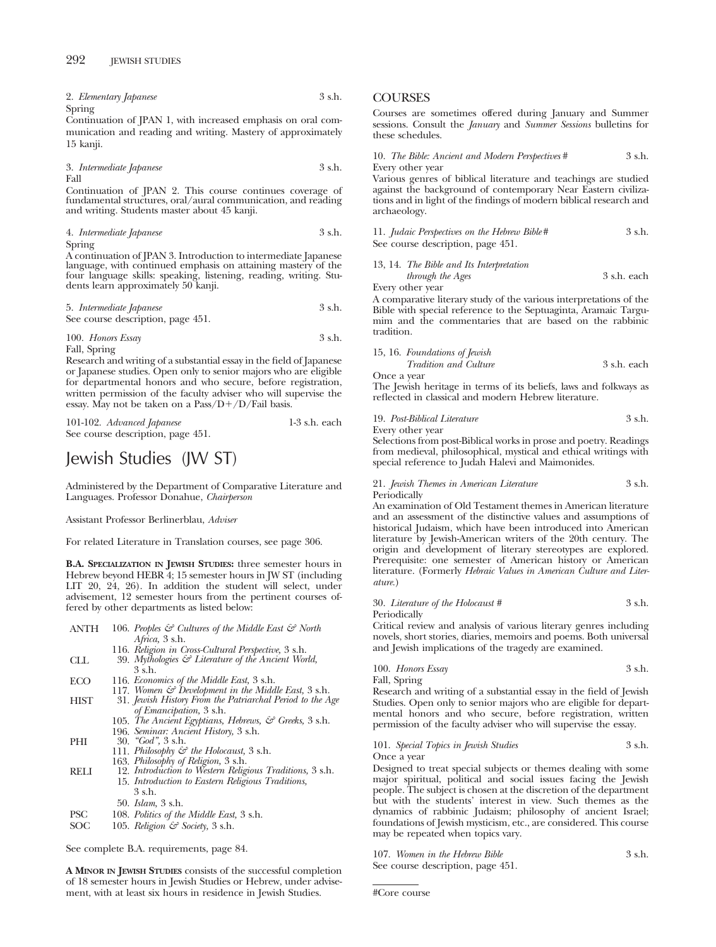| 2. Elementary Japanese | 3 s.h. |
|------------------------|--------|
| Spring                 |        |

Continuation of JPAN 1, with increased emphasis on oral communication and reading and writing. Mastery of approximately 15 kanji.

3. *Intermediate Japanese* 3 s.h.

Fall

Continuation of JPAN 2. This course continues coverage of fundamental structures, oral/aural communication, and reading and writing. Students master about 45 kanji.

4. *Intermediate Japanese* 3 s.h. Spring

A continuation of JPAN 3. Introduction to intermediate Japanese language, with continued emphasis on attaining mastery of the four language skills: speaking, listening, reading, writing. Stu-dents learn approximately 50 kanji.

5. *Intermediate Japanese* 3 s.h. See course description, page 451.

100. *Honors Essay* 3 s.h. Fall, Spring

Research and writing of a substantial essay in the field of Japanese or Japanese studies. Open only to senior majors who are eligible for departmental honors and who secure, before registration, written permission of the faculty adviser who will supervise the essay. May not be taken on a Pass/D+/D/Fail basis.

101-102. *Advanced Japanese* 1-3 s.h. each See course description, page 451.

# Jewish Studies (JW ST)

Administered by the Department of Comparative Literature and Languages. Professor Donahue, *Chairperson*

Assistant Professor Berlinerblau, *Adviser*

For related Literature in Translation courses, see page 306.

**B.A. SPECIALIZATION IN JEWISH STUDIES:** three semester hours in Hebrew beyond HEBR 4; 15 semester hours in JW ST (including LIT 20, 24, 26). In addition the student will select, under advisement, 12 semester hours from the pertinent courses offered by other departments as listed below:

| ANTH | 106. Peoples $\mathcal{F}$ Cultures of the Middle East $\mathcal{F}$ North |
|------|----------------------------------------------------------------------------|
|      | <i>Africa</i> , 3 s.h.                                                     |
|      | 116. Religion in Cross-Cultural Perspective, 3 s.h.                        |
| CLL  | 39. Mythologies $\mathcal G$ Literature of the Ancient World,              |
|      | 3 s.h.                                                                     |
| ECO  | 116. Economics of the Middle East, 3 s.h.                                  |
|      | 117. Women $\mathcal{C}$ Development in the Middle East, 3 s.h.            |
| HIST | 31. Jewish History From the Patriarchal Period to the Age                  |
|      | of Emancipation, 3 s.h.                                                    |
|      | 105. The Ancient Egyptians, Hebrews, & Greeks, 3 s.h.                      |
|      | 196. Seminar: Ancient History, 3 s.h.                                      |
| PHI  | $30.$ "God", $3 \text{ s.h.}$                                              |
|      | 111. Philosophy & the Holocaust, 3 s.h.                                    |
|      | 163. Philosophy of Religion, 3 s.h.                                        |
| RELI | 12. Introduction to Western Religious Traditions, 3 s.h.                   |
|      | 15. Introduction to Eastern Religious Traditions,                          |
|      | 3 s.h.                                                                     |
|      | 50. <i>Islam</i> , 3 s.h.                                                  |
| PSC  | 108. Politics of the Middle East, 3 s.h.                                   |
| SOC  | 105. Religion $\mathcal{C}^2$ Society, 3 s.h.                              |
|      |                                                                            |
|      |                                                                            |

See complete B.A. requirements, page 84.

**A MINOR IN JEWISH STUDIES** consists of the successful completion of 18 semester hours in Jewish Studies or Hebrew, under advisement, with at least six hours in residence in Jewish Studies.

### **COURSES**

Courses are sometimes offered during January and Summer sessions. Consult the *January* and *Summer Sessions* bulletins for these schedules.

10. *The Bible: Ancient and Modern Perspectives* # 3 s.h. Every other year

Various genres of biblical literature and teachings are studied against the background of contemporary Near Eastern civilizations and in light of the findings of modern biblical research and archaeology.

11. *Judaic Perspectives on the Hebrew Bible#* 3 s.h. See course description, page 451.

13, 14. *The Bible and Its Interpretation*

*through the Ages* 3 s.h. each Every other year

A comparative literary study of the various interpretations of the Bible with special reference to the Septuaginta, Aramaic Targumim and the commentaries that are based on the rabbinic tradition.

### 15, 16. *Foundations of Jewish*

*Tradition and Culture* 3 s.h. each Once a year

The Jewish heritage in terms of its beliefs, laws and folkways as reflected in classical and modern Hebrew literature.

### 19. *Post-Biblical Literature* 3 s.h.

Every other year

Selections from post-Biblical works in prose and poetry. Readings from medieval, philosophical, mystical and ethical writings with special reference to Judah Halevi and Maimonides.

### 21. *Jewish Themes in American Literature* 3 s.h. Periodically

An examination of Old Testament themes in American literature and an assessment of the distinctive values and assumptions of historical Judaism, which have been introduced into American literature by Jewish-American writers of the 20th century. The origin and development of literary stereotypes are explored. Prerequisite: one semester of American history or American literature. (Formerly *Hebraic Values in American Culture and Literature.*)

### 30. *Literature of the Holocaust #* 3 s.h. Periodically

Critical review and analysis of various literary genres including novels, short stories, diaries, memoirs and poems. Both universal and Jewish implications of the tragedy are examined.

| 100. Honors Essay | 3 s.h. |
|-------------------|--------|
| Fall, Spring      |        |

Research and writing of a substantial essay in the field of Jewish Studies. Open only to senior majors who are eligible for departmental honors and who secure, before registration, written permission of the faculty adviser who will supervise the essay.

### 101. *Special Topics in Jewish Studies* 3 s.h. Once a year

Designed to treat special subjects or themes dealing with some major spiritual, political and social issues facing the Jewish people. The subject is chosen at the discretion of the department but with the students' interest in view. Such themes as the dynamics of rabbinic Judaism; philosophy of ancient Israel; foundations of Jewish mysticism, etc., are considered. This course may be repeated when topics vary.

107. *Women in the Hebrew Bible* 3 s.h. See course description, page 451.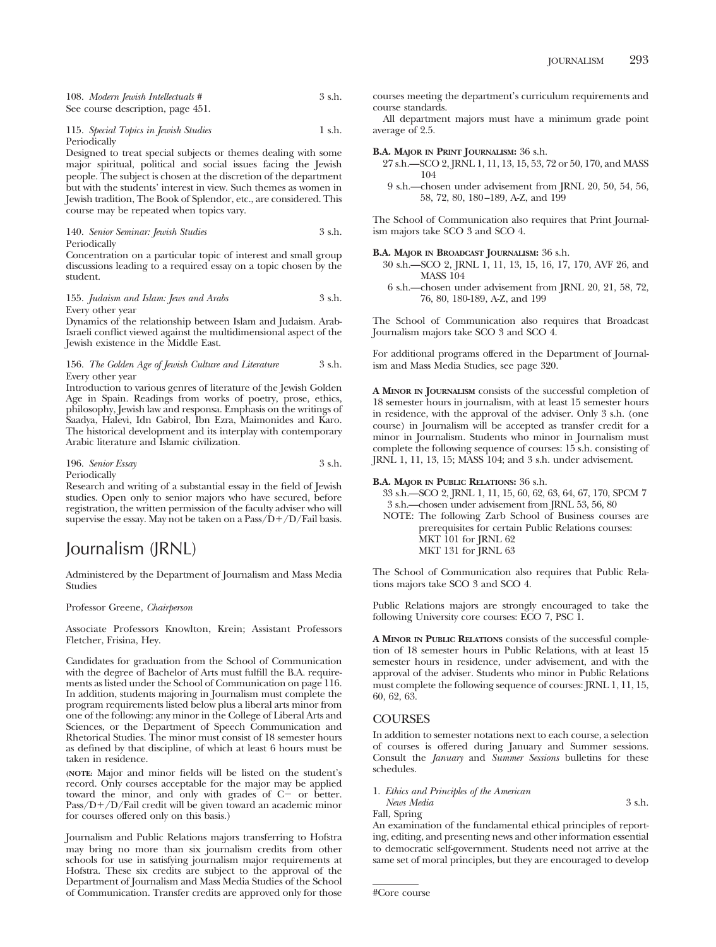108. *Modern Jewish Intellectuals* # 3 s.h. See course description, page 451.

### 115. *Special Topics in Jewish Studies* 1 s.h. Periodically

Designed to treat special subjects or themes dealing with some major spiritual, political and social issues facing the Jewish people. The subject is chosen at the discretion of the department but with the students' interest in view. Such themes as women in Jewish tradition, The Book of Splendor, etc., are considered. This course may be repeated when topics vary.

140. *Senior Seminar: Jewish Studies* 3 s.h. Periodically

Concentration on a particular topic of interest and small group discussions leading to a required essay on a topic chosen by the student.

### 155. *Judaism and Islam: Jews and Arabs* 3 s.h. Every other year

Dynamics of the relationship between Islam and Judaism. Arab-Israeli conflict viewed against the multidimensional aspect of the Jewish existence in the Middle East.

### 156. *The Golden Age of Jewish Culture and Literature* 3 s.h. Every other year

Introduction to various genres of literature of the Jewish Golden Age in Spain. Readings from works of poetry, prose, ethics, philosophy, Jewish law and responsa. Emphasis on the writings of Saadya, Halevi, Idn Gabirol, Ibn Ezra, Maimonides and Karo. The historical development and its interplay with contemporary Arabic literature and Islamic civilization.

196. *Senior Essay* 3 s.h. Periodically

Research and writing of a substantial essay in the field of Jewish studies. Open only to senior majors who have secured, before registration, the written permission of the faculty adviser who will supervise the essay. May not be taken on a Pass/D+/D/Fail basis.

## Journalism (JRNL)

Administered by the Department of Journalism and Mass Media Studies

Professor Greene, *Chairperson*

Associate Professors Knowlton, Krein; Assistant Professors Fletcher, Frisina, Hey.

Candidates for graduation from the School of Communication with the degree of Bachelor of Arts must fulfill the B.A. requirements as listed under the School of Communication on page 116. In addition, students majoring in Journalism must complete the program requirements listed below plus a liberal arts minor from one of the following: any minor in the College of Liberal Arts and Sciences, or the Department of Speech Communication and Rhetorical Studies. The minor must consist of 18 semester hours as defined by that discipline, of which at least 6 hours must be taken in residence.

**(NOTE:** Major and minor fields will be listed on the student's record. Only courses acceptable for the major may be applied toward the minor, and only with grades of  $C-$  or better. Pass/D+/D/Fail credit will be given toward an academic minor for courses offered only on this basis.)

Journalism and Public Relations majors transferring to Hofstra may bring no more than six journalism credits from other schools for use in satisfying journalism major requirements at Hofstra. These six credits are subject to the approval of the Department of Journalism and Mass Media Studies of the School of Communication. Transfer credits are approved only for those

courses meeting the department's curriculum requirements and course standards.

All department majors must have a minimum grade point average of 2.5.

### **B.A. MAJOR IN PRINT JOURNALISM:** 36 s.h.

- 27 s.h.—SCO 2, JRNL 1, 11, 13, 15, 53, 72 or 50, 170, and MASS 104
	- 9 s.h.—chosen under advisement from JRNL 20, 50, 54, 56, 58, 72, 80, 180–189, A-Z, and 199

The School of Communication also requires that Print Journalism majors take SCO 3 and SCO 4.

**B.A. MAJOR IN BROADCAST JOURNALISM:** 36 s.h.

- 30 s.h.—SCO 2, JRNL 1, 11, 13, 15, 16, 17, 170, AVF 26, and MASS 104
- 6 s.h.—chosen under advisement from JRNL 20, 21, 58, 72, 76, 80, 180-189, A-Z, and 199

The School of Communication also requires that Broadcast Journalism majors take SCO 3 and SCO 4.

For additional programs offered in the Department of Journalism and Mass Media Studies, see page 320.

**A MINOR IN JOURNALISM** consists of the successful completion of 18 semester hours in journalism, with at least 15 semester hours in residence, with the approval of the adviser. Only 3 s.h. (one course) in Journalism will be accepted as transfer credit for a minor in Journalism. Students who minor in Journalism must complete the following sequence of courses: 15 s.h. consisting of JRNL 1, 11, 13, 15; MASS 104; and 3 s.h. under advisement.

### **B.A. MAJOR IN PUBLIC RELATIONS:** 36 s.h.

- 33 s.h.—SCO 2, JRNL 1, 11, 15, 60, 62, 63, 64, 67, 170, SPCM 7 3 s.h.—chosen under advisement from JRNL 53, 56, 80
- NOTE: The following Zarb School of Business courses are prerequisites for certain Public Relations courses: MKT 101 for JRNL 62 MKT 131 for JRNL 63

The School of Communication also requires that Public Relations majors take SCO 3 and SCO 4.

Public Relations majors are strongly encouraged to take the following University core courses: ECO 7, PSC 1.

**A MINOR IN PUBLIC RELATIONS** consists of the successful completion of 18 semester hours in Public Relations, with at least 15 semester hours in residence, under advisement, and with the approval of the adviser. Students who minor in Public Relations must complete the following sequence of courses: JRNL 1, 11, 15, 60, 62, 63.

### COURSES

In addition to semester notations next to each course, a selection of courses is offered during January and Summer sessions. Consult the *January* and *Summer Sessions* bulletins for these schedules.

1. *Ethics and Principles of the American*

*News Media* 3 s.h. Fall, Spring

An examination of the fundamental ethical principles of reporting, editing, and presenting news and other information essential to democratic self-government. Students need not arrive at the same set of moral principles, but they are encouraged to develop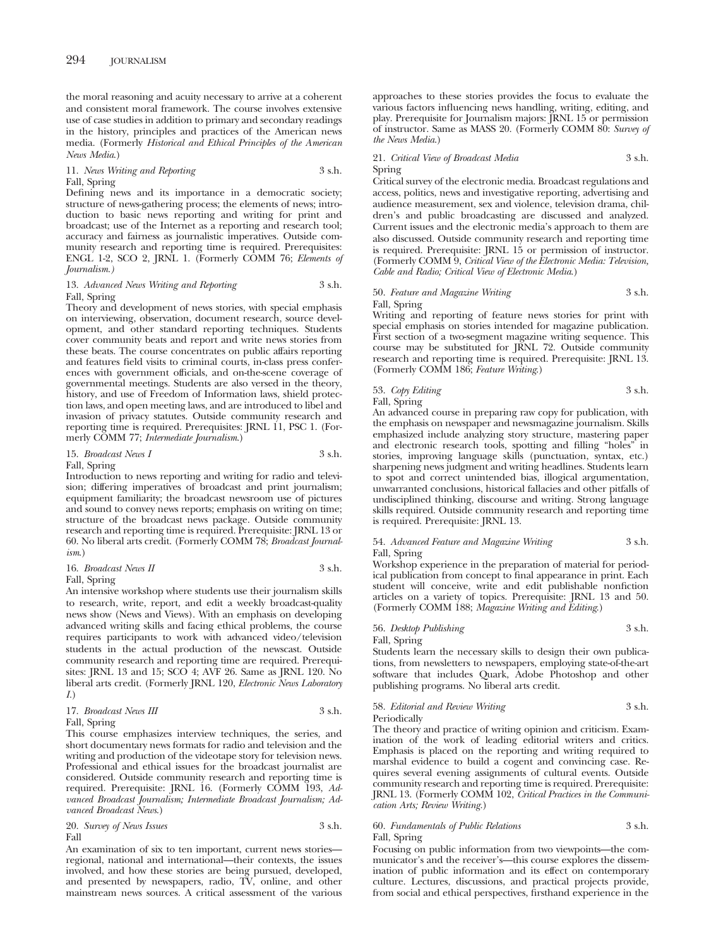the moral reasoning and acuity necessary to arrive at a coherent and consistent moral framework. The course involves extensive use of case studies in addition to primary and secondary readings in the history, principles and practices of the American news media. (Formerly *Historical and Ethical Principles of the American News Media*.)

### 11. *News Writing and Reporting* 3 s.h. Fall, Spring

Defining news and its importance in a democratic society; structure of news-gathering process; the elements of news; introduction to basic news reporting and writing for print and broadcast; use of the Internet as a reporting and research tool; accuracy and fairness as journalistic imperatives. Outside community research and reporting time is required. Prerequisites: ENGL 1-2, SCO 2, JRNL 1. (Formerly COMM 76; *Elements of Journalism.)*

### 13. *Advanced News Writing and Reporting* 3 s.h. Fall, Spring

Theory and development of news stories, with special emphasis on interviewing, observation, document research, source development, and other standard reporting techniques. Students cover community beats and report and write news stories from these beats. The course concentrates on public affairs reporting and features field visits to criminal courts, in-class press conferences with government officials, and on-the-scene coverage of governmental meetings. Students are also versed in the theory, history, and use of Freedom of Information laws, shield protection laws, and open meeting laws, and are introduced to libel and invasion of privacy statutes. Outside community research and reporting time is required. Prerequisites: JRNL 11, PSC 1. (Formerly COMM 77; *Intermediate Journalism*.)

### 15. *Broadcast News I* 3 s.h. Fall, Spring

Introduction to news reporting and writing for radio and television; differing imperatives of broadcast and print journalism; equipment familiarity; the broadcast newsroom use of pictures and sound to convey news reports; emphasis on writing on time; structure of the broadcast news package. Outside community research and reporting time is required. Prerequisite: JRNL 13 or 60. No liberal arts credit. (Formerly COMM 78; *Broadcast Journalism*.)

16. *Broadcast News II* 
$$
3 \, \text{s.h.}
$$

### Fall, Spring

An intensive workshop where students use their journalism skills to research, write, report, and edit a weekly broadcast-quality news show (News and Views). With an emphasis on developing advanced writing skills and facing ethical problems, the course requires participants to work with advanced video/television students in the actual production of the newscast. Outside community research and reporting time are required. Prerequisites: JRNL 13 and 15; SCO 4; AVF 26. Same as JRNL 120. No liberal arts credit. (Formerly JRNL 120, *Electronic News Laboratory I.*)

17. *Broadcast News III* 3 s.h. Fall, Spring

This course emphasizes interview techniques, the series, and short documentary news formats for radio and television and the writing and production of the videotape story for television news. Professional and ethical issues for the broadcast journalist are considered. Outside community research and reporting time is required. Prerequisite: JRNL 16. (Formerly COMM 193, *Advanced Broadcast Journalism; Intermediate Broadcast Journalism; Advanced Broadcast News*.)

20. *Survey of News Issues* 3 s.h. Fall

An examination of six to ten important, current news stories regional, national and international—their contexts, the issues involved, and how these stories are being pursued, developed, and presented by newspapers, radio, TV, online, and other mainstream news sources. A critical assessment of the various

approaches to these stories provides the focus to evaluate the various factors influencing news handling, writing, editing, and play. Prerequisite for Journalism majors: JRNL 15 or permission of instructor. Same as MASS 20. (Formerly COMM 80: *Survey of the News Media*.)

### 21. *Critical View of Broadcast Media* 3 s.h. Spring

Critical survey of the electronic media. Broadcast regulations and access, politics, news and investigative reporting, advertising and audience measurement, sex and violence, television drama, children's and public broadcasting are discussed and analyzed. Current issues and the electronic media's approach to them are also discussed. Outside community research and reporting time is required. Prerequisite: JRNL 15 or permission of instructor. (Formerly COMM 9, *Critical View of the Electronic Media: Television, Cable and Radio; Critical View of Electronic Media*.)

### 50. *Feature and Magazine Writing* 3 s.h. Fall, Spring

Writing and reporting of feature news stories for print with special emphasis on stories intended for magazine publication. First section of a two-segment magazine writing sequence. This course may be substituted for JRNL 72. Outside community research and reporting time is required. Prerequisite: JRNL 13. (Formerly COMM 186; *Feature Writing*.)

### 53. *Copy Editing* 3 s.h. Fall, Spring

An advanced course in preparing raw copy for publication, with the emphasis on newspaper and newsmagazine journalism. Skills emphasized include analyzing story structure, mastering paper and electronic research tools, spotting and filling "holes" in stories, improving language skills (punctuation, syntax, etc.) sharpening news judgment and writing headlines. Students learn to spot and correct unintended bias, illogical argumentation, unwarranted conclusions, historical fallacies and other pitfalls of undisciplined thinking, discourse and writing. Strong language skills required. Outside community research and reporting time is required. Prerequisite: JRNL 13.

### 54. *Advanced Feature and Magazine Writing* 3 s.h. Fall, Spring

Workshop experience in the preparation of material for periodical publication from concept to final appearance in print. Each student will conceive, write and edit publishable nonfiction articles on a variety of topics. Prerequisite: JRNL 13 and 50. (Formerly COMM 188; *Magazine Writing and Editing*.)

### 56. *Desktop Publishing* 3 s.h. Fall, Spring

Students learn the necessary skills to design their own publications, from newsletters to newspapers, employing state-of-the-art software that includes Quark, Adobe Photoshop and other publishing programs. No liberal arts credit.

### 58. *Editorial and Review Writing* 3 s.h.

Periodically

The theory and practice of writing opinion and criticism. Examination of the work of leading editorial writers and critics. Emphasis is placed on the reporting and writing required to marshal evidence to build a cogent and convincing case. Requires several evening assignments of cultural events. Outside community research and reporting time is required. Prerequisite: JRNL 13. (Formerly COMM 102, *Critical Practices in the Communication Arts; Review Writing.*)

### 60. *Fundamentals of Public Relations* 3 s.h. Fall, Spring

Focusing on public information from two viewpoints—the communicator's and the receiver's—this course explores the dissemination of public information and its effect on contemporary culture. Lectures, discussions, and practical projects provide, from social and ethical perspectives, firsthand experience in the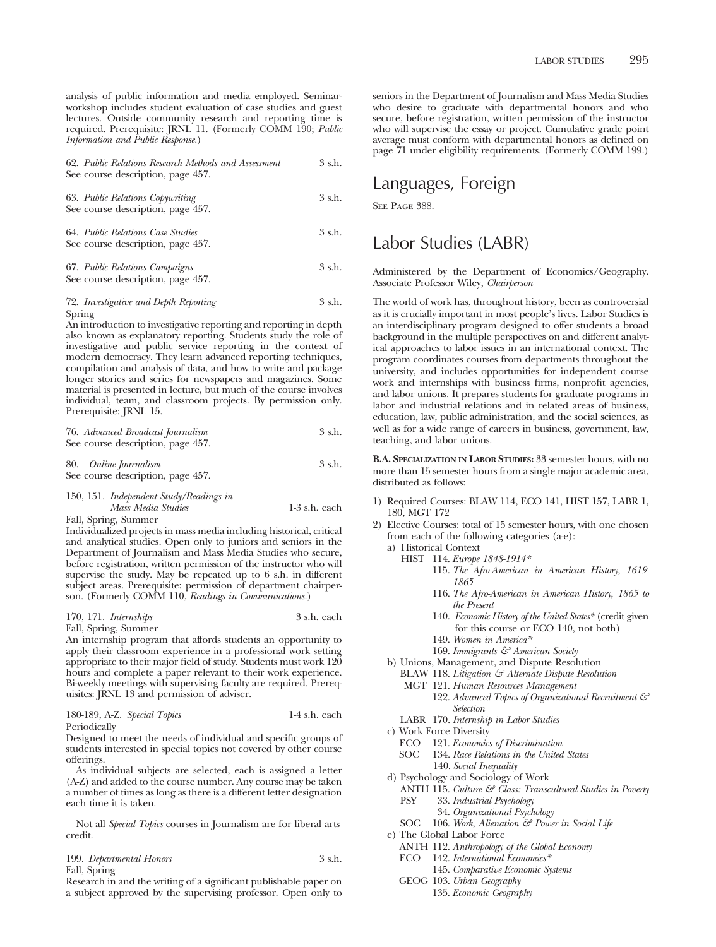analysis of public information and media employed. Seminarworkshop includes student evaluation of case studies and guest lectures. Outside community research and reporting time is required. Prerequisite: JRNL 11. (Formerly COMM 190; *Public Information and Public Response.*)

| 62. Public Relations Research Methods and Assessment<br>See course description, page 457. | 3 s.h. |
|-------------------------------------------------------------------------------------------|--------|
| 63. Public Relations Copywriting<br>See course description, page 457.                     | 3 s.h. |
| 64. Public Relations Case Studies<br>See course description, page 457.                    | 3 s.h. |
| 67. Public Relations Campaigns                                                            | 3 s.h. |

See course description, page 457.

### 72. *Investigative and Depth Reporting* 3 s.h. Spring

An introduction to investigative reporting and reporting in depth also known as explanatory reporting. Students study the role of investigative and public service reporting in the context of modern democracy. They learn advanced reporting techniques, compilation and analysis of data, and how to write and package longer stories and series for newspapers and magazines. Some material is presented in lecture, but much of the course involves individual, team, and classroom projects. By permission only. Prerequisite: JRNL 15.

| 76. Advanced Broadcast Journalism | 3 s.h. |
|-----------------------------------|--------|
| See course description, page 457. |        |

80. *Online Journalism* 3 s.h. See course description, page 457.

### 150, 151. *Independent Study/Readings in*

*Mass Media Studies* 1-3 s.h. each

Fall, Spring, Summer

Individualized projects in mass media including historical, critical and analytical studies. Open only to juniors and seniors in the Department of Journalism and Mass Media Studies who secure, before registration, written permission of the instructor who will supervise the study. May be repeated up to 6 s.h. in different subject areas. Prerequisite: permission of department chairperson. (Formerly COMM 110, *Readings in Communications.*)

### 170, 171. *Internships* 3 s.h. each

Fall, Spring, Summer

An internship program that affords students an opportunity to apply their classroom experience in a professional work setting appropriate to their major field of study. Students must work 120 hours and complete a paper relevant to their work experience. Bi-weekly meetings with supervising faculty are required. Prerequisites: JRNL 13 and permission of adviser.

| 180-189, A-Z. Special Topics | 1-4 s.h. each |
|------------------------------|---------------|
|                              |               |

**Periodically** 

Designed to meet the needs of individual and specific groups of students interested in special topics not covered by other course offerings.

As individual subjects are selected, each is assigned a letter (A-Z) and added to the course number. Any course may be taken a number of times as long as there is a different letter designation each time it is taken.

Not all *Special Topics* courses in Journalism are for liberal arts credit.

### 199. *Departmental Honors* 3 s.h.

Fall, Spring

Research in and the writing of a significant publishable paper on a subject approved by the supervising professor. Open only to seniors in the Department of Journalism and Mass Media Studies who desire to graduate with departmental honors and who secure, before registration, written permission of the instructor who will supervise the essay or project. Cumulative grade point average must conform with departmental honors as defined on page 71 under eligibility requirements. (Formerly COMM 199.)

## Languages, Foreign

SEE PAGE 388.

## Labor Studies (LABR)

Administered by the Department of Economics/Geography. Associate Professor Wiley, *Chairperson*

The world of work has, throughout history, been as controversial as it is crucially important in most people's lives. Labor Studies is an interdisciplinary program designed to offer students a broad background in the multiple perspectives on and different analytical approaches to labor issues in an international context. The program coordinates courses from departments throughout the university, and includes opportunities for independent course work and internships with business firms, nonprofit agencies, and labor unions. It prepares students for graduate programs in labor and industrial relations and in related areas of business, education, law, public administration, and the social sciences, as well as for a wide range of careers in business, government, law, teaching, and labor unions.

**B.A. SPECIALIZATION IN LABOR STUDIES:** 33 semester hours, with no more than 15 semester hours from a single major academic area, distributed as follows:

- 1) Required Courses: BLAW 114, ECO 141, HIST 157, LABR 1, 180, MGT 172
- 2) Elective Courses: total of 15 semester hours, with one chosen from each of the following categories (a-e):
	- a) Historical Context
		- HIST 114. *Europe 1848-1914\**
			- 115. *The Afro-American in American History, 1619- 1865*
			- 116. *The Afro-American in American History, 1865 to the Present*
			- 140. *Economic History of the United States\** (credit given for this course or ECO 140, not both)
			- 149. *Women in America\**
		- 169. *Immigrants & American Society*
	- b) Unions, Management, and Dispute Resolution
		- BLAW 118. *Litigation & Alternate Dispute Resolution*
		- MGT 121. *Human Resources Management*
			- 122. *Advanced Topics of Organizational Recruitment & Selection*
		- LABR 170. *Internship in Labor Studies*
	- c) Work Force Diversity
		- ECO 121. *Economics of Discrimination*
		- SOC 134. *Race Relations in the United States* 140. *Social Inequality*
	- d) Psychology and Sociology of Work
		- ANTH 115. *Culture & Class: Transcultural Studies in Poverty*
		- PSY 33. *Industrial Psychology*
			- 34. *Organizational Psychology*
		- SOC 106. *Work, Alienation & Power in Social Life*
	- e) The Global Labor Force
		- ANTH 112. *Anthropology of the Global Economy*
		- ECO 142. *International Economics\**
			- 145. *Comparative Economic Systems*
		- GEOG 103. *Urban Geography*
			- 135. *Economic Geography*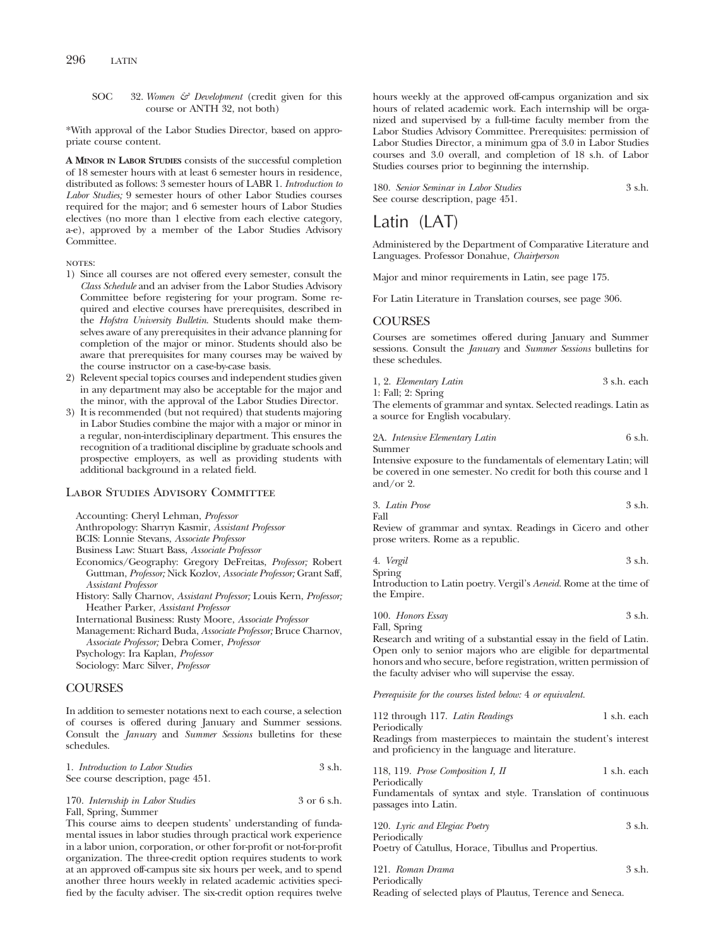SOC 32. *Women & Development* (credit given for this course or ANTH 32, not both)

\*With approval of the Labor Studies Director, based on appropriate course content.

**A MINOR IN LABOR STUDIES** consists of the successful completion of 18 semester hours with at least 6 semester hours in residence, distributed as follows: 3 semester hours of LABR 1. *Introduction to Labor Studies;* 9 semester hours of other Labor Studies courses required for the major; and 6 semester hours of Labor Studies electives (no more than 1 elective from each elective category, a-e), approved by a member of the Labor Studies Advisory Committee.

### NOTES:

- 1) Since all courses are not offered every semester, consult the *Class Schedule* and an adviser from the Labor Studies Advisory Committee before registering for your program. Some required and elective courses have prerequisites, described in the *Hofstra University Bulletin*. Students should make themselves aware of any prerequisites in their advance planning for completion of the major or minor. Students should also be aware that prerequisites for many courses may be waived by the course instructor on a case-by-case basis.
- 2) Relevent special topics courses and independent studies given in any department may also be acceptable for the major and the minor, with the approval of the Labor Studies Director.
- 3) It is recommended (but not required) that students majoring in Labor Studies combine the major with a major or minor in a regular, non-interdisciplinary department. This ensures the recognition of a traditional discipline by graduate schools and prospective employers, as well as providing students with additional background in a related field.

### Labor Studies Advisory Committee

Accounting: Cheryl Lehman, *Professor*

Anthropology: Sharryn Kasmir, *Assistant Professor*

BCIS: Lonnie Stevans, *Associate Professor*

Business Law: Stuart Bass, *Associate Professor*

- Economics/Geography: Gregory DeFreitas, *Professor;* Robert Guttman, *Professor;* Nick Kozlov, *Associate Professor;* Grant Saff, *Assistant Professor*
- History: Sally Charnov, *Assistant Professor;* Louis Kern, *Professor;* Heather Parker, *Assistant Professor*

International Business: Rusty Moore, *Associate Professor*

Management: Richard Buda, *Associate Professor;* Bruce Charnov, *Associate Professor;* Debra Comer, *Professor*

Psychology: Ira Kaplan, *Professor*

Sociology: Marc Silver, *Professor*

### COURSES

In addition to semester notations next to each course, a selection of courses is offered during January and Summer sessions. Consult the *January* and *Summer Sessions* bulletins for these schedules.

| 1. Introduction to Labor Studies<br>See course description, page 451. | 3 s.h.      |
|-----------------------------------------------------------------------|-------------|
| 170. Internship in Labor Studies                                      | 3 or 6 s.h. |

Fall, Spring, Summer

This course aims to deepen students' understanding of fundamental issues in labor studies through practical work experience in a labor union, corporation, or other for-profit or not-for-profit organization. The three-credit option requires students to work at an approved off-campus site six hours per week, and to spend another three hours weekly in related academic activities specified by the faculty adviser. The six-credit option requires twelve

hours weekly at the approved off-campus organization and six hours of related academic work. Each internship will be organized and supervised by a full-time faculty member from the Labor Studies Advisory Committee. Prerequisites: permission of Labor Studies Director, a minimum gpa of 3.0 in Labor Studies courses and 3.0 overall, and completion of 18 s.h. of Labor Studies courses prior to beginning the internship.

180. *Senior Seminar in Labor Studies* 3 s.h. See course description, page 451.

## Latin (LAT)

Administered by the Department of Comparative Literature and Languages. Professor Donahue, *Chairperson*

Major and minor requirements in Latin, see page 175.

For Latin Literature in Translation courses, see page 306.

### **COURSES**

Courses are sometimes offered during January and Summer sessions. Consult the *January* and *Summer Sessions* bulletins for these schedules.

|  | 1, 2. Elementary Latin | 3 s.h. each |  |
|--|------------------------|-------------|--|
|  |                        |             |  |

1: Fall; 2: Spring

The elements of grammar and syntax. Selected readings. Latin as a source for English vocabulary.

2A. *Intensive Elementary Latin* 6 s.h. Summer

Intensive exposure to the fundamentals of elementary Latin; will be covered in one semester. No credit for both this course and 1 and/or 2.

3 s.h. 
$$
3 \sinh(1)
$$

Fall

Review of grammar and syntax. Readings in Cicero and other prose writers. Rome as a republic.

4. *Vergil* 3 s.h.

Spring Introduction to Latin poetry. Vergil's *Aeneid.* Rome at the time of the Empire.

100. *Honors Essay* 3 s.h. Fall, Spring

Research and writing of a substantial essay in the field of Latin. Open only to senior majors who are eligible for departmental honors and who secure, before registration, written permission of the faculty adviser who will supervise the essay.

*Prerequisite for the courses listed below:* 4 *or equivalent.*

| 112 through 117. Latin Readings | 1 s.h. each |
|---------------------------------|-------------|
| Periodically                    |             |

Readings from masterpieces to maintain the student's interest and proficiency in the language and literature.

| 118, 119. Prose Composition I, II | 1 s.h. each |
|-----------------------------------|-------------|
| Periodically                      |             |

Fundamentals of syntax and style. Translation of continuous passages into Latin.

| 120. Lyric and Elegiac Poetry                        | $3$ s.h. |
|------------------------------------------------------|----------|
| Periodically                                         |          |
| Poetry of Catullus, Horace, Tibullus and Propertius. |          |

121. *Roman Drama* 3 s.h. Periodically

Reading of selected plays of Plautus, Terence and Seneca.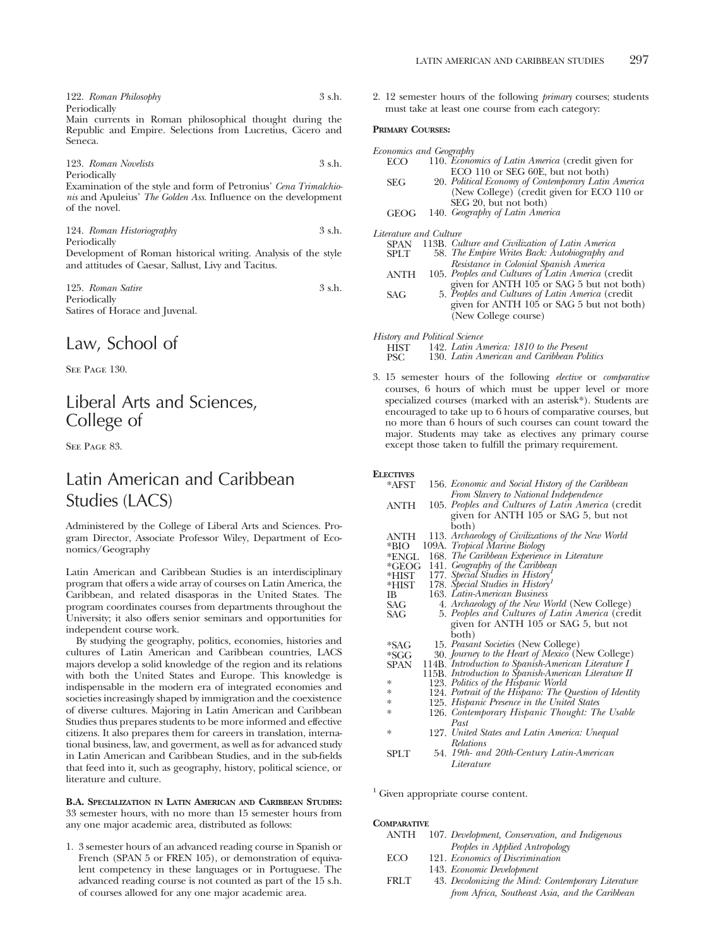122. *Roman Philosophy* 3 s.h. Periodically

Main currents in Roman philosophical thought during the Republic and Empire. Selections from Lucretius, Cicero and Seneca.

123. *Roman Novelists* 3 s.h. Periodically

Examination of the style and form of Petronius' *Cena Trimalchionis* and Apuleius' *The Golden Ass.* Influence on the development of the novel.

124. *Roman Historiography* 3 s.h. Periodically Development of Roman historical writing. Analysis of the style

and attitudes of Caesar, Sallust, Livy and Tacitus. 125. *Roman Satire* 3 s.h.

Periodically Satires of Horace and Juvenal.

## Law, School of

SEE PAGE 130.

## Liberal Arts and Sciences, College of

SEE PAGE 83.

## Latin American and Caribbean Studies (LACS)

Administered by the College of Liberal Arts and Sciences. Program Director, Associate Professor Wiley, Department of Economics/Geography

Latin American and Caribbean Studies is an interdisciplinary program that offers a wide array of courses on Latin America, the Caribbean, and related disasporas in the United States. The program coordinates courses from departments throughout the University; it also offers senior seminars and opportunities for independent course work.

By studying the geography, politics, economies, histories and cultures of Latin American and Caribbean countries, LACS majors develop a solid knowledge of the region and its relations with both the United States and Europe. This knowledge is indispensable in the modern era of integrated economies and societies increasingly shaped by immigration and the coexistence of diverse cultures. Majoring in Latin American and Caribbean Studies thus prepares students to be more informed and effective citizens. It also prepares them for careers in translation, international business, law, and goverment, as well as for advanced study in Latin American and Caribbean Studies, and in the sub-fields that feed into it, such as geography, history, political science, or literature and culture.

**B.A. SPECIALIZATION IN LATIN AMERICAN AND CARIBBEAN STUDIES:** 33 semester hours, with no more than 15 semester hours from any one major academic area, distributed as follows:

1. 3 semester hours of an advanced reading course in Spanish or French (SPAN 5 or FREN 105), or demonstration of equivalent competency in these languages or in Portuguese. The advanced reading course is not counted as part of the 15 s.h. of courses allowed for any one major academic area.

2. 12 semester hours of the following *primary* courses; students must take at least one course from each category:

### **PRIMARY COURSES:**

|                        | Economics and Geography                             |  |
|------------------------|-----------------------------------------------------|--|
| ECO.                   | 110. Economics of Latin America (credit given for   |  |
|                        | ECO 110 or SEG 60E, but not both)                   |  |
| <b>SEG</b>             | 20. Political Economy of Contemporary Latin America |  |
|                        | (New College) (credit given for ECO 110 or          |  |
|                        | SEG 20, but not both)                               |  |
| <b>GEOG</b>            | 140. Geography of Latin America                     |  |
| Literature and Culture |                                                     |  |

| <b>SPAN</b> | 113B. Culture and Civilization of Latin America    |
|-------------|----------------------------------------------------|
|             |                                                    |
| <b>SPLT</b> | 58. The Empire Writes Back: Autobiography and      |
|             | Resistance in Colonial Spanish America             |
| <b>ANTH</b> | 105. Peoples and Cultures of Latin America (credit |

- given for ANTH 105 or SAG 5 but not both)<br>SAG 5. *Peoples and Cultures of Latin America* (credit
	- given for ANTH 105 or SAG 5 but not both) (New College course)

*History and Political Science*

HIST 142. *Latin America: 1810 to the Present*

130. Latin American and Caribbean Politics

3. 15 semester hours of the following *elective* or *comparative* courses, 6 hours of which must be upper level or more specialized courses (marked with an asterisk\*). Students are encouraged to take up to 6 hours of comparative courses, but no more than 6 hours of such courses can count toward the major. Students may take as electives any primary course except those taken to fulfill the primary requirement.

#### **ELECTIVES**

| *AFST   | 156. Economic and Social History of the Caribbean      |
|---------|--------------------------------------------------------|
|         | From Slavery to National Independence                  |
| ANTH    | 105. Peoples and Cultures of Latin America (credit     |
|         | given for ANTH 105 or SAG 5, but not                   |
|         | both)                                                  |
| ANTH    | 113. Archaeology of Civilizations of the New World     |
| *BIO    | 109A. Tropical Marine Biology                          |
|         | 168. The Caribbean Experience in Literature            |
| *ENGL   |                                                        |
| $*GEOG$ | 141. Geography of the Caribbean                        |
| *HIST   | 177. Special Studies in History <sup>1</sup>           |
| *HIST   | 178. Special Studies in History <sup>1</sup>           |
| IB      | 163. Latin-American Business                           |
| SAG     | 4. Archaeology of the New World (New College)          |
| SAG     | 5. Peoples and Cultures of Latin America (credit       |
|         | given for ANTH 105 or SAG 5, but not                   |
|         | both)                                                  |
| *SAG    | 15. Peasant Societies (New College)                    |
| $*SGG$  | 30. Journey to the Heart of Mexico (New College)       |
| SPAN    | 114B. Introduction to Spanish-American Literature I    |
|         | 115B. Introduction to Spanish-American Literature II   |
| *       | 123. Politics of the Hispanic World                    |
| *       | 124. Portrait of the Hispano: The Question of Identity |
| *       | 125. Hispanic Presence in the United States            |
| ∗       | 126. Contemporary Hispanic Thought: The Usable         |
|         | Past                                                   |
| *       | 127. United States and Latin America: Unequal          |
|         | <b>Relations</b>                                       |
| SPLT    | 54. 19th- and 20th-Century Latin-American              |
|         | Literature                                             |

<sup>1</sup> Given appropriate course content.

### **COMPARATIVE**

| ANTH       | 107. Development, Conservation, and Indigenous |
|------------|------------------------------------------------|
|            | Peoples in Applied Antropology                 |
| <b>ECO</b> | 121. Economics of Discrimination               |

- 143. *Economic Development*
- FRLT 43. *Decolonizing the Mind: Contemporary Literature from Africa, Southeast Asia, and the Caribbean*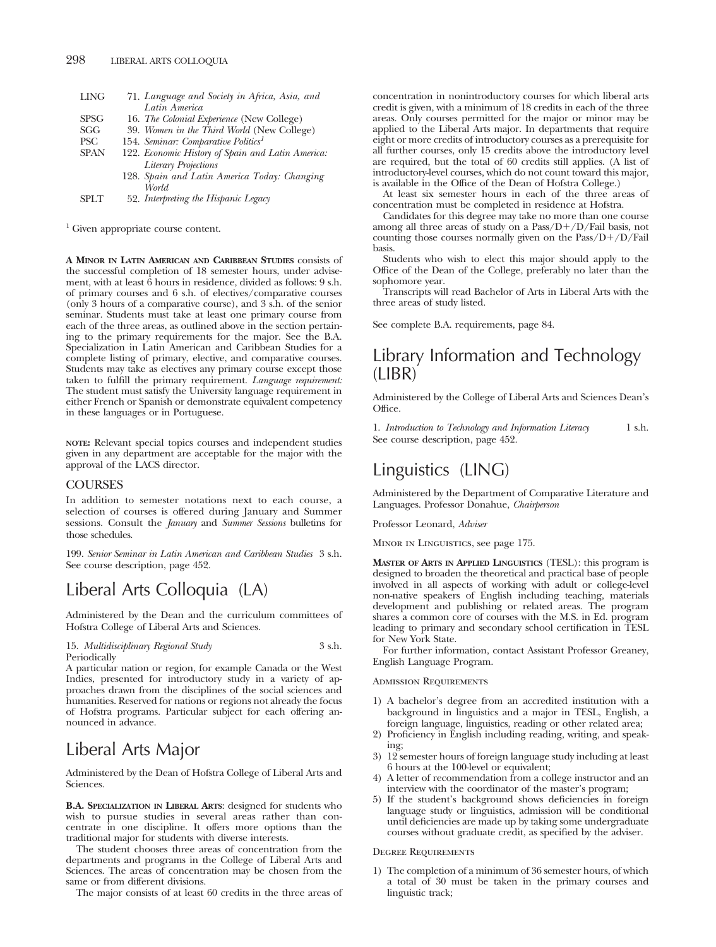| <b>LING</b> | 71. Language and Society in Africa, Asia, and     |
|-------------|---------------------------------------------------|
|             | Latin America                                     |
| <b>SPSG</b> | 16. The Colonial Experience (New College)         |
| SGG         | 39. Women in the Third World (New College)        |
| PSC         | 154. Seminar: Comparative Politics <sup>1</sup>   |
| <b>SPAN</b> | 122. Economic History of Spain and Latin America. |
|             | <b>Literary Projections</b>                       |

- 128. *Spain and Latin America Today: Changing World*
- SPLT 52. *Interpreting the Hispanic Legacy*

<sup>1</sup> Given appropriate course content.

**A MINOR IN LATIN AMERICAN AND CARIBBEAN STUDIES** consists of the successful completion of 18 semester hours, under advisement, with at least 6 hours in residence, divided as follows: 9 s.h. of primary courses and 6 s.h. of electives/comparative courses (only 3 hours of a comparative course), and 3 s.h. of the senior seminar. Students must take at least one primary course from each of the three areas, as outlined above in the section pertaining to the primary requirements for the major. See the B.A. Specialization in Latin American and Caribbean Studies for a complete listing of primary, elective, and comparative courses. Students may take as electives any primary course except those taken to fulfill the primary requirement. *Language requirement:* The student must satisfy the University language requirement in either French or Spanish or demonstrate equivalent competency in these languages or in Portuguese.

**NOTE:** Relevant special topics courses and independent studies given in any department are acceptable for the major with the approval of the LACS director.

### **COURSES**

In addition to semester notations next to each course, a selection of courses is offered during January and Summer sessions. Consult the *January* and *Summer Sessions* bulletins for those schedules.

199. *Senior Seminar in Latin American and Caribbean Studies* 3 s.h. See course description, page 452.

# Liberal Arts Colloquia (LA)

Administered by the Dean and the curriculum committees of Hofstra College of Liberal Arts and Sciences.

15. *Multidisciplinary Regional Study* 3 s.h. Periodically

A particular nation or region, for example Canada or the West Indies, presented for introductory study in a variety of approaches drawn from the disciplines of the social sciences and humanities. Reserved for nations or regions not already the focus of Hofstra programs. Particular subject for each offering announced in advance.

## Liberal Arts Major

Administered by the Dean of Hofstra College of Liberal Arts and Sciences.

**B.A. SPECIALIZATION IN LIBERAL ARTS**: designed for students who wish to pursue studies in several areas rather than concentrate in one discipline. It offers more options than the traditional major for students with diverse interests.

The student chooses three areas of concentration from the departments and programs in the College of Liberal Arts and Sciences. The areas of concentration may be chosen from the same or from different divisions.

The major consists of at least 60 credits in the three areas of

concentration in nonintroductory courses for which liberal arts credit is given, with a minimum of 18 credits in each of the three areas. Only courses permitted for the major or minor may be applied to the Liberal Arts major. In departments that require eight or more credits of introductory courses as a prerequisite for all further courses, only 15 credits above the introductory level are required, but the total of 60 credits still applies. (A list of introductory-level courses, which do not count toward this major, is available in the Office of the Dean of Hofstra College.)

At least six semester hours in each of the three areas of concentration must be completed in residence at Hofstra.

Candidates for this degree may take no more than one course among all three areas of study on a Pass/D+/D/Fail basis, not counting those courses normally given on the Pass/D+/D/Fail basis.

Students who wish to elect this major should apply to the Office of the Dean of the College, preferably no later than the sophomore year.

Transcripts will read Bachelor of Arts in Liberal Arts with the three areas of study listed.

See complete B.A. requirements, page 84.

## Library Information and Technology (LIBR)

Administered by the College of Liberal Arts and Sciences Dean's Office.

1. *Introduction to Technology and Information Literacy* 1 s.h. See course description, page 452.

## Linguistics (LING)

Administered by the Department of Comparative Literature and Languages. Professor Donahue, *Chairperson*

Professor Leonard, *Adviser*

Minor in Linguistics, see page 175.

**MASTER OF ARTS IN APPLIED LINGUISTICS** (TESL): this program is designed to broaden the theoretical and practical base of people involved in all aspects of working with adult or college-level non-native speakers of English including teaching, materials development and publishing or related areas. The program shares a common core of courses with the M.S. in Ed. program leading to primary and secondary school certification in TESL for New York State.

For further information, contact Assistant Professor Greaney, English Language Program.

### Admission Requirements

- 1) A bachelor's degree from an accredited institution with a background in linguistics and a major in TESL, English, a foreign language, linguistics, reading or other related area;
- 2) Proficiency in English including reading, writing, and speaking;
- 3) 12 semester hours of foreign language study including at least 6 hours at the 100-level or equivalent;
- 4) A letter of recommendation from a college instructor and an interview with the coordinator of the master's program;
- 5) If the student's background shows deficiencies in foreign language study or linguistics, admission will be conditional until deficiencies are made up by taking some undergraduate courses without graduate credit, as specified by the adviser.

### Degree Requirements

1) The completion of a minimum of 36 semester hours, of which a total of 30 must be taken in the primary courses and linguistic track;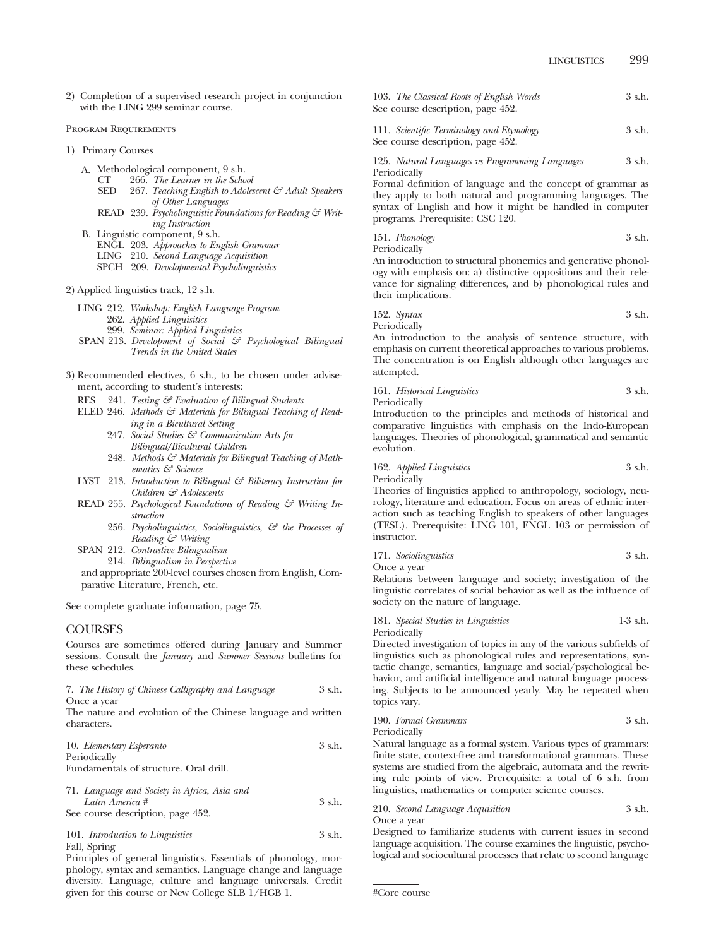2) Completion of a supervised research project in conjunction with the LING 299 seminar course.

#### Program Requirements

- 1) Primary Courses
	- A. Methodological component, 9 s.h.<br>CT 266. The Learner in the Scho
		- CT 266. *The Learner in the School*
		- 267. *Teaching English to Adolescent & Adult Speakers of Other Languages*
		- READ 239. *Psycholinguistic Foundations for Reading & Writing Instruction*
	- B. Linguistic component, 9 s.h.
		- ENGL 203. *Approaches to English Grammar*
		- LING 210. *Second Language Acquisition*
		- SPCH 209. *Developmental Psycholinguistics*
- 2) Applied linguistics track, 12 s.h.
	- LING 212. *Workshop: English Language Program*
		- 262. *Applied Linguisitics*
		- 299. *Seminar: Applied Linguistics*
	- SPAN 213. *Development of Social & Psychological Bilingual Trends in the United States*
- 3) Recommended electives, 6 s.h., to be chosen under advisement, according to student's interests:
	- RES 241. *Testing & Evaluation of Bilingual Students*
	- ELED 246. Methods & Materials for Bilingual Teaching of Read*ing in a Bicultural Setting*
		- 247. *Social Studies & Communication Arts for Bilingual/Bicultural Children*
		- 248. Methods & Materials for Bilingual Teaching of Math*ematics & Science*
	- LYST 213. *Introduction to Bilingual & Biliteracy Instruction for Children & Adolescents*
	- READ 255. *Psychological Foundations of Reading & Writing Instruction*
		- 256. *Psycholinguistics, Sociolinguistics, & the Processes of Reading & Writing*
	- SPAN 212. *Contrastive Bilingualism*
		- 214. *Bilingualism in Perspective*

and appropriate 200-level courses chosen from English, Comparative Literature, French, etc.

See complete graduate information, page 75.

#### COURSES

Courses are sometimes offered during January and Summer sessions. Consult the *January* and *Summer Sessions* bulletins for these schedules.

|             |  | 7. The History of Chinese Calligraphy and Language | 3 s.h. |
|-------------|--|----------------------------------------------------|--------|
| Once a year |  |                                                    |        |

The nature and evolution of the Chinese language and written characters.

| 10. Elementary Esperanto |  | 3 s.h. |
|--------------------------|--|--------|
| Periodically             |  |        |

Fundamentals of structure. Oral drill.

71. *Language and Society in Africa, Asia and Latin America #* 3 s.h. See course description, page 452.

```
101. Introduction to Linguistics 3 s.h.
Fall, Spring
```
Principles of general linguistics. Essentials of phonology, morphology, syntax and semantics. Language change and language diversity. Language, culture and language universals. Credit given for this course or New College SLB 1/HGB 1.

| 103. The Classical Roots of English Words | 3 s.h. |
|-------------------------------------------|--------|
| See course description, page 452.         |        |
|                                           |        |

111. *Scientific Terminology and Etymology* 3 s.h. See course description, page 452.

125. *Natural Languages vs Programming Languages* 3 s.h. Periodically

Formal definition of language and the concept of grammar as they apply to both natural and programming languages. The syntax of English and how it might be handled in computer programs. Prerequisite: CSC 120.

151. *Phonology* 3 s.h. Periodically

An introduction to structural phonemics and generative phonology with emphasis on: a) distinctive oppositions and their relevance for signaling differences, and b) phonological rules and their implications.

152. *Syntax* 3 s.h. Periodically

An introduction to the analysis of sentence structure, with emphasis on current theoretical approaches to various problems. The concentration is on English although other languages are attempted.

161. *Historical Linguistics* 3 s.h. Periodically

Introduction to the principles and methods of historical and comparative linguistics with emphasis on the Indo-European languages. Theories of phonological, grammatical and semantic evolution.

# 162. *Applied Linguistics* 3 s.h.

Periodically

Theories of linguistics applied to anthropology, sociology, neurology, literature and education. Focus on areas of ethnic interaction such as teaching English to speakers of other languages (TESL). Prerequisite: LING 101, ENGL 103 or permission of instructor.

171. *Sociolinguistics* 3 s.h.

Once a year

Relations between language and society; investigation of the linguistic correlates of social behavior as well as the influence of society on the nature of language.

| 181. Special Studies in Linguistics | $1-3$ s.h. |
|-------------------------------------|------------|
| Periodically                        |            |

Directed investigation of topics in any of the various subfields of linguistics such as phonological rules and representations, syntactic change, semantics, language and social/psychological behavior, and artificial intelligence and natural language processing. Subjects to be announced yearly. May be repeated when topics vary.

190. *Formal Grammars* 3 s.h. Periodically Natural language as a formal system. Various types of grammars:

finite state, context-free and transformational grammars. These systems are studied from the algebraic, automata and the rewriting rule points of view. Prerequisite: a total of 6 s.h. from linguistics, mathematics or computer science courses.

210. *Second Language Acquisition* 3 s.h. Once a year

Designed to familiarize students with current issues in second language acquisition. The course examines the linguistic, psychological and sociocultural processes that relate to second language

<sup>#</sup>Core course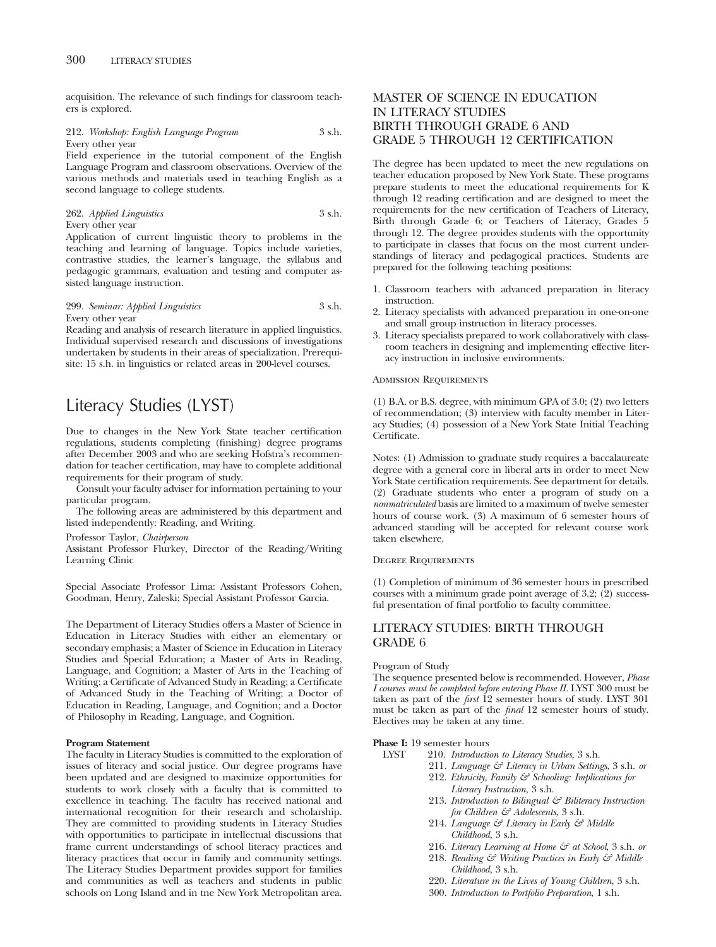acquisition. The relevance of such findings for classroom teachers is explored.

#### 212. *Workshop: English Language Program* 3 s.h. Every other year

Field experience in the tutorial component of the English Language Program and classroom observations. Overview of the various methods and materials used in teaching English as a second language to college students.

262. *Applied Linguistics* 3 s.h. Every other year

Application of current linguistic theory to problems in the teaching and learning of language. Topics include varieties, contrastive studies, the learner's language, the syllabus and pedagogic grammars, evaluation and testing and computer assisted language instruction.

## 299. *Seminar: Applied Linguistics* 3 s.h. Every other year

Reading and analysis of research literature in applied linguistics. Individual supervised research and discussions of investigations undertaken by students in their areas of specialization. Prerequisite: 15 s.h. in linguistics or related areas in 200-level courses.

# Literacy Studies (LYST)

Due to changes in the New York State teacher certification regulations, students completing (finishing) degree programs after December 2003 and who are seeking Hofstra's recommendation for teacher certification, may have to complete additional requirements for their program of study.

Consult your faculty adviser for information pertaining to your particular program.

The following areas are administered by this department and listed independently: Reading, and Writing.

Professor Taylor, *Chairperson*

Assistant Professor Flurkey, Director of the Reading/Writing Learning Clinic

Special Associate Professor Lima: Assistant Professors Cohen, Goodman, Henry, Zaleski; Special Assistant Professor Garcia.

The Department of Literacy Studies offers a Master of Science in Education in Literacy Studies with either an elementary or secondary emphasis; a Master of Science in Education in Literacy Studies and Special Education; a Master of Arts in Reading, Language, and Cognition; a Master of Arts in the Teaching of Writing; a Certificate of Advanced Study in Reading; a Certificate of Advanced Study in the Teaching of Writing; a Doctor of Education in Reading, Language, and Cognition; and a Doctor of Philosophy in Reading, Language, and Cognition.

#### **Program Statement**

The faculty in Literacy Studies is committed to the exploration of issues of literacy and social justice. Our degree programs have been updated and are designed to maximize opportunities for students to work closely with a faculty that is committed to excellence in teaching. The faculty has received national and international recognition for their research and scholarship. They are committed to providing students in Literacy Studies with opportunities to participate in intellectual discussions that frame current understandings of school literacy practices and literacy practices that occur in family and community settings. The Literacy Studies Department provides support for families and communities as well as teachers and students in public schools on Long Island and in tne New York Metropolitan area.

# MASTER OF SCIENCE IN EDUCATION IN LITERACY STUDIES BIRTH THROUGH GRADE 6 AND GRADE 5 THROUGH 12 CERTIFICATION

The degree has been updated to meet the new regulations on teacher education proposed by New York State. These programs prepare students to meet the educational requirements for K through 12 reading certification and are designed to meet the requirements for the new certification of Teachers of Literacy, Birth through Grade 6; or Teachers of Literacy, Grades 5 through 12. The degree provides students with the opportunity to participate in classes that focus on the most current understandings of literacy and pedagogical practices. Students are prepared for the following teaching positions:

- 1. Classroom teachers with advanced preparation in literacy instruction.
- 2. Literacy specialists with advanced preparation in one-on-one and small group instruction in literacy processes.
- 3. Literacy specialists prepared to work collaboratively with classroom teachers in designing and implementing effective literacy instruction in inclusive environments.

#### Admission Requirements

(1) B.A. or B.S. degree, with minimum GPA of 3.0; (2) two letters of recommendation; (3) interview with faculty member in Literacy Studies; (4) possession of a New York State Initial Teaching Certificate.

Notes: (1) Admission to graduate study requires a baccalaureate degree with a general core in liberal arts in order to meet New York State certification requirements. See department for details. (2) Graduate students who enter a program of study on a *nonmatriculated* basis are limited to a maximum of twelve semester hours of course work. (3) A maximum of 6 semester hours of advanced standing will be accepted for relevant course work taken elsewhere.

#### Degree Requirements

(1) Completion of minimum of 36 semester hours in prescribed courses with a minimum grade point average of 3.2; (2) successful presentation of final portfolio to faculty committee.

# LITERACY STUDIES: BIRTH THROUGH GRADE 6

#### Program of Study

The sequence presented below is recommended. However, *Phase I courses must be completed before entering Phase II.* LYST 300 must be taken as part of the *first* 12 semester hours of study. LYST 301 must be taken as part of the *final* 12 semester hours of study. Electives may be taken at any time.

# **Phase I:** 19 semester hours<br>INST 210. *Introduction*

LYST 210. *Introduction to Literacy Studies,* 3 s.h.

- 211. *Language & Literacy in Urban Settings*, 3 s.h. *or* 212. *Ethnicity, Family & Schooling: Implications for*
- *Literacy Instruction*, 3 s.h.
- 213. *Introduction to Bilingual & Biliteracy Instruction for Children & Adolescents,* 3 s.h.
- 214. *Language & Literacy in Early & Middle Childhood*, 3 s.h.
- 216. *Literacy Learning at Home & at School*, 3 s.h. *or*
- 218. *Reading & Writing Practices in Early & Middle Childhood*, 3 s.h.
- 220. *Literature in the Lives of Young Children*, 3 s.h.
- 300. *Introduction to Portfolio Preparation*, 1 s.h.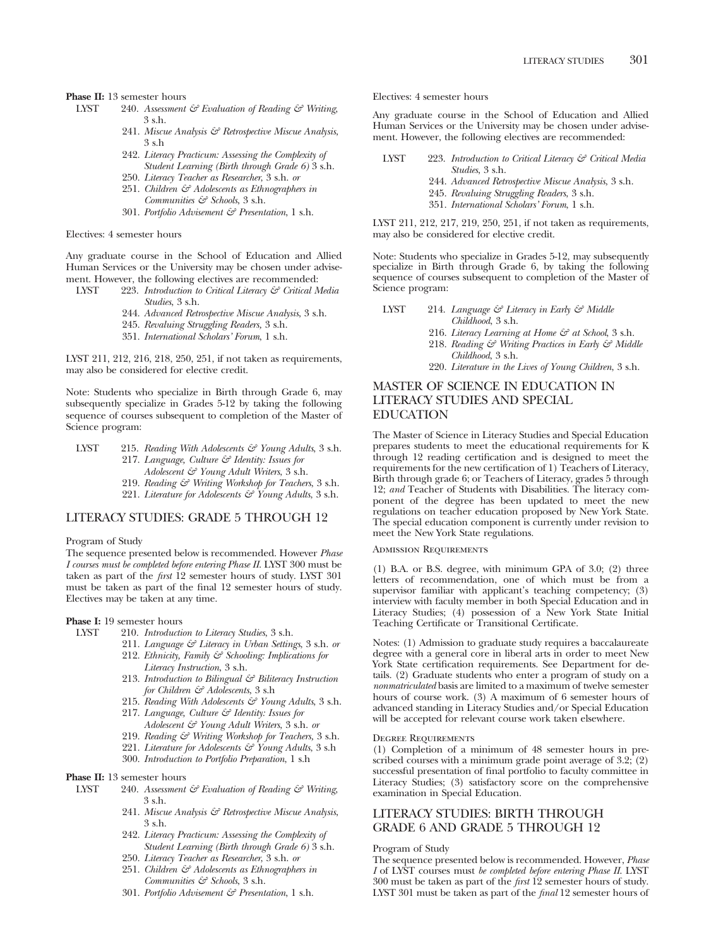**Phase II:** 13 semester hours<br>INST 240. Assessment

- LYST 240. *Assessment & Evaluation of Reading & Writing*, 3 s.h.
	- 241. *Miscue Analysis & Retrospective Miscue Analysis*, 3 s.h
	- 242. *Literacy Practicum: Assessing the Complexity of Student Learning (Birth through Grade 6)* 3 s.h.
	- 250. *Literacy Teacher as Researcher*, 3 s.h. *or*
	- 251. *Children & Adolescents as Ethnographers in Communities & Schools*, 3 s.h.
	- 301. *Portfolio Advisement & Presentation*, 1 s.h.

## Electives: 4 semester hours

Any graduate course in the School of Education and Allied Human Services or the University may be chosen under advisement. However, the following electives are recommended:<br> $LYST = 223$ . Introduction to Critical Literacy  $\mathcal{F}$  Critical N

- 223. *Introduction to Critical Literacy & Critical Media Studies*, 3 s.h.
	- 244. *Advanced Retrospective Miscue Analysis*, 3 s.h.
	- 245. *Revaluing Struggling Readers,* 3 s.h.
	- 351. *International Scholars' Forum*, 1 s.h.

LYST 211, 212, 216, 218, 250, 251, if not taken as requirements, may also be considered for elective credit.

Note: Students who specialize in Birth through Grade 6, may subsequently specialize in Grades 5-12 by taking the following sequence of courses subsequent to completion of the Master of Science program:

- LYST 215. *Reading With Adolescents & Young Adults*, 3 s.h. 217. *Language, Culture & Identity: Issues for Adolescent & Young Adult Writers*, 3 s.h. 219. *Reading & Writing Workshop for Teachers*, 3 s.h.
	- 221. *Literature for Adolescents & Young Adults*, 3 s.h.

#### LITERACY STUDIES: GRADE 5 THROUGH 12

#### Program of Study

The sequence presented below is recommended. However *Phase I courses must be completed before entering Phase II*. LYST 300 must be taken as part of the *first* 12 semester hours of study. LYST 301 must be taken as part of the final 12 semester hours of study. Electives may be taken at any time.

#### **Phase I:** 19 semester hours

- LYST 210. *Introduction to Literacy Studies*, 3 s.h.
	- 211. *Language & Literacy in Urban Settings*, 3 s.h. *or* 212. *Ethnicity, Family & Schooling: Implications for*
	- *Literacy Instruction*, 3 s.h. 213. *Introduction to Bilingual & Biliteracy Instruction*
	- *for Children & Adolescents*, 3 s.h 215. *Reading With Adolescents & Young Adults*, 3 s.h.
	- 217. *Language, Culture & Identity: Issues for Adolescent & Young Adult Writers*, 3 s.h. *or*
	- 219. *Reading & Writing Workshop for Teachers,* 3 s.h.
	- 221. *Literature for Adolescents & Young Adults*, 3 s.h
	- 300. *Introduction to Portfolio Preparation*, 1 s.h
- **Phase II:** 13 semester hours
- LYST 240. *Assessment & Evaluation of Reading & Writing*, 3 s.h.
	- 241. *Miscue Analysis & Retrospective Miscue Analysis*, 3 s.h.
	- 242. *Literacy Practicum: Assessing the Complexity of Student Learning (Birth through Grade 6)* 3 s.h.
	- 250. *Literacy Teacher as Researcher*, 3 s.h. *or*
	- 251. *Children & Adolescents as Ethnographers in Communities & Schools*, 3 s.h.
	- 301. *Portfolio Advisement & Presentation*, 1 s.h.

Electives: 4 semester hours

Any graduate course in the School of Education and Allied Human Services or the University may be chosen under advisement. However, the following electives are recommended:

- LYST 223. *Introduction to Critical Literacy & Critical Media Studies*, 3 s.h.
	- 244. *Advanced Retrospective Miscue Analysis*, 3 s.h.
	- 245. *Revaluing Struggling Readers*, 3 s.h.
	- 351. *International Scholars' Forum*, 1 s.h.

LYST 211, 212, 217, 219, 250, 251, if not taken as requirements, may also be considered for elective credit.

Note: Students who specialize in Grades 5-12, may subsequently specialize in Birth through Grade 6, by taking the following sequence of courses subsequent to completion of the Master of Science program:

- LYST 214. *Language & Literacy in Early & Middle Childhood*, 3 s.h.
	- 216. *Literacy Learning at Home & at School*, 3 s.h.
	- 218. *Reading & Writing Practices in Early & Middle Childhood*, 3 s.h.
	- 220. *Literature in the Lives of Young Children*, 3 s.h.

# MASTER OF SCIENCE IN EDUCATION IN LITERACY STUDIES AND SPECIAL EDUCATION

The Master of Science in Literacy Studies and Special Education prepares students to meet the educational requirements for K through 12 reading certification and is designed to meet the requirements for the new certification of 1) Teachers of Literacy, Birth through grade 6; or Teachers of Literacy, grades 5 through 12; *and* Teacher of Students with Disabilities. The literacy component of the degree has been updated to meet the new regulations on teacher education proposed by New York State. The special education component is currently under revision to meet the New York State regulations.

Admission Requirements

(1) B.A. or B.S. degree, with minimum GPA of 3.0; (2) three letters of recommendation, one of which must be from a supervisor familiar with applicant's teaching competency; (3) interview with faculty member in both Special Education and in Literacy Studies; (4) possession of a New York State Initial Teaching Certificate or Transitional Certificate.

Notes: (1) Admission to graduate study requires a baccalaureate degree with a general core in liberal arts in order to meet New York State certification requirements. See Department for details. (2) Graduate students who enter a program of study on a *nonmatriculated* basis are limited to a maximum of twelve semester hours of course work. (3) A maximum of 6 semester hours of advanced standing in Literacy Studies and/or Special Education will be accepted for relevant course work taken elsewhere.

#### Degree Requirements

(1) Completion of a minimum of 48 semester hours in prescribed courses with a minimum grade point average of  $3.2$ ;  $(2)$ successful presentation of final portfolio to faculty committee in Literacy Studies; (3) satisfactory score on the comprehensive examination in Special Education.

# LITERACY STUDIES: BIRTH THROUGH GRADE 6 AND GRADE 5 THROUGH 12

#### Program of Study

The sequence presented below is recommended. However, *Phase I* of LYST courses must *be completed before entering Phase II*. LYST 300 must be taken as part of the *first* 12 semester hours of study. LYST 301 must be taken as part of the *final* 12 semester hours of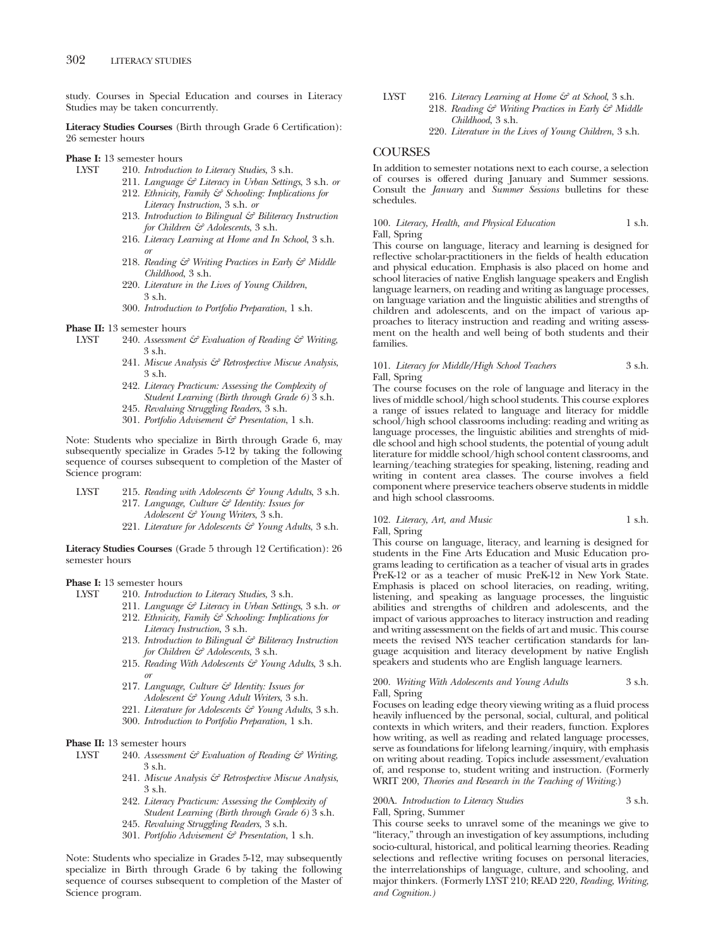study. Courses in Special Education and courses in Literacy Studies may be taken concurrently.

**Literacy Studies Courses** (Birth through Grade 6 Certification): 26 semester hours

# **Phase I:** 13 semester hours<br>LYST 210. *Introducti*

- 210. *Introduction to Literacy Studies*, 3 s.h.
- 211. *Language & Literacy in Urban Settings*, 3 s.h. *or* 212. *Ethnicity, Family & Schooling: Implications for Literacy Instruction*, 3 s.h. *or*
- 213. *Introduction to Bilingual & Biliteracy Instruction for Children & Adolescents*, 3 s.h.
- 216. *Literacy Learning at Home and In School*, 3 s.h. *or*
- 218. *Reading & Writing Practices in Early & Middle Childhood*, 3 s.h.
- 220. *Literature in the Lives of Young Children*, 3 s.h.
- 300. *Introduction to Portfolio Preparation*, 1 s.h.

#### **Phase II:** 13 semester hours

- LYST 240. *Assessment & Evaluation of Reading & Writing*, 3 s.h.
	- 241. *Miscue Analysis & Retrospective Miscue Analysis*, 3 s.h.
	- 242. *Literacy Practicum: Assessing the Complexity of Student Learning (Birth through Grade 6)* 3 s.h.
	- 245. *Revaluing Struggling Readers*, 3 s.h.
	- 301. *Portfolio Advisement & Presentation*, 1 s.h.

Note: Students who specialize in Birth through Grade 6, may subsequently specialize in Grades 5-12 by taking the following sequence of courses subsequent to completion of the Master of Science program:

- LYST 215. *Reading with Adolescents & Young Adults*, 3 s.h. 217. *Language, Culture & Identity: Issues for Adolescent & Young Writers*, 3 s.h.
	- 221. *Literature for Adolescents & Young Adults*, 3 s.h.

**Literacy Studies Courses** (Grade 5 through 12 Certification): 26 semester hours

# **Phase I:** 13 semester hours<br>INST 210. *Introducti*

- LYST 210. *Introduction to Literacy Studies*, 3 s.h.
	- 211. *Language & Literacy in Urban Settings*, 3 s.h. *or* 212. *Ethnicity, Family & Schooling: Implications for Literacy Instruction*, 3 s.h.
	- 213. *Introduction to Bilingual & Biliteracy Instruction for Children & Adolescents*, 3 s.h.
	- 215. *Reading With Adolescents & Young Adults*, 3 s.h. *or*
	- 217. *Language, Culture & Identity: Issues for Adolescent & Young Adult Writers*, 3 s.h.
	- 221. *Literature for Adolescents & Young Adults*, 3 s.h.
	- 300. *Introduction to Portfolio Preparation*, 1 s.h.

# **Phase II:** 13 semester hours<br>LYST 240. Assessment

- LYST 240. *Assessment & Evaluation of Reading & Writing*, 3 s.h.
	- 241. *Miscue Analysis & Retrospective Miscue Analysis*, 3 s.h.
	- 242. *Literacy Practicum: Assessing the Complexity of Student Learning (Birth through Grade 6)* 3 s.h.
	- 245. *Revaluing Struggling Readers*, 3 s.h.
	- 301. *Portfolio Advisement & Presentation*, 1 s.h.

Note: Students who specialize in Grades 5-12, may subsequently specialize in Birth through Grade 6 by taking the following sequence of courses subsequent to completion of the Master of Science program.

- LYST 216. *Literacy Learning at Home & at School*, 3 s.h. 218. *Reading & Writing Practices in Early & Middle Childhood*, 3 s.h.
	- 220. *Literature in the Lives of Young Children*, 3 s.h.

# **COURSES**

In addition to semester notations next to each course, a selection of courses is offered during January and Summer sessions. Consult the *January* and *Summer Sessions* bulletins for these schedules.

100. *Literacy, Health, and Physical Education* 1 s.h. Fall, Spring

This course on language, literacy and learning is designed for reflective scholar-practitioners in the fields of health education and physical education. Emphasis is also placed on home and school literacies of native English language speakers and English language learners, on reading and writing as language processes, on language variation and the linguistic abilities and strengths of children and adolescents, and on the impact of various approaches to literacy instruction and reading and writing assessment on the health and well being of both students and their families.

#### 101. *Literacy for Middle/High School Teachers* 3 s.h. Fall, Spring

The course focuses on the role of language and literacy in the lives of middle school/high school students. This course explores a range of issues related to language and literacy for middle school/high school classrooms including: reading and writing as language processes, the linguistic abilities and strenghts of middle school and high school students, the potential of young adult literature for middle school/high school content classrooms, and learning/teaching strategies for speaking, listening, reading and writing in content area classes. The course involves a field component where preservice teachers observe students in middle and high school classrooms.

#### 102. *Literacy, Art, and Music* 1 s.h.

Fall, Spring

This course on language, literacy, and learning is designed for students in the Fine Arts Education and Music Education programs leading to certification as a teacher of visual arts in grades PreK-12 or as a teacher of music PreK-12 in New York State. Emphasis is placed on school literacies, on reading, writing, listening, and speaking as language processes, the linguistic abilities and strengths of children and adolescents, and the impact of various approaches to literacy instruction and reading and writing assessment on the fields of art and music. This course meets the revised NYS teacher certification standards for language acquisition and literacy development by native English speakers and students who are English language learners.

#### 200. *Writing With Adolescents and Young Adults* 3 s.h. Fall, Spring

Focuses on leading edge theory viewing writing as a fluid process heavily influenced by the personal, social, cultural, and political contexts in which writers, and their readers, function. Explores how writing, as well as reading and related language processes, serve as foundations for lifelong learning/inquiry, with emphasis on writing about reading. Topics include assessment/evaluation of, and response to, student writing and instruction. (Formerly WRIT 200, *Theories and Research in the Teaching of Writing.*)

#### 200A. *Introduction to Literacy Studies* 3 s.h.

Fall, Spring, Summer

This course seeks to unravel some of the meanings we give to "literacy," through an investigation of key assumptions, including socio-cultural, historical, and political learning theories. Reading selections and reflective writing focuses on personal literacies, the interrelationships of language, culture, and schooling, and major thinkers. (Formerly LYST 210; READ 220, *Reading, Writing, and Cognition.)*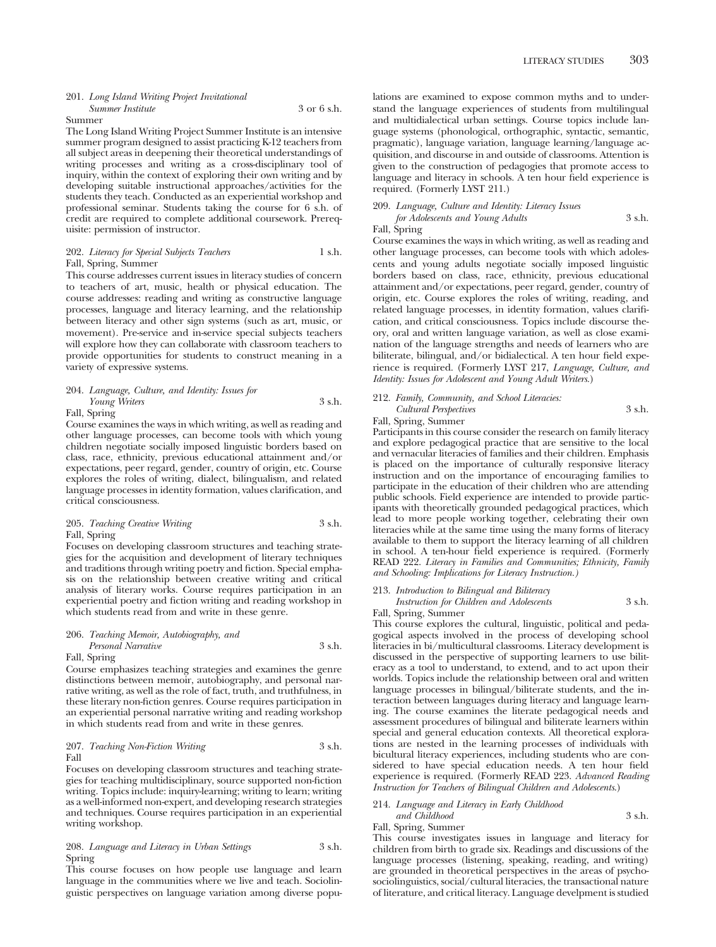#### 201. *Long Island Writing Project Invitational Summer Institute* 3 or 6 s.h.

#### Summer

The Long Island Writing Project Summer Institute is an intensive summer program designed to assist practicing K-12 teachers from all subject areas in deepening their theoretical understandings of writing processes and writing as a cross-disciplinary tool of inquiry, within the context of exploring their own writing and by developing suitable instructional approaches/activities for the students they teach. Conducted as an experiential workshop and professional seminar. Students taking the course for 6 s.h. of credit are required to complete additional coursework. Prerequisite: permission of instructor.

#### 202. *Literacy for Special Subjects Teachers* 1 s.h. Fall, Spring, Summer

This course addresses current issues in literacy studies of concern to teachers of art, music, health or physical education. The course addresses: reading and writing as constructive language processes, language and literacy learning, and the relationship between literacy and other sign systems (such as art, music, or movement). Pre-service and in-service special subjects teachers will explore how they can collaborate with classroom teachers to provide opportunities for students to construct meaning in a variety of expressive systems.

# 204. *Language, Culture, and Identity: Issues for Young Writers* 3 s.h.

Fall, Spring

Course examines the ways in which writing, as well as reading and other language processes, can become tools with which young children negotiate socially imposed linguistic borders based on class, race, ethnicity, previous educational attainment and/or expectations, peer regard, gender, country of origin, etc. Course explores the roles of writing, dialect, bilingualism, and related language processes in identity formation, values clarification, and critical consciousness.

#### 205. *Teaching Creative Writing* 3 s.h. Fall, Spring

Focuses on developing classroom structures and teaching strategies for the acquisition and development of literary techniques and traditions through writing poetry and fiction. Special emphasis on the relationship between creative writing and critical analysis of literary works. Course requires participation in an experiential poetry and fiction writing and reading workshop in which students read from and write in these genre.

#### 206. *Teaching Memoir, Autobiography, and*

*Personal Narrative* 3 s.h. Fall, Spring

Course emphasizes teaching strategies and examines the genre distinctions between memoir, autobiography, and personal narrative writing, as well as the role of fact, truth, and truthfulness, in these literary non-fiction genres. Course requires participation in an experiential personal narrative writing and reading workshop in which students read from and write in these genres.

#### 207. *Teaching Non-Fiction Writing* 3 s.h. Fall

Focuses on developing classroom structures and teaching strategies for teaching multidisciplinary, source supported non-fiction writing. Topics include: inquiry-learning; writing to learn; writing as a well-informed non-expert, and developing research strategies and techniques. Course requires participation in an experiential writing workshop.

#### 208. *Language and Literacy in Urban Settings* 3 s.h. Spring

This course focuses on how people use language and learn language in the communities where we live and teach. Sociolinguistic perspectives on language variation among diverse populations are examined to expose common myths and to understand the language experiences of students from multilingual and multidialectical urban settings. Course topics include language systems (phonological, orthographic, syntactic, semantic, pragmatic), language variation, language learning/language acquisition, and discourse in and outside of classrooms. Attention is given to the construction of pedagogies that promote access to language and literacy in schools. A ten hour field experience is required. (Formerly LYST 211.)

# 209. *Language, Culture and Identity: Literacy Issues for Adolescents and Young Adults* 3 s.h.

Fall, Spring

Course examines the ways in which writing, as well as reading and other language processes, can become tools with which adolescents and young adults negotiate socially imposed linguistic borders based on class, race, ethnicity, previous educational attainment and/or expectations, peer regard, gender, country of origin, etc. Course explores the roles of writing, reading, and related language processes, in identity formation, values clarification, and critical consciousness. Topics include discourse theory, oral and written language variation, as well as close examination of the language strengths and needs of learners who are biliterate, bilingual, and/or bidialectical. A ten hour field experience is required. (Formerly LYST 217, *Language, Culture, and Identity: Issues for Adolescent and Young Adult Writers.*)

### 212. *Family, Community, and School Literacies: Cultural Perspectives* 3 s.h.

# Fall, Spring, Summer

Participants in this course consider the research on family literacy and explore pedagogical practice that are sensitive to the local and vernacular literacies of families and their children. Emphasis is placed on the importance of culturally responsive literacy instruction and on the importance of encouraging families to participate in the education of their children who are attending public schools. Field experience are intended to provide participants with theoretically grounded pedagogical practices, which lead to more people working together, celebrating their own literacies while at the same time using the many forms of literacy available to them to support the literacy learning of all children in school. A ten-hour field experience is required. (Formerly READ 222. *Literacy in Families and Communities; Ethnicity, Family and Schooling: Implications for Literacy Instruction.)*

## 213. *Introduction to Bilingual and Biliteracy*

*Instruction for Children and Adolescents* 3 s.h.

Fall, Spring, Summer

This course explores the cultural, linguistic, political and pedagogical aspects involved in the process of developing school literacies in bi/multicultural classrooms. Literacy development is discussed in the perspective of supporting learners to use biliteracy as a tool to understand, to extend, and to act upon their worlds. Topics include the relationship between oral and written language processes in bilingual/biliterate students, and the interaction between languages during literacy and language learning. The course examines the literate pedagogical needs and assessment procedures of bilingual and biliterate learners within special and general education contexts. All theoretical explorations are nested in the learning processes of individuals with bicultural literacy experiences, including students who are considered to have special education needs. A ten hour field experience is required. (Formerly READ 223. *Advanced Reading Instruction for Teachers of Bilingual Children and Adolescents*.)

#### 214. *Language and Literacy in Early Childhood and Childhood* 3 s.h.

Fall, Spring, Summer

This course investigates issues in language and literacy for children from birth to grade six. Readings and discussions of the language processes (listening, speaking, reading, and writing) are grounded in theoretical perspectives in the areas of psychosociolinguistics, social/cultural literacies, the transactional nature of literature, and critical literacy. Language develpment is studied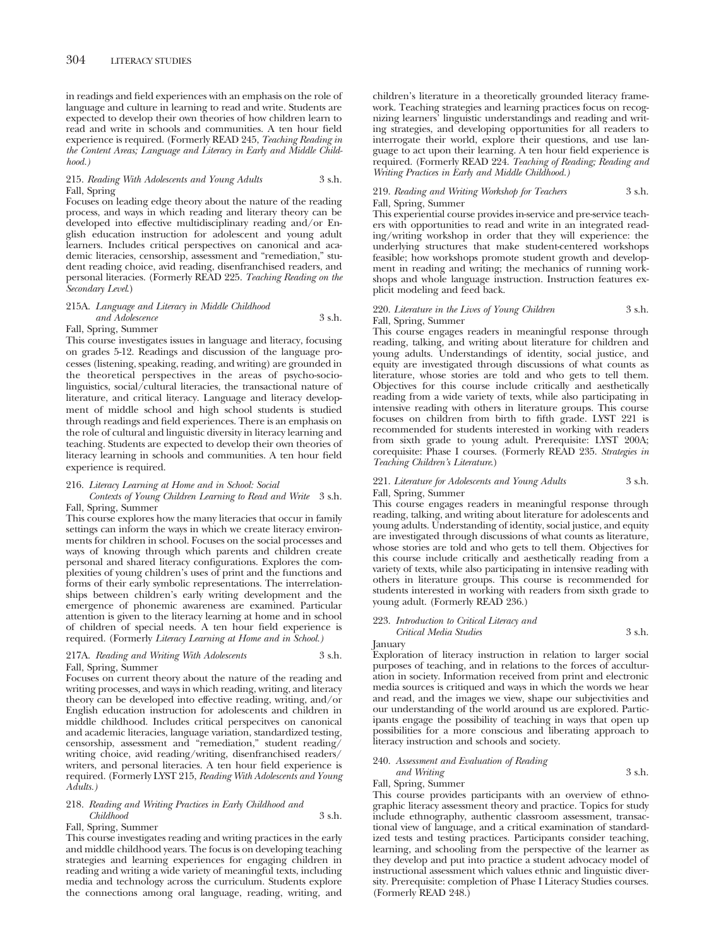in readings and field experiences with an emphasis on the role of language and culture in learning to read and write. Students are expected to develop their own theories of how children learn to read and write in schools and communities. A ten hour field experience is required. (Formerly READ 245, *Teaching Reading in the Content Areas; Language and Literacy in Early and Middle Childhood.)*

#### 215. *Reading With Adolescents and Young Adults* 3 s.h. Fall, Spring

Focuses on leading edge theory about the nature of the reading process, and ways in which reading and literary theory can be developed into effective multidisciplinary reading and/or English education instruction for adolescent and young adult learners. Includes critical perspectives on canonical and academic literacies, censorship, assessment and "remediation," student reading choice, avid reading, disenfranchised readers, and personal literacies. (Formerly READ 225. *Teaching Reading on the Secondary Level*.)

#### 215A. *Language and Literacy in Middle Childhood and Adolescence* 3 s.h. Fall, Spring, Summer

This course investigates issues in language and literacy, focusing on grades 5-12. Readings and discussion of the language processes (listening, speaking, reading, and writing) are grounded in the theoretical perspectives in the areas of psycho-sociolinguistics, social/cultural literacies, the transactional nature of literature, and critical literacy. Language and literacy development of middle school and high school students is studied through readings and field experiences. There is an emphasis on the role of cultural and linguistic diversity in literacy learning and teaching. Students are expected to develop their own theories of literacy learning in schools and communities. A ten hour field experience is required.

#### 216. *Literacy Learning at Home and in School: Social*

#### *Contexts of Young Children Learning to Read and Write* 3 s.h. Fall, Spring, Summer

This course explores how the many literacies that occur in family settings can inform the ways in which we create literacy environments for children in school. Focuses on the social processes and ways of knowing through which parents and children create personal and shared literacy configurations. Explores the complexities of young children's uses of print and the functions and forms of their early symbolic representations. The interrelationships between children's early writing development and the emergence of phonemic awareness are examined. Particular attention is given to the literacy learning at home and in school of children of special needs. A ten hour field experience is required. (Formerly *Literacy Learning at Home and in School.)*

#### 217A. *Reading and Writing With Adolescents* 3 s.h. Fall, Spring, Summer

Focuses on current theory about the nature of the reading and writing processes, and ways in which reading, writing, and literacy theory can be developed into effective reading, writing, and/or English education instruction for adolescents and children in middle childhood. Includes critical perspecitves on canonical and academic literacies, language variation, standardized testing, censorship, assessment and "remediation," student reading/ writing choice, avid reading/writing, disenfranchised readers/ writers, and personal literacies. A ten hour field experience is required. (Formerly LYST 215, *Reading With Adolescents and Young Adults.)*

## 218. *Reading and Writing Practices in Early Childhood and Childhood* 3 s.h.

Fall, Spring, Summer

This course investigates reading and writing practices in the early and middle childhood years. The focus is on developing teaching strategies and learning experiences for engaging children in reading and writing a wide variety of meaningful texts, including media and technology across the curriculum. Students explore the connections among oral language, reading, writing, and

children's literature in a theoretically grounded literacy framework. Teaching strategies and learning practices focus on recognizing learners' linguistic understandings and reading and writing strategies, and developing opportunities for all readers to interrogate their world, explore their questions, and use language to act upon their learning. A ten hour field experience is required. (Formerly READ 224. *Teaching of Reading; Reading and Writing Practices in Early and Middle Childhood.)*

#### 219. *Reading and Writing Workshop for Teachers* 3 s.h. Fall, Spring, Summer

This experiential course provides in-service and pre-service teachers with opportunities to read and write in an integrated reading/writing workshop in order that they will experience: the underlying structures that make student-centered workshops feasible; how workshops promote student growth and development in reading and writing; the mechanics of running workshops and whole language instruction. Instruction features explicit modeling and feed back.

#### 220. *Literature in the Lives of Young Children* 3 s.h. Fall, Spring, Summer

This course engages readers in meaningful response through reading, talking, and writing about literature for children and young adults. Understandings of identity, social justice, and equity are investigated through discussions of what counts as literature, whose stories are told and who gets to tell them. Objectives for this course include critically and aesthetically reading from a wide variety of texts, while also participating in intensive reading with others in literature groups. This course focuses on children from birth to fifth grade. LYST 221 is recommended for students interested in working with readers from sixth grade to young adult. Prerequisite: LYST 200A; corequisite: Phase I courses. (Formerly READ 235. *Strategies in Teaching Children's Literature*.)

#### 221. *Literature for Adolescents and Young Adults* 3 s.h. Fall, Spring, Summer

This course engages readers in meaningful response through reading, talking, and writing about literature for adolescents and young adults. Understanding of identity, social justice, and equity are investigated through discussions of what counts as literature, whose stories are told and who gets to tell them. Objectives for this course include critically and aesthetically reading from a variety of texts, while also participating in intensive reading with others in literature groups. This course is recommended for students interested in working with readers from sixth grade to young adult. (Formerly READ 236.)

#### 223. *Introduction to Critical Literacy and*

*Critical Media Studies* 3 s.h.

January

Exploration of literacy instruction in relation to larger social purposes of teaching, and in relations to the forces of acculturation in society. Information received from print and electronic media sources is critiqued and ways in which the words we hear and read, and the images we view, shape our subjectivities and our understanding of the world around us are explored. Participants engage the possibility of teaching in ways that open up possibilities for a more conscious and liberating approach to literacy instruction and schools and society.

## 240. *Assessment and Evaluation of Reading and Writing* 3 s.h.

## Fall, Spring, Summer

This course provides participants with an overview of ethnographic literacy assessment theory and practice. Topics for study include ethnography, authentic classroom assessment, transactional view of language, and a critical examination of standardized tests and testing practices. Participants consider teaching, learning, and schooling from the perspective of the learner as they develop and put into practice a student advocacy model of instructional assessment which values ethnic and linguistic diversity. Prerequisite: completion of Phase I Literacy Studies courses. (Formerly READ 248.)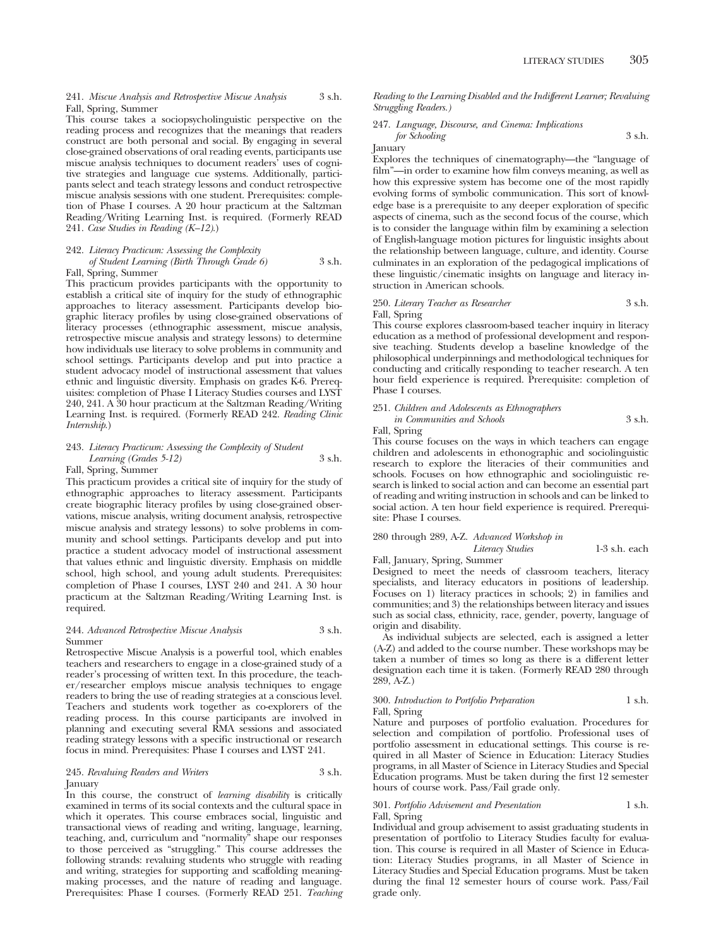241. *Miscue Analysis and Retrospective Miscue Analysis* 3 s.h. Fall, Spring, Summer

This course takes a sociopsycholinguistic perspective on the reading process and recognizes that the meanings that readers construct are both personal and social. By engaging in several close-grained observations of oral reading events, participants use miscue analysis techniques to document readers' uses of cognitive strategies and language cue systems. Additionally, participants select and teach strategy lessons and conduct retrospective miscue analysis sessions with one student. Prerequisites: completion of Phase I courses. A 20 hour practicum at the Saltzman Reading/Writing Learning Inst. is required. (Formerly READ 241. *Case Studies in Reading (K–12)*.)

242. *Literacy Practicum: Assessing the Complexity of Student Learning (Birth Through Grade 6)* 3 s.h. Fall, Spring, Summer

This practicum provides participants with the opportunity to establish a critical site of inquiry for the study of ethnographic approaches to literacy assessment. Participants develop biographic literacy profiles by using close-grained observations of literacy processes (ethnographic assessment, miscue analysis, retrospective miscue analysis and strategy lessons) to determine how individuals use literacy to solve problems in community and school settings. Participants develop and put into practice a student advocacy model of instructional assessment that values ethnic and linguistic diversity. Emphasis on grades K-6. Prereq-

uisites: completion of Phase I Literacy Studies courses and LYST 240, 241. A 30 hour practicum at the Saltzman Reading/Writing Learning Inst. is required. (Formerly READ 242. *Reading Clinic Internship*.)

#### 243. *Literacy Practicum: Assessing the Complexity of Student Learning (Grades 5-12)* 3 s.h. Fall, Spring, Summer

This practicum provides a critical site of inquiry for the study of ethnographic approaches to literacy assessment. Participants create biographic literacy profiles by using close-grained observations, miscue analysis, writing document analysis, retrospective miscue analysis and strategy lessons) to solve problems in community and school settings. Participants develop and put into practice a student advocacy model of instructional assessment that values ethnic and linguistic diversity. Emphasis on middle school, high school, and young adult students. Prerequisites: completion of Phase I courses, LYST 240 and 241. A 30 hour practicum at the Saltzman Reading/Writing Learning Inst. is required.

#### 244. *Advanced Retrospective Miscue Analysis* 3 s.h. Summer

Retrospective Miscue Analysis is a powerful tool, which enables teachers and researchers to engage in a close-grained study of a reader's processing of written text. In this procedure, the teacher/researcher employs miscue analysis techniques to engage readers to bring the use of reading strategies at a conscious level. Teachers and students work together as co-explorers of the reading process. In this course participants are involved in planning and executing several RMA sessions and associated reading strategy lessons with a specific instructional or research focus in mind. Prerequisites: Phase I courses and LYST 241.

#### 245. *Revaluing Readers and Writers* 3 s.h. January

In this course, the construct of *learning disability* is critically examined in terms of its social contexts and the cultural space in which it operates. This course embraces social, linguistic and transactional views of reading and writing, language, learning, teaching, and, curriculum and "normality" shape our responses to those perceived as "struggling." This course addresses the following strands: revaluing students who struggle with reading and writing, strategies for supporting and scaffolding meaningmaking processes, and the nature of reading and language. Prerequisites: Phase I courses. (Formerly READ 251. *Teaching* *Reading to the Learning Disabled and the Indifferent Learner; Revaluing Struggling Readers.)*

#### 247. *Language, Discourse, and Cinema: Implications for Schooling* 3 s.h.

January

Explores the techniques of cinematography—the "language of film"—in order to examine how film conveys meaning, as well as how this expressive system has become one of the most rapidly evolving forms of symbolic communication. This sort of knowledge base is a prerequisite to any deeper exploration of specific aspects of cinema, such as the second focus of the course, which is to consider the language within film by examining a selection of English-language motion pictures for linguistic insights about the relationship between language, culture, and identity. Course culminates in an exploration of the pedagogical implications of these linguistic/cinematic insights on language and literacy instruction in American schools.

# 250. *Literary Teacher as Researcher* 3 s.h. Fall, Spring

This course explores classroom-based teacher inquiry in literacy education as a method of professional development and responsive teaching. Students develop a baseline knowledge of the philosophical underpinnings and methodological techniques for conducting and critically responding to teacher research. A ten hour field experience is required. Prerequisite: completion of Phase I courses.

### 251. *Children and Adolescents as Ethnographers*

*in Communities and Schools* 3 s.h. Fall, Spring

This course focuses on the ways in which teachers can engage children and adolescents in ethonographic and sociolinguistic research to explore the literacies of their communities and schools. Focuses on how ethnographic and sociolinguistic research is linked to social action and can become an essential part of reading and writing instruction in schools and can be linked to social action. A ten hour field experience is required. Prerequisite: Phase I courses.

## 280 through 289, A-Z. *Advanced Workshop in Literacy Studies* 1-3 s.h. each

Fall, January, Spring, Summer

Designed to meet the needs of classroom teachers, literacy specialists, and literacy educators in positions of leadership. Focuses on 1) literacy practices in schools; 2) in families and communities; and 3) the relationships between literacy and issues such as social class, ethnicity, race, gender, poverty, language of origin and disability.

As individual subjects are selected, each is assigned a letter (A-Z) and added to the course number. These workshops may be taken a number of times so long as there is a different letter designation each time it is taken. (Formerly READ 280 through 289, A-Z.)

#### 300. *Introduction to Portfolio Preparation* 1 s.h.

Fall, Spring

Nature and purposes of portfolio evaluation. Procedures for selection and compilation of portfolio. Professional uses of portfolio assessment in educational settings. This course is required in all Master of Science in Education: Literacy Studies programs, in all Master of Science in Literacy Studies and Special Education programs. Must be taken during the first 12 semester hours of course work. Pass/Fail grade only.

#### 301. *Portfolio Advisement and Presentation* 1 s.h. Fall, Spring

Individual and group advisement to assist graduating students in presentation of portfolio to Literacy Studies faculty for evaluation. This course is required in all Master of Science in Education: Literacy Studies programs, in all Master of Science in Literacy Studies and Special Education programs. Must be taken during the final 12 semester hours of course work. Pass/Fail grade only.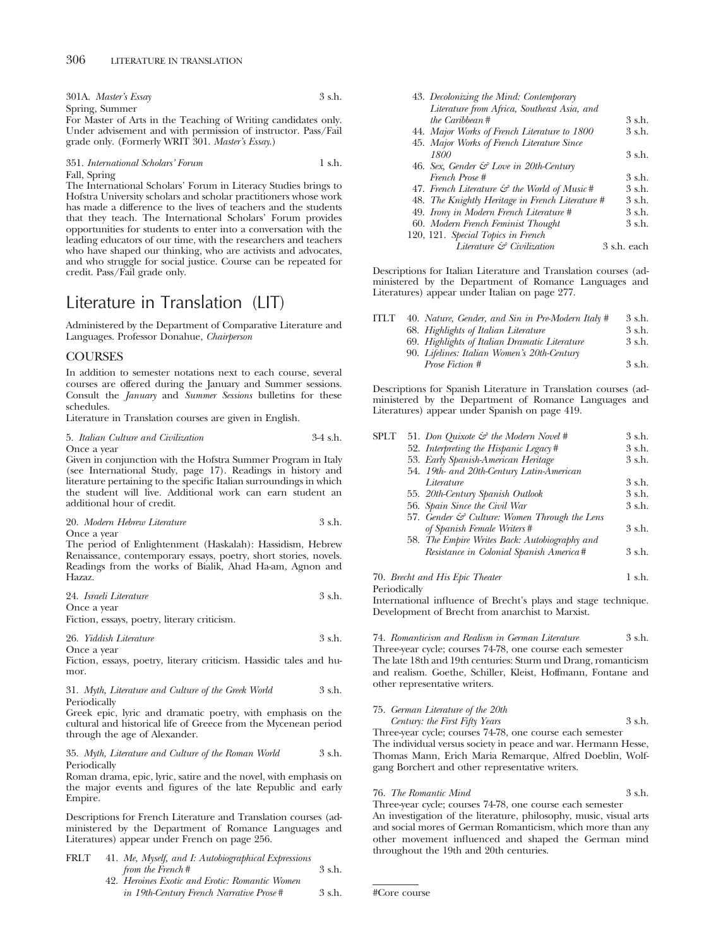| 301A. Master's Essay | 3 s.h. |
|----------------------|--------|
| Spring, Summer       |        |

For Master of Arts in the Teaching of Writing candidates only. Under advisement and with permission of instructor. Pass/Fail grade only. (Formerly WRIT 301. *Master's Essay*.)

351. *International Scholars' Forum* 1 s.h. Fall, Spring

The International Scholars' Forum in Literacy Studies brings to Hofstra University scholars and scholar practitioners whose work has made a difference to the lives of teachers and the students that they teach. The International Scholars' Forum provides opportunities for students to enter into a conversation with the leading educators of our time, with the researchers and teachers who have shaped our thinking, who are activists and advocates, and who struggle for social justice. Course can be repeated for credit. Pass/Fail grade only.

# Literature in Translation (LIT)

Administered by the Department of Comparative Literature and Languages. Professor Donahue, *Chairperson*

### COURSES

In addition to semester notations next to each course, several courses are offered during the January and Summer sessions. Consult the *January* and *Summer Sessions* bulletins for these schedules.

Literature in Translation courses are given in English.

5. *Italian Culture and Civilization* 3-4 s.h. Once a year

Given in conjunction with the Hofstra Summer Program in Italy (see International Study, page 17). Readings in history and literature pertaining to the specific Italian surroundings in which the student will live. Additional work can earn student an additional hour of credit.

|  | 20. Modern Hebrew Literature | 3 s.h. |  |
|--|------------------------------|--------|--|
|  |                              |        |  |

Once a year

The period of Enlightenment (Haskalah): Hassidism, Hebrew Renaissance, contemporary essays, poetry, short stories, novels. Readings from the works of Bialik, Ahad Ha-am, Agnon and Hazaz.

| 24. Israeli Literature | 3 s.h. |
|------------------------|--------|
|------------------------|--------|

Once a year Fiction, essays, poetry, literary criticism.

```
26. Yiddish Literature 3 s.h.
```
Once a year

Fiction, essays, poetry, literary criticism. Hassidic tales and humor.

31. *Myth, Literature and Culture of the Greek World* 3 s.h. Periodically

Greek epic, lyric and dramatic poetry, with emphasis on the cultural and historical life of Greece from the Mycenean period through the age of Alexander.

35. *Myth, Literature and Culture of the Roman World* 3 s.h. Periodically

Roman drama, epic, lyric, satire and the novel, with emphasis on the major events and figures of the late Republic and early Empire.

Descriptions for French Literature and Translation courses (administered by the Department of Romance Languages and Literatures) appear under French on page 256.

| FRLT | 41. Me, Myself, and I: Autobiographical Expressions |        |
|------|-----------------------------------------------------|--------|
|      | from the French#                                    | 3 s.h. |
|      | 42. Heroines Exotic and Erotic: Romantic Women      |        |

*in 19th-Century French Narrative Prose* # 3 s.h.

| 43. Decolonizing the Mind: Contemporary                  |             |
|----------------------------------------------------------|-------------|
| Literature from Africa, Southeast Asia, and              |             |
| the Caribbean#                                           | 3 s.h.      |
| 44. Major Works of French Literature to 1800             | 3 s.h.      |
| 45. Major Works of French Literature Since               |             |
| 1800                                                     | 3 s.h.      |
| 46. Sex, Gender & Love in 20th-Century                   |             |
| French Prose #                                           | 3 s.h.      |
| 47. French Literature $\mathcal{C}$ the World of Music # | $3$ s.h.    |
| 48. The Knightly Heritage in French Literature #         | 3 s.h.      |
| 49. Irony in Modern French Literature #                  | 3 s.h.      |
| 60. Modern French Feminist Thought                       | 3 s.h.      |
| 120, 121. Special Topics in French                       |             |
| Literature & Civilization                                | 3 s.h. each |

Descriptions for Italian Literature and Translation courses (administered by the Department of Romance Languages and Literatures) appear under Italian on page 277.

| ITLT- | 40. Nature, Gender, and Sin in Pre-Modern Italy # | 3 s.h.   |
|-------|---------------------------------------------------|----------|
|       | 68. Highlights of Italian Literature              | 3 s.h.   |
|       | 69. Highlights of Italian Dramatic Literature     | 3 s.h.   |
|       | 90. Lifelines: Italian Women's 20th-Century       |          |
|       | Prose Fiction #                                   | $3$ s.h. |

Descriptions for Spanish Literature in Translation courses (administered by the Department of Romance Languages and Literatures) appear under Spanish on page 419.

| <b>SPLT</b> | 51. Don Quixote $\mathcal{F}$ the Modern Novel #         | 3 s.h.      |
|-------------|----------------------------------------------------------|-------------|
|             | 52. Interpreting the Hispanic Legacy#                    | 3 s.h.      |
|             | 53. Early Spanish-American Heritage                      | 3 s.h.      |
|             | 54. 19th- and 20th-Century Latin-American                |             |
|             | Literature                                               | 3 s.h.      |
|             | 55. 20th-Century Spanish Outlook                         | $3 \,$ s.h. |
|             | 56. Spain Since the Civil War                            | 3 s.h.      |
|             | 57. Gender $\mathcal{C}$ Culture: Women Through the Lens |             |
|             | of Spanish Female Writers#                               | 3 s.h.      |
|             | 58. The Empire Writes Back: Autobiography and            |             |
|             | Resistance in Colonial Spanish America#                  | 3 s.h.      |
|             |                                                          |             |

70. *Brecht and His Epic Theater* 1 s.h.

Periodically

International influence of Brecht's plays and stage technique. Development of Brecht from anarchist to Marxist.

74. *Romanticism and Realism in German Literature* 3 s.h.

Three-year cycle; courses 74-78, one course each semester The late 18th and 19th centuries: Sturm und Drang, romanticism and realism. Goethe, Schiller, Kleist, Hoffmann, Fontane and other representative writers.

# 75. *German Literature of the 20th*

*Century: the First Fifty Years* 3 s.h. Three-year cycle; courses 74-78, one course each semester The individual versus society in peace and war. Hermann Hesse, Thomas Mann, Erich Maria Remarque, Alfred Doeblin, Wolfgang Borchert and other representative writers.

76. *The Romantic Mind* 3 s.h.

Three-year cycle; courses 74-78, one course each semester An investigation of the literature, philosophy, music, visual arts and social mores of German Romanticism, which more than any other movement influenced and shaped the German mind throughout the 19th and 20th centuries.

#Core course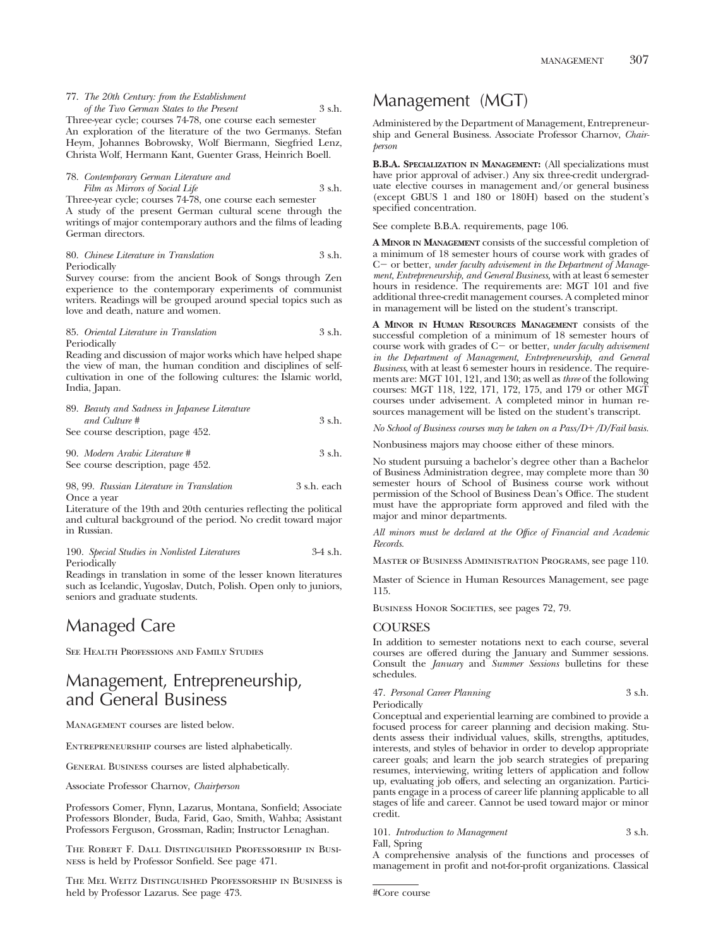77. *The 20th Century: from the Establishment of the Two German States to the Present* 3 s.h. Three-year cycle; courses 74-78, one course each semester

An exploration of the literature of the two Germanys. Stefan Heym, Johannes Bobrowsky, Wolf Biermann, Siegfried Lenz, Christa Wolf, Hermann Kant, Guenter Grass, Heinrich Boell.

78. *Contemporary German Literature and Film as Mirrors of Social Life* 3 s.h.

Three-year cycle; courses 74-78, one course each semester A study of the present German cultural scene through the writings of major contemporary authors and the films of leading German directors.

#### 80. *Chinese Literature in Translation* 3 s.h. Periodically

Survey course: from the ancient Book of Songs through Zen experience to the contemporary experiments of communist writers. Readings will be grouped around special topics such as love and death, nature and women.

85. *Oriental Literature in Translation* 3 s.h. Periodically

Reading and discussion of major works which have helped shape the view of man, the human condition and disciplines of selfcultivation in one of the following cultures: the Islamic world, India, Japan.

| 89. Beauty and Sadness in Japanese Literature |        |
|-----------------------------------------------|--------|
| and Culture #                                 | 3 s.h. |
| See course description, page 452.             |        |

```
90. Modern Arabic Literature # 3 s.h.
See course description, page 452.
```
98, 99. *Russian Literature in Translation* 3 s.h. each Once a year

Literature of the 19th and 20th centuries reflecting the political and cultural background of the period. No credit toward major in Russian.

```
190. Special Studies in Nonlisted Literatures 3-4 s.h.
Periodically
```
Readings in translation in some of the lesser known literatures such as Icelandic, Yugoslav, Dutch, Polish. Open only to juniors, seniors and graduate students.

# Managed Care

SEE HEALTH PROFESSIONS AND FAMILY STUDIES

# Management, Entrepreneurship, and General Business

Management courses are listed below.

ENTREPRENEURSHIP courses are listed alphabetically.

General Business courses are listed alphabetically.

Associate Professor Charnov, *Chairperson*

Professors Comer, Flynn, Lazarus, Montana, Sonfield; Associate Professors Blonder, Buda, Farid, Gao, Smith, Wahba; Assistant Professors Ferguson, Grossman, Radin; Instructor Lenaghan.

The Robert F. Dall Distinguished Professorship in Business is held by Professor Sonfield. See page 471.

The Mel Weitz Distinguished Professorship in Business is held by Professor Lazarus. See page 473.

# Management (MGT)

Administered by the Department of Management, Entrepreneurship and General Business. Associate Professor Charnov, *Chairperson*

**B.B.A. SPECIALIZATION IN MANAGEMENT:** (All specializations must have prior approval of adviser.) Any six three-credit undergraduate elective courses in management and/or general business (except GBUS 1 and 180 or 180H) based on the student's specified concentration.

See complete B.B.A. requirements, page 106.

**A MINOR IN MANAGEMENT** consists of the successful completion of a minimum of 18 semester hours of course work with grades of C - or better, *under faculty advisement in the Department of Manage ment, Entrepreneurship, and General Business,* with at least 6 semester hours in residence. The requirements are: MGT 101 and five additional three-credit management courses. A completed minor in management will be listed on the student's transcript.

**A MINOR IN HUMAN RESOURCES MANAGEMENT** consists of the successful completion of a minimum of 18 semester hours of course work with grades of C- or better, *under faculty advisement in the Department of Management, Entrepreneurship, and General Business*, with at least 6 semester hours in residence. The requirements are: MGT 101, 121, and 130; as well as *three* of the following courses: MGT 118, 122, 171, 172, 175, and 179 or other MGT courses under advisement. A completed minor in human resources management will be listed on the student's transcript.

*No School of Business courses may be taken on a Pass/D*-*/D/Fail basis.*

Nonbusiness majors may choose either of these minors.

No student pursuing a bachelor's degree other than a Bachelor of Business Administration degree, may complete more than 30 semester hours of School of Business course work without permission of the School of Business Dean's Office. The student must have the appropriate form approved and filed with the major and minor departments.

*All minors must be declared at the Office of Financial and Academic Records.*

Master of Business Administration Programs, see page 110.

Master of Science in Human Resources Management, see page 115.

BUSINESS HONOR SOCIETIES, see pages 72, 79.

#### **COURSES**

In addition to semester notations next to each course, several courses are offered during the January and Summer sessions. Consult the *January* and *Summer Sessions* bulletins for these schedules.

47. *Personal Career Planning* 3 s.h. Periodically

Conceptual and experiential learning are combined to provide a focused process for career planning and decision making. Students assess their individual values, skills, strengths, aptitudes, interests, and styles of behavior in order to develop appropriate career goals; and learn the job search strategies of preparing resumes, interviewing, writing letters of application and follow up, evaluating job offers, and selecting an organization. Participants engage in a process of career life planning applicable to all stages of life and career. Cannot be used toward major or minor credit.

101. *Introduction to Management* 3 s.h. Fall, Spring

A comprehensive analysis of the functions and processes of management in profit and not-for-profit organizations. Classical

#Core course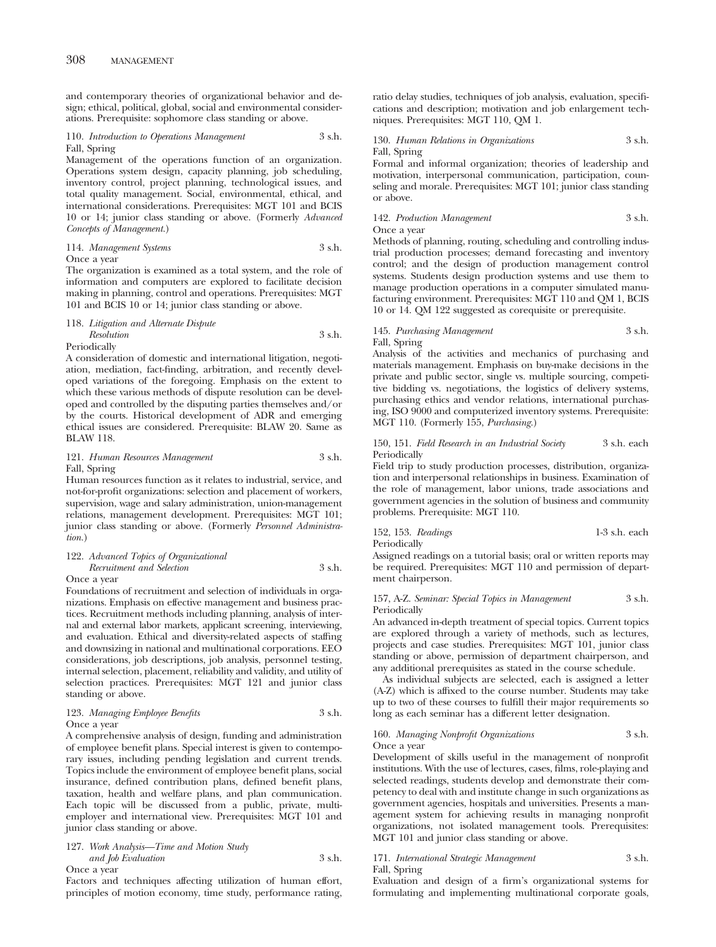and contemporary theories of organizational behavior and design; ethical, political, global, social and environmental considerations. Prerequisite: sophomore class standing or above.

#### 110. *Introduction to Operations Management* 3 s.h. Fall, Spring

Management of the operations function of an organization. Operations system design, capacity planning, job scheduling, inventory control, project planning, technological issues, and total quality management. Social, environmental, ethical, and international considerations. Prerequisites: MGT 101 and BCIS 10 or 14; junior class standing or above. (Formerly *Advanced Concepts of Management.*)

# 114. *Management Systems* 3 s.h.

Once a year

The organization is examined as a total system, and the role of information and computers are explored to facilitate decision making in planning, control and operations. Prerequisites: MGT 101 and BCIS 10 or 14; junior class standing or above.

#### 118. *Litigation and Alternate Dispute*

*Resolution* 3 s.h. Periodically

A consideration of domestic and international litigation, negotiation, mediation, fact-finding, arbitration, and recently developed variations of the foregoing. Emphasis on the extent to which these various methods of dispute resolution can be developed and controlled by the disputing parties themselves and/or by the courts. Historical development of ADR and emerging ethical issues are considered. Prerequisite: BLAW 20. Same as BLAW 118.

#### 121. *Human Resources Management* 3 s.h. Fall, Spring

Human resources function as it relates to industrial, service, and not-for-profit organizations: selection and placement of workers, supervision, wage and salary administration, union-management relations, management development. Prerequisites: MGT 101; junior class standing or above. (Formerly *Personnel Administration.*)

# 122. *Advanced Topics of Organizational*

*Recruitment and Selection* 3 s.h. Once a year

Foundations of recruitment and selection of individuals in organizations. Emphasis on effective management and business practices. Recruitment methods including planning, analysis of internal and external labor markets, applicant screening, interviewing, and evaluation. Ethical and diversity-related aspects of staffing and downsizing in national and multinational corporations. EEO considerations, job descriptions, job analysis, personnel testing, internal selection, placement, reliability and validity, and utility of selection practices. Prerequisites: MGT 121 and junior class standing or above.

#### 123. *Managing Employee Benefits* 3 s.h. Once a year

A comprehensive analysis of design, funding and administration of employee benefit plans. Special interest is given to contemporary issues, including pending legislation and current trends. Topics include the environment of employee benefit plans, social insurance, defined contribution plans, defined benefit plans, taxation, health and welfare plans, and plan communication. Each topic will be discussed from a public, private, multiemployer and international view. Prerequisites: MGT 101 and junior class standing or above.

127. *Work Analysis—Time and Motion Study and Job Evaluation* 3 s.h.

Once a year

Factors and techniques affecting utilization of human effort, principles of motion economy, time study, performance rating,

ratio delay studies, techniques of job analysis, evaluation, specifications and description; motivation and job enlargement techniques. Prerequisites: MGT 110, QM 1.

#### 130. *Human Relations in Organizations* 3 s.h. Fall, Spring

Formal and informal organization; theories of leadership and motivation, interpersonal communication, participation, counseling and morale. Prerequisites: MGT 101; junior class standing or above.

142. *Production Management* 3 s.h. Once a year

Methods of planning, routing, scheduling and controlling industrial production processes; demand forecasting and inventory control; and the design of production management control systems. Students design production systems and use them to manage production operations in a computer simulated manufacturing environment. Prerequisites: MGT 110 and QM 1, BCIS 10 or 14. QM 122 suggested as corequisite or prerequisite.

# 145. *Purchasing Management* 3 s.h. Fall, Spring

Analysis of the activities and mechanics of purchasing and materials management. Emphasis on buy-make decisions in the private and public sector, single vs. multiple sourcing, competitive bidding vs. negotiations, the logistics of delivery systems, purchasing ethics and vendor relations, international purchasing, ISO 9000 and computerized inventory systems. Prerequisite: MGT 110. (Formerly 155, *Purchasing.*)

#### 150, 151. *Field Research in an Industrial Society* 3 s.h. each Periodically

Field trip to study production processes, distribution, organization and interpersonal relationships in business. Examination of the role of management, labor unions, trade associations and government agencies in the solution of business and community problems. Prerequisite: MGT 110.

152, 153. *Readings* 1-3 s.h. each Periodically

Assigned readings on a tutorial basis; oral or written reports may be required. Prerequisites: MGT 110 and permission of department chairperson.

#### 157, A-Z. *Seminar: Special Topics in Management* 3 s.h. Periodically

An advanced in-depth treatment of special topics. Current topics are explored through a variety of methods, such as lectures, projects and case studies. Prerequisites: MGT 101, junior class standing or above, permission of department chairperson, and any additional prerequisites as stated in the course schedule.

As individual subjects are selected, each is assigned a letter (A-Z) which is affixed to the course number. Students may take up to two of these courses to fulfill their major requirements so long as each seminar has a different letter designation.

#### 160. *Managing Nonprofit Organizations* 3 s.h. Once a year

Development of skills useful in the management of nonprofit institutions. With the use of lectures, cases, films, role-playing and selected readings, students develop and demonstrate their competency to deal with and institute change in such organizations as government agencies, hospitals and universities. Presents a management system for achieving results in managing nonprofit organizations, not isolated management tools. Prerequisites: MGT 101 and junior class standing or above.

#### 171. *International Strategic Management* 3 s.h. Fall, Spring

Evaluation and design of a firm's organizational systems for formulating and implementing multinational corporate goals,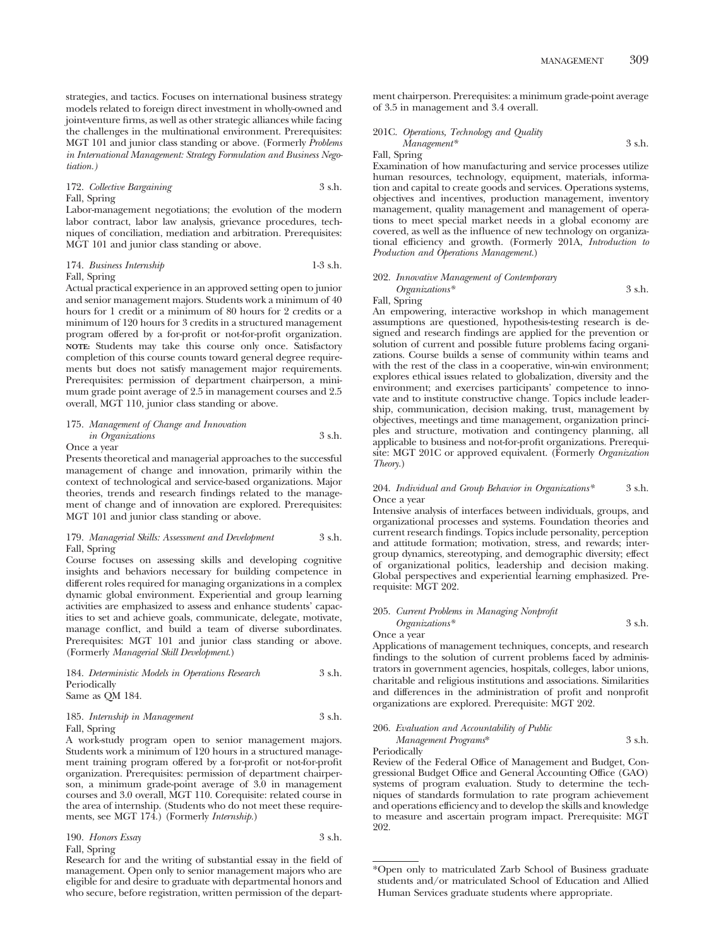strategies, and tactics. Focuses on international business strategy models related to foreign direct investment in wholly-owned and joint-venture firms, as well as other strategic alliances while facing the challenges in the multinational environment. Prerequisites: MGT 101 and junior class standing or above. (Formerly *Problems in International Management: Strategy Formulation and Business Negotiation.)*

### 172. *Collective Bargaining* 3 s.h. Fall, Spring

Labor-management negotiations; the evolution of the modern labor contract, labor law analysis, grievance procedures, techniques of conciliation, mediation and arbitration. Prerequisites: MGT 101 and junior class standing or above.

# 174. *Business Internship* 1-3 s.h.

Fall, Spring

Actual practical experience in an approved setting open to junior and senior management majors. Students work a minimum of 40 hours for 1 credit or a minimum of 80 hours for 2 credits or a minimum of 120 hours for 3 credits in a structured management program offered by a for-profit or not-for-profit organization. **NOTE:** Students may take this course only once. Satisfactory completion of this course counts toward general degree requirements but does not satisfy management major requirements. Prerequisites: permission of department chairperson, a minimum grade point average of 2.5 in management courses and 2.5 overall, MGT 110, junior class standing or above.

#### 175. *Management of Change and Innovation in Organizations* 3 s.h. Once a year

Presents theoretical and managerial approaches to the successful management of change and innovation, primarily within the context of technological and service-based organizations. Major theories, trends and research findings related to the management of change and of innovation are explored. Prerequisites: MGT 101 and junior class standing or above.

#### 179. *Managerial Skills: Assessment and Development* 3 s.h. Fall, Spring

Course focuses on assessing skills and developing cognitive insights and behaviors necessary for building competence in different roles required for managing organizations in a complex dynamic global environment. Experiential and group learning activities are emphasized to assess and enhance students' capacities to set and achieve goals, communicate, delegate, motivate, manage conflict, and build a team of diverse subordinates. Prerequisites: MGT 101 and junior class standing or above. (Formerly *Managerial Skill Development*.)

184. *Deterministic Models in Operations Research* 3 s.h. **Periodically** Same as QM 184.

#### 185. *Internship in Management* 3 s.h. Fall, Spring

A work-study program open to senior management majors. Students work a minimum of 120 hours in a structured management training program offered by a for-profit or not-for-profit organization. Prerequisites: permission of department chairperson, a minimum grade-point average of 3.0 in management courses and 3.0 overall, MGT 110. Corequisite: related course in the area of internship. (Students who do not meet these requirements, see MGT 174.) (Formerly *Internship.*)

#### 190. *Honors Essay* 3 s.h. Fall, Spring

Research for and the writing of substantial essay in the field of management. Open only to senior management majors who are eligible for and desire to graduate with departmental honors and who secure, before registration, written permission of the department chairperson. Prerequisites: a minimum grade-point average of 3.5 in management and 3.4 overall.

201C. *Operations, Technology and Quality Management\** 3 s.h.

Fall, Spring

Examination of how manufacturing and service processes utilize human resources, technology, equipment, materials, information and capital to create goods and services. Operations systems, objectives and incentives, production management, inventory management, quality management and management of operations to meet special market needs in a global economy are covered, as well as the influence of new technology on organizational efficiency and growth. (Formerly 201A, *Introduction to Production and Operations Management.*)

## 202. *Innovative Management of Contemporary*

*Organizations\** 3 s.h. Fall, Spring

An empowering, interactive workshop in which management assumptions are questioned, hypothesis-testing research is designed and research findings are applied for the prevention or solution of current and possible future problems facing organizations. Course builds a sense of community within teams and with the rest of the class in a cooperative, win-win environment; explores ethical issues related to globalization, diversity and the environment; and exercises participants' competence to innovate and to institute constructive change. Topics include leadership, communication, decision making, trust, management by objectives, meetings and time management, organization principles and structure, motivation and contingency planning, all applicable to business and not-for-profit organizations. Prerequisite: MGT 201C or approved equivalent. (Formerly *Organization Theory.*)

#### 204. *Individual and Group Behavior in Organizations\** 3 s.h. Once a year

Intensive analysis of interfaces between individuals, groups, and organizational processes and systems. Foundation theories and current research findings. Topics include personality, perception and attitude formation; motivation, stress, and rewards; intergroup dynamics, stereotyping, and demographic diversity; effect of organizational politics, leadership and decision making. Global perspectives and experiential learning emphasized. Prerequisite: MGT 202.

205. *Current Problems in Managing Nonprofit Organizations\** 3 s.h. Once a year

Applications of management techniques, concepts, and research findings to the solution of current problems faced by administrators in government agencies, hospitals, colleges, labor unions, charitable and religious institutions and associations. Similarities and differences in the administration of profit and nonprofit organizations are explored. Prerequisite: MGT 202.

#### 206. *Evaluation and Accountability of Public Management Programs*\* 3 s.h.

Periodically

Review of the Federal Office of Management and Budget, Congressional Budget Office and General Accounting Office (GAO) systems of program evaluation. Study to determine the techniques of standards formulation to rate program achievement and operations efficiency and to develop the skills and knowledge to measure and ascertain program impact. Prerequisite: MGT 202.

<sup>\*</sup>Open only to matriculated Zarb School of Business graduate students and/or matriculated School of Education and Allied Human Services graduate students where appropriate.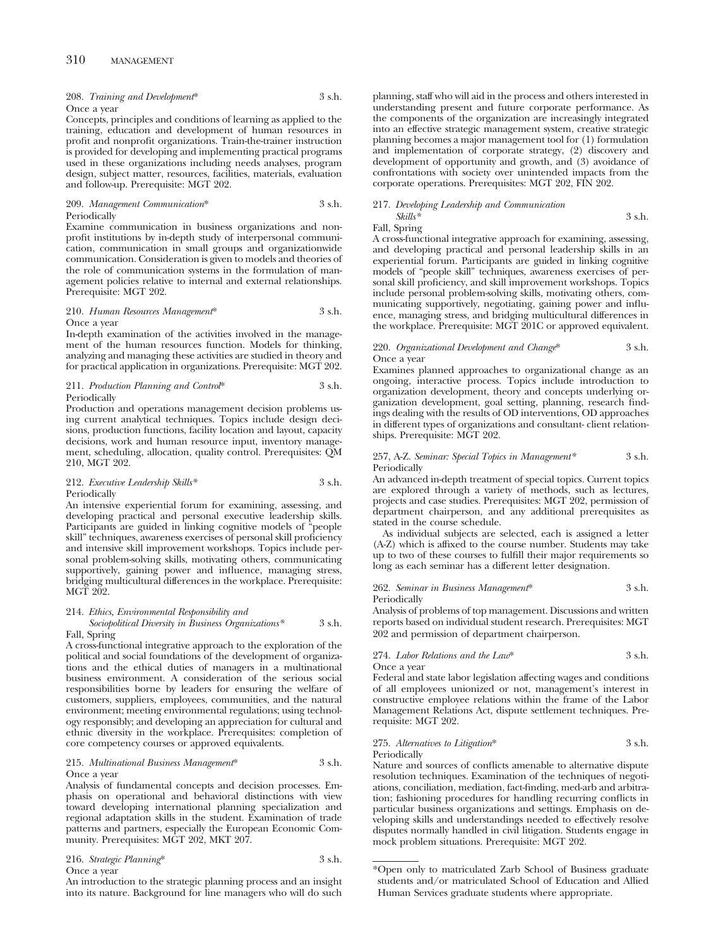# 310 MANAGEMENT

208. *Training and Development*\* 3 s.h. Once a year

Concepts, principles and conditions of learning as applied to the training, education and development of human resources in profit and nonprofit organizations. Train-the-trainer instruction is provided for developing and implementing practical programs used in these organizations including needs analyses, program design, subject matter, resources, facilities, materials, evaluation and follow-up. Prerequisite: MGT 202.

#### 209. *Management Communication*\* 3 s.h. Periodically

Examine communication in business organizations and nonprofit institutions by in-depth study of interpersonal communication, communication in small groups and organizationwide communication. Consideration is given to models and theories of the role of communication systems in the formulation of management policies relative to internal and external relationships. Prerequisite: MGT 202.

#### 210. *Human Resources Management*\* 3 s.h. Once a year

In-depth examination of the activities involved in the management of the human resources function. Models for thinking, analyzing and managing these activities are studied in theory and for practical application in organizations. Prerequisite: MGT 202.

#### 211. *Production Planning and Control*\* 3 s.h. Periodically

Production and operations management decision problems using current analytical techniques. Topics include design decisions, production functions, facility location and layout, capacity decisions, work and human resource input, inventory management, scheduling, allocation, quality control. Prerequisites: QM 210, MGT 202.

### 212. *Executive Leadership Skills\** 3 s.h. Periodically

An intensive experiential forum for examining, assessing, and developing practical and personal executive leadership skills. Participants are guided in linking cognitive models of "people skill" techniques, awareness exercises of personal skill proficiency and intensive skill improvement workshops. Topics include personal problem-solving skills, motivating others, communicating supportively, gaining power and influence, managing stress, bridging multicultural differences in the workplace. Prerequisite: MGT 202.

# 214. *Ethics, Environmental Responsibility and Sociopolitical Diversity in Business Organizations\** 3 s.h.

Fall, Spring

A cross-functional integrative approach to the exploration of the political and social foundations of the development of organizations and the ethical duties of managers in a multinational business environment. A consideration of the serious social responsibilities borne by leaders for ensuring the welfare of customers, suppliers, employees, communities, and the natural environment; meeting environmental regulations; using technology responsibly; and developing an appreciation for cultural and ethnic diversity in the workplace. Prerequisites: completion of core competency courses or approved equivalents.

#### 215. *Multinational Business Management*\* 3 s.h. Once a year

Analysis of fundamental concepts and decision processes. Emphasis on operational and behavioral distinctions with view toward developing international planning specialization and regional adaptation skills in the student. Examination of trade patterns and partners, especially the European Economic Community. Prerequisites: MGT 202, MKT 207.

#### 216. *Strategic Planning*\* 3 s.h. Once a year

An introduction to the strategic planning process and an insight into its nature. Background for line managers who will do such planning, staff who will aid in the process and others interested in understanding present and future corporate performance. As the components of the organization are increasingly integrated into an effective strategic management system, creative strategic planning becomes a major management tool for (1) formulation and implementation of corporate strategy, (2) discovery and development of opportunity and growth, and (3) avoidance of confrontations with society over unintended impacts from the corporate operations. Prerequisites: MGT 202, FIN 202.

#### 217. *Developing Leadership and Communication*

#### *Skills\** 3 s.h. Fall, Spring

A cross-functional integrative approach for examining, assessing, and developing practical and personal leadership skills in an experiential forum. Participants are guided in linking cognitive models of "people skill" techniques, awareness exercises of personal skill proficiency, and skill improvement workshops. Topics include personal problem-solving skills, motivating others, communicating supportively, negotiating, gaining power and influence, managing stress, and bridging multicultural differences in the workplace. Prerequisite: MGT 201C or approved equivalent.

#### 220. *Organizational Development and Change*\* 3 s.h. Once a year

Examines planned approaches to organizational change as an ongoing, interactive process. Topics include introduction to organization development, theory and concepts underlying organization development, goal setting, planning, research findings dealing with the results of OD interventions, OD approaches in different types of organizations and consultant- client relationships. Prerequisite: MGT 202.

#### 257, A-Z. *Seminar: Special Topics in Management\** 3 s.h. Periodically

An advanced in-depth treatment of special topics. Current topics are explored through a variety of methods, such as lectures, projects and case studies. Prerequisites: MGT 202, permission of department chairperson, and any additional prerequisites as stated in the course schedule.

As individual subjects are selected, each is assigned a letter (A-Z) which is affixed to the course number. Students may take up to two of these courses to fulfill their major requirements so long as each seminar has a different letter designation.

#### 262. *Seminar in Business Management*\* 3 s.h. Periodically

Analysis of problems of top management. Discussions and written reports based on individual student research. Prerequisites: MGT 202 and permission of department chairperson.

#### 274. *Labor Relations and the Law*\* 3 s.h. Once a year

Federal and state labor legislation affecting wages and conditions of all employees unionized or not, management's interest in constructive employee relations within the frame of the Labor Management Relations Act, dispute settlement techniques. Prerequisite: MGT 202.

#### 275. *Alternatives to Litigation*\* 3 s.h. Periodically

Nature and sources of conflicts amenable to alternative dispute resolution techniques. Examination of the techniques of negotiations, conciliation, mediation, fact-finding, med-arb and arbitration; fashioning procedures for handling recurring conflicts in particular business organizations and settings. Emphasis on developing skills and understandings needed to effectively resolve disputes normally handled in civil litigation. Students engage in mock problem situations. Prerequisite: MGT 202.

<sup>\*</sup>Open only to matriculated Zarb School of Business graduate students and/or matriculated School of Education and Allied Human Services graduate students where appropriate.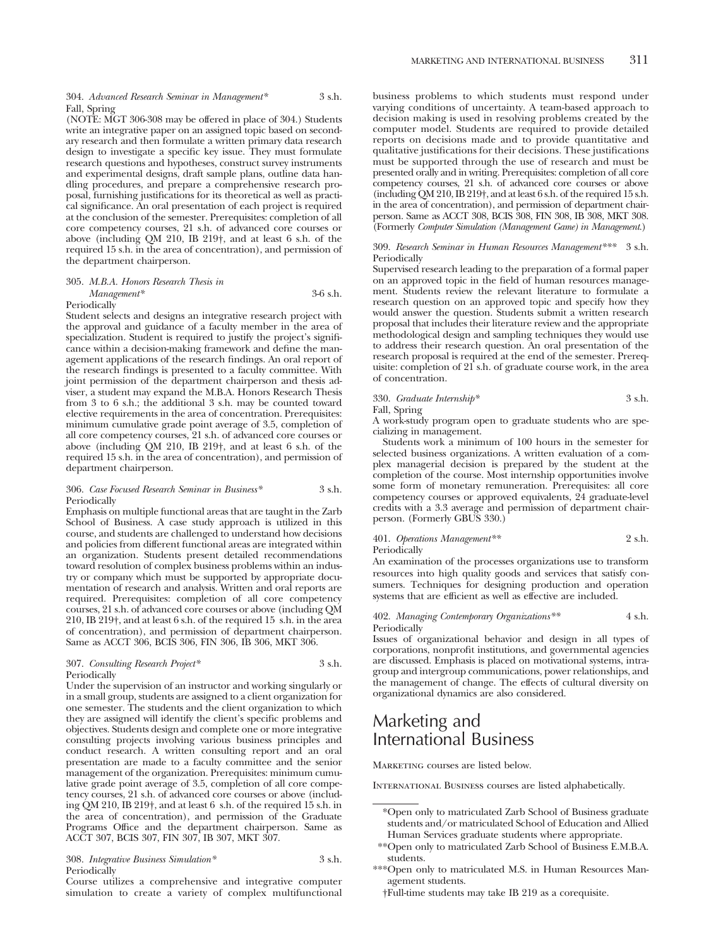#### 304. *Advanced Research Seminar in Management\** 3 s.h. Fall, Spring

(NOTE: MGT 306-308 may be offered in place of 304.) Students write an integrative paper on an assigned topic based on secondary research and then formulate a written primary data research design to investigate a specific key issue. They must formulate research questions and hypotheses, construct survey instruments and experimental designs, draft sample plans, outline data handling procedures, and prepare a comprehensive research proposal, furnishing justifications for its theoretical as well as practical significance. An oral presentation of each project is required at the conclusion of the semester. Prerequisites: completion of all core competency courses, 21 s.h. of advanced core courses or above (including QM 210, IB 219†, and at least 6 s.h. of the required 15 s.h. in the area of concentration), and permission of the department chairperson.

#### 305. *M.B.A. Honors Research Thesis in Management\** 3-6 s.h. Periodically

Student selects and designs an integrative research project with the approval and guidance of a faculty member in the area of specialization. Student is required to justify the project's significance within a decision-making framework and define the management applications of the research findings. An oral report of the research findings is presented to a faculty committee. With joint permission of the department chairperson and thesis adviser, a student may expand the M.B.A. Honors Research Thesis from 3 to 6 s.h.; the additional 3 s.h. may be counted toward elective requirements in the area of concentration. Prerequisites: minimum cumulative grade point average of 3.5, completion of all core competency courses, 21 s.h. of advanced core courses or above (including QM 210, IB 219†, and at least 6 s.h. of the required 15 s.h. in the area of concentration), and permission of department chairperson.

#### 306. *Case Focused Research Seminar in Business\** 3 s.h. Periodically

Emphasis on multiple functional areas that are taught in the Zarb School of Business. A case study approach is utilized in this course, and students are challenged to understand how decisions and policies from different functional areas are integrated within an organization. Students present detailed recommendations toward resolution of complex business problems within an industry or company which must be supported by appropriate documentation of research and analysis. Written and oral reports are required. Prerequisites: completion of all core competency courses, 21 s.h. of advanced core courses or above (including QM 210, IB 219†, and at least 6 s.h. of the required 15 s.h. in the area of concentration), and permission of department chairperson. Same as ACCT 306, BCIS 306, FIN 306, IB 306, MKT 306.

#### 307. *Consulting Research Project\** 3 s.h. Periodically

Under the supervision of an instructor and working singularly or in a small group, students are assigned to a client organization for one semester. The students and the client organization to which they are assigned will identify the client's specific problems and objectives. Students design and complete one or more integrative consulting projects involving various business principles and conduct research. A written consulting report and an oral presentation are made to a faculty committee and the senior management of the organization. Prerequisites: minimum cumulative grade point average of 3.5, completion of all core competency courses, 21 s.h. of advanced core courses or above (including QM 210, IB 219†, and at least 6 s.h. of the required 15 s.h. in the area of concentration), and permission of the Graduate Programs Office and the department chairperson. Same as ACCT 307, BCIS 307, FIN 307, IB 307, MKT 307.

#### 308. *Integrative Business Simulation\** 3 s.h. Periodically

Course utilizes a comprehensive and integrative computer simulation to create a variety of complex multifunctional business problems to which students must respond under varying conditions of uncertainty. A team-based approach to decision making is used in resolving problems created by the computer model. Students are required to provide detailed reports on decisions made and to provide quantitative and qualitative justifications for their decisions. These justifications must be supported through the use of research and must be presented orally and in writing. Prerequisites: completion of all core competency courses, 21 s.h. of advanced core courses or above (including QM 210, IB 219†, and at least 6 s.h. of the required 15 s.h. in the area of concentration), and permission of department chairperson. Same as ACCT 308, BCIS 308, FIN 308, IB 308, MKT 308. (Formerly *Computer Simulation (Management Game) in Management.*)

#### 309. *Research Seminar in Human Resources Management\*\*\** 3 s.h. Periodically

Supervised research leading to the preparation of a formal paper on an approved topic in the field of human resources management. Students review the relevant literature to formulate a research question on an approved topic and specify how they would answer the question. Students submit a written research proposal that includes their literature review and the appropriate methodological design and sampling techniques they would use to address their research question. An oral presentation of the research proposal is required at the end of the semester. Prerequisite: completion of 21 s.h. of graduate course work, in the area of concentration.

### 330. *Graduate Internship\** 3 s.h.

#### Fall, Spring

A work-study program open to graduate students who are specializing in management.

Students work a minimum of 100 hours in the semester for selected business organizations. A written evaluation of a complex managerial decision is prepared by the student at the completion of the course. Most internship opportunities involve some form of monetary remuneration. Prerequisites: all core competency courses or approved equivalents, 24 graduate-level credits with a 3.3 average and permission of department chairperson. (Formerly GBUS 330.)

#### 401. *Operations Management\*\** 2 s.h. Periodically

An examination of the processes organizations use to transform resources into high quality goods and services that satisfy consumers. Techniques for designing production and operation systems that are efficient as well as effective are included.

#### 402. *Managing Contemporary Organizations\*\** 4 s.h. Periodically

Issues of organizational behavior and design in all types of corporations, nonprofit institutions, and governmental agencies are discussed. Emphasis is placed on motivational systems, intragroup and intergroup communications, power relationships, and the management of change. The effects of cultural diversity on organizational dynamics are also considered.

# Marketing and International Business

MARKETING courses are listed below.

International Business courses are listed alphabetically.

<sup>\*</sup>Open only to matriculated Zarb School of Business graduate students and/or matriculated School of Education and Allied Human Services graduate students where appropriate.

<sup>\*\*</sup>Open only to matriculated Zarb School of Business E.M.B.A. students.

<sup>\*\*\*</sup>Open only to matriculated M.S. in Human Resources Management students.

<sup>†</sup>Full-time students may take IB 219 as a corequisite.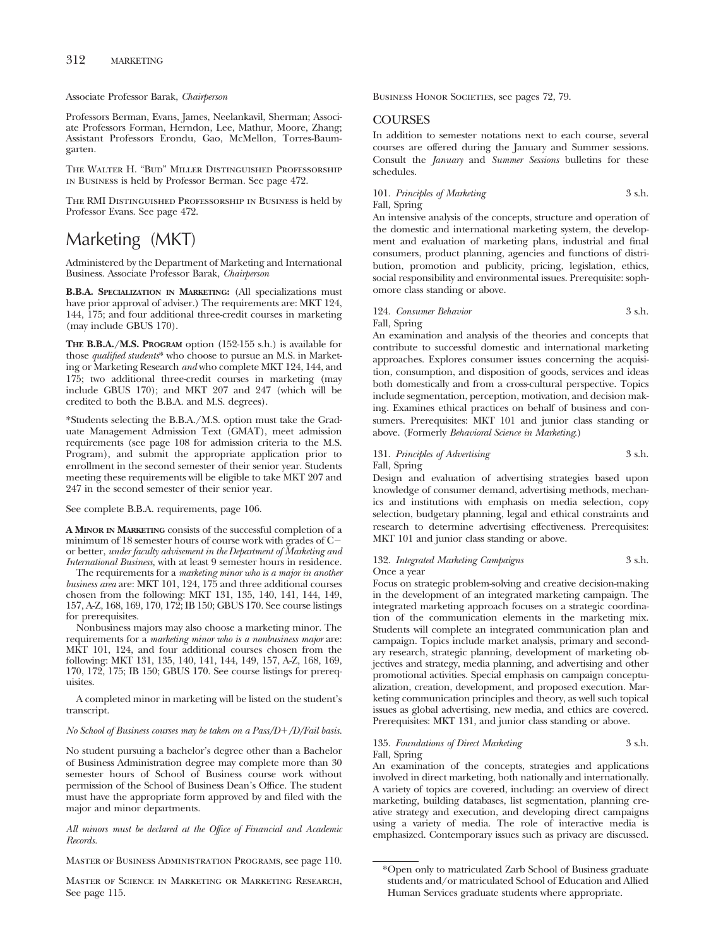Associate Professor Barak, *Chairperson*

Professors Berman, Evans, James, Neelankavil, Sherman; Associate Professors Forman, Herndon, Lee, Mathur, Moore, Zhang; Assistant Professors Erondu, Gao, McMellon, Torres-Baumgarten.

The Walter H. "Bud" Miller Distinguished Professorship in Business is held by Professor Berman. See page 472.

The RMI Distinguished Professorship in Business is held by Professor Evans. See page 472.

# Marketing (MKT)

Administered by the Department of Marketing and International Business. Associate Professor Barak, *Chairperson*

**B.B.A. SPECIALIZATION IN MARKETING:** (All specializations must have prior approval of adviser.) The requirements are: MKT 124, 144, 175; and four additional three-credit courses in marketing (may include GBUS 170).

**THE B.B.A./M.S. PROGRAM** option (152-155 s.h.) is available for those *qualified students*\* who choose to pursue an M.S. in Marketing or Marketing Research *and* who complete MKT 124, 144, and 175; two additional three-credit courses in marketing (may include GBUS 170); and MKT 207 and 247 (which will be credited to both the B.B.A. and M.S. degrees).

\*Students selecting the B.B.A./M.S. option must take the Graduate Management Admission Text (GMAT), meet admission requirements (see page 108 for admission criteria to the M.S. Program), and submit the appropriate application prior to enrollment in the second semester of their senior year. Students meeting these requirements will be eligible to take MKT 207 and 247 in the second semester of their senior year.

See complete B.B.A. requirements, page 106.

**A MINOR IN MARKETING** consists of the successful completion of a minimum of 18 semester hours of course work with grades of C or better, *under faculty advisement in the Department of Marketing and International Business,* with at least 9 semester hours in residence.

The requirements for a *marketing minor who is a major in another business area* are: MKT 101, 124, 175 and three additional courses chosen from the following: MKT 131, 135, 140, 141, 144, 149, 157, A-Z, 168, 169, 170, 172; IB 150; GBUS 170. See course listings for prerequisites.

Nonbusiness majors may also choose a marketing minor. The requirements for a *marketing minor who is a nonbusiness major* are: MKT 101, 124, and four additional courses chosen from the following: MKT 131, 135, 140, 141, 144, 149, 157, A-Z, 168, 169, 170, 172, 175; IB 150; GBUS 170. See course listings for prerequisites.

A completed minor in marketing will be listed on the student's transcript.

## *No School of Business courses may be taken on a Pass/D*-*/D/Fail basis.*

No student pursuing a bachelor's degree other than a Bachelor of Business Administration degree may complete more than 30 semester hours of School of Business course work without permission of the School of Business Dean's Office. The student must have the appropriate form approved by and filed with the major and minor departments.

*All minors must be declared at the Office of Financial and Academic Records.*

Master of Business Administration Programs, see page 110.

Master of Science in Marketing or Marketing Research, See page 115.

BUSINESS HONOR SOCIETIES, see pages 72, 79.

#### **COURSES**

In addition to semester notations next to each course, several courses are offered during the January and Summer sessions. Consult the *January* and *Summer Sessions* bulletins for these schedules.

## 101. *Principles of Marketing* 3 s.h. Fall, Spring

An intensive analysis of the concepts, structure and operation of the domestic and international marketing system, the development and evaluation of marketing plans, industrial and final consumers, product planning, agencies and functions of distribution, promotion and publicity, pricing, legislation, ethics, social responsibility and environmental issues. Prerequisite: sophomore class standing or above.

#### 124. *Consumer Behavior* 3 s.h. Fall, Spring

An examination and analysis of the theories and concepts that contribute to successful domestic and international marketing approaches. Explores consumer issues concerning the acquisition, consumption, and disposition of goods, services and ideas both domestically and from a cross-cultural perspective. Topics include segmentation, perception, motivation, and decision making. Examines ethical practices on behalf of business and consumers. Prerequisites: MKT 101 and junior class standing or above. (Formerly *Behavioral Science in Marketing*.)

# 131. *Principles of Advertising* 3 s.h. Fall, Spring

Design and evaluation of advertising strategies based upon knowledge of consumer demand, advertising methods, mechanics and institutions with emphasis on media selection, copy selection, budgetary planning, legal and ethical constraints and research to determine advertising effectiveness. Prerequisites: MKT 101 and junior class standing or above.

#### 132. *Integrated Marketing Campaigns* 3 s.h. Once a year

Focus on strategic problem-solving and creative decision-making in the development of an integrated marketing campaign. The integrated marketing approach focuses on a strategic coordination of the communication elements in the marketing mix. Students will complete an integrated communication plan and campaign. Topics include market analysis, primary and secondary research, strategic planning, development of marketing objectives and strategy, media planning, and advertising and other promotional activities. Special emphasis on campaign conceptualization, creation, development, and proposed execution. Marketing communication principles and theory, as well such topical issues as global advertising, new media, and ethics are covered. Prerequisites: MKT 131, and junior class standing or above.

#### 135. *Foundations of Direct Marketing* 3 s.h. Fall, Spring

An examination of the concepts, strategies and applications involved in direct marketing, both nationally and internationally. A variety of topics are covered, including: an overview of direct marketing, building databases, list segmentation, planning creative strategy and execution, and developing direct campaigns using a variety of media. The role of interactive media is emphasized. Contemporary issues such as privacy are discussed.

<sup>\*</sup>Open only to matriculated Zarb School of Business graduate students and/or matriculated School of Education and Allied Human Services graduate students where appropriate.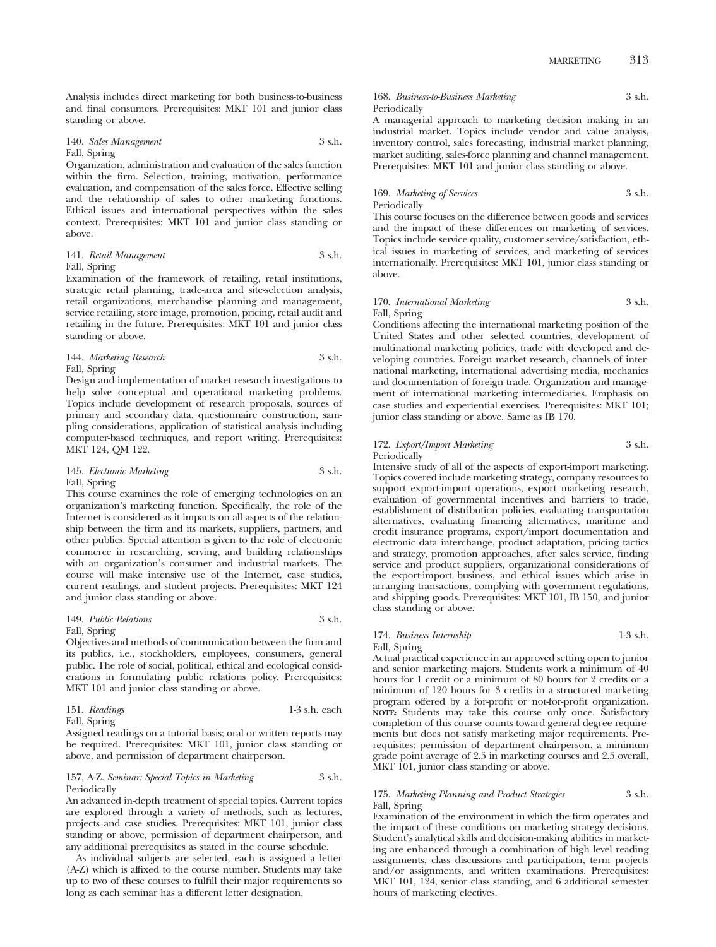Analysis includes direct marketing for both business-to-business and final consumers. Prerequisites: MKT 101 and junior class standing or above.

140. *Sales Management* 3 s.h. Fall, Spring

Organization, administration and evaluation of the sales function within the firm. Selection, training, motivation, performance evaluation, and compensation of the sales force. Effective selling and the relationship of sales to other marketing functions. Ethical issues and international perspectives within the sales context. Prerequisites: MKT 101 and junior class standing or above.

#### 141. *Retail Management* 3 s.h. Fall, Spring

Examination of the framework of retailing, retail institutions, strategic retail planning, trade-area and site-selection analysis, retail organizations, merchandise planning and management, service retailing, store image, promotion, pricing, retail audit and retailing in the future. Prerequisites: MKT 101 and junior class standing or above.

144. *Marketing Research* 3 s.h. Fall, Spring

Design and implementation of market research investigations to help solve conceptual and operational marketing problems. Topics include development of research proposals, sources of primary and secondary data, questionnaire construction, sampling considerations, application of statistical analysis including computer-based techniques, and report writing. Prerequisites: MKT 124, QM 122.

#### 145. *Electronic Marketing* 3 s.h. Fall, Spring

This course examines the role of emerging technologies on an organization's marketing function. Specifically, the role of the Internet is considered as it impacts on all aspects of the relationship between the firm and its markets, suppliers, partners, and other publics. Special attention is given to the role of electronic commerce in researching, serving, and building relationships with an organization's consumer and industrial markets. The course will make intensive use of the Internet, case studies, current readings, and student projects. Prerequisites: MKT 124 and junior class standing or above.

#### 149. *Public Relations* 3 s.h. Fall, Spring

Objectives and methods of communication between the firm and its publics, i.e., stockholders, employees, consumers, general public. The role of social, political, ethical and ecological considerations in formulating public relations policy. Prerequisites: MKT 101 and junior class standing or above.

151. *Readings* 1-3 s.h. each Fall, Spring

Assigned readings on a tutorial basis; oral or written reports may be required. Prerequisites: MKT 101, junior class standing or above, and permission of department chairperson.

#### 157, A-Z. *Seminar: Special Topics in Marketing* 3 s.h. Periodically

An advanced in-depth treatment of special topics. Current topics are explored through a variety of methods, such as lectures, projects and case studies. Prerequisites: MKT 101, junior class standing or above, permission of department chairperson, and any additional prerequisites as stated in the course schedule.

As individual subjects are selected, each is assigned a letter (A-Z) which is affixed to the course number. Students may take up to two of these courses to fulfill their major requirements so long as each seminar has a different letter designation.

# 168. *Business-to-Business Marketing* 3 s.h. Periodically

A managerial approach to marketing decision making in an industrial market. Topics include vendor and value analysis, inventory control, sales forecasting, industrial market planning, market auditing, sales-force planning and channel management. Prerequisites: MKT 101 and junior class standing or above.

### 169. *Marketing of Services* 3 s.h. Periodically

This course focuses on the difference between goods and services and the impact of these differences on marketing of services. Topics include service quality, customer service/satisfaction, ethical issues in marketing of services, and marketing of services internationally. Prerequisites: MKT 101, junior class standing or above.

# 170. *International Marketing* 3 s.h. Fall, Spring

Conditions affecting the international marketing position of the United States and other selected countries, development of multinational marketing policies, trade with developed and developing countries. Foreign market research, channels of international marketing, international advertising media, mechanics and documentation of foreign trade. Organization and management of international marketing intermediaries. Emphasis on case studies and experiential exercises. Prerequisites: MKT 101; junior class standing or above. Same as IB 170.

# 172. *Export/Import Marketing* 3 s.h. Periodically

Intensive study of all of the aspects of export-import marketing. Topics covered include marketing strategy, company resources to support export-import operations, export marketing research, evaluation of governmental incentives and barriers to trade, establishment of distribution policies, evaluating transportation alternatives, evaluating financing alternatives, maritime and credit insurance programs, export/import documentation and electronic data interchange, product adaptation, pricing tactics and strategy, promotion approaches, after sales service, finding service and product suppliers, organizational considerations of the export-import business, and ethical issues which arise in arranging transactions, complying with government regulations, and shipping goods. Prerequisites: MKT 101, IB 150, and junior class standing or above.

#### 174. *Business Internship* 1-3 s.h. Fall, Spring

Actual practical experience in an approved setting open to junior and senior marketing majors. Students work a minimum of 40 hours for 1 credit or a minimum of 80 hours for 2 credits or a minimum of 120 hours for 3 credits in a structured marketing program offered by a for-profit or not-for-profit organization. **NOTE:** Students may take this course only once. Satisfactory completion of this course counts toward general degree requirements but does not satisfy marketing major requirements. Prerequisites: permission of department chairperson, a minimum grade point average of 2.5 in marketing courses and 2.5 overall, MKT 101, junior class standing or above.

### 175. *Marketing Planning and Product Strategies* 3 s.h. Fall, Spring

Examination of the environment in which the firm operates and the impact of these conditions on marketing strategy decisions. Student's analytical skills and decision-making abilities in marketing are enhanced through a combination of high level reading assignments, class discussions and participation, term projects and/or assignments, and written examinations. Prerequisites: MKT 101, 124, senior class standing, and 6 additional semester hours of marketing electives.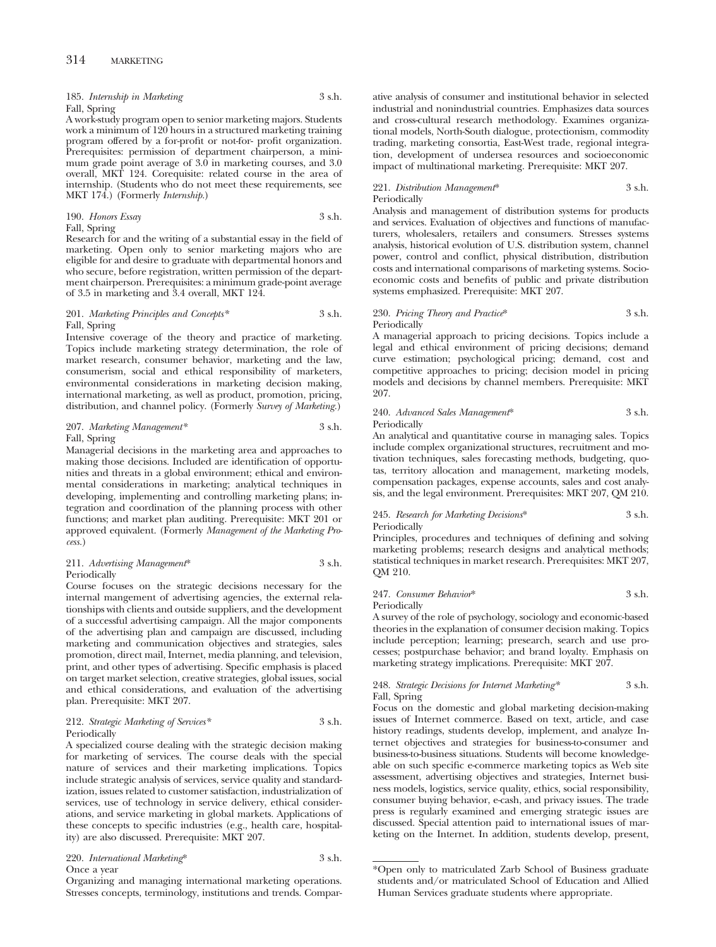185. *Internship in Marketing* 3 s.h. Fall, Spring

A work-study program open to senior marketing majors. Students work a minimum of 120 hours in a structured marketing training program offered by a for-profit or not-for- profit organization. Prerequisites: permission of department chairperson, a minimum grade point average of 3.0 in marketing courses, and 3.0 overall, MKT 124. Corequisite: related course in the area of internship. (Students who do not meet these requirements, see MKT 174.) (Formerly *Internship.*)

190. *Honors Essay* 3 s.h.

Fall, Spring

Research for and the writing of a substantial essay in the field of marketing. Open only to senior marketing majors who are eligible for and desire to graduate with departmental honors and who secure, before registration, written permission of the department chairperson. Prerequisites: a minimum grade-point average of 3.5 in marketing and 3.4 overall, MKT 124.

#### 201. *Marketing Principles and Concepts\** 3 s.h. Fall, Spring

Intensive coverage of the theory and practice of marketing. Topics include marketing strategy determination, the role of market research, consumer behavior, marketing and the law, consumerism, social and ethical responsibility of marketers, environmental considerations in marketing decision making, international marketing, as well as product, promotion, pricing, distribution, and channel policy. (Formerly *Survey of Marketing.*)

#### 207. *Marketing Management\** 3 s.h. Fall, Spring

Managerial decisions in the marketing area and approaches to making those decisions. Included are identification of opportunities and threats in a global environment; ethical and environmental considerations in marketing; analytical techniques in developing, implementing and controlling marketing plans; integration and coordination of the planning process with other functions; and market plan auditing. Prerequisite: MKT 201 or approved equivalent. (Formerly *Management of the Marketing Process.*)

#### 211. *Advertising Management*\* 3 s.h. Periodically

Course focuses on the strategic decisions necessary for the internal mangement of advertising agencies, the external relationships with clients and outside suppliers, and the development of a successful advertising campaign. All the major components of the advertising plan and campaign are discussed, including marketing and communication objectives and strategies, sales promotion, direct mail, Internet, media planning, and television, print, and other types of advertising. Specific emphasis is placed on target market selection, creative strategies, global issues, social and ethical considerations, and evaluation of the advertising plan. Prerequisite: MKT 207.

#### 212. *Strategic Marketing of Services\** 3 s.h. Periodically

A specialized course dealing with the strategic decision making for marketing of services. The course deals with the special nature of services and their marketing implications. Topics include strategic analysis of services, service quality and standardization, issues related to customer satisfaction, industrialization of services, use of technology in service delivery, ethical considerations, and service marketing in global markets. Applications of these concepts to specific industries (e.g., health care, hospitality) are also discussed. Prerequisite: MKT 207.

220. *International Marketing*\* 3 s.h. Once a year

Organizing and managing international marketing operations. Stresses concepts, terminology, institutions and trends. Comparative analysis of consumer and institutional behavior in selected industrial and nonindustrial countries. Emphasizes data sources and cross-cultural research methodology. Examines organizational models, North-South dialogue, protectionism, commodity trading, marketing consortia, East-West trade, regional integration, development of undersea resources and socioeconomic impact of multinational marketing. Prerequisite: MKT 207.

## 221. *Distribution Management*\* 3 s.h. Periodically

Analysis and management of distribution systems for products and services. Evaluation of objectives and functions of manufacturers, wholesalers, retailers and consumers. Stresses systems analysis, historical evolution of U.S. distribution system, channel power, control and conflict, physical distribution, distribution costs and international comparisons of marketing systems. Socioeconomic costs and benefits of public and private distribution systems emphasized. Prerequisite: MKT 207.

#### 230. *Pricing Theory and Practice*\* 3 s.h. Periodically

A managerial approach to pricing decisions. Topics include a legal and ethical environment of pricing decisions; demand curve estimation; psychological pricing; demand, cost and competitive approaches to pricing; decision model in pricing models and decisions by channel members. Prerequisite: MKT 207.

#### 240. *Advanced Sales Management*\* 3 s.h. Periodically

An analytical and quantitative course in managing sales. Topics include complex organizational structures, recruitment and motivation techniques, sales forecasting methods, budgeting, quotas, territory allocation and management, marketing models, compensation packages, expense accounts, sales and cost analysis, and the legal environment. Prerequisites: MKT 207, QM 210.

#### 245. *Research for Marketing Decisions*\* 3 s.h. Periodically

Principles, procedures and techniques of defining and solving marketing problems; research designs and analytical methods; statistical techniques in market research. Prerequisites: MKT 207, QM 210.

247. *Consumer Behavior*\* 3 s.h. Periodically

A survey of the role of psychology, sociology and economic-based theories in the explanation of consumer decision making. Topics include perception; learning; presearch, search and use processes; postpurchase behavior; and brand loyalty. Emphasis on marketing strategy implications. Prerequisite: MKT 207.

#### 248. *Strategic Decisions for Internet Marketing\** 3 s.h. Fall, Spring

Focus on the domestic and global marketing decision-making issues of Internet commerce. Based on text, article, and case history readings, students develop, implement, and analyze Internet objectives and strategies for business-to-consumer and business-to-business situations. Students will become knowledgeable on such specific e-commerce marketing topics as Web site assessment, advertising objectives and strategies, Internet business models, logistics, service quality, ethics, social responsibility, consumer buying behavior, e-cash, and privacy issues. The trade press is regularly examined and emerging strategic issues are discussed. Special attention paid to international issues of marketing on the Internet. In addition, students develop, present,

<sup>\*</sup>Open only to matriculated Zarb School of Business graduate students and/or matriculated School of Education and Allied Human Services graduate students where appropriate.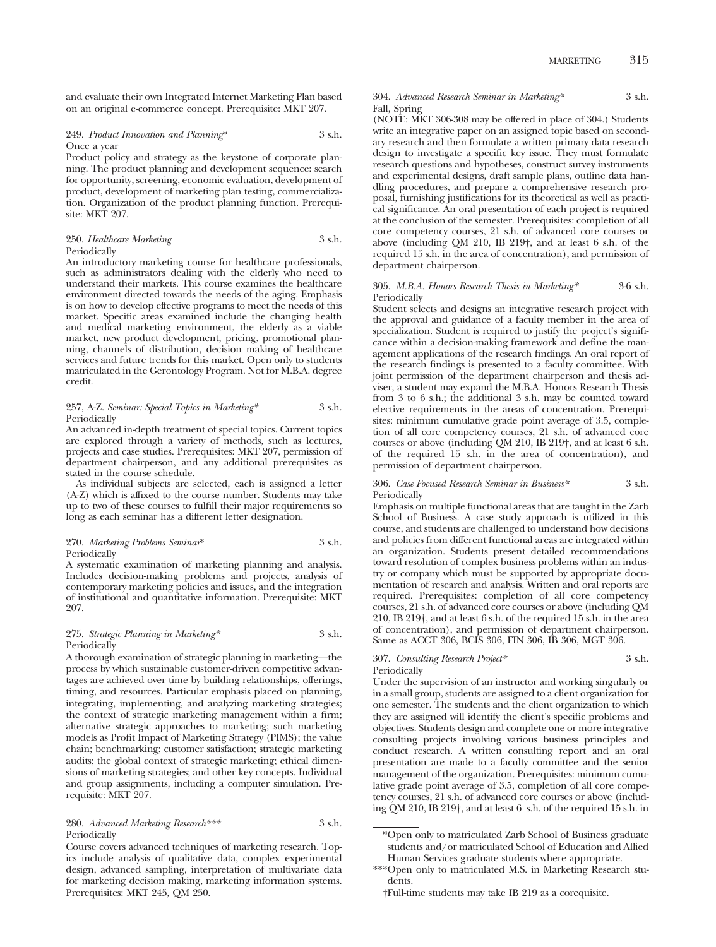and evaluate their own Integrated Internet Marketing Plan based on an original e-commerce concept. Prerequisite: MKT 207.

#### 249. *Product Innovation and Planning*\* 3 s.h. Once a year

Product policy and strategy as the keystone of corporate planning. The product planning and development sequence: search for opportunity, screening, economic evaluation, development of product, development of marketing plan testing, commercialization. Organization of the product planning function. Prerequisite: MKT 207.

#### 250. *Healthcare Marketing* 3 s.h. Periodically

An introductory marketing course for healthcare professionals, such as administrators dealing with the elderly who need to understand their markets. This course examines the healthcare environment directed towards the needs of the aging. Emphasis is on how to develop effective programs to meet the needs of this market. Specific areas examined include the changing health and medical marketing environment, the elderly as a viable market, new product development, pricing, promotional planning, channels of distribution, decision making of healthcare services and future trends for this market. Open only to students matriculated in the Gerontology Program. Not for M.B.A. degree credit.

#### 257, A-Z. *Seminar: Special Topics in Marketing\** 3 s.h. Periodically

An advanced in-depth treatment of special topics. Current topics are explored through a variety of methods, such as lectures, projects and case studies. Prerequisites: MKT 207, permission of department chairperson, and any additional prerequisites as stated in the course schedule.

As individual subjects are selected, each is assigned a letter (A-Z) which is affixed to the course number. Students may take up to two of these courses to fulfill their major requirements so long as each seminar has a different letter designation.

#### 270. *Marketing Problems Seminar*\* 3 s.h. Periodically

A systematic examination of marketing planning and analysis. Includes decision-making problems and projects, analysis of contemporary marketing policies and issues, and the integration of institutional and quantitative information. Prerequisite: MKT 207.

#### 275. *Strategic Planning in Marketing\** 3 s.h. Periodically

A thorough examination of strategic planning in marketing—the process by which sustainable customer-driven competitive advantages are achieved over time by building relationships, offerings, timing, and resources. Particular emphasis placed on planning, integrating, implementing, and analyzing marketing strategies; the context of strategic marketing management within a firm; alternative strategic approaches to marketing; such marketing models as Profit Impact of Marketing Strategy (PIMS); the value chain; benchmarking; customer satisfaction; strategic marketing audits; the global context of strategic marketing; ethical dimensions of marketing strategies; and other key concepts. Individual and group assignments, including a computer simulation. Prerequisite: MKT 207.

#### 280. *Advanced Marketing Research\*\*\** 3 s.h. Periodically

Course covers advanced techniques of marketing research. Topics include analysis of qualitative data, complex experimental design, advanced sampling, interpretation of multivariate data for marketing decision making, marketing information systems. Prerequisites: MKT 245, QM 250.

#### 304. *Advanced Research Seminar in Marketing\** 3 s.h. Fall, Spring

(NOTE: MKT 306-308 may be offered in place of 304.) Students write an integrative paper on an assigned topic based on secondary research and then formulate a written primary data research design to investigate a specific key issue. They must formulate research questions and hypotheses, construct survey instruments and experimental designs, draft sample plans, outline data handling procedures, and prepare a comprehensive research proposal, furnishing justifications for its theoretical as well as practical significance. An oral presentation of each project is required at the conclusion of the semester. Prerequisites: completion of all core competency courses, 21 s.h. of advanced core courses or above (including QM 210, IB 219†, and at least 6 s.h. of the required 15 s.h. in the area of concentration), and permission of department chairperson.

#### 305. *M.B.A. Honors Research Thesis in Marketing\** 3-6 s.h. Periodically

Student selects and designs an integrative research project with the approval and guidance of a faculty member in the area of specialization. Student is required to justify the project's significance within a decision-making framework and define the management applications of the research findings. An oral report of the research findings is presented to a faculty committee. With joint permission of the department chairperson and thesis adviser, a student may expand the M.B.A. Honors Research Thesis from 3 to 6 s.h.; the additional 3 s.h. may be counted toward elective requirements in the areas of concentration. Prerequisites: minimum cumulative grade point average of 3.5, completion of all core competency courses, 21 s.h. of advanced core courses or above (including QM 210, IB 219†, and at least 6 s.h. of the required 15 s.h. in the area of concentration), and permission of department chairperson.

#### 306. *Case Focused Research Seminar in Business\** 3 s.h. Periodically

Emphasis on multiple functional areas that are taught in the Zarb School of Business. A case study approach is utilized in this course, and students are challenged to understand how decisions and policies from different functional areas are integrated within an organization. Students present detailed recommendations toward resolution of complex business problems within an industry or company which must be supported by appropriate documentation of research and analysis. Written and oral reports are required. Prerequisites: completion of all core competency courses, 21 s.h. of advanced core courses or above (including QM 210, IB 219†, and at least 6 s.h. of the required 15 s.h. in the area of concentration), and permission of department chairperson. Same as ACCT 306, BCIS 306, FIN 306, IB 306, MGT 306.

# 307. *Consulting Research Project\** 3 s.h.

Periodically

Under the supervision of an instructor and working singularly or in a small group, students are assigned to a client organization for one semester. The students and the client organization to which they are assigned will identify the client's specific problems and objectives. Students design and complete one or more integrative consulting projects involving various business principles and conduct research. A written consulting report and an oral presentation are made to a faculty committee and the senior management of the organization. Prerequisites: minimum cumulative grade point average of 3.5, completion of all core competency courses, 21 s.h. of advanced core courses or above (including QM 210, IB 219†, and at least 6 s.h. of the required 15 s.h. in

<sup>\*</sup>Open only to matriculated Zarb School of Business graduate students and/or matriculated School of Education and Allied Human Services graduate students where appropriate.

<sup>\*\*\*</sup>Open only to matriculated M.S. in Marketing Research students.

<sup>†</sup>Full-time students may take IB 219 as a corequisite.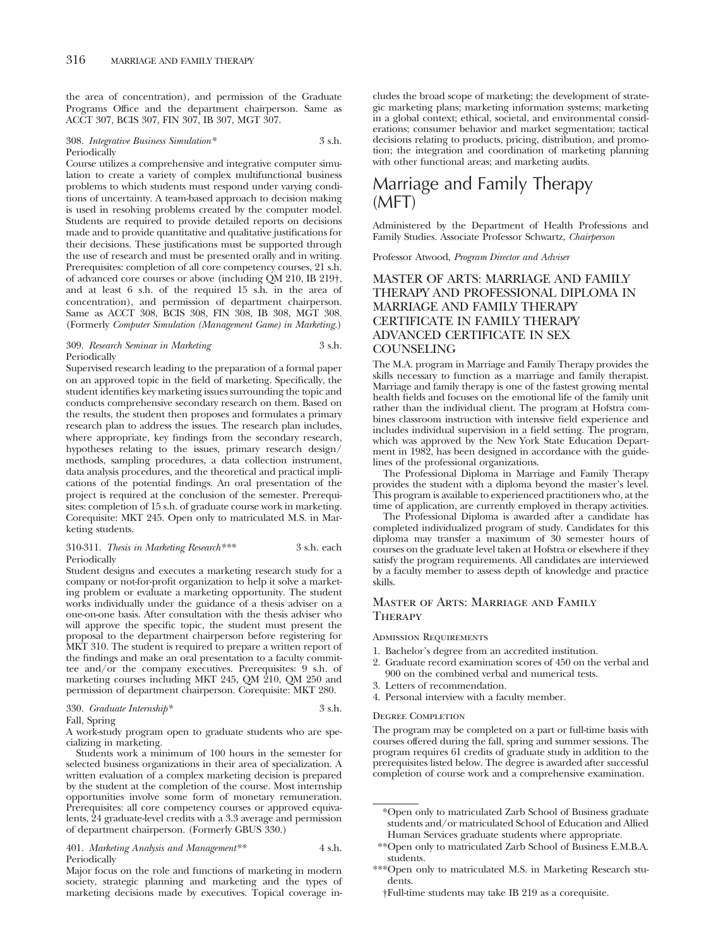the area of concentration), and permission of the Graduate Programs Office and the department chairperson. Same as ACCT 307, BCIS 307, FIN 307, IB 307, MGT 307.

#### 308. *Integrative Business Simulation\** 3 s.h. Periodically

Course utilizes a comprehensive and integrative computer simulation to create a variety of complex multifunctional business problems to which students must respond under varying conditions of uncertainty. A team-based approach to decision making is used in resolving problems created by the computer model. Students are required to provide detailed reports on decisions made and to provide quantitative and qualitative justifications for their decisions. These justifications must be supported through the use of research and must be presented orally and in writing. Prerequisites: completion of all core competency courses, 21 s.h. of advanced core courses or above (including QM 210, IB 219†, and at least 6 s.h. of the required 15 s.h. in the area of concentration), and permission of department chairperson. Same as ACCT 308, BCIS 308, FIN 308, IB 308, MGT 308. (Formerly *Computer Simulation (Management Game) in Marketing.*)

#### 309. *Research Seminar in Marketing* 3 s.h. Periodically

Supervised research leading to the preparation of a formal paper on an approved topic in the field of marketing. Specifically, the student identifies key marketing issues surrounding the topic and conducts comprehensive secondary research on them. Based on the results, the student then proposes and formulates a primary research plan to address the issues. The research plan includes, where appropriate, key findings from the secondary research, hypotheses relating to the issues, primary research design/ methods, sampling procedures, a data collection instrument, data analysis procedures, and the theoretical and practical implications of the potential findings. An oral presentation of the project is required at the conclusion of the semester. Prerequisites: completion of 15 s.h. of graduate course work in marketing. Corequisite: MKT 245. Open only to matriculated M.S. in Marketing students.

#### 310-311. *Thesis in Marketing Research\*\*\** 3 s.h. each Periodically

Student designs and executes a marketing research study for a company or not-for-profit organization to help it solve a marketing problem or evaluate a marketing opportunity. The student works individually under the guidance of a thesis adviser on a one-on-one basis. After consultation with the thesis adviser who will approve the specific topic, the student must present the proposal to the department chairperson before registering for MKT 310. The student is required to prepare a written report of the findings and make an oral presentation to a faculty committee and/or the company executives. Prerequisites: 9 s.h. of marketing courses including MKT 245, QM 210, QM 250 and permission of department chairperson. Corequisite: MKT 280.

## 330. *Graduate Internship\** 3 s.h.

Fall, Spring

A work-study program open to graduate students who are specializing in marketing.

Students work a minimum of 100 hours in the semester for selected business organizations in their area of specialization. A written evaluation of a complex marketing decision is prepared by the student at the completion of the course. Most internship opportunities involve some form of monetary remuneration. Prerequisites: all core competency courses or approved equivalents, 24 graduate-level credits with a 3.3 average and permission of department chairperson. (Formerly GBUS 330.)

#### 401. *Marketing Analysis and Management\*\** 4 s.h. Periodically

Major focus on the role and functions of marketing in modern society, strategic planning and marketing and the types of marketing decisions made by executives. Topical coverage includes the broad scope of marketing; the development of strategic marketing plans; marketing information systems; marketing in a global context; ethical, societal, and environmental considerations; consumer behavior and market segmentation; tactical decisions relating to products, pricing, distribution, and promotion; the integration and coordination of marketing planning with other functional areas; and marketing audits.

# Marriage and Family Therapy (MFT)

Administered by the Department of Health Professions and Family Studies. Associate Professor Schwartz, *Chairperson*

Professor Atwood, *Program Director and Adviser*

# MASTER OF ARTS: MARRIAGE AND FAMILY THERAPY AND PROFESSIONAL DIPLOMA IN MARRIAGE AND FAMILY THERAPY CERTIFICATE IN FAMILY THERAPY ADVANCED CERTIFICATE IN SEX COUNSELING

The M.A. program in Marriage and Family Therapy provides the skills necessary to function as a marriage and family therapist. Marriage and family therapy is one of the fastest growing mental health fields and focuses on the emotional life of the family unit rather than the individual client. The program at Hofstra combines classroom instruction with intensive field experience and includes individual supervision in a field setting. The program, which was approved by the New York State Education Department in 1982, has been designed in accordance with the guidelines of the professional organizations.

The Professional Diploma in Marriage and Family Therapy provides the student with a diploma beyond the master's level. This program is available to experienced practitioners who, at the time of application, are currently employed in therapy activities.

The Professional Diploma is awarded after a candidate has completed individualized program of study. Candidates for this diploma may transfer a maximum of 30 semester hours of courses on the graduate level taken at Hofstra or elsewhere if they satisfy the program requirements. All candidates are interviewed by a faculty member to assess depth of knowledge and practice skills.

# Master of Arts: Marriage and Family **THERAPY**

Admission Requirements

- 1. Bachelor's degree from an accredited institution.
- 2. Graduate record examination scores of 450 on the verbal and 900 on the combined verbal and numerical tests.
- 3. Letters of recommendation.
- 4. Personal interview with a faculty member.

#### Degree Completion

The program may be completed on a part or full-time basis with courses offered during the fall, spring and summer sessions. The program requires 61 credits of graduate study in addition to the prerequisites listed below. The degree is awarded after successful completion of course work and a comprehensive examination.

<sup>\*</sup>Open only to matriculated Zarb School of Business graduate students and/or matriculated School of Education and Allied Human Services graduate students where appropriate.

<sup>\*\*</sup>Open only to matriculated Zarb School of Business E.M.B.A. students.

<sup>\*\*\*</sup>Open only to matriculated M.S. in Marketing Research students.

<sup>†</sup>Full-time students may take IB 219 as a corequisite.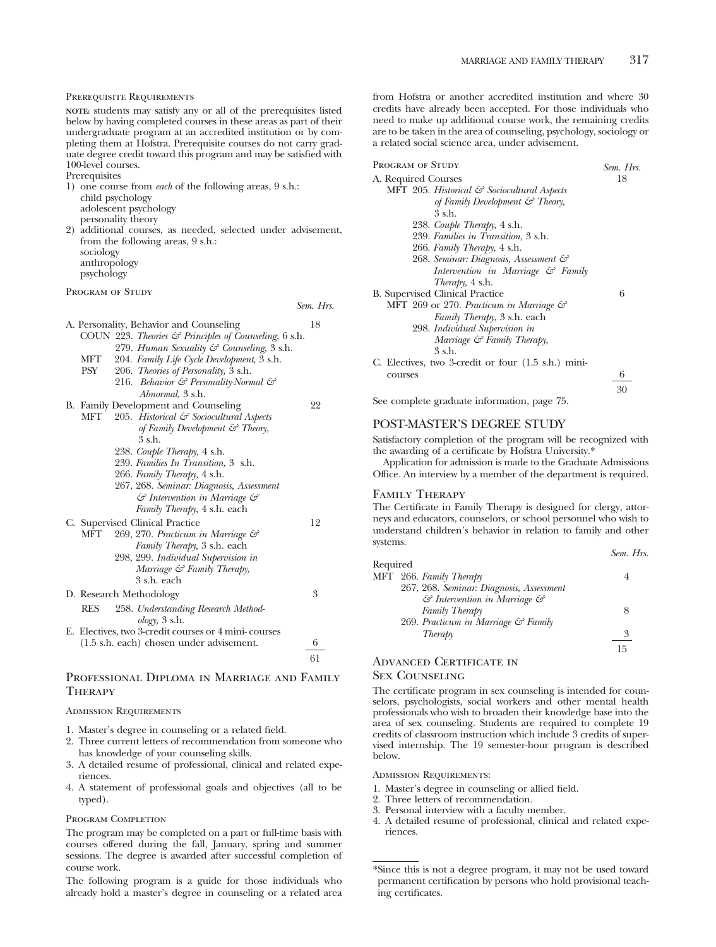#### Prerequisite Requirements

**NOTE:** students may satisfy any or all of the prerequisites listed below by having completed courses in these areas as part of their undergraduate program at an accredited institution or by completing them at Hofstra. Prerequisite courses do not carry graduate degree credit toward this program and may be satisfied with 100-level courses.

Prerequisites

- 1) one course from *each* of the following areas, 9 s.h.: child psychology adolescent psychology personality theory 2) additional courses, as needed, selected under advisement, from the following areas, 9 s.h.: sociology anthropology
	- psychology

PROGRAM OF STUDY

*Sem. Hrs.*

|            | A. Personality, Behavior and Counseling                      | 18 |
|------------|--------------------------------------------------------------|----|
|            | COUN 223. Theories & Principles of Counseling, 6 s.h.        |    |
|            | 279. Human Sexuality & Counseling, 3 s.h.                    |    |
| MFT        | 204. Family Life Cycle Development, 3 s.h.                   |    |
| PSY        | 206. <i>Theories of Personality</i> , 3 s.h.                 |    |
|            | 216. Behavior & Personality-Normal &                         |    |
|            | Abnormal, 3 s.h.                                             |    |
|            | B. Family Development and Counseling                         | 22 |
| MFT        | 205. Historical & Sociocultural Aspects                      |    |
|            | of Family Development $\mathcal{C}$ Theory,                  |    |
|            | 3 s.h.                                                       |    |
|            | 238. Couple Therapy, 4 s.h.                                  |    |
|            | 239. Families In Transition, 3 s.h.                          |    |
|            | 266. Family Therapy, 4 s.h.                                  |    |
|            | 267, 268. Seminar: Diagnosis, Assessment                     |    |
|            | & Intervention in Marriage &                                 |    |
|            | Family Therapy, 4 s.h. each                                  |    |
|            | C. Supervised Clinical Practice                              | 12 |
| МFТ        | 269, 270. Practicum in Marriage &                            |    |
|            | Family Therapy, 3 s.h. each                                  |    |
|            | 298, 299. Individual Supervision in                          |    |
|            | Marriage $\mathcal G$ Family Therapy,                        |    |
|            | 3 s.h. each                                                  |    |
|            |                                                              |    |
|            | D. Research Methodology                                      | 3  |
| <b>RES</b> | 258. Understanding Research Method-<br>$\omega$ logy, 3 s.h. |    |
|            | E. Electives, two 3-credit courses or 4 mini-courses         |    |
|            | $(1.5 \text{ s.h.}$ each) chosen under advisement.           | 6  |
|            |                                                              |    |
|            |                                                              | 61 |

# Professional Diploma in Marriage and Family **THERAPY**

Admission Requirements

- 1. Master's degree in counseling or a related field.
- 2. Three current letters of recommendation from someone who has knowledge of your counseling skills.
- 3. A detailed resume of professional, clinical and related experiences
- 4. A statement of professional goals and objectives (all to be typed).

#### PROGRAM COMPLETION

The program may be completed on a part or full-time basis with courses offered during the fall, January, spring and summer sessions. The degree is awarded after successful completion of course work.

The following program is a guide for those individuals who already hold a master's degree in counseling or a related area

from Hofstra or another accredited institution and where 30 credits have already been accepted. For those individuals who need to make up additional course work, the remaining credits are to be taken in the area of counseling, psychology, sociology or a related social science area, under advisement.

| PROGRAM OF STUDY                                    | Sem. Hrs. |
|-----------------------------------------------------|-----------|
| A. Required Courses                                 | 18        |
| MFT 205. Historical & Sociocultural Aspects         |           |
| of Family Development & Theory,                     |           |
| 3 s.h.                                              |           |
| 238. Couple Therapy, 4 s.h.                         |           |
| 239. Families in Transition, 3 s.h.                 |           |
| 266. Family Therapy, 4 s.h.                         |           |
| 268. Seminar: Diagnosis, Assessment &               |           |
| Intervention in Marriage & Family                   |           |
| <i>Therapy</i> , 4 s.h.                             |           |
| <b>B.</b> Supervised Clinical Practice              | 6         |
| MFT 269 or 270. Practicum in Marriage &             |           |
| Family Therapy, 3 s.h. each                         |           |
| 298. Individual Supervision in                      |           |
| Marriage & Family Therapy,                          |           |
| 3 s.h.                                              |           |
| C. Electives, two 3-credit or four (1.5 s.h.) mini- |           |
| courses                                             | 6         |
|                                                     | 30        |

See complete graduate information, page 75.

#### POST-MASTER'S DEGREE STUDY

Satisfactory completion of the program will be recognized with the awarding of a certificate by Hofstra University.\*

Application for admission is made to the Graduate Admissions Office. An interview by a member of the department is required.

#### Family Therapy

The Certificate in Family Therapy is designed for clergy, attorneys and educators, counselors, or school personnel who wish to understand children's behavior in relation to family and other systems.

|          |                                                    | Sem. Hrs. |
|----------|----------------------------------------------------|-----------|
| Required |                                                    |           |
|          | MFT 266. Family Therapy                            | 4         |
|          | 267, 268. Seminar: Diagnosis, Assessment           |           |
|          | $\mathcal G$ Intervention in Marriage $\mathcal G$ |           |
|          | Family Therapy                                     | 8         |
|          | 269. Practicum in Marriage & Family                |           |
|          | Therapy                                            | 3         |
|          |                                                    | 15        |

# Advanced Certificate in Sex Counseling

The certificate program in sex counseling is intended for counselors, psychologists, social workers and other mental health professionals who wish to broaden their knowledge base into the area of sex counseling. Students are required to complete 19 credits of classroom instruction which include 3 credits of supervised internship. The 19 semester-hour program is described below.

#### Admission Requirements:

- 1. Master's degree in counseling or allied field.
- 2. Three letters of recommendation.
- 3. Personal interview with a faculty member.
- 4. A detailed resume of professional, clinical and related experiences.

<sup>\*</sup>Since this is not a degree program, it may not be used toward permanent certification by persons who hold provisional teaching certificates.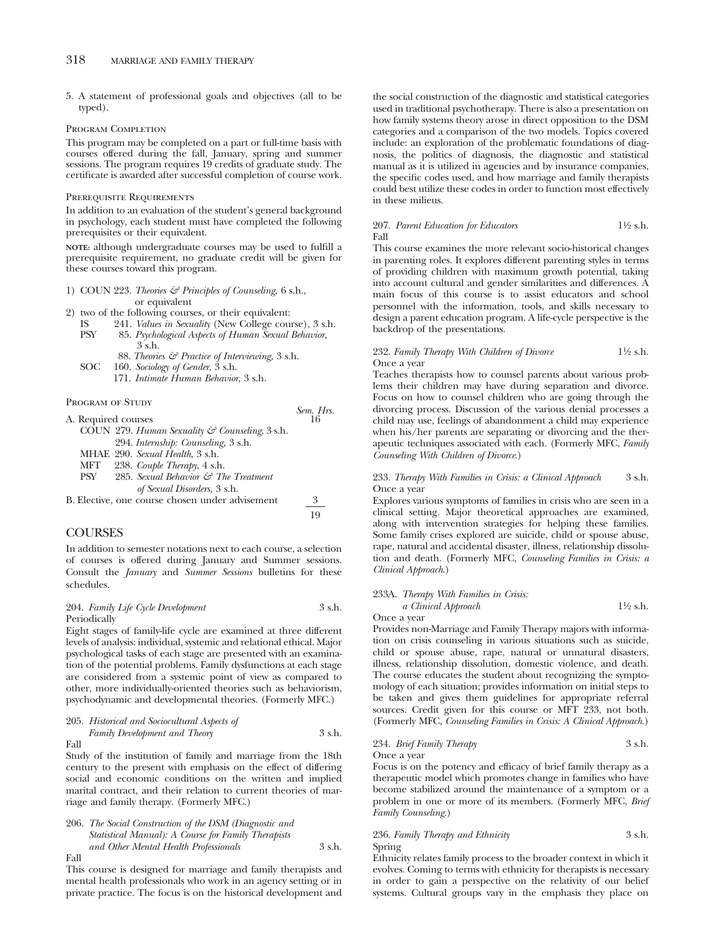5. A statement of professional goals and objectives (all to be typed).

#### PROGRAM COMPLETION

This program may be completed on a part or full-time basis with courses offered during the fall, January, spring and summer sessions. The program requires 19 credits of graduate study. The certificate is awarded after successful completion of course work.

#### Prerequisite Requirements

In addition to an evaluation of the student's general background in psychology, each student must have completed the following prerequisites or their equivalent.

**NOTE:** although undergraduate courses may be used to fulfill a prerequisite requirement, no graduate credit will be given for these courses toward this program.

- 1) COUN 223. *Theories & Principles of Counseling,* 6 s.h., or equivalent
- 2) two of the following courses, or their equivalent:
	- IS 241. *Values in Sexuality* (New College course), 3 s.h. PSY 85. *Psychological Aspects of Human Sexual Behavior,* 3 s.h.
	- 88. *Theories & Practice of Interviewing,* 3 s.h. SOC 160. *Sociology of Gender*, 3 s.h.
		- 171. *Intimate Human Behavior*, 3 s.h.

PROGRAM OF STUDY

| <b>FROGRAM OF SIUDY</b>                         | Sem. Hrs. |
|-------------------------------------------------|-----------|
| A. Required courses                             | 16        |
| COUN 279. Human Sexuality & Counseling, 3 s.h.  |           |
| 294. Internship: Counseling, 3 s.h.             |           |
| MHAE 290. Sexual Health, 3 s.h.                 |           |
| 238. Couple Therapy, 4 s.h.<br>MFT              |           |
| 285. Sexual Behavior & The Treatment<br>PSY     |           |
| of Sexual Disorders, 3 s.h.                     |           |
| B. Elective, one course chosen under advisement | 3         |
|                                                 | 19        |

## **COURSES**

In addition to semester notations next to each course, a selection of courses is offered during January and Summer sessions. Consult the *January* and *Summer Sessions* bulletins for these schedules.

#### 204. *Family Life Cycle Development* 3 s.h. Periodically

Eight stages of family-life cycle are examined at three different levels of analysis: individual, systemic and relational ethical. Major psychological tasks of each stage are presented with an examination of the potential problems. Family dysfunctions at each stage are considered from a systemic point of view as compared to other, more individually-oriented theories such as behaviorism, psychodynamic and developmental theories. (Formerly MFC.)

205. *Historical and Sociocultural Aspects of Family Development and Theory* 3 s.h.

Fall

Study of the institution of family and marriage from the 18th century to the present with emphasis on the effect of differing social and economic conditions on the written and implied marital contract, and their relation to current theories of marriage and family therapy. (Formerly MFC.)

206. *The Social Construction of the DSM (Diagnostic and Statistical Manual): A Course for Family Therapists and Other Mental Health Professionals* 3 s.h. Fall

This course is designed for marriage and family therapists and mental health professionals who work in an agency setting or in private practice. The focus is on the historical development and the social construction of the diagnostic and statistical categories used in traditional psychotherapy. There is also a presentation on how family systems theory arose in direct opposition to the DSM categories and a comparison of the two models. Topics covered include: an exploration of the problematic foundations of diagnosis, the politics of diagnosis, the diagnostic and statistical manual as it is utilized in agencies and by insurance companies, the specific codes used, and how marriage and family therapists could best utilize these codes in order to function most effectively in these milieus.

#### 207. *Parent Education for Educators* 11⁄2 s.h. Fall

This course examines the more relevant socio-historical changes in parenting roles. It explores different parenting styles in terms of providing children with maximum growth potential, taking into account cultural and gender similarities and differences. A main focus of this course is to assist educators and school personnel with the information, tools, and skills necessary to design a parent education program. A life-cycle perspective is the backdrop of the presentations.

#### 232. *Family Therapy With Children of Divorce* 11⁄2 s.h. Once a year

Teaches therapists how to counsel parents about various problems their children may have during separation and divorce. Focus on how to counsel children who are going through the divorcing process. Discussion of the various denial processes a child may use, feelings of abandonment a child may experience when his/her parents are separating or divorcing and the therapeutic techniques associated with each. (Formerly MFC, *Family Counseling With Children of Divorce*.)

#### 233. *Therapy With Families in Crisis: a Clinical Approach* 3 s.h. Once a year

Explores various symptoms of families in crisis who are seen in a clinical setting. Major theoretical approaches are examined, along with intervention strategies for helping these families. Some family crises explored are suicide, child or spouse abuse, rape, natural and accidental disaster, illness, relationship dissolution and death. (Formerly MFC, *Counseling Families in Crisis: a Clinical Approach*.)

#### 233A. *Therapy With Families in Crisis: a Clinical Approach* 11⁄2 s.h.

Once a year

Provides non-Marriage and Family Therapy majors with information on crisis counseling in various situations such as suicide, child or spouse abuse, rape, natural or unnatural disasters, illness, relationship dissolution, domestic violence, and death. The course educates the student about recognizing the symptomology of each situation; provides information on initial steps to be taken and gives them guidelines for appropriate referral sources. Credit given for this course or MFT 233, not both. (Formerly MFC, *Counseling Families in Crisis: A Clinical Approach*.)

# 234. *Brief Family Therapy* 3 s.h.

Once a year

Focus is on the potency and efficacy of brief family therapy as a therapeutic model which promotes change in families who have become stabilized around the maintenance of a symptom or a problem in one or more of its members. (Formerly MFC, *Brief Family Counseling*.)

#### 236. *Family Therapy and Ethnicity* 3 s.h. Spring

Ethnicity relates family process to the broader context in which it evolves. Coming to terms with ethnicity for therapists is necessary in order to gain a perspective on the relativity of our belief systems. Cultural groups vary in the emphasis they place on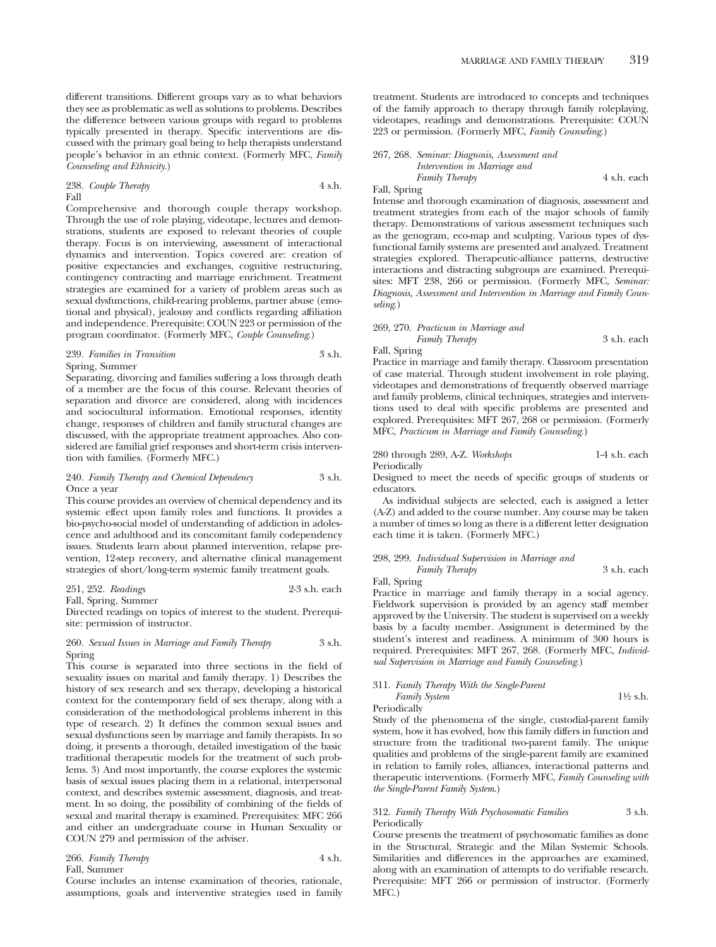different transitions. Different groups vary as to what behaviors they see as problematic as well as solutions to problems. Describes the difference between various groups with regard to problems typically presented in therapy. Specific interventions are discussed with the primary goal being to help therapists understand people's behavior in an ethnic context. (Formerly MFC, *Family Counseling and Ethnicity*.)

#### 238. *Couple Therapy* 4 s.h. Fall

Comprehensive and thorough couple therapy workshop. Through the use of role playing, videotape, lectures and demonstrations, students are exposed to relevant theories of couple therapy. Focus is on interviewing, assessment of interactional dynamics and intervention. Topics covered are: creation of positive expectancies and exchanges, cognitive restructuring, contingency contracting and marriage enrichment. Treatment strategies are examined for a variety of problem areas such as sexual dysfunctions, child-rearing problems, partner abuse (emotional and physical), jealousy and conflicts regarding affiliation and independence. Prerequisite: COUN 223 or permission of the program coordinator. (Formerly MFC, *Couple Counseling*.)

#### 239. *Families in Transition* 3 s.h. Spring, Summer

Separating, divorcing and families suffering a loss through death of a member are the focus of this course. Relevant theories of separation and divorce are considered, along with incidences and sociocultural information. Emotional responses, identity change, responses of children and family structural changes are discussed, with the appropriate treatment approaches. Also considered are familial grief responses and short-term crisis intervention with families. (Formerly MFC.)

#### 240. *Family Therapy and Chemical Dependency* 3 s.h. Once a year

This course provides an overview of chemical dependency and its systemic effect upon family roles and functions. It provides a bio-psycho-social model of understanding of addiction in adolescence and adulthood and its concomitant family codependency issues. Students learn about planned intervention, relapse prevention, 12-step recovery, and alternative clinical management strategies of short/long-term systemic family treatment goals.

#### 251, 252. *Readings* 2-3 s.h. each Fall, Spring, Summer

Directed readings on topics of interest to the student. Prerequisite: permission of instructor.

#### 260. *Sexual Issues in Marriage and Family Therapy* 3 s.h. Spring

This course is separated into three sections in the field of sexuality issues on marital and family therapy. 1) Describes the history of sex research and sex therapy, developing a historical context for the contemporary field of sex therapy, along with a consideration of the methodological problems inherent in this type of research. 2) It defines the common sexual issues and sexual dysfunctions seen by marriage and family therapists. In so doing, it presents a thorough, detailed investigation of the basic traditional therapeutic models for the treatment of such problems. 3) And most importantly, the course explores the systemic basis of sexual issues placing them in a relational, interpersonal context, and describes systemic assessment, diagnosis, and treatment. In so doing, the possibility of combining of the fields of sexual and marital therapy is examined. Prerequisites: MFC 266 and either an undergraduate course in Human Sexuality or COUN 279 and permission of the adviser.

#### 266. *Family Therapy* 4 s.h. Fall, Summer

Course includes an intense examination of theories, rationale, assumptions, goals and interventive strategies used in family treatment. Students are introduced to concepts and techniques of the family approach to therapy through family roleplaying, videotapes, readings and demonstrations. Prerequisite: COUN 223 or permission. (Formerly MFC, *Family Counseling*.)

# 267, 268. *Seminar: Diagnosis, Assessment and*

#### *Intervention in Marriage and Family Therapy* 4 s.h. each Fall, Spring

Intense and thorough examination of diagnosis, assessment and treatment strategies from each of the major schools of family therapy. Demonstrations of various assessment techniques such as the genogram, eco-map and sculpting. Various types of dysfunctional family systems are presented and analyzed. Treatment strategies explored. Therapeutic-alliance patterns, destructive interactions and distracting subgroups are examined. Prerequisites: MFT 238, 266 or permission. (Formerly MFC, *Seminar: Diagnosis, Assessment and Intervention in Marriage and Family Counseling*.)

#### 269, 270. *Practicum in Marriage and Family Therapy* 3 s.h. each

Fall, Spring

Practice in marriage and family therapy. Classroom presentation of case material. Through student involvement in role playing, videotapes and demonstrations of frequently observed marriage and family problems, clinical techniques, strategies and interventions used to deal with specific problems are presented and explored. Prerequisites: MFT 267, 268 or permission. (Formerly MFC, *Practicum in Marriage and Family Counseling*.)

280 through 289, A-Z. *Workshops* 1-4 s.h. each Periodically

Designed to meet the needs of specific groups of students or educators.

As individual subjects are selected, each is assigned a letter (A-Z) and added to the course number. Any course may be taken a number of times so long as there is a different letter designation each time it is taken. (Formerly MFC.)

# 298, 299. *Individual Supervision in Marriage and*

*Family Therapy* 3 s.h. each Fall, Spring

Practice in marriage and family therapy in a social agency. Fieldwork supervision is provided by an agency staff member approved by the University. The student is supervised on a weekly basis by a faculty member. Assignment is determined by the student's interest and readiness. A minimum of 300 hours is required. Prerequisites: MFT 267, 268. (Formerly MFC, *Individual Supervision in Marriage and Family Counseling*.)

#### 311. *Family Therapy With the Single-Parent Family System* 1<sup>1</sup>⁄2 s.h.

Periodically

Study of the phenomena of the single, custodial-parent family system, how it has evolved, how this family differs in function and structure from the traditional two-parent family. The unique qualities and problems of the single-parent family are examined in relation to family roles, alliances, interactional patterns and therapeutic interventions. (Formerly MFC, *Family Counseling with the Single-Parent Family System*.)

#### 312. *Family Therapy With Psychosomatic Families* 3 s.h. Periodically

Course presents the treatment of psychosomatic families as done in the Structural, Strategic and the Milan Systemic Schools. Similarities and differences in the approaches are examined, along with an examination of attempts to do verifiable research. Prerequisite: MFT 266 or permission of instructor. (Formerly MFC.)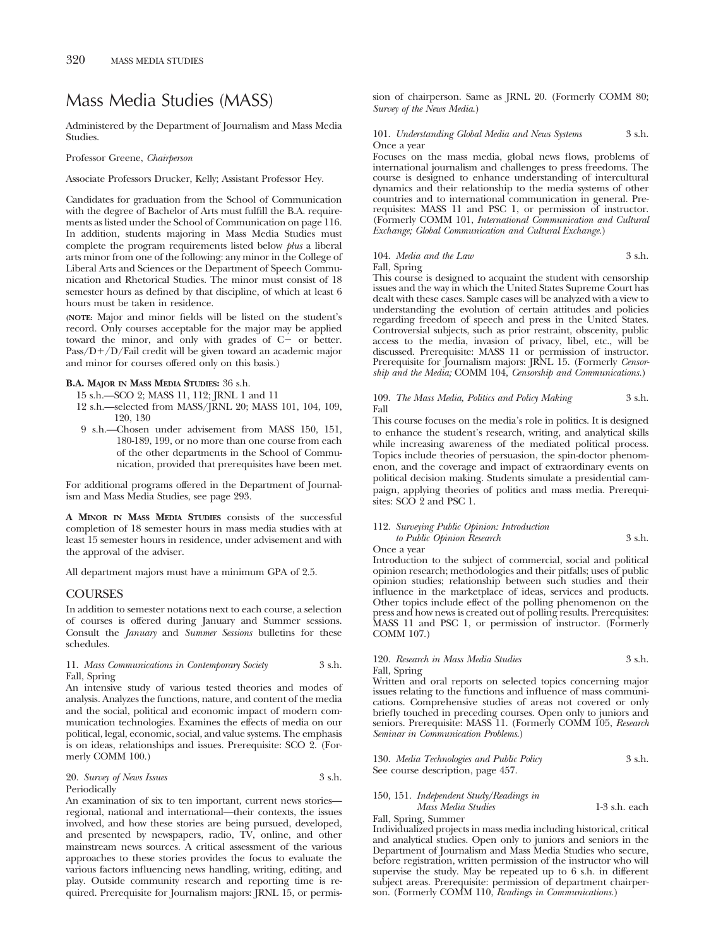# Mass Media Studies (MASS)

Administered by the Department of Journalism and Mass Media **Studies** 

Professor Greene, *Chairperson*

Associate Professors Drucker, Kelly; Assistant Professor Hey.

Candidates for graduation from the School of Communication with the degree of Bachelor of Arts must fulfill the B.A. requirements as listed under the School of Communication on page 116. In addition, students majoring in Mass Media Studies must complete the program requirements listed below *plus* a liberal arts minor from one of the following: any minor in the College of Liberal Arts and Sciences or the Department of Speech Communication and Rhetorical Studies. The minor must consist of 18 semester hours as defined by that discipline, of which at least 6 hours must be taken in residence.

**(NOTE:** Major and minor fields will be listed on the student's record. Only courses acceptable for the major may be applied toward the minor, and only with grades of  $C$  - or better. Pass/D+/D/Fail credit will be given toward an academic major and minor for courses offered only on this basis.)

#### **B.A. MAJOR IN MASS MEDIA STUDIES:** 36 s.h.

- 15 s.h.—SCO 2; MASS 11, 112; JRNL 1 and 11
- 12 s.h.—selected from MASS/JRNL 20; MASS 101, 104, 109, 120, 130
- 9 s.h.—Chosen under advisement from MASS 150, 151, 180-189, 199, or no more than one course from each of the other departments in the School of Communication, provided that prerequisites have been met.

For additional programs offered in the Department of Journalism and Mass Media Studies, see page 293.

**A MINOR IN MASS MEDIA STUDIES** consists of the successful completion of 18 semester hours in mass media studies with at least 15 semester hours in residence, under advisement and with the approval of the adviser.

All department majors must have a minimum GPA of 2.5.

### **COURSES**

In addition to semester notations next to each course, a selection of courses is offered during January and Summer sessions. Consult the *January* and *Summer Sessions* bulletins for these schedules.

11. *Mass Communications in Contemporary Society* 3 s.h. Fall, Spring

An intensive study of various tested theories and modes of analysis. Analyzes the functions, nature, and content of the media and the social, political and economic impact of modern communication technologies. Examines the effects of media on our political, legal, economic, social, and value systems. The emphasis is on ideas, relationships and issues. Prerequisite: SCO 2. (Formerly COMM 100.)

#### 20. *Survey of News Issues* 3 s.h. Periodically

An examination of six to ten important, current news stories regional, national and international—their contexts, the issues involved, and how these stories are being pursued, developed, and presented by newspapers, radio, TV, online, and other mainstream news sources. A critical assessment of the various approaches to these stories provides the focus to evaluate the various factors influencing news handling, writing, editing, and play. Outside community research and reporting time is required. Prerequisite for Journalism majors: JRNL 15, or permission of chairperson. Same as JRNL 20. (Formerly COMM 80; *Survey of the News Media*.)

101. *Understanding Global Media and News Systems* 3 s.h. Once a year

Focuses on the mass media, global news flows, problems of international journalism and challenges to press freedoms. The course is designed to enhance understanding of intercultural dynamics and their relationship to the media systems of other countries and to international communication in general. Prerequisites: MASS 11 and PSC 1, or permission of instructor. (Formerly COMM 101, *International Communication and Cultural Exchange; Global Communication and Cultural Exchange.*)

#### 104. *Media and the Law* 3 s.h. Fall, Spring

This course is designed to acquaint the student with censorship issues and the way in which the United States Supreme Court has dealt with these cases. Sample cases will be analyzed with a view to understanding the evolution of certain attitudes and policies regarding freedom of speech and press in the United States. Controversial subjects, such as prior restraint, obscenity, public access to the media, invasion of privacy, libel, etc., will be discussed. Prerequisite: MASS 11 or permission of instructor. Prerequisite for Journalism majors: JRNL 15. (Formerly *Censorship and the Media;* COMM 104, *Censorship and Communications.*)

#### 109. *The Mass Media, Politics and Policy Making* 3 s.h. Fall

This course focuses on the media's role in politics. It is designed to enhance the student's research, writing, and analytical skills while increasing awareness of the mediated political process. Topics include theories of persuasion, the spin-doctor phenomenon, and the coverage and impact of extraordinary events on political decision making. Students simulate a presidential campaign, applying theories of politics and mass media. Prerequisites: SCO 2 and PSC 1.

#### 112. *Surveying Public Opinion: Introduction to Public Opinion Research* 3 s.h. Once a year

Introduction to the subject of commercial, social and political opinion research; methodologies and their pitfalls; uses of public opinion studies; relationship between such studies and their influence in the marketplace of ideas, services and products. Other topics include effect of the polling phenomenon on the press and how news is created out of polling results. Prerequisites: MASS 11 and PSC 1, or permission of instructor. (Formerly COMM 107.)

#### 120. *Research in Mass Media Studies* 3 s.h. Fall, Spring

Written and oral reports on selected topics concerning major issues relating to the functions and influence of mass communications. Comprehensive studies of areas not covered or only briefly touched in preceding courses. Open only to juniors and seniors. Prerequisite: MASS 11. (Formerly COMM 105, *Research Seminar in Communication Problems*.)

130. *Media Technologies and Public Policy* 3 s.h. See course description, page 457.

#### 150, 151. *Independent Study/Readings in Mass Media Studies* 1-3 s.h. each

Fall, Spring, Summer Individualized projects in mass media including historical, critical and analytical studies. Open only to juniors and seniors in the Department of Journalism and Mass Media Studies who secure, before registration, written permission of the instructor who will supervise the study. May be repeated up to 6 s.h. in different subject areas. Prerequisite: permission of department chairperson. (Formerly COMM 110, *Readings in Communications.*)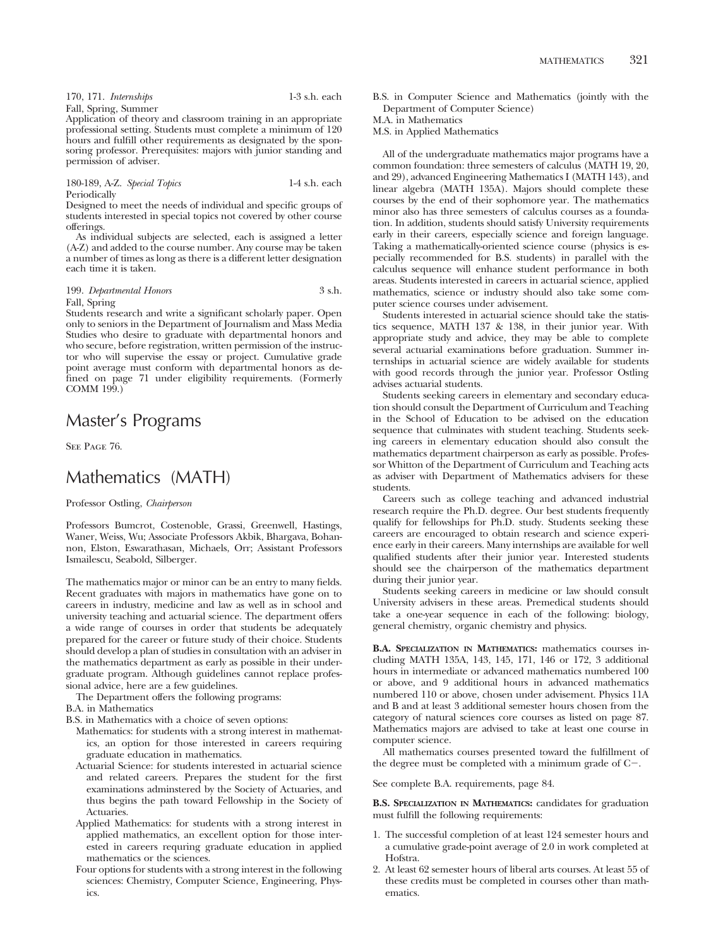| 170, 171. Internships | $1-3$ s.h. each |
|-----------------------|-----------------|
| Fall, Spring, Summer  |                 |

Application of theory and classroom training in an appropriate professional setting. Students must complete a minimum of 120 hours and fulfill other requirements as designated by the sponsoring professor. Prerequisites: majors with junior standing and permission of adviser.

180-189, A-Z. *Special Topics* 1-4 s.h. each Periodically

Designed to meet the needs of individual and specific groups of students interested in special topics not covered by other course offerings.

As individual subjects are selected, each is assigned a letter (A-Z) and added to the course number. Any course may be taken a number of times as long as there is a different letter designation each time it is taken.

#### 199. *Departmental Honors* 3 s.h. Fall, Spring

Students research and write a significant scholarly paper. Open only to seniors in the Department of Journalism and Mass Media Studies who desire to graduate with departmental honors and who secure, before registration, written permission of the instructor who will supervise the essay or project. Cumulative grade point average must conform with departmental honors as defined on page 71 under eligibility requirements. (Formerly COMM 199.)

# Master's Programs

SEE PAGE 76.

# Mathematics (MATH)

Professor Ostling, *Chairperson*

Professors Bumcrot, Costenoble, Grassi, Greenwell, Hastings, Waner, Weiss, Wu; Associate Professors Akbik, Bhargava, Bohannon, Elston, Eswarathasan, Michaels, Orr; Assistant Professors Ismailescu, Seabold, Silberger.

The mathematics major or minor can be an entry to many fields. Recent graduates with majors in mathematics have gone on to careers in industry, medicine and law as well as in school and university teaching and actuarial science. The department offers a wide range of courses in order that students be adequately prepared for the career or future study of their choice. Students should develop a plan of studies in consultation with an adviser in the mathematics department as early as possible in their undergraduate program. Although guidelines cannot replace professional advice, here are a few guidelines.

The Department offers the following programs:

- B.A. in Mathematics
- B.S. in Mathematics with a choice of seven options:
	- Mathematics: for students with a strong interest in mathematics, an option for those interested in careers requiring graduate education in mathematics.
	- Actuarial Science: for students interested in actuarial science and related careers. Prepares the student for the first examinations adminstered by the Society of Actuaries, and thus begins the path toward Fellowship in the Society of Actuaries.
	- Applied Mathematics: for students with a strong interest in applied mathematics, an excellent option for those interested in careers requring graduate education in applied mathematics or the sciences.
	- Four options for students with a strong interest in the following sciences: Chemistry, Computer Science, Engineering, Physics.

B.S. in Computer Science and Mathematics (jointly with the Department of Computer Science)

M.A. in Mathematics

M.S. in Applied Mathematics

All of the undergraduate mathematics major programs have a common foundation: three semesters of calculus (MATH 19, 20, and 29), advanced Engineering Mathematics I (MATH 143), and linear algebra (MATH 135A). Majors should complete these courses by the end of their sophomore year. The mathematics minor also has three semesters of calculus courses as a foundation. In addition, students should satisfy University requirements early in their careers, especially science and foreign language. Taking a mathematically-oriented science course (physics is especially recommended for B.S. students) in parallel with the calculus sequence will enhance student performance in both areas. Students interested in careers in actuarial science, applied mathematics, science or industry should also take some computer science courses under advisement.

Students interested in actuarial science should take the statistics sequence, MATH 137 & 138, in their junior year. With appropriate study and advice, they may be able to complete several actuarial examinations before graduation. Summer internships in actuarial science are widely available for students with good records through the junior year. Professor Ostling advises actuarial students.

Students seeking careers in elementary and secondary education should consult the Department of Curriculum and Teaching in the School of Education to be advised on the education sequence that culminates with student teaching. Students seeking careers in elementary education should also consult the mathematics department chairperson as early as possible. Professor Whitton of the Department of Curriculum and Teaching acts as adviser with Department of Mathematics advisers for these students.

Careers such as college teaching and advanced industrial research require the Ph.D. degree. Our best students frequently qualify for fellowships for Ph.D. study. Students seeking these careers are encouraged to obtain research and science experience early in their careers. Many internships are available for well qualified students after their junior year. Interested students should see the chairperson of the mathematics department during their junior year.

Students seeking careers in medicine or law should consult University advisers in these areas. Premedical students should take a one-year sequence in each of the following: biology, general chemistry, organic chemistry and physics.

**B.A. SPECIALIZATION IN MATHEMATICS:** mathematics courses including MATH 135A, 143, 145, 171, 146 or 172, 3 additional hours in intermediate or advanced mathematics numbered 100 or above, and 9 additional hours in advanced mathematics numbered 110 or above, chosen under advisement. Physics 11A and B and at least 3 additional semester hours chosen from the category of natural sciences core courses as listed on page 87. Mathematics majors are advised to take at least one course in computer science.

All mathematics courses presented toward the fulfillment of the degree must be completed with a minimum grade of  $C$ .

See complete B.A. requirements, page 84.

**B.S. SPECIALIZATION IN MATHEMATICS:** candidates for graduation must fulfill the following requirements:

- 1. The successful completion of at least 124 semester hours and a cumulative grade-point average of 2.0 in work completed at Hofstra.
- 2. At least 62 semester hours of liberal arts courses. At least 55 of these credits must be completed in courses other than mathematics.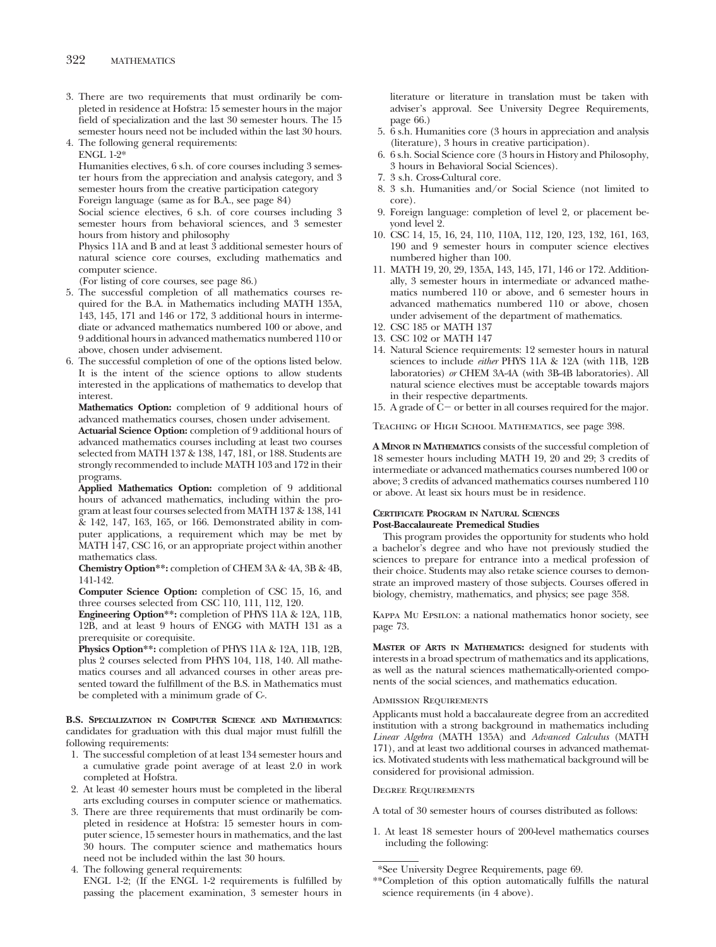- 3. There are two requirements that must ordinarily be completed in residence at Hofstra: 15 semester hours in the major field of specialization and the last 30 semester hours. The 15 semester hours need not be included within the last 30 hours.
- 4. The following general requirements: ENGL 1-2\*

Humanities electives, 6 s.h. of core courses including 3 semester hours from the appreciation and analysis category, and 3 semester hours from the creative participation category

Foreign language (same as for B.A., see page 84)

Social science electives, 6 s.h. of core courses including 3 semester hours from behavioral sciences, and 3 semester hours from history and philosophy

Physics 11A and B and at least 3 additional semester hours of natural science core courses, excluding mathematics and computer science.

(For listing of core courses, see page 86.)

- 5. The successful completion of all mathematics courses required for the B.A. in Mathematics including MATH 135A, 143, 145, 171 and 146 or 172, 3 additional hours in intermediate or advanced mathematics numbered 100 or above, and 9 additional hours in advanced mathematics numbered 110 or above, chosen under advisement.
- 6. The successful completion of one of the options listed below. It is the intent of the science options to allow students interested in the applications of mathematics to develop that interest.

**Mathematics Option:** completion of 9 additional hours of advanced mathematics courses, chosen under advisement.

**Actuarial Science Option:** completion of 9 additional hours of advanced mathematics courses including at least two courses selected from MATH 137 & 138, 147, 181, or 188. Students are strongly recommended to include MATH 103 and 172 in their programs.

**Applied Mathematics Option:** completion of 9 additional hours of advanced mathematics, including within the program at least four courses selected from MATH 137 & 138, 141 & 142, 147, 163, 165, or 166. Demonstrated ability in computer applications, a requirement which may be met by MATH 147, CSC 16, or an appropriate project within another mathematics class.

**Chemistry Option\*\*:** completion of CHEM 3A & 4A, 3B & 4B, 141-142.

**Computer Science Option:** completion of CSC 15, 16, and three courses selected from CSC 110, 111, 112, 120.

**Engineering Option\*\*:** completion of PHYS 11A & 12A, 11B, 12B, and at least 9 hours of ENGG with MATH 131 as a prerequisite or corequisite.

**Physics Option\*\*:** completion of PHYS 11A & 12A, 11B, 12B, plus 2 courses selected from PHYS 104, 118, 140. All mathematics courses and all advanced courses in other areas presented toward the fulfillment of the B.S. in Mathematics must be completed with a minimum grade of C-.

**B.S. SPECIALIZATION IN COMPUTER SCIENCE AND MATHEMATICS**: candidates for graduation with this dual major must fulfill the following requirements:

- 1. The successful completion of at least 134 semester hours and a cumulative grade point average of at least 2.0 in work completed at Hofstra.
- 2. At least 40 semester hours must be completed in the liberal arts excluding courses in computer science or mathematics.
- 3. There are three requirements that must ordinarily be completed in residence at Hofstra: 15 semester hours in computer science, 15 semester hours in mathematics, and the last 30 hours. The computer science and mathematics hours need not be included within the last 30 hours.

4. The following general requirements:

ENGL 1-2; (If the ENGL 1-2 requirements is fulfilled by passing the placement examination, 3 semester hours in literature or literature in translation must be taken with adviser's approval. See University Degree Requirements, page 66.)

- 5. 6 s.h. Humanities core (3 hours in appreciation and analysis (literature), 3 hours in creative participation).
- 6. 6 s.h. Social Science core (3 hours in History and Philosophy, 3 hours in Behavioral Social Sciences).
- 7. 3 s.h. Cross-Cultural core.
- 8. 3 s.h. Humanities and/or Social Science (not limited to core).
- 9. Foreign language: completion of level 2, or placement beyond level 2.
- 10. CSC 14, 15, 16, 24, 110, 110A, 112, 120, 123, 132, 161, 163, 190 and 9 semester hours in computer science electives numbered higher than 100.
- 11. MATH 19, 20, 29, 135A, 143, 145, 171, 146 or 172. Additionally, 3 semester hours in intermediate or advanced mathematics numbered 110 or above, and 6 semester hours in advanced mathematics numbered 110 or above, chosen under advisement of the department of mathematics.
- 12. CSC 185 or MATH 137
- 13. CSC 102 or MATH 147
- 14. Natural Science requirements: 12 semester hours in natural sciences to include *either* PHYS 11A & 12A (with 11B, 12B laboratories) *or* CHEM 3A-4A (with 3B-4B laboratories). All natural science electives must be acceptable towards majors in their respective departments.
- 15. A grade of  $\bar{C}$  or better in all courses required for the major.

Teaching of High School Mathematics, see page 398.

**A MINOR IN MATHEMATICS** consists of the successful completion of 18 semester hours including MATH 19, 20 and 29; 3 credits of intermediate or advanced mathematics courses numbered 100 or above; 3 credits of advanced mathematics courses numbered 110 or above. At least six hours must be in residence.

#### **CERTIFICATE PROGRAM IN NATURAL SCIENCES Post-Baccalaureate Premedical Studies**

This program provides the opportunity for students who hold a bachelor's degree and who have not previously studied the sciences to prepare for entrance into a medical profession of their choice. Students may also retake science courses to demonstrate an improved mastery of those subjects. Courses offered in biology, chemistry, mathematics, and physics; see page 358.

Kappa Mu Epsilon: a national mathematics honor society, see page 73.

**MASTER OF ARTS IN MATHEMATICS:** designed for students with interests in a broad spectrum of mathematics and its applications, as well as the natural sciences mathematically-oriented components of the social sciences, and mathematics education.

#### Admission Requirements

Applicants must hold a baccalaureate degree from an accredited institution with a strong background in mathematics including *Linear Algebra* (MATH 135A) and *Advanced Calculus* (MATH 171), and at least two additional courses in advanced mathematics. Motivated students with less mathematical background will be considered for provisional admission.

#### Degree Requirements

A total of 30 semester hours of courses distributed as follows:

1. At least 18 semester hours of 200-level mathematics courses including the following:

<sup>\*</sup>See University Degree Requirements, page 69.

<sup>\*\*</sup>Completion of this option automatically fulfills the natural science requirements (in 4 above).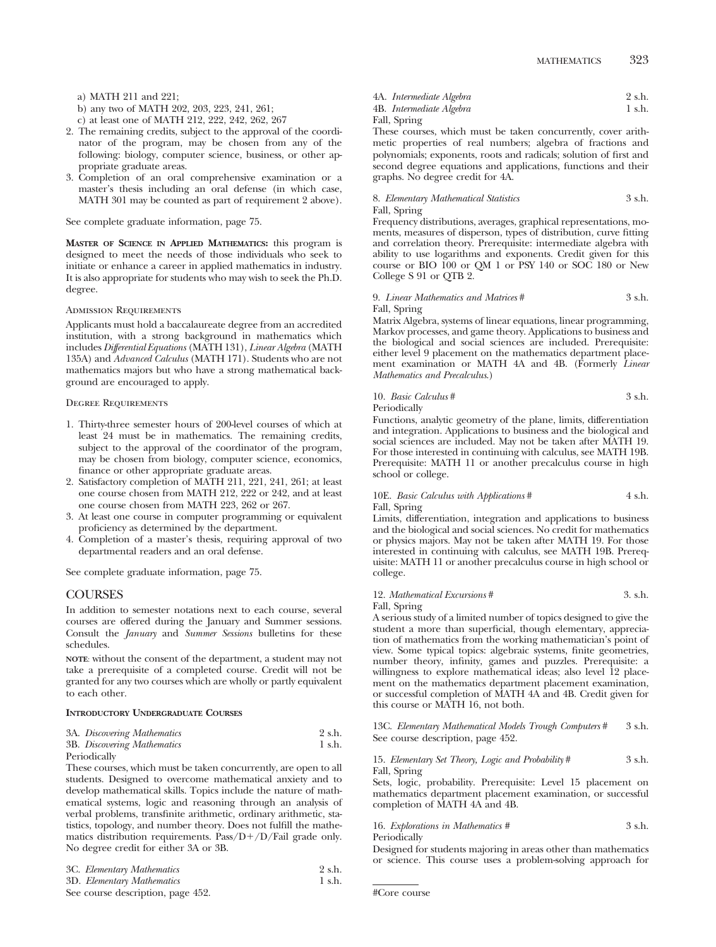MATHEMATICS 323

- a) MATH 211 and 221;
- b) any two of MATH 202, 203, 223, 241, 261;
- c) at least one of MATH 212, 222, 242, 262, 267
- 2. The remaining credits, subject to the approval of the coordinator of the program, may be chosen from any of the following: biology, computer science, business, or other appropriate graduate areas.
- 3. Completion of an oral comprehensive examination or a master's thesis including an oral defense (in which case, MATH 301 may be counted as part of requirement 2 above).

See complete graduate information, page 75.

**MASTER OF SCIENCE IN APPLIED MATHEMATICS:** this program is designed to meet the needs of those individuals who seek to initiate or enhance a career in applied mathematics in industry. It is also appropriate for students who may wish to seek the Ph.D. degree.

#### Admission Requirements

Applicants must hold a baccalaureate degree from an accredited institution, with a strong background in mathematics which includes *Differential Equations* (MATH 131), *Linear Algebra* (MATH 135A) and *Advanced Calculus* (MATH 171). Students who are not mathematics majors but who have a strong mathematical background are encouraged to apply.

#### Degree Requirements

- 1. Thirty-three semester hours of 200-level courses of which at least 24 must be in mathematics. The remaining credits, subject to the approval of the coordinator of the program, may be chosen from biology, computer science, economics, finance or other appropriate graduate areas.
- 2. Satisfactory completion of MATH 211, 221, 241, 261; at least one course chosen from MATH 212, 222 or 242, and at least one course chosen from MATH 223, 262 or 267.
- 3. At least one course in computer programming or equivalent proficiency as determined by the department.
- 4. Completion of a master's thesis, requiring approval of two departmental readers and an oral defense.

See complete graduate information, page 75.

### COURSES

In addition to semester notations next to each course, several courses are offered during the January and Summer sessions. Consult the *January* and *Summer Sessions* bulletins for these schedules.

**NOTE**: without the consent of the department, a student may not take a prerequisite of a completed course. Credit will not be granted for any two courses which are wholly or partly equivalent to each other.

#### **INTRODUCTORY UNDERGRADUATE COURSES**

| 3A. Discovering Mathematics | 2 s.h. |
|-----------------------------|--------|
| 3B. Discovering Mathematics | 1 s.h. |
| Periodically                |        |

These courses, which must be taken concurrently, are open to all students. Designed to overcome mathematical anxiety and to develop mathematical skills. Topics include the nature of mathematical systems, logic and reasoning through an analysis of verbal problems, transfinite arithmetic, ordinary arithmetic, statistics, topology, and number theory. Does not fulfill the mathematics distribution requirements. Pass/D+/D/Fail grade only. No degree credit for either 3A or 3B.

| 3C. Elementary Mathematics        | 2 s.h. |
|-----------------------------------|--------|
| 3D. Elementary Mathematics        | 1 s.h. |
| See course description, page 452. |        |

|       | 4A. Intermediate Algebra | 2 s.h. |
|-------|--------------------------|--------|
|       | 4B. Intermediate Algebra | 1 s.h. |
| T1100 |                          |        |

# Fall, Spring

These courses, which must be taken concurrently, cover arithmetic properties of real numbers; algebra of fractions and polynomials; exponents, roots and radicals; solution of first and second degree equations and applications, functions and their graphs. No degree credit for 4A.

8. *Elementary Mathematical Statistics* 3 s.h. Fall, Spring

Frequency distributions, averages, graphical representations, moments, measures of disperson, types of distribution, curve fitting and correlation theory. Prerequisite: intermediate algebra with ability to use logarithms and exponents. Credit given for this course or BIO 100 or QM 1 or PSY 140 or SOC 180 or New College S 91 or QTB 2.

#### 9. *Linear Mathematics and Matrices* # 3 s.h. Fall, Spring

Matrix Algebra, systems of linear equations, linear programming, Markov processes, and game theory. Applications to business and the biological and social sciences are included. Prerequisite: either level 9 placement on the mathematics department placement examination or MATH 4A and 4B. (Formerly *Linear Mathematics and Precalculus*.)

#### 10. *Basic Calculus* # 3 s.h. Periodically

Functions, analytic geometry of the plane, limits, differentiation and integration. Applications to business and the biological and social sciences are included. May not be taken after MATH 19. For those interested in continuing with calculus, see MATH 19B. Prerequisite: MATH 11 or another precalculus course in high school or college.

#### 10E. *Basic Calculus with Applications* # 4 s.h. Fall, Spring

Limits, differentiation, integration and applications to business and the biological and social sciences. No credit for mathematics or physics majors. May not be taken after MATH 19. For those interested in continuing with calculus, see MATH 19B. Prerequisite: MATH 11 or another precalculus course in high school or college.

#### 12. *Mathematical Excursions* # 3. s.h. Fall, Spring

A serious study of a limited number of topics designed to give the student a more than superficial, though elementary, appreciation of mathematics from the working mathematician's point of view. Some typical topics: algebraic systems, finite geometries, number theory, infinity, games and puzzles. Prerequisite: a willingness to explore mathematical ideas; also level 12 placement on the mathematics department placement examination, or successful completion of MATH 4A and 4B. Credit given for this course or MATH 16, not both.

13C. *Elementary Mathematical Models Trough Computers* # 3 s.h. See course description, page 452.

#### 15. *Elementary Set Theory, Logic and Probability* # 3 s.h. Fall, Spring

Sets, logic, probability. Prerequisite: Level 15 placement on mathematics department placement examination, or successful completion of MATH 4A and 4B.

16. *Explorations in Mathematics #* 3 s.h. Periodically

Designed for students majoring in areas other than mathematics or science. This course uses a problem-solving approach for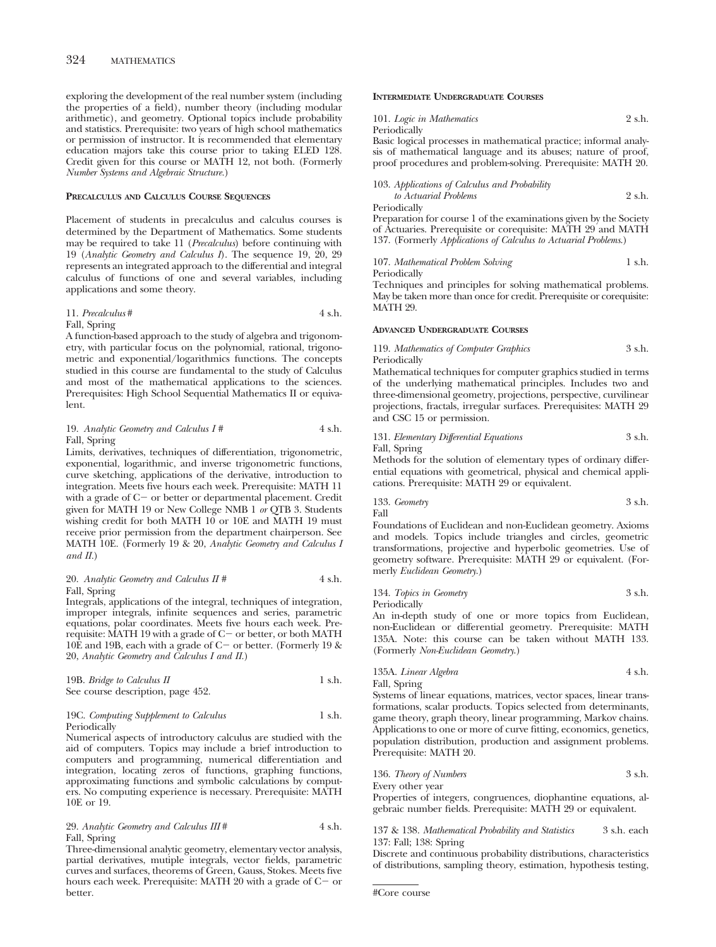exploring the development of the real number system (including the properties of a field), number theory (including modular arithmetic), and geometry. Optional topics include probability and statistics. Prerequisite: two years of high school mathematics or permission of instructor. It is recommended that elementary education majors take this course prior to taking ELED 128. Credit given for this course or MATH 12, not both. (Formerly *Number Systems and Algebraic Structure.*)

#### **PRECALCULUS AND CALCULUS COURSE SEQUENCES**

Placement of students in precalculus and calculus courses is determined by the Department of Mathematics. Some students may be required to take 11 (*Precalculus*) before continuing with 19 (*Analytic Geometry and Calculus I*). The sequence 19, 20, 29 represents an integrated approach to the differential and integral calculus of functions of one and several variables, including applications and some theory.

11. *Precalculus#* 4 s.h. Fall, Spring

A function-based approach to the study of algebra and trigonometry, with particular focus on the polynomial, rational, trigonometric and exponential/logarithmics functions. The concepts studied in this course are fundamental to the study of Calculus and most of the mathematical applications to the sciences. Prerequisites: High School Sequential Mathematics II or equivalent.

#### 19. *Analytic Geometry and Calculus I #* 4 s.h. Fall, Spring

Limits, derivatives, techniques of differentiation, trigonometric, exponential, logarithmic, and inverse trigonometric functions, curve sketching, applications of the derivative, introduction to integration. Meets five hours each week. Prerequisite: MATH 11 with a grade of  $C-$  or better or departmental placement. Credit given for MATH 19 or New College NMB 1 *or* QTB 3. Students wishing credit for both MATH 10 or 10E and MATH 19 must receive prior permission from the department chairperson. See MATH 10E. (Formerly 19 & 20, *Analytic Geometry and Calculus I and II.*)

#### 20. *Analytic Geometry and Calculus II* # 4 s.h. Fall, Spring

Integrals, applications of the integral, techniques of integration, improper integrals, infinite sequences and series, parametric equations, polar coordinates. Meets five hours each week. Prerequisite: MATH 19 with a grade of  $C$  – or better, or both MATH 10E and 19B, each with a grade of  $C$  – or better. (Formerly 19  $\&$ 20, *Analytic Geometry and Calculus I and II.*)

| 19B. Bridge to Calculus II        | 1 s.h. |
|-----------------------------------|--------|
| See course description, page 452. |        |

#### 19C. *Computing Supplement to Calculus* 1 s.h. Periodically

Numerical aspects of introductory calculus are studied with the aid of computers. Topics may include a brief introduction to computers and programming, numerical differentiation and integration, locating zeros of functions, graphing functions, approximating functions and symbolic calculations by computers. No computing experience is necessary. Prerequisite: MATH 10E or 19.

29. *Analytic Geometry and Calculus III* # 4 s.h. Fall, Spring

Three-dimensional analytic geometry, elementary vector analysis, partial derivatives, mutiple integrals, vector fields, parametric curves and surfaces, theorems of Green, Gauss, Stokes. Meets five hours each week. Prerequisite: MATH 20 with a grade of  $C-$  or better.

#### **INTERMEDIATE UNDERGRADUATE COURSES**

101. *Logic in Mathematics* 2 s.h. Periodically

Basic logical processes in mathematical practice; informal analysis of mathematical language and its abuses; nature of proof, proof procedures and problem-solving. Prerequisite: MATH 20.

#### 103. *Applications of Calculus and Probability to Actuarial Problems* 2 s.h.

Periodically

Preparation for course 1 of the examinations given by the Society of Actuaries. Prerequisite or corequisite: MATH 29 and MATH 137. (Formerly *Applications of Calculus to Actuarial Problems*.)

107. *Mathematical Problem Solving* 1 s.h.

Periodically

Techniques and principles for solving mathematical problems. May be taken more than once for credit. Prerequisite or corequisite: MATH 29.

#### **ADVANCED UNDERGRADUATE COURSES**

119. *Mathematics of Computer Graphics* 3 s.h. Periodically

Mathematical techniques for computer graphics studied in terms of the underlying mathematical principles. Includes two and three-dimensional geometry, projections, perspective, curvilinear projections, fractals, irregular surfaces. Prerequisites: MATH 29 and CSC 15 or permission.

131. *Elementary Differential Equations* 3 s.h. Fall, Spring

Methods for the solution of elementary types of ordinary differential equations with geometrical, physical and chemical applications. Prerequisite: MATH 29 or equivalent.

$$
3\,\,\mathrm{s.h.}
$$
 3 s.h.

Foundations of Euclidean and non-Euclidean geometry. Axioms and models. Topics include triangles and circles, geometric transformations, projective and hyperbolic geometries. Use of geometry software. Prerequisite: MATH 29 or equivalent. (Formerly *Euclidean Geometry*.)

134. *Topics in Geometry* 3 s.h. Periodically

An in-depth study of one or more topics from Euclidean, non-Euclidean or differential geometry. Prerequisite: MATH 135A. Note: this course can be taken without MATH 133. (Formerly *Non-Euclidean Geometry*.)

135A. *Linear Algebra* 4 s.h. Fall, Spring

Systems of linear equations, matrices, vector spaces, linear transformations, scalar products. Topics selected from determinants, game theory, graph theory, linear programming, Markov chains. Applications to one or more of curve fitting, economics, genetics, population distribution, production and assignment problems. Prerequisite: MATH 20.

136. *Theory of Numbers* 3 s.h. Every other year

Properties of integers, congruences, diophantine equations, algebraic number fields. Prerequisite: MATH 29 or equivalent.

137 & 138. *Mathematical Probability and Statistics* 3 s.h. each 137: Fall; 138: Spring

Discrete and continuous probability distributions, characteristics of distributions, sampling theory, estimation, hypothesis testing,

```
#Core course
```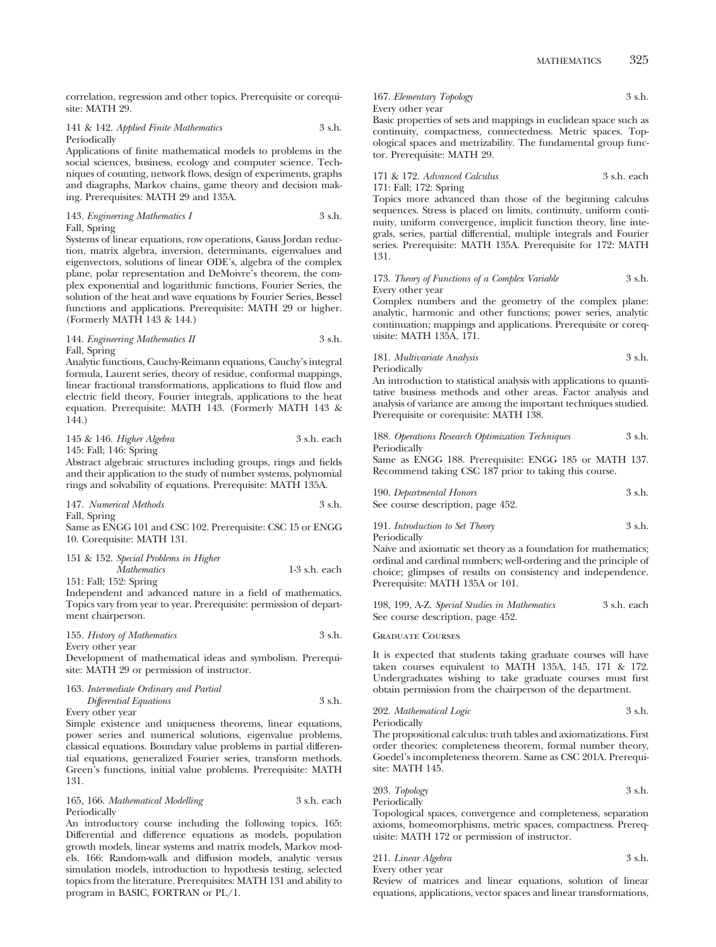correlation, regression and other topics. Prerequisite or corequisite: MATH 29.

141 & 142. *Applied Finite Mathematics* 3 s.h. Periodically

Applications of finite mathematical models to problems in the social sciences, business, ecology and computer science. Techniques of counting, network flows, design of experiments, graphs and diagraphs, Markov chains, game theory and decision making. Prerequisites: MATH 29 and 135A.

143. *Engineering Mathematics I* 3 s.h. Fall, Spring

Systems of linear equations, row operations, Gauss Jordan reduction, matrix algebra, inversion, determinants, eigenvalues and eigenvectors, solutions of linear ODE's, algebra of the complex plane, polar representation and DeMoivre's theorem, the complex exponential and logarithmic functions, Fourier Series, the solution of the heat and wave equations by Fourier Series, Bessel functions and applications. Prerequisite: MATH 29 or higher. (Formerly MATH 143 & 144.)

#### 144. *Engineering Mathematics II* 3 s.h. Fall, Spring

Analytic functions, Cauchy-Reimann equations, Cauchy's integral formula, Laurent series, theory of residue, conformal mappings, linear fractional transformations, applications to fluid flow and electric field theory, Fourier integrals, applications to the heat equation. Prerequisite: MATH 143. (Formerly MATH 143 & 144.)

#### 145 & 146. *Higher Algebra* 3 s.h. each 145: Fall; 146: Spring

Abstract algebraic structures including groups, rings and fields and their application to the study of number systems, polynomial rings and solvability of equations. Prerequisite: MATH 135A.

| 147. Numerical Methods | 3 s.h. |
|------------------------|--------|
| $E-11$ $C_1$ , $C_2$   |        |

Fall, Spring

Same as ENGG 101 and CSC 102. Prerequisite: CSC 15 or ENGG 10. Corequisite: MATH 131.

# 151 & 152. *Special Problems in Higher*

*Mathematics* 1-3 s.h. each 151: Fall; 152: Spring

Independent and advanced nature in a field of mathematics. Topics vary from year to year. Prerequisite: permission of department chairperson.

| 155. History of Mathematics | 3 s.h. |
|-----------------------------|--------|
| Every other year            |        |

Development of mathematical ideas and symbolism. Prerequisite: MATH 29 or permission of instructor.

## 163. *Intermediate Ordinary and Partial*

| Differential Equations | 3 s.h. |
|------------------------|--------|
| Every other vear       |        |

Simple existence and uniqueness theorems, linear equations, power series and numerical solutions, eigenvalue problems, classical equations. Boundary value problems in partial differential equations, generalized Fourier series, transform methods. Green's functions, initial value problems. Prerequisite: MATH 131.

| 165, 166. Mathematical Modelling | 3 s.h. each |
|----------------------------------|-------------|
| Periodically                     |             |

An introductory course including the following topics. 165: Differential and difference equations as models, population growth models, linear systems and matrix models, Markov models. 166: Random-walk and diffusion models, analytic versus simulation models, introduction to hypothesis testing, selected topics from the literature. Prerequisites: MATH 131 and ability to program in BASIC, FORTRAN or PL/1.

167. *Elementary Topology* 3 s.h. Every other year

Basic properties of sets and mappings in euclidean space such as continuity, compactness, connectedness. Metric spaces. Topological spaces and metrizability. The fundamental group functor. Prerequisite: MATH 29.

171 & 172. *Advanced Calculus* 3 s.h. each 171: Fall; 172: Spring

Topics more advanced than those of the beginning calculus sequences. Stress is placed on limits, continuity, uniform continuity, uniform convergence, implicit function theory, line integrals, series, partial differential, multiple integrals and Fourier series. Prerequisite: MATH 135A. Prerequisite for 172: MATH 131.

#### 173. *Theory of Functions of a Complex Variable* 3 s.h. Every other year

Complex numbers and the geometry of the complex plane: analytic, harmonic and other functions; power series, analytic continuation; mappings and applications. Prerequisite or corequisite: MATH 135A, 171.

181. *Multivariate Analysis* 3 s.h. Periodically

An introduction to statistical analysis with applications to quantitative business methods and other areas. Factor analysis and analysis of variance are among the important techniques studied. Prerequisite or corequisite: MATH 138.

|              | 188. Operations Research Optimization Techniques |  | 3 s.h. |
|--------------|--------------------------------------------------|--|--------|
| Periodically |                                                  |  |        |

Same as ENGG 188. Prerequisite: ENGG 185 or MATH 137. Recommend taking CSC 187 prior to taking this course.

| 190. Departmental Honors          | 3 s.h. |
|-----------------------------------|--------|
| See course description, page 452. |        |

191. *Introduction to Set Theory* 3 s.h. Periodically

Naive and axiomatic set theory as a foundation for mathematics; ordinal and cardinal numbers; well-ordering and the principle of choice; glimpses of results on consistency and independence. Prerequisite: MATH 135A or 101.

| 198, 199, A-Z. Special Studies in Mathematics | 3 s.h. each |
|-----------------------------------------------|-------------|
| See course description, page 452.             |             |

#### Graduate Courses

It is expected that students taking graduate courses will have taken courses equivalent to MATH 135A, 145, 171 & 172. Undergraduates wishing to take graduate courses must first obtain permission from the chairperson of the department.

202. *Mathematical Logic* 3 s.h. Periodically

The propositional calculus: truth tables and axiomatizations. First order theories: completeness theorem, formal number theory, Goedel's incompleteness theorem. Same as CSC 201A. Prerequisite: MATH 145.

203. *Topology* 3 s.h. Periodically

Topological spaces, convergence and completeness, separation axioms, homeomorphisms, metric spaces, compactness. Prerequisite: MATH 172 or permission of instructor.

| 211. Linear Algebra | 3 s.h. |  |
|---------------------|--------|--|
|                     |        |  |

Every other year

Review of matrices and linear equations, solution of linear equations, applications, vector spaces and linear transformations,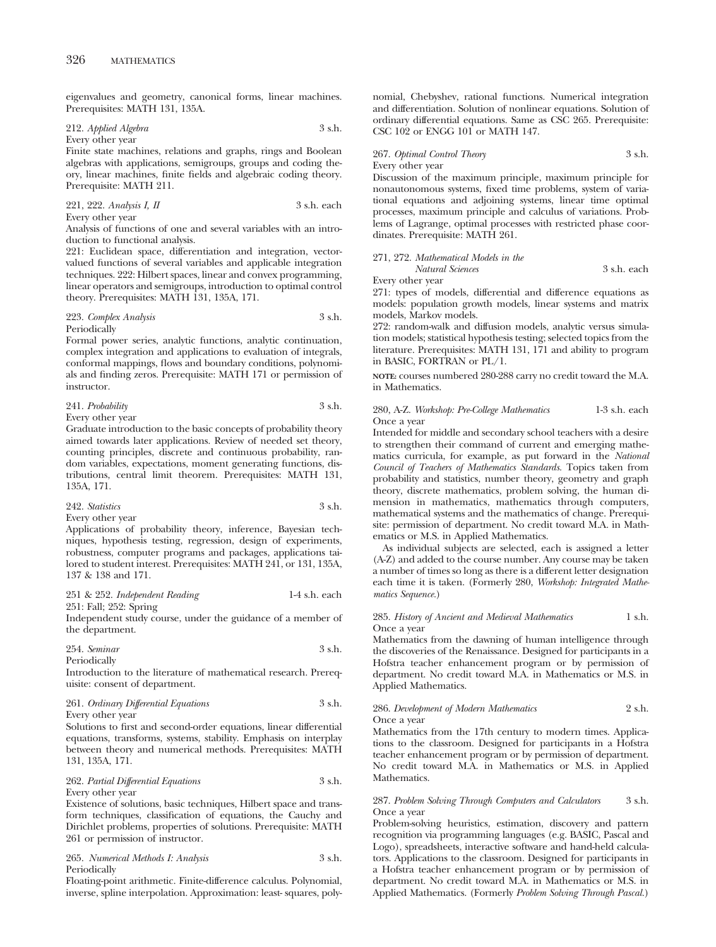eigenvalues and geometry, canonical forms, linear machines. Prerequisites: MATH 131, 135A.

#### 212. *Applied Algebra* 3 s.h. Every other year

Finite state machines, relations and graphs, rings and Boolean algebras with applications, semigroups, groups and coding theory, linear machines, finite fields and algebraic coding theory. Prerequisite: MATH 211.

### 221, 222. *Analysis I, II* 3 s.h. each

Every other year

Analysis of functions of one and several variables with an introduction to functional analysis.

221: Euclidean space, differentiation and integration, vectorvalued functions of several variables and applicable integration techniques. 222: Hilbert spaces, linear and convex programming, linear operators and semigroups, introduction to optimal control theory. Prerequisites: MATH 131, 135A, 171.

#### 223. *Complex Analysis* 3 s.h. Periodically

Formal power series, analytic functions, analytic continuation, complex integration and applications to evaluation of integrals, conformal mappings, flows and boundary conditions, polynomials and finding zeros. Prerequisite: MATH 171 or permission of instructor.

#### 241. *Probability* 3 s.h. Every other year

Graduate introduction to the basic concepts of probability theory aimed towards later applications. Review of needed set theory, counting principles, discrete and continuous probability, random variables, expectations, moment generating functions, distributions, central limit theorem. Prerequisites: MATH 131, 135A, 171.

#### 242. *Statistics* 3 s.h. Every other year

Applications of probability theory, inference, Bayesian techniques, hypothesis testing, regression, design of experiments, robustness, computer programs and packages, applications tailored to student interest. Prerequisites: MATH 241, or 131, 135A, 137 & 138 and 171.

251 & 252. *Independent Reading* 1-4 s.h. each 251: Fall; 252: Spring

Independent study course, under the guidance of a member of the department.

| 254. Seminar | 3 s.h. |
|--------------|--------|
| Periodically |        |

Introduction to the literature of mathematical research. Prerequisite: consent of department.

## 261. *Ordinary Differential Equations* 3 s.h.

Every other year

Solutions to first and second-order equations, linear differential equations, transforms, systems, stability. Emphasis on interplay between theory and numerical methods. Prerequisites: MATH 131, 135A, 171.

# 262. *Partial Differential Equations* 3 s.h. Every other year

Existence of solutions, basic techniques, Hilbert space and transform techniques, classification of equations, the Cauchy and Dirichlet problems, properties of solutions. Prerequisite: MATH 261 or permission of instructor.

265. *Numerical Methods I: Analysis* 3 s.h. Periodically

Floating-point arithmetic. Finite-difference calculus. Polynomial, inverse, spline interpolation. Approximation: least- squares, polynomial, Chebyshev, rational functions. Numerical integration and differentiation. Solution of nonlinear equations. Solution of ordinary differential equations. Same as CSC 265. Prerequisite: CSC 102 or ENGG 101 or MATH 147.

#### 267. *Optimal Control Theory* 3 s.h. Every other year

Discussion of the maximum principle, maximum principle for nonautonomous systems, fixed time problems, system of variational equations and adjoining systems, linear time optimal processes, maximum principle and calculus of variations. Problems of Lagrange, optimal processes with restricted phase coordinates. Prerequisite: MATH 261.

# 271, 272. *Mathematical Models in the*

```
Natural Sciences 3 s.h. each
```
Every other year

271: types of models, differential and difference equations as models: population growth models, linear systems and matrix models, Markov models.

272: random-walk and diffusion models, analytic versus simulation models; statistical hypothesis testing; selected topics from the literature. Prerequisites: MATH 131, 171 and ability to program in BASIC, FORTRAN or PL/1.

**NOTE:** courses numbered 280-288 carry no credit toward the M.A. in Mathematics.

280, A-Z. *Workshop: Pre-College Mathematics* 1-3 s.h. each Once a year

Intended for middle and secondary school teachers with a desire to strengthen their command of current and emerging mathematics curricula, for example, as put forward in the *National Council of Teachers of Mathematics Standards.* Topics taken from probability and statistics, number theory, geometry and graph theory, discrete mathematics, problem solving, the human dimension in mathematics, mathematics through computers, mathematical systems and the mathematics of change. Prerequisite: permission of department. No credit toward M.A. in Mathematics or M.S. in Applied Mathematics.

As individual subjects are selected, each is assigned a letter (A-Z) and added to the course number. Any course may be taken a number of times so long as there is a different letter designation each time it is taken. (Formerly 280, *Workshop: Integrated Mathematics Sequence.*)

#### 285. *History of Ancient and Medieval Mathematics* 1 s.h. Once a year

Mathematics from the dawning of human intelligence through the discoveries of the Renaissance. Designed for participants in a Hofstra teacher enhancement program or by permission of department. No credit toward M.A. in Mathematics or M.S. in Applied Mathematics.

#### 286. *Development of Modern Mathematics* 2 s.h. Once a year

Mathematics from the 17th century to modern times. Applications to the classroom. Designed for participants in a Hofstra teacher enhancement program or by permission of department. No credit toward M.A. in Mathematics or M.S. in Applied Mathematics.

#### 287. *Problem Solving Through Computers and Calculators* 3 s.h. Once a year

Problem-solving heuristics, estimation, discovery and pattern recognition via programming languages (e.g. BASIC, Pascal and Logo), spreadsheets, interactive software and hand-held calculators. Applications to the classroom. Designed for participants in a Hofstra teacher enhancement program or by permission of department. No credit toward M.A. in Mathematics or M.S. in Applied Mathematics. (Formerly *Problem Solving Through Pascal.*)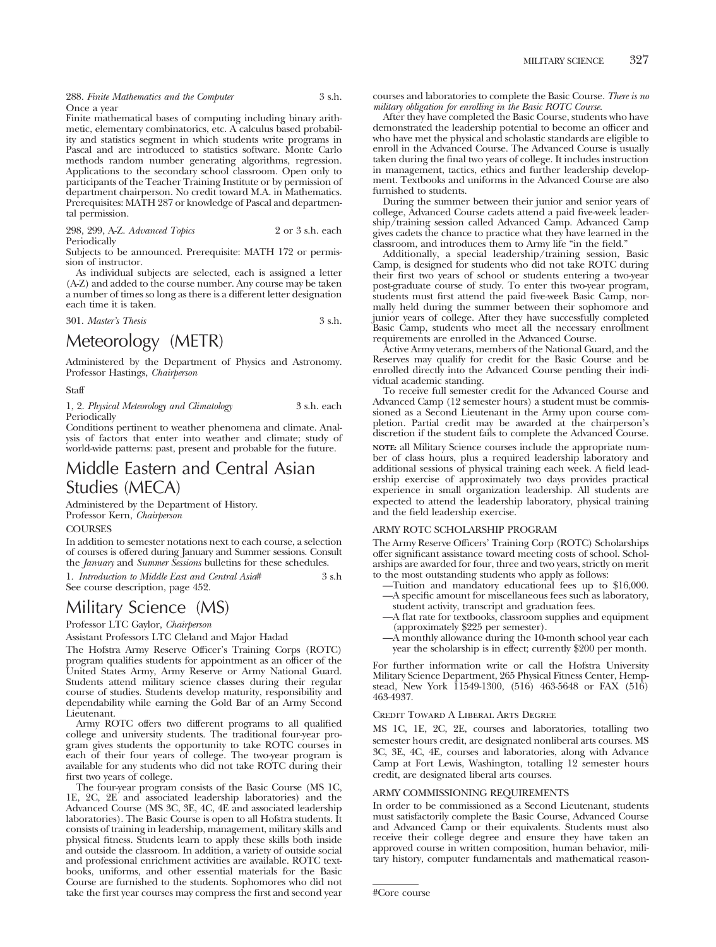288. *Finite Mathematics and the Computer* 3 s.h. Once a year

Finite mathematical bases of computing including binary arithmetic, elementary combinatorics, etc. A calculus based probability and statistics segment in which students write programs in Pascal and are introduced to statistics software. Monte Carlo methods random number generating algorithms, regression. Applications to the secondary school classroom. Open only to participants of the Teacher Training Institute or by permission of department chairperson. No credit toward M.A. in Mathematics. Prerequisites: MATH 287 or knowledge of Pascal and departmental permission.

| 298, 299, A-Z. Advanced Topics | 2 or 3 s.h. each |
|--------------------------------|------------------|
| Periodically                   |                  |

Subjects to be announced. Prerequisite: MATH 172 or permission of instructor.

As individual subjects are selected, each is assigned a letter (A-Z) and added to the course number. Any course may be taken a number of times so long as there is a different letter designation each time it is taken.

301. *Master's Thesis* 3 s.h.

# Meteorology (METR)

Administered by the Department of Physics and Astronomy. Professor Hastings, *Chairperson*

Staff

1, 2. *Physical Meteorology and Climatology* 3 s.h. each Periodically

Conditions pertinent to weather phenomena and climate. Analysis of factors that enter into weather and climate; study of world-wide patterns: past, present and probable for the future.

# Middle Eastern and Central Asian Studies (MECA)

Administered by the Department of History. Professor Kern, *Chairperson*

#### **COURSES**

In addition to semester notations next to each course, a selection of courses is offered during January and Summer sessions. Consult the *January* and *Summer Sessions* bulletins for these schedules.

1. *Introduction to Middle East and Central Asia*# 3 s.h See course description, page 452.

# Military Science (MS)

Professor LTC Gaylor, *Chairperson*

Assistant Professors LTC Cleland and Major Hadad

The Hofstra Army Reserve Officer's Training Corps (ROTC) program qualifies students for appointment as an officer of the United States Army, Army Reserve or Army National Guard. Students attend military science classes during their regular course of studies. Students develop maturity, responsibility and dependability while earning the Gold Bar of an Army Second Lieutenant.

Army ROTC offers two different programs to all qualified college and university students. The traditional four-year program gives students the opportunity to take ROTC courses in each of their four years of college. The two-year program is available for any students who did not take ROTC during their first two years of college.

The four-year program consists of the Basic Course (MS 1C, 1E, 2C, 2E and associated leadership laboratories) and the Advanced Course (MS 3C, 3E, 4C, 4E and associated leadership laboratories). The Basic Course is open to all Hofstra students. It consists of training in leadership, management, military skills and physical fitness. Students learn to apply these skills both inside and outside the classroom. In addition, a variety of outside social and professional enrichment activities are available. ROTC textbooks, uniforms, and other essential materials for the Basic Course are furnished to the students. Sophomores who did not take the first year courses may compress the first and second year courses and laboratories to complete the Basic Course. *There is no military obligation for enrolling in the Basic ROTC Course.*

After they have completed the Basic Course, students who have demonstrated the leadership potential to become an officer and who have met the physical and scholastic standards are eligible to enroll in the Advanced Course. The Advanced Course is usually taken during the final two years of college. It includes instruction in management, tactics, ethics and further leadership development. Textbooks and uniforms in the Advanced Course are also furnished to students.

During the summer between their junior and senior years of college, Advanced Course cadets attend a paid five-week leadership/training session called Advanced Camp. Advanced Camp gives cadets the chance to practice what they have learned in the classroom, and introduces them to Army life "in the field."

Additionally, a special leadership/training session, Basic Camp, is designed for students who did not take ROTC during their first two years of school or students entering a two-year post-graduate course of study. To enter this two-year program, students must first attend the paid five-week Basic Camp, normally held during the summer between their sophomore and junior years of college. After they have successfully completed Basic Camp, students who meet all the necessary enrollment requirements are enrolled in the Advanced Course.

Active Army veterans, members of the National Guard, and the Reserves may qualify for credit for the Basic Course and be enrolled directly into the Advanced Course pending their individual academic standing.

To receive full semester credit for the Advanced Course and Advanced Camp (12 semester hours) a student must be commissioned as a Second Lieutenant in the Army upon course completion. Partial credit may be awarded at the chairperson's discretion if the student fails to complete the Advanced Course.

**NOTE:** all Military Science courses include the appropriate number of class hours, plus a required leadership laboratory and additional sessions of physical training each week. A field leadership exercise of approximately two days provides practical experience in small organization leadership. All students are expected to attend the leadership laboratory, physical training and the field leadership exercise.

#### ARMY ROTC SCHOLARSHIP PROGRAM

The Army Reserve Officers' Training Corp (ROTC) Scholarships offer significant assistance toward meeting costs of school. Scholarships are awarded for four, three and two years, strictly on merit to the most outstanding students who apply as follows:

- —Tuition and mandatory educational fees up to \$16,000.
- —A specific amount for miscellaneous fees such as laboratory, student activity, transcript and graduation fees.
- —A flat rate for textbooks, classroom supplies and equipment (approximately \$225 per semester).
- —A monthly allowance during the 10-month school year each year the scholarship is in effect; currently \$200 per month.

For further information write or call the Hofstra University Military Science Department, 265 Physical Fitness Center, Hempstead, New York 11549-1300, (516) 463-5648 or FAX (516) 463-4937.

Credit Toward A Liberal Arts Degree

MS 1C, 1E, 2C, 2E, courses and laboratories, totalling two semester hours credit, are designated nonliberal arts courses. MS 3C, 3E, 4C, 4E, courses and laboratories, along with Advance Camp at Fort Lewis, Washington, totalling 12 semester hours credit, are designated liberal arts courses.

#### ARMY COMMISSIONING REQUIREMENTS

In order to be commissioned as a Second Lieutenant, students must satisfactorily complete the Basic Course, Advanced Course and Advanced Camp or their equivalents. Students must also receive their college degree and ensure they have taken an approved course in written composition, human behavior, military history, computer fundamentals and mathematical reason-

#Core course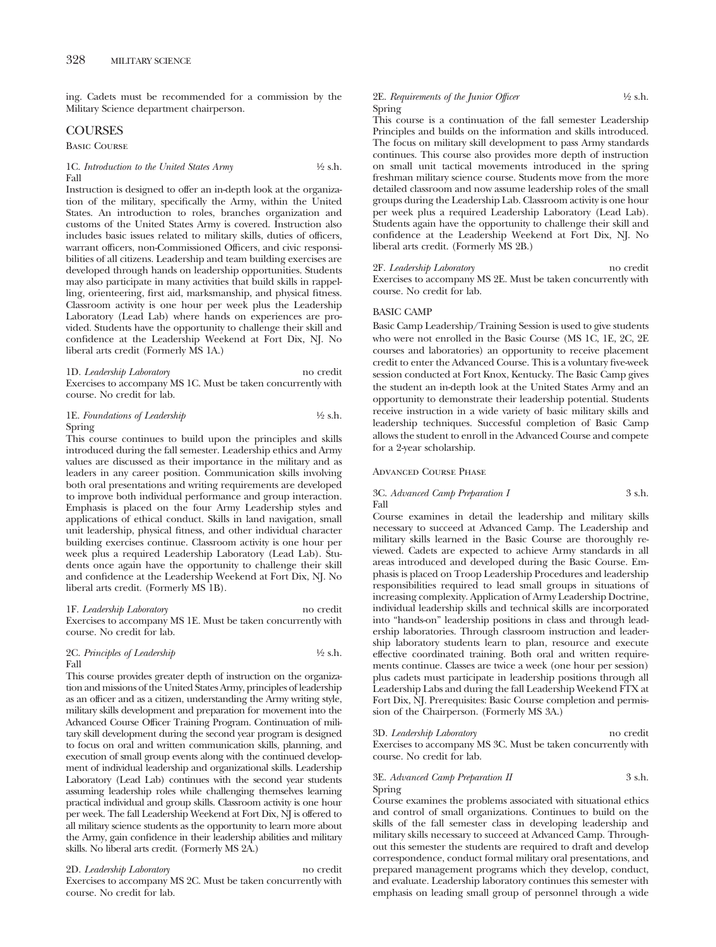ing. Cadets must be recommended for a commission by the Military Science department chairperson.

## COURSES

Basic Course

#### 1C. *Introduction to the United States Army* <sup>1</sup>/2 s.h. Fall

Instruction is designed to offer an in-depth look at the organization of the military, specifically the Army, within the United States. An introduction to roles, branches organization and customs of the United States Army is covered. Instruction also includes basic issues related to military skills, duties of officers, warrant officers, non-Commissioned Officers, and civic responsibilities of all citizens. Leadership and team building exercises are developed through hands on leadership opportunities. Students may also participate in many activities that build skills in rappelling, orienteering, first aid, marksmanship, and physical fitness. Classroom activity is one hour per week plus the Leadership Laboratory (Lead Lab) where hands on experiences are provided. Students have the opportunity to challenge their skill and confidence at the Leadership Weekend at Fort Dix, NJ. No liberal arts credit (Formerly MS 1A.)

#### 1D. *Leadership Laboratory* no credit Exercises to accompany MS 1C. Must be taken concurrently with course. No credit for lab.

#### 1E. *Foundations of Leadership* 1/2 s.h. Spring

This course continues to build upon the principles and skills introduced during the fall semester. Leadership ethics and Army values are discussed as their importance in the military and as leaders in any career position. Communication skills involving both oral presentations and writing requirements are developed to improve both individual performance and group interaction. Emphasis is placed on the four Army Leadership styles and applications of ethical conduct. Skills in land navigation, small unit leadership, physical fitness, and other individual character building exercises continue. Classroom activity is one hour per week plus a required Leadership Laboratory (Lead Lab). Students once again have the opportunity to challenge their skill and confidence at the Leadership Weekend at Fort Dix, NJ. No liberal arts credit. (Formerly MS 1B).

#### 1F. *Leadership Laboratory* no credit Exercises to accompany MS 1E. Must be taken concurrently with course. No credit for lab.

#### 2C. *Principles of Leadership*  $\frac{1}{2}$  s.h. Fall

This course provides greater depth of instruction on the organization and missions of the United States Army, principles of leadership as an officer and as a citizen, understanding the Army writing style, military skills development and preparation for movement into the Advanced Course Officer Training Program. Continuation of military skill development during the second year program is designed to focus on oral and written communication skills, planning, and execution of small group events along with the continued development of individual leadership and organizational skills. Leadership Laboratory (Lead Lab) continues with the second year students assuming leadership roles while challenging themselves learning practical individual and group skills. Classroom activity is one hour per week. The fall Leadership Weekend at Fort Dix, NJ is offered to all military science students as the opportunity to learn more about the Army, gain confidence in their leadership abilities and military skills. No liberal arts credit. (Formerly MS 2A.)

#### 2D. *Leadership Laboratory* no credit

Exercises to accompany MS 2C. Must be taken concurrently with course. No credit for lab.

#### 2E. *Requirements of the Junior Officer* 4/2 s.h. Spring

This course is a continuation of the fall semester Leadership Principles and builds on the information and skills introduced. The focus on military skill development to pass Army standards continues. This course also provides more depth of instruction on small unit tactical movements introduced in the spring freshman military science course. Students move from the more detailed classroom and now assume leadership roles of the small groups during the Leadership Lab. Classroom activity is one hour per week plus a required Leadership Laboratory (Lead Lab). Students again have the opportunity to challenge their skill and confidence at the Leadership Weekend at Fort Dix, NJ. No liberal arts credit. (Formerly MS 2B.)

#### 2F. *Leadership Laboratory* no credit

Exercises to accompany MS 2E. Must be taken concurrently with course. No credit for lab.

#### BASIC CAMP

Basic Camp Leadership/Training Session is used to give students who were not enrolled in the Basic Course (MS 1C, 1E, 2C, 2E courses and laboratories) an opportunity to receive placement credit to enter the Advanced Course. This is a voluntary five-week session conducted at Fort Knox, Kentucky. The Basic Camp gives the student an in-depth look at the United States Army and an opportunity to demonstrate their leadership potential. Students receive instruction in a wide variety of basic military skills and leadership techniques. Successful completion of Basic Camp allows the student to enroll in the Advanced Course and compete for a 2-year scholarship.

#### Advanced Course Phase

#### 3C. *Advanced Camp Preparation I* 3 s.h. Fall

Course examines in detail the leadership and military skills necessary to succeed at Advanced Camp. The Leadership and military skills learned in the Basic Course are thoroughly reviewed. Cadets are expected to achieve Army standards in all areas introduced and developed during the Basic Course. Emphasis is placed on Troop Leadership Procedures and leadership responsibilities required to lead small groups in situations of increasing complexity. Application of Army Leadership Doctrine, individual leadership skills and technical skills are incorporated into "hands-on" leadership positions in class and through leadership laboratories. Through classroom instruction and leadership laboratory students learn to plan, resource and execute effective coordinated training. Both oral and written requirements continue. Classes are twice a week (one hour per session) plus cadets must participate in leadership positions through all Leadership Labs and during the fall Leadership Weekend FTX at Fort Dix, NJ. Prerequisites: Basic Course completion and permission of the Chairperson. (Formerly MS 3A.)

3D. *Leadership Laboratory* no credit Exercises to accompany MS 3C. Must be taken concurrently with course. No credit for lab.

#### 3E. *Advanced Camp Preparation II* 3 s.h. Spring

Course examines the problems associated with situational ethics and control of small organizations. Continues to build on the skills of the fall semester class in developing leadership and military skills necessary to succeed at Advanced Camp. Throughout this semester the students are required to draft and develop correspondence, conduct formal military oral presentations, and prepared management programs which they develop, conduct, and evaluate. Leadership laboratory continues this semester with emphasis on leading small group of personnel through a wide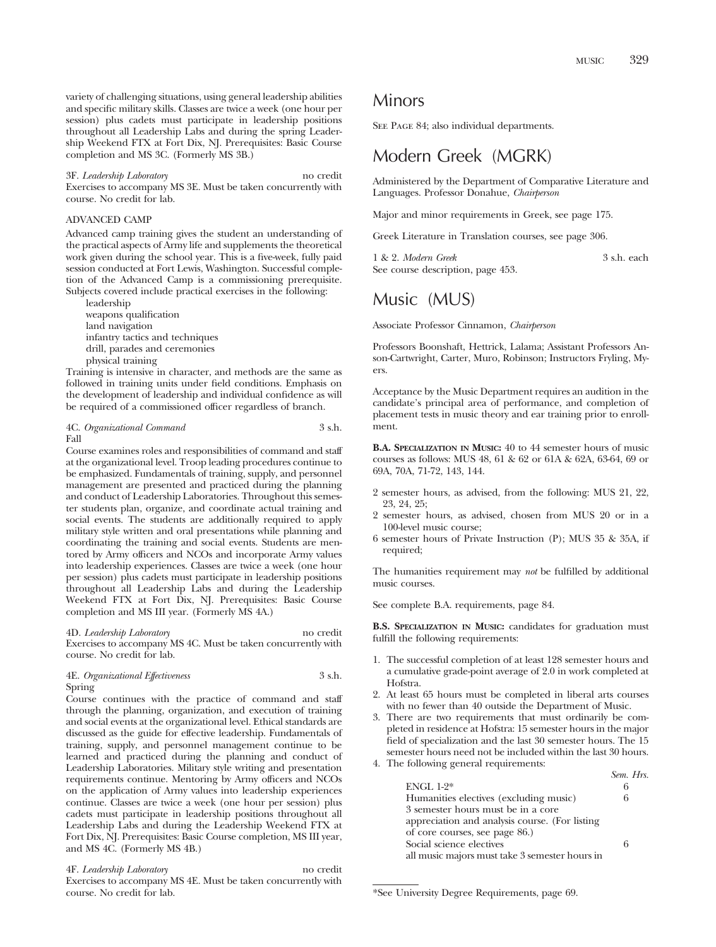variety of challenging situations, using general leadership abilities and specific military skills. Classes are twice a week (one hour per session) plus cadets must participate in leadership positions throughout all Leadership Labs and during the spring Leadership Weekend FTX at Fort Dix, NJ. Prerequisites: Basic Course completion and MS 3C. (Formerly MS 3B.)

3F. *Leadership Laboratory* no credit

Exercises to accompany MS 3E. Must be taken concurrently with course. No credit for lab.

#### ADVANCED CAMP

Advanced camp training gives the student an understanding of the practical aspects of Army life and supplements the theoretical work given during the school year. This is a five-week, fully paid session conducted at Fort Lewis, Washington. Successful completion of the Advanced Camp is a commissioning prerequisite. Subjects covered include practical exercises in the following:

leadership weapons qualification land navigation infantry tactics and techniques drill, parades and ceremonies physical training

Training is intensive in character, and methods are the same as followed in training units under field conditions. Emphasis on the development of leadership and individual confidence as will be required of a commissioned officer regardless of branch.

#### 4C. *Organizational Command* 3 s.h. Fall

Course examines roles and responsibilities of command and staff at the organizational level. Troop leading procedures continue to be emphasized. Fundamentals of training, supply, and personnel management are presented and practiced during the planning and conduct of Leadership Laboratories. Throughout this semester students plan, organize, and coordinate actual training and social events. The students are additionally required to apply military style written and oral presentations while planning and coordinating the training and social events. Students are mentored by Army officers and NCOs and incorporate Army values into leadership experiences. Classes are twice a week (one hour per session) plus cadets must participate in leadership positions throughout all Leadership Labs and during the Leadership Weekend FTX at Fort Dix, NJ. Prerequisites: Basic Course completion and MS III year. (Formerly MS 4A.)

4D. *Leadership Laboratory* no credit Exercises to accompany MS 4C. Must be taken concurrently with course. No credit for lab.

4E. *Organizational Effectiveness* 3 s.h. Spring

Course continues with the practice of command and staff through the planning, organization, and execution of training and social events at the organizational level. Ethical standards are discussed as the guide for effective leadership. Fundamentals of training, supply, and personnel management continue to be learned and practiced during the planning and conduct of Leadership Laboratories. Military style writing and presentation requirements continue. Mentoring by Army officers and NCOs on the application of Army values into leadership experiences continue. Classes are twice a week (one hour per session) plus cadets must participate in leadership positions throughout all Leadership Labs and during the Leadership Weekend FTX at Fort Dix, NJ. Prerequisites: Basic Course completion, MS III year, and MS 4C. (Formerly MS 4B.)

4F. *Leadership Laboratory* no credit Exercises to accompany MS 4E. Must be taken concurrently with course. No credit for lab.

# Minors

SEE PAGE 84; also individual departments.

# Modern Greek (MGRK)

Administered by the Department of Comparative Literature and Languages. Professor Donahue, *Chairperson*

Major and minor requirements in Greek, see page 175.

Greek Literature in Translation courses, see page 306.

1 & 2. *Modern Greek* 3 s.h. each See course description, page 453.

# Music (MUS)

Associate Professor Cinnamon, *Chairperson*

Professors Boonshaft, Hettrick, Lalama; Assistant Professors Anson-Cartwright, Carter, Muro, Robinson; Instructors Fryling, Myers.

Acceptance by the Music Department requires an audition in the candidate's principal area of performance, and completion of placement tests in music theory and ear training prior to enrollment.

**B.A. SPECIALIZATION IN MUSIC:** 40 to 44 semester hours of music courses as follows: MUS 48, 61 & 62 or 61A & 62A, 63-64, 69 or 69A, 70A, 71-72, 143, 144.

- 2 semester hours, as advised, from the following: MUS 21, 22, 23, 24, 25;
- 2 semester hours, as advised, chosen from MUS 20 or in a 100-level music course;
- 6 semester hours of Private Instruction (P); MUS 35 & 35A, if required;

The humanities requirement may *not* be fulfilled by additional music courses.

See complete B.A. requirements, page 84.

**B.S. SPECIALIZATION IN MUSIC:** candidates for graduation must fulfill the following requirements:

- 1. The successful completion of at least 128 semester hours and a cumulative grade-point average of 2.0 in work completed at Hofstra.
- 2. At least 65 hours must be completed in liberal arts courses with no fewer than 40 outside the Department of Music.
- 3. There are two requirements that must ordinarily be completed in residence at Hofstra: 15 semester hours in the major field of specialization and the last 30 semester hours. The 15 semester hours need not be included within the last 30 hours.
- 4. The following general requirements:

|                                                | Sem. Hrs. |
|------------------------------------------------|-----------|
| $ENGL 1-2*$                                    |           |
| Humanities electives (excluding music)         |           |
| 3 semester hours must be in a core             |           |
| appreciation and analysis course. (For listing |           |
| of core courses, see page 86.)                 |           |
| Social science electives                       |           |
| all music majors must take 3 semester hours in |           |

<sup>\*</sup>See University Degree Requirements, page 69.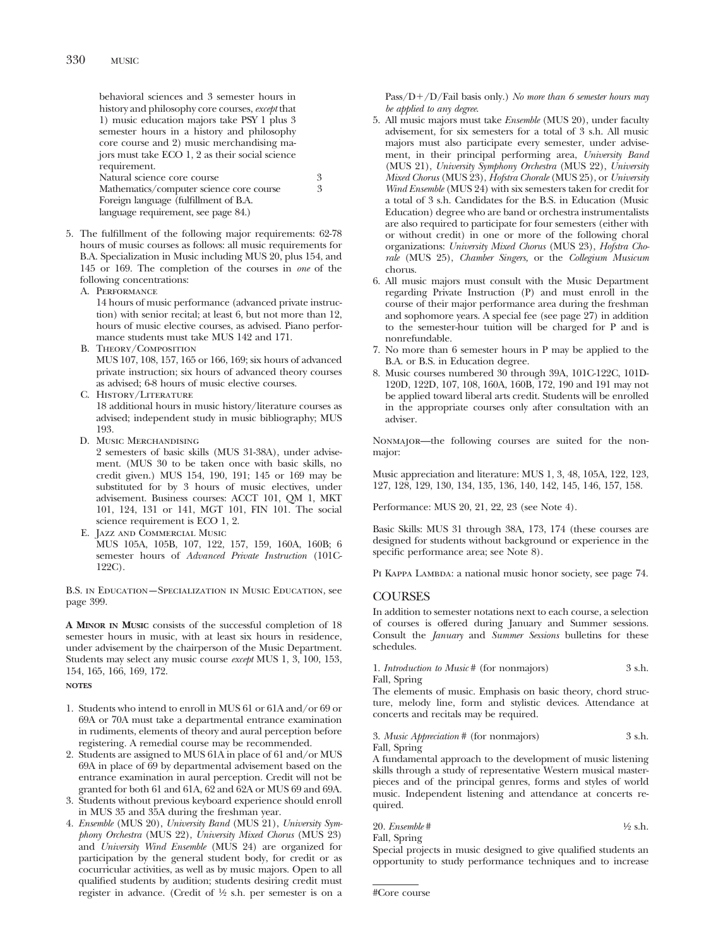behavioral sciences and 3 semester hours in history and philosophy core courses, *except* that 1) music education majors take PSY 1 plus 3 semester hours in a history and philosophy core course and 2) music merchandising majors must take ECO 1, 2 as their social science requirement. Natural science core course 3<br>Mathematics/computer science core course 3

Mathematics/computer science core course Foreign language (fulfillment of B.A. language requirement, see page 84.)

- 5. The fulfillment of the following major requirements: 62-78 hours of music courses as follows: all music requirements for B.A. Specialization in Music including MUS 20, plus 154, and 145 or 169. The completion of the courses in *one* of the following concentrations:
	- A. PERFORMANCE

14 hours of music performance (advanced private instruction) with senior recital; at least 6, but not more than 12, hours of music elective courses, as advised. Piano performance students must take MUS 142 and 171.

B. Theory/Composition

MUS 107, 108, 157, 165 or 166, 169; six hours of advanced private instruction; six hours of advanced theory courses as advised; 6-8 hours of music elective courses.

C. History/Literature

18 additional hours in music history/literature courses as advised; independent study in music bibliography; MUS 193.

D. Music Merchandising

2 semesters of basic skills (MUS 31-38A), under advisement. (MUS 30 to be taken once with basic skills, no credit given.) MUS 154, 190, 191; 145 or 169 may be substituted for by 3 hours of music electives, under advisement. Business courses: ACCT 101, QM 1, MKT 101, 124, 131 or 141, MGT 101, FIN 101. The social science requirement is ECO 1, 2.

E. Jazz and Commercial Music MUS 105A, 105B, 107, 122, 157, 159, 160A, 160B; 6 semester hours of *Advanced Private Instruction* (101C-122C).

B.S. in Education—Specialization in Music Education, see page 399.

**A MINOR IN MUSIC** consists of the successful completion of 18 semester hours in music, with at least six hours in residence, under advisement by the chairperson of the Music Department. Students may select any music course *except* MUS 1, 3, 100, 153, 154, 165, 166, 169, 172.

**NOTES**

- 1. Students who intend to enroll in MUS 61 or 61A and/or 69 or 69A or 70A must take a departmental entrance examination in rudiments, elements of theory and aural perception before registering. A remedial course may be recommended.
- 2. Students are assigned to MUS 61A in place of 61 and/or MUS 69A in place of 69 by departmental advisement based on the entrance examination in aural perception. Credit will not be granted for both 61 and 61A, 62 and 62A or MUS 69 and 69A.
- 3. Students without previous keyboard experience should enroll in MUS 35 and 35A during the freshman year.
- 4. *Ensemble* (MUS 20), *University Band* (MUS 21), *University Symphony Orchestra* (MUS 22), *University Mixed Chorus* (MUS 23) and *University Wind Ensemble* (MUS 24) are organized for participation by the general student body, for credit or as cocurricular activities, as well as by music majors. Open to all qualified students by audition; students desiring credit must register in advance. (Credit of 1⁄2 s.h. per semester is on a

Pass/D-/D/Fail basis only.) *No more than 6 semester hours may be applied to any degree*.

- 5. All music majors must take *Ensemble* (MUS 20), under faculty advisement, for six semesters for a total of 3 s.h. All music majors must also participate every semester, under advisement, in their principal performing area, *University Band* (MUS 21), *University Symphony Orchestra* (MUS 22), *University Mixed Chorus* (MUS 23), *Hofstra Chorale* (MUS 25), or *University Wind Ensemble* (MUS 24) with six semesters taken for credit for a total of 3 s.h. Candidates for the B.S. in Education (Music Education) degree who are band or orchestra instrumentalists are also required to participate for four semesters (either with or without credit) in one or more of the following choral organizations: *University Mixed Chorus* (MUS 23), *Hofstra Chorale* (MUS 25), *Chamber Singers,* or the *Collegium Musicum* chorus.
- 6. All music majors must consult with the Music Department regarding Private Instruction (P) and must enroll in the course of their major performance area during the freshman and sophomore years. A special fee (see page 27) in addition to the semester-hour tuition will be charged for P and is nonrefundable.
- 7. No more than 6 semester hours in P may be applied to the B.A. or B.S. in Education degree.
- 8. Music courses numbered 30 through 39A, 101C-122C, 101D-120D, 122D, 107, 108, 160A, 160B, 172, 190 and 191 may not be applied toward liberal arts credit. Students will be enrolled in the appropriate courses only after consultation with an adviser.

Nonmajor—the following courses are suited for the nonmajor:

Music appreciation and literature: MUS 1, 3, 48, 105A, 122, 123, 127, 128, 129, 130, 134, 135, 136, 140, 142, 145, 146, 157, 158.

Performance: MUS 20, 21, 22, 23 (see Note 4).

Basic Skills: MUS 31 through 38A, 173, 174 (these courses are designed for students without background or experience in the specific performance area; see Note 8).

PI KAPPA LAMBDA: a national music honor society, see page 74.

# COURSES

In addition to semester notations next to each course, a selection of courses is offered during January and Summer sessions. Consult the *January* and *Summer Sessions* bulletins for these schedules.

1. *Introduction to Music* # (for nonmajors) 3 s.h. Fall, Spring

The elements of music. Emphasis on basic theory, chord structure, melody line, form and stylistic devices. Attendance at concerts and recitals may be required.

3. *Music Appreciation* # (for nonmajors) 3 s.h. Fall, Spring

A fundamental approach to the development of music listening skills through a study of representative Western musical masterpieces and of the principal genres, forms and styles of world music. Independent listening and attendance at concerts required.

20. *Ensemble* # 1⁄2 s.h. Fall, Spring

Special projects in music designed to give qualified students an opportunity to study performance techniques and to increase

<sup>#</sup>Core course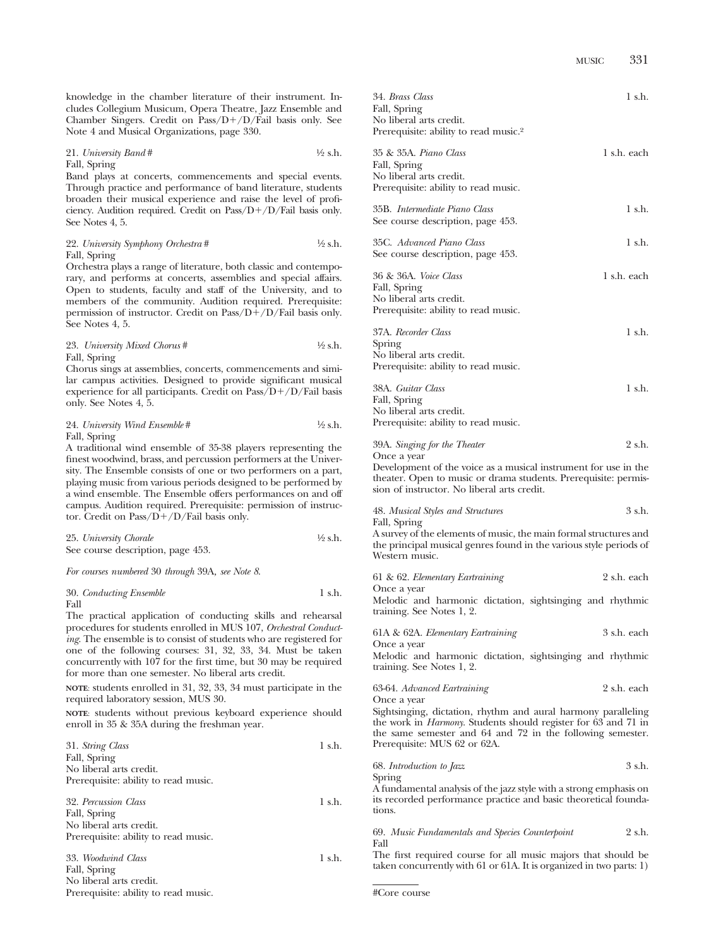knowledge in the chamber literature of their instrument. Includes Collegium Musicum, Opera Theatre, Jazz Ensemble and Chamber Singers. Credit on Pass/D-/D/Fail basis only. See Note 4 and Musical Organizations, page 330.

21. *University Band* # 1⁄2 s.h. Fall, Spring

Band plays at concerts, commencements and special events. Through practice and performance of band literature, students broaden their musical experience and raise the level of proficiency. Audition required. Credit on Pass/D+/D/Fail basis only. See Notes 4, 5.

22. *University Symphony Orchestra* # 1⁄2 s.h. Fall, Spring

Orchestra plays a range of literature, both classic and contemporary, and performs at concerts, assemblies and special affairs. Open to students, faculty and staff of the University, and to members of the community. Audition required. Prerequisite: permission of instructor. Credit on Pass/D+/D/Fail basis only. See Notes 4, 5.

23. *University Mixed Chorus* # 1⁄2 s.h. Fall, Spring

Chorus sings at assemblies, concerts, commencements and similar campus activities. Designed to provide significant musical experience for all participants. Credit on Pass/D+/D/Fail basis only. See Notes 4, 5.

24. *University Wind Ensemble* # 1⁄2 s.h. Fall, Spring

A traditional wind ensemble of 35-38 players representing the finest woodwind, brass, and percussion performers at the University. The Ensemble consists of one or two performers on a part, playing music from various periods designed to be performed by a wind ensemble. The Ensemble offers performances on and off campus. Audition required. Prerequisite: permission of instructor. Credit on Pass/D+/D/Fail basis only.

| 25. University Chorale            | $\frac{1}{2}$ s.h. |
|-----------------------------------|--------------------|
| See course description, page 453. |                    |

*For courses numbered* 30 *through* 39A*, see Note 8*.

$$
30. \; Conducting \; Ensemble \qquad \qquad 1 \; \text{s.h.}
$$
   
Fall

The practical application of conducting skills and rehearsal procedures for students enrolled in MUS 107, *Orchestral Conducting*. The ensemble is to consist of students who are registered for one of the following courses: 31, 32, 33, 34. Must be taken concurrently with 107 for the first time, but 30 may be required for more than one semester. No liberal arts credit.

**NOTE**: students enrolled in 31, 32, 33, 34 must participate in the required laboratory session, MUS 30.

**NOTE**: students without previous keyboard experience should enroll in 35 & 35A during the freshman year.

| 31. String Class                     | 1 s.h.      |
|--------------------------------------|-------------|
| Fall, Spring                         |             |
| No liberal arts credit.              |             |
| Prerequisite: ability to read music. |             |
| 32. Percussion Class                 | 1 s.h.      |
| Fall, Spring                         |             |
| No liberal arts credit.              |             |
| Prerequisite: ability to read music. |             |
| 33. Woodwind Class                   | $1 \,$ s.h. |
| Fall, Spring                         |             |
| No liberal arts credit.              |             |

Prerequisite: ability to read music.

| 34. Brass Class<br>Fall, Spring<br>No liberal arts credit.                                                      | 1 s.h.      |
|-----------------------------------------------------------------------------------------------------------------|-------------|
| Prerequisite: ability to read music. <sup>2</sup>                                                               |             |
| 35 & 35A. Piano Class<br>Fall, Spring<br>No liberal arts credit.<br>Prerequisite: ability to read music.        | 1 s.h. each |
| 35B. Intermediate Piano Class<br>See course description, page 453.                                              | 1 s.h.      |
| 35C. Advanced Piano Class<br>See course description, page 453.                                                  | 1 s.h.      |
| 36 & 36A. <i>Voice Class</i><br>Fall, Spring<br>No liberal arts credit.<br>Prerequisite: ability to read music. | 1 s.h. each |
| 37A. Recorder Class<br>Spring<br>No liberal arts credit.<br>Prerequisite: ability to read music.                | 1 s.h.      |
| 38A. Guitar Class<br>Fall, Spring<br>No liberal arts credit.<br>Prerequisite: ability to read music.            | 1 s.h.      |

| 39A. Singing for the Theater | 2 s.h. |
|------------------------------|--------|
| Once a vear                  |        |

Development of the voice as a musical instrument for use in the theater. Open to music or drama students. Prerequisite: permission of instructor. No liberal arts credit.

48. *Musical Styles and Structures* 3 s.h. Fall, Spring

A survey of the elements of music, the main formal structures and the principal musical genres found in the various style periods of Western music.

| 61 & 62. Elementary Eartraining | 2 s.h. each |
|---------------------------------|-------------|
| Once a vear                     |             |

Melodic and harmonic dictation, sightsinging and rhythmic training. See Notes 1, 2.

61A & 62A. *Elementary Eartraining* 3 s.h. each Once a year

Melodic and harmonic dictation, sightsinging and rhythmic training. See Notes 1, 2.

63-64. *Advanced Eartraining* 2 s.h. each Once a year

Sightsinging, dictation, rhythm and aural harmony paralleling the work in *Harmony*. Students should register for 63 and 71 in the same semester and 64 and 72 in the following semester. Prerequisite: MUS 62 or 62A.

| 68. Introduction to Jazz                                           | 3 s.h. |
|--------------------------------------------------------------------|--------|
| Spring                                                             |        |
| A fundamental analysis of the iazz style with a strong emphasis on |        |

A fundamental analysis of the jazz style with a strong emp its recorded performance practice and basic theoretical foundations.

69. *Music Fundamentals and Species Counterpoint* 2 s.h. Fall

The first required course for all music majors that should be taken concurrently with 61 or 61A. It is organized in two parts: 1)

#Core course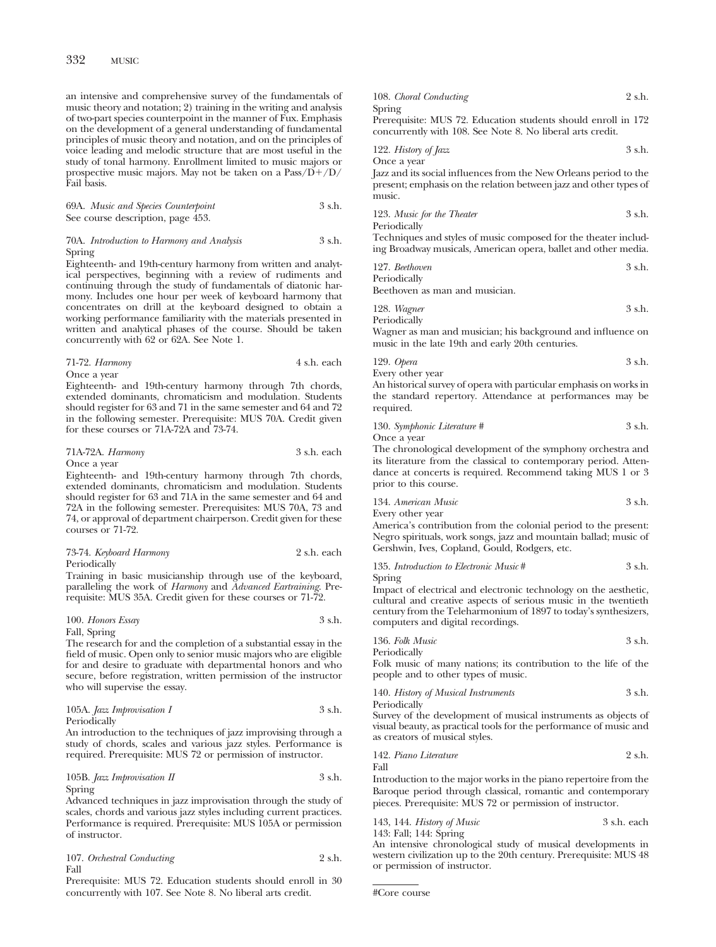an intensive and comprehensive survey of the fundamentals of music theory and notation; 2) training in the writing and analysis of two-part species counterpoint in the manner of Fux. Emphasis on the development of a general understanding of fundamental principles of music theory and notation, and on the principles of voice leading and melodic structure that are most useful in the study of tonal harmony. Enrollment limited to music majors or prospective music majors. May not be taken on a Pass/D+/D/ Fail basis.

69A. *Music and Species Counterpoint* 3 s.h. See course description, page 453.

#### 70A. *Introduction to Harmony and Analysis* 3 s.h. Spring

Eighteenth- and 19th-century harmony from written and analytical perspectives, beginning with a review of rudiments and continuing through the study of fundamentals of diatonic harmony. Includes one hour per week of keyboard harmony that concentrates on drill at the keyboard designed to obtain a working performance familiarity with the materials presented in written and analytical phases of the course. Should be taken concurrently with 62 or 62A. See Note 1.

| 71-72. Harmony | 4 s.h. each |
|----------------|-------------|
|----------------|-------------|

Once a year Eighteenth- and 19th-century harmony through 7th chords, extended dominants, chromaticism and modulation. Students should register for 63 and 71 in the same semester and 64 and 72 in the following semester. Prerequisite: MUS 70A. Credit given for these courses or 71A-72A and 73-74.

| 71A-72A. Harmony | 3 s.h. each |
|------------------|-------------|
|------------------|-------------|

Once a year

Eighteenth- and 19th-century harmony through 7th chords, extended dominants, chromaticism and modulation. Students should register for 63 and 71A in the same semester and 64 and 72A in the following semester. Prerequisites: MUS 70A, 73 and 74, or approval of department chairperson. Credit given for these courses or 71-72.

#### 73-74. *Keyboard Harmony* 2 s.h. each Periodically

Training in basic musicianship through use of the keyboard, paralleling the work of *Harmony* and *Advanced Eartraining*. Prerequisite: MUS 35A. Credit given for these courses or 71-72.

# 100. *Honors Essay* 3 s.h.

Fall, Spring

The research for and the completion of a substantial essay in the field of music. Open only to senior music majors who are eligible for and desire to graduate with departmental honors and who secure, before registration, written permission of the instructor who will supervise the essay.

#### 105A. *Jazz Improvisation I* 3 s.h. Periodically

An introduction to the techniques of jazz improvising through a study of chords, scales and various jazz styles. Performance is required. Prerequisite: MUS 72 or permission of instructor.

## 105B. *Jazz Improvisation II* 3 s.h. Spring

Advanced techniques in jazz improvisation through the study of scales, chords and various jazz styles including current practices. Performance is required. Prerequisite: MUS 105A or permission of instructor.

| 107. Orchestral Conducting | 2 s.h. |
|----------------------------|--------|
| Fall                       |        |

Prerequisite: MUS 72. Education students should enroll in 30 concurrently with 107. See Note 8. No liberal arts credit.

| 108. Choral Conducting                                        | 2 s.h. |
|---------------------------------------------------------------|--------|
| Spring                                                        |        |
| Prerequisite: MUS 72. Education students should enroll in 172 |        |
| concurrently with 108. See Note 8. No liberal arts credit.    |        |

122. *History of Jazz* 3 s.h. Once a year

Jazz and its social influences from the New Orleans period to the present; emphasis on the relation between jazz and other types of music.

| 123. Music for the Theater | 3 s.h. |
|----------------------------|--------|
| Periodically               |        |

Techniques and styles of music composed for the theater including Broadway musicals, American opera, ballet and other media.

| 127. Beethoven | 3 s.h. |
|----------------|--------|
| Periodically   |        |

Beethoven as man and musician.

| 128. Wagner  | 3 s.h. |
|--------------|--------|
| Periodically |        |

Wagner as man and musician; his background and influence on music in the late 19th and early 20th centuries.

129. *Opera* 3 s.h.

Every other year

An historical survey of opera with particular emphasis on works in the standard repertory. Attendance at performances may be required.

130. *Symphonic Literature #* 3 s.h.

Once a year

The chronological development of the symphony orchestra and its literature from the classical to contemporary period. Attendance at concerts is required. Recommend taking MUS 1 or 3 prior to this course.

134. *American Music* 3 s.h.

Every other year

America's contribution from the colonial period to the present: Negro spirituals, work songs, jazz and mountain ballad; music of Gershwin, Ives, Copland, Gould, Rodgers, etc.

135. *Introduction to Electronic Music* # 3 s.h. Spring

Impact of electrical and electronic technology on the aesthetic, cultural and creative aspects of serious music in the twentieth century from the Teleharmonium of 1897 to today's synthesizers, computers and digital recordings.

136. *Folk Music* 3 s.h. Periodically

Folk music of many nations; its contribution to the life of the people and to other types of music.

140. *History of Musical Instruments* 3 s.h. Periodically

Survey of the development of musical instruments as objects of visual beauty, as practical tools for the performance of music and as creators of musical styles.

142. *Piano Literature* 2 s.h. Fall

Introduction to the major works in the piano repertoire from the Baroque period through classical, romantic and contemporary pieces. Prerequisite: MUS 72 or permission of instructor.

| 143, 144. History of Music | 3 s.h. each |
|----------------------------|-------------|
|----------------------------|-------------|

143: Fall; 144: Spring

An intensive chronological study of musical developments in western civilization up to the 20th century. Prerequisite: MUS 48 or permission of instructor.

```
#Core course
```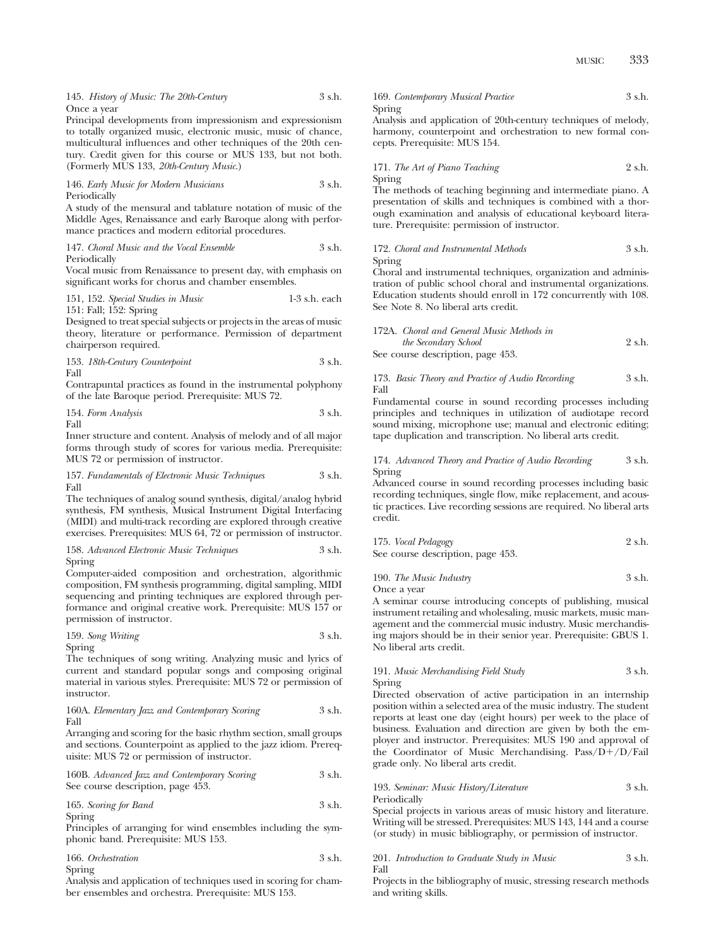145. *History of Music: The 20th-Century* 3 s.h. Once a year

Principal developments from impressionism and expressionism to totally organized music, electronic music, music of chance, multicultural influences and other techniques of the 20th century. Credit given for this course or MUS 133, but not both. (Formerly MUS 133, *20th-Century Music*.)

146. *Early Music for Modern Musicians* 3 s.h. Periodically

A study of the mensural and tablature notation of music of the Middle Ages, Renaissance and early Baroque along with performance practices and modern editorial procedures.

147. *Choral Music and the Vocal Ensemble* 3 s.h. Periodically

Vocal music from Renaissance to present day, with emphasis on significant works for chorus and chamber ensembles.

151, 152. *Special Studies in Music* 1-3 s.h. each 151: Fall; 152: Spring

Designed to treat special subjects or projects in the areas of music theory, literature or performance. Permission of department chairperson required.

153. *18th-Century Counterpoint* 3 s.h. Fall

Contrapuntal practices as found in the instrumental polyphony of the late Baroque period. Prerequisite: MUS 72.

154. *Form Analysis* 3 s.h. Fall

Inner structure and content. Analysis of melody and of all major forms through study of scores for various media. Prerequisite: MUS 72 or permission of instructor.

157. *Fundamentals of Electronic Music Techniques* 3 s.h. Fall

The techniques of analog sound synthesis, digital/analog hybrid synthesis, FM synthesis, Musical Instrument Digital Interfacing (MIDI) and multi-track recording are explored through creative exercises. Prerequisites: MUS 64, 72 or permission of instructor.

#### 158. *Advanced Electronic Music Techniques* 3 s.h. Spring

Computer-aided composition and orchestration, algorithmic composition, FM synthesis programming, digital sampling, MIDI sequencing and printing techniques are explored through performance and original creative work. Prerequisite: MUS 157 or permission of instructor.

159. *Song Writing* 3 s.h. Spring

The techniques of song writing. Analyzing music and lyrics of current and standard popular songs and composing original material in various styles. Prerequisite: MUS 72 or permission of instructor.

160A. *Elementary Jazz and Contemporary Scoring* 3 s.h. Fall

Arranging and scoring for the basic rhythm section, small groups and sections. Counterpoint as applied to the jazz idiom. Prerequisite: MUS 72 or permission of instructor.

160B. *Advanced Jazz and Contemporary Scoring* 3 s.h. See course description, page 453.

165. *Scoring for Band* 3 s.h. Spring

Principles of arranging for wind ensembles including the symphonic band. Prerequisite: MUS 153.

| 166. Orchestration | 3 s.h. |
|--------------------|--------|
| Spring             |        |

Analysis and application of techniques used in scoring for chamber ensembles and orchestra. Prerequisite: MUS 153.

169. *Contemporary Musical Practice* 3 s.h. Spring

Analysis and application of 20th-century techniques of melody, harmony, counterpoint and orchestration to new formal concepts. Prerequisite: MUS 154.

171. *The Art of Piano Teaching* 2 s.h. Spring

The methods of teaching beginning and intermediate piano. A presentation of skills and techniques is combined with a thorough examination and analysis of educational keyboard literature. Prerequisite: permission of instructor.

#### 172. *Choral and Instrumental Methods* 3 s.h. Spring

Choral and instrumental techniques, organization and administration of public school choral and instrumental organizations. Education students should enroll in 172 concurrently with 108. See Note 8. No liberal arts credit.

| 172A. Choral and General Music Methods in |        |
|-------------------------------------------|--------|
| the Secondary School                      | 2 s.h. |
|                                           |        |

See course description, page 453.

#### 173. *Basic Theory and Practice of Audio Recording* 3 s.h. Fall

Fundamental course in sound recording processes including principles and techniques in utilization of audiotape record sound mixing, microphone use; manual and electronic editing; tape duplication and transcription. No liberal arts credit.

#### 174. *Advanced Theory and Practice of Audio Recording* 3 s.h. Spring

Advanced course in sound recording processes including basic recording techniques, single flow, mike replacement, and acoustic practices. Live recording sessions are required. No liberal arts credit.

| 175. Vocal Pedagogy               | 2 s.h. |
|-----------------------------------|--------|
| See course description, page 453. |        |

190. *The Music Industry* 3 s.h.

Once a year

A seminar course introducing concepts of publishing, musical instrument retailing and wholesaling, music markets, music management and the commercial music industry. Music merchandising majors should be in their senior year. Prerequisite: GBUS 1. No liberal arts credit.

#### 191. *Music Merchandising Field Study* 3 s.h. Spring

Directed observation of active participation in an internship position within a selected area of the music industry. The student reports at least one day (eight hours) per week to the place of business. Evaluation and direction are given by both the employer and instructor. Prerequisites: MUS 190 and approval of the Coordinator of Music Merchandising. Pass/D+/D/Fail grade only. No liberal arts credit.

193. *Seminar: Music History/Literature* 3 s.h. Periodically

Special projects in various areas of music history and literature. Writing will be stressed. Prerequisites: MUS 143, 144 and a course (or study) in music bibliography, or permission of instructor.

#### 201. *Introduction to Graduate Study in Music* 3 s.h. Fall

Projects in the bibliography of music, stressing research methods and writing skills.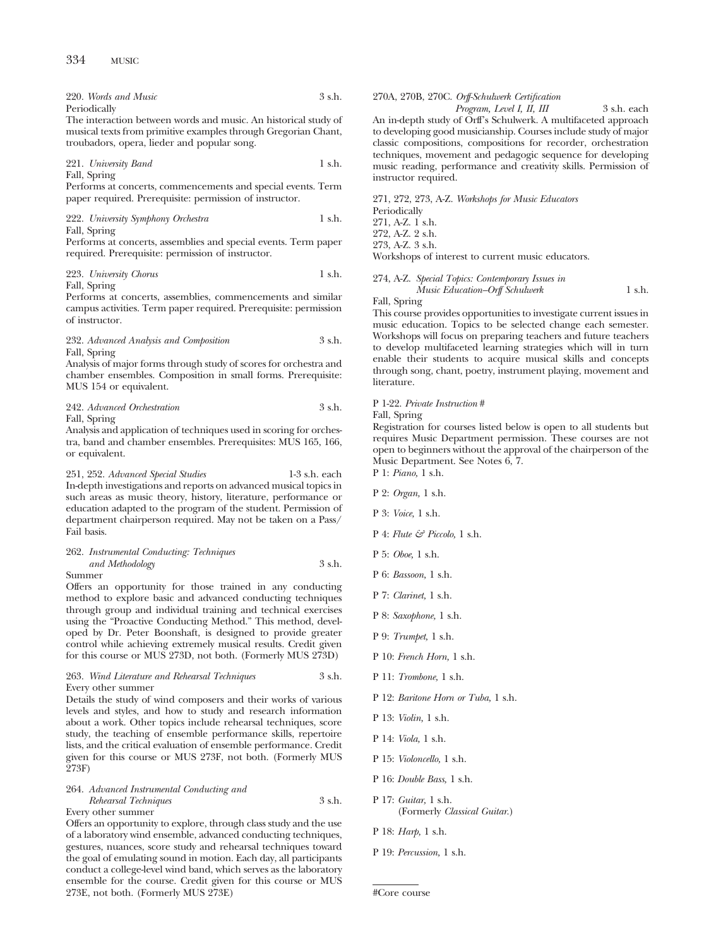220. *Words and Music* 3 s.h. Periodically

The interaction between words and music. An historical study of musical texts from primitive examples through Gregorian Chant, troubadors, opera, lieder and popular song.

221. *University Band* 1 s.h. Fall, Spring

Performs at concerts, commencements and special events. Term paper required. Prerequisite: permission of instructor.

222. *University Symphony Orchestra* 1 s.h. Fall, Spring

Performs at concerts, assemblies and special events. Term paper required. Prerequisite: permission of instructor.

223. *University Chorus* 1 s.h. Fall, Spring

Performs at concerts, assemblies, commencements and similar campus activities. Term paper required. Prerequisite: permission of instructor.

232. *Advanced Analysis and Composition* 3 s.h. Fall, Spring

Analysis of major forms through study of scores for orchestra and chamber ensembles. Composition in small forms. Prerequisite: MUS 154 or equivalent.

| 242. Advanced Orchestration | 3 s.h. |
|-----------------------------|--------|
| Fall, Spring                |        |

Analysis and application of techniques used in scoring for orchestra, band and chamber ensembles. Prerequisites: MUS 165, 166, or equivalent.

251, 252. *Advanced Special Studies* 1-3 s.h. each In-depth investigations and reports on advanced musical topics in such areas as music theory, history, literature, performance or education adapted to the program of the student. Permission of department chairperson required. May not be taken on a Pass/ Fail basis.

# 262. *Instrumental Conducting: Techniques and Methodology* 3 s.h.

Summer

Offers an opportunity for those trained in any conducting method to explore basic and advanced conducting techniques through group and individual training and technical exercises using the "Proactive Conducting Method." This method, developed by Dr. Peter Boonshaft, is designed to provide greater control while achieving extremely musical results. Credit given for this course or MUS 273D, not both. (Formerly MUS 273D)

#### 263. *Wind Literature and Rehearsal Techniques* 3 s.h. Every other summer

Details the study of wind composers and their works of various levels and styles, and how to study and research information about a work. Other topics include rehearsal techniques, score study, the teaching of ensemble performance skills, repertoire lists, and the critical evaluation of ensemble performance. Credit given for this course or MUS 273F, not both. (Formerly MUS 273F)

#### 264. *Advanced Instrumental Conducting and Rehearsal Techniques* 3 s.h.

Every other summer

Offers an opportunity to explore, through class study and the use of a laboratory wind ensemble, advanced conducting techniques, gestures, nuances, score study and rehearsal techniques toward the goal of emulating sound in motion. Each day, all participants conduct a college-level wind band, which serves as the laboratory ensemble for the course. Credit given for this course or MUS 273E, not both. (Formerly MUS 273E)

### 270A, 270B, 270C. *Orff-Schulwerk Certification*

*Program, Level I, II, III* 3 s.h. each An in-depth study of Orff's Schulwerk. A multifaceted approach to developing good musicianship. Courses include study of major classic compositions, compositions for recorder, orchestration techniques, movement and pedagogic sequence for developing music reading, performance and creativity skills. Permission of instructor required.

271, 272, 273, A-Z. *Workshops for Music Educators* Periodically 271, A-Z. 1 s.h. 272, A-Z. 2 s.h. 273, A-Z. 3 s.h. Workshops of interest to current music educators.

274, A-Z. *Special Topics: Contemporary Issues in Music Education–Orff Schulwerk* 1 s.h.

Fall, Spring This course provides opportunities to investigate current issues in music education. Topics to be selected change each semester. Workshops will focus on preparing teachers and future teachers to develop multifaceted learning strategies which will in turn enable their students to acquire musical skills and concepts

#### P 1-22. *Private Instruction* #

Fall, Spring

literature.

Registration for courses listed below is open to all students but requires Music Department permission. These courses are not open to beginners without the approval of the chairperson of the Music Department. See Notes 6, 7.

through song, chant, poetry, instrument playing, movement and

P 1: *Piano,* 1 s.h.

- P 2: *Organ,* 1 s.h.
- P 3: *Voice,* 1 s.h.
- P 4: *Flute & Piccolo,* 1 s.h.
- P 5: *Oboe,* 1 s.h.
- P 6: *Bassoon,* 1 s.h.
- P 7: *Clarinet,* 1 s.h.
- P 8: *Saxophone,* 1 s.h.
- P 9: *Trumpet,* 1 s.h.
- P 10: *French Horn,* 1 s.h.
- P 11: *Trombone,* 1 s.h.
- P 12: *Baritone Horn or Tuba,* 1 s.h.
- P 13: *Violin,* 1 s.h.
- P 14: *Viola,* 1 s.h.
- P 15: *Violoncello,* 1 s.h.
- P 16: *Double Bass,* 1 s.h.
- P 17: *Guitar,* 1 s.h. (Formerly *Classical Guitar.*)
- P 18: *Harp,* 1 s.h.
- P 19: *Percussion,* 1 s.h.

<sup>#</sup>Core course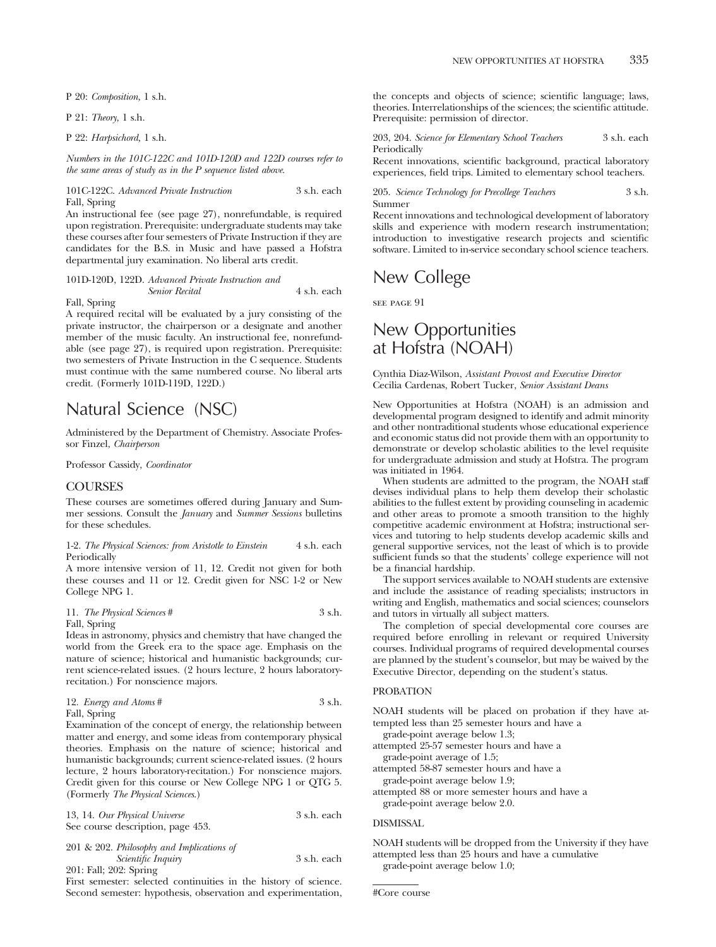P 20: *Composition,* 1 s.h.

P 21: *Theory,* 1 s.h.

P 22: *Harpsichord,* 1 s.h.

*Numbers in the 101C-122C and 101D-120D and 122D courses refer to the same areas of study as in the P sequence listed above.*

101C-122C. *Advanced Private Instruction* 3 s.h. each Fall, Spring

An instructional fee (see page 27), nonrefundable, is required upon registration. Prerequisite: undergraduate students may take these courses after four semesters of Private Instruction if they are candidates for the B.S. in Music and have passed a Hofstra departmental jury examination. No liberal arts credit.

## 101D-120D, 122D. *Advanced Private Instruction and Senior Recital* 4 s.h. each Fall, Spring

A required recital will be evaluated by a jury consisting of the private instructor, the chairperson or a designate and another member of the music faculty. An instructional fee, nonrefundable (see page 27), is required upon registration. Prerequisite: two semesters of Private Instruction in the C sequence. Students must continue with the same numbered course. No liberal arts credit. (Formerly 101D-119D, 122D.)

# Natural Science (NSC)

Administered by the Department of Chemistry. Associate Professor Finzel, *Chairperson*

Professor Cassidy, *Coordinator*

## COURSES

These courses are sometimes offered during January and Summer sessions. Consult the *January* and *Summer Sessions* bulletins for these schedules.

1-2. *The Physical Sciences: from Aristotle to Einstein* 4 s.h. each Periodically

A more intensive version of 11, 12. Credit not given for both these courses and 11 or 12. Credit given for NSC 1-2 or New College NPG 1.

11. *The Physical Sciences* # 3 s.h. Fall, Spring

Ideas in astronomy, physics and chemistry that have changed the world from the Greek era to the space age. Emphasis on the nature of science; historical and humanistic backgrounds; current science-related issues. (2 hours lecture, 2 hours laboratoryrecitation.) For nonscience majors.

| 12. <i>Energy and Atoms</i> # | 3 s.h. |
|-------------------------------|--------|
| $P_1$ 11 $Q_2$ $\cdots$       |        |

Fall, Spring

Examination of the concept of energy, the relationship between matter and energy, and some ideas from contemporary physical theories. Emphasis on the nature of science; historical and humanistic backgrounds; current science-related issues. (2 hours lecture, 2 hours laboratory-recitation.) For nonscience majors. Credit given for this course or New College NPG 1 or QTG 5. (Formerly *The Physical Sciences*.)

| 13, 14. Our Physical Universe             | 3 s.h. each |
|-------------------------------------------|-------------|
| See course description, page 453.         |             |
| 201 & 202. Philosophy and Implications of |             |
| <i>Scientific Inquiry</i>                 | 3 s.h. each |

201: Fall; 202: Spring First semester: selected continuities in the history of science. Second semester: hypothesis, observation and experimentation, the concepts and objects of science; scientific language; laws, theories. Interrelationships of the sciences; the scientific attitude. Prerequisite: permission of director.

203, 204. *Science for Elementary School Teachers* 3 s.h. each Periodically

Recent innovations, scientific background, practical laboratory experiences, field trips. Limited to elementary school teachers.

#### 205. *Science Technology for Precollege Teachers* 3 s.h. Summer

Recent innovations and technological development of laboratory skills and experience with modern research instrumentation; introduction to investigative research projects and scientific software. Limited to in-service secondary school science teachers.

# New College

see page 91

# New Opportunities at Hofstra (NOAH)

### Cynthia Diaz-Wilson, *Assistant Provost and Executive Director* Cecilia Cardenas, Robert Tucker, *Senior Assistant Deans*

New Opportunities at Hofstra (NOAH) is an admission and developmental program designed to identify and admit minority and other nontraditional students whose educational experience and economic status did not provide them with an opportunity to demonstrate or develop scholastic abilities to the level requisite for undergraduate admission and study at Hofstra. The program was initiated in 1964.

When students are admitted to the program, the NOAH staff devises individual plans to help them develop their scholastic abilities to the fullest extent by providing counseling in academic and other areas to promote a smooth transition to the highly competitive academic environment at Hofstra; instructional services and tutoring to help students develop academic skills and general supportive services, not the least of which is to provide sufficient funds so that the students' college experience will not be a financial hardship.

The support services available to NOAH students are extensive and include the assistance of reading specialists; instructors in writing and English, mathematics and social sciences; counselors and tutors in virtually all subject matters.

The completion of special developmental core courses are required before enrolling in relevant or required University courses. Individual programs of required developmental courses are planned by the student's counselor, but may be waived by the Executive Director, depending on the student's status.

## PROBATION

NOAH students will be placed on probation if they have attempted less than 25 semester hours and have a

grade-point average below 1.3; attempted 25-57 semester hours and have a

grade-point average of 1.5;

attempted 58-87 semester hours and have a grade-point average below 1.9;

attempted 88 or more semester hours and have a grade-point average below 2.0.

## DISMISSAL

NOAH students will be dropped from the University if they have attempted less than 25 hours and have a cumulative grade-point average below 1.0;

#Core course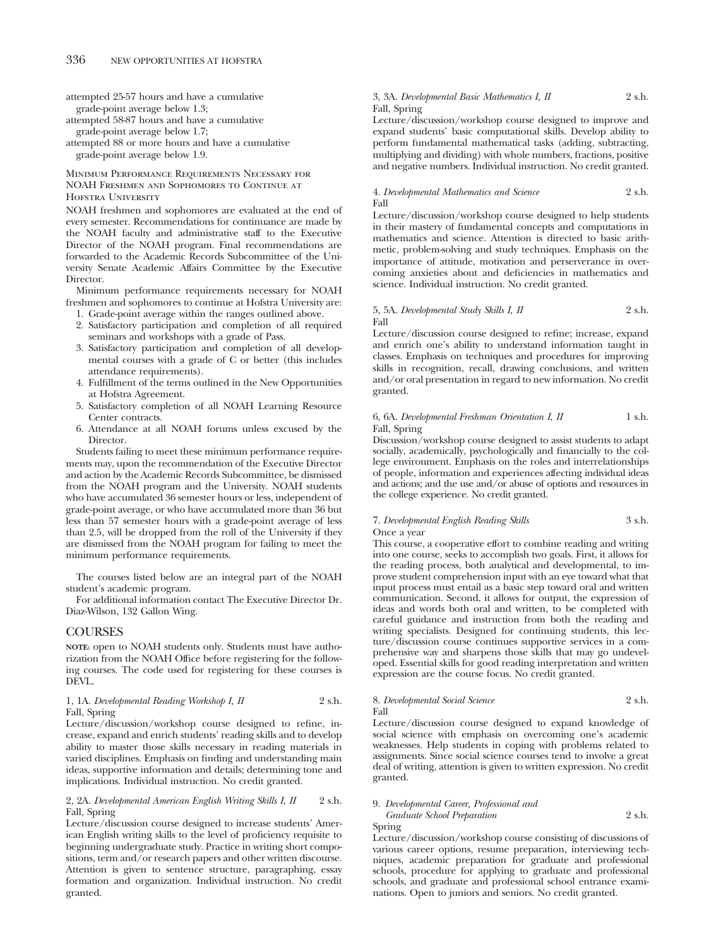attempted 25-57 hours and have a cumulative grade-point average below 1.3;

attempted 58-87 hours and have a cumulative grade-point average below 1.7;

attempted 88 or more hours and have a cumulative grade-point average below 1.9.

## Minimum Performance Requirements Necessary for NOAH Freshmen and Sophomores to Continue at Hofstra University

NOAH freshmen and sophomores are evaluated at the end of every semester. Recommendations for continuance are made by the NOAH faculty and administrative staff to the Executive Director of the NOAH program. Final recommendations are forwarded to the Academic Records Subcommittee of the University Senate Academic Affairs Committee by the Executive Director.

Minimum performance requirements necessary for NOAH freshmen and sophomores to continue at Hofstra University are:

- 1. Grade-point average within the ranges outlined above.
- 2. Satisfactory participation and completion of all required seminars and workshops with a grade of Pass.
- 3. Satisfactory participation and completion of all developmental courses with a grade of C or better (this includes attendance requirements).
- 4. Fulfillment of the terms outlined in the New Opportunities at Hofstra Agreement.
- 5. Satisfactory completion of all NOAH Learning Resource Center contracts.
- 6. Attendance at all NOAH forums unless excused by the Director.

Students failing to meet these minimum performance requirements may, upon the recommendation of the Executive Director and action by the Academic Records Subcommittee, be dismissed from the NOAH program and the University. NOAH students who have accumulated 36 semester hours or less, independent of grade-point average, or who have accumulated more than 36 but less than 57 semester hours with a grade-point average of less than 2.5, will be dropped from the roll of the University if they are dismissed from the NOAH program for failing to meet the minimum performance requirements.

The courses listed below are an integral part of the NOAH student's academic program.

For additional information contact The Executive Director Dr. Diaz-Wilson, 132 Gallon Wing.

#### COURSES

**NOTE:** open to NOAH students only. Students must have authorization from the NOAH Office before registering for the following courses. The code used for registering for these courses is DEVL.

## 1, 1A. *Developmental Reading Workshop I, II* 2 s.h. Fall, Spring

Lecture/discussion/workshop course designed to refine, increase, expand and enrich students' reading skills and to develop ability to master those skills necessary in reading materials in varied disciplines. Emphasis on finding and understanding main ideas, supportive information and details; determining tone and implications. Individual instruction. No credit granted.

### 2, 2A. *Developmental American English Writing Skills I, II* 2 s.h. Fall, Spring

Lecture/discussion course designed to increase students' American English writing skills to the level of proficiency requisite to beginning undergraduate study. Practice in writing short compositions, term and/or research papers and other written discourse. Attention is given to sentence structure, paragraphing, essay formation and organization. Individual instruction. No credit granted.

## 3, 3A. *Developmental Basic Mathematics I, II* 2 s.h. Fall, Spring

Lecture/discussion/workshop course designed to improve and expand students' basic computational skills. Develop ability to perform fundamental mathematical tasks (adding, subtracting, multiplying and dividing) with whole numbers, fractions, positive and negative numbers. Individual instruction. No credit granted.

## 4. *Developmental Mathematics and Science* 2 s.h. Fall

Lecture/discussion/workshop course designed to help students in their mastery of fundamental concepts and computations in mathematics and science. Attention is directed to basic arithmetic, problem-solving and study techniques. Emphasis on the importance of attitude, motivation and perserverance in overcoming anxieties about and deficiencies in mathematics and science. Individual instruction. No credit granted.

### 5, 5A. *Developmental Study Skills I, II* 2 s.h. Fall

Lecture/discussion course designed to refine; increase, expand and enrich one's ability to understand information taught in classes. Emphasis on techniques and procedures for improving skills in recognition, recall, drawing conclusions, and written and/or oral presentation in regard to new information. No credit granted.

#### 6, 6A. *Developmental Freshman Orientation I, II* 1 s.h. Fall, Spring

Discussion/workshop course designed to assist students to adapt socially, academically, psychologically and financially to the college environment. Emphasis on the roles and interrelationships of people, information and experiences affecting individual ideas and actions; and the use and/or abuse of options and resources in the college experience. No credit granted.

## 7. *Developmental English Reading Skills* 3 s.h. Once a year

This course, a cooperative effort to combine reading and writing into one course, seeks to accomplish two goals. First, it allows for the reading process, both analytical and developmental, to improve student comprehension input with an eye toward what that input process must entail as a basic step toward oral and written communication. Second, it allows for output, the expression of ideas and words both oral and written, to be completed with careful guidance and instruction from both the reading and writing specialists. Designed for continuing students, this lecture/discussion course continues supportive services in a comprehensive way and sharpens those skills that may go undeveloped. Essential skills for good reading interpretation and written expression are the course focus. No credit granted.

#### 8. *Developmental Social Science* 2 s.h. Fall

Lecture/discussion course designed to expand knowledge of social science with emphasis on overcoming one's academic weaknesses. Help students in coping with problems related to assignments. Since social science courses tend to involve a great deal of writing, attention is given to written expression. No credit granted.

## 9. *Developmental Career, Professional and Graduate School Preparation* 2 s.h.

Spring

Lecture/discussion/workshop course consisting of discussions of various career options, resume preparation, interviewing techniques, academic preparation for graduate and professional schools, procedure for applying to graduate and professional schools, and graduate and professional school entrance examinations. Open to juniors and seniors. No credit granted.